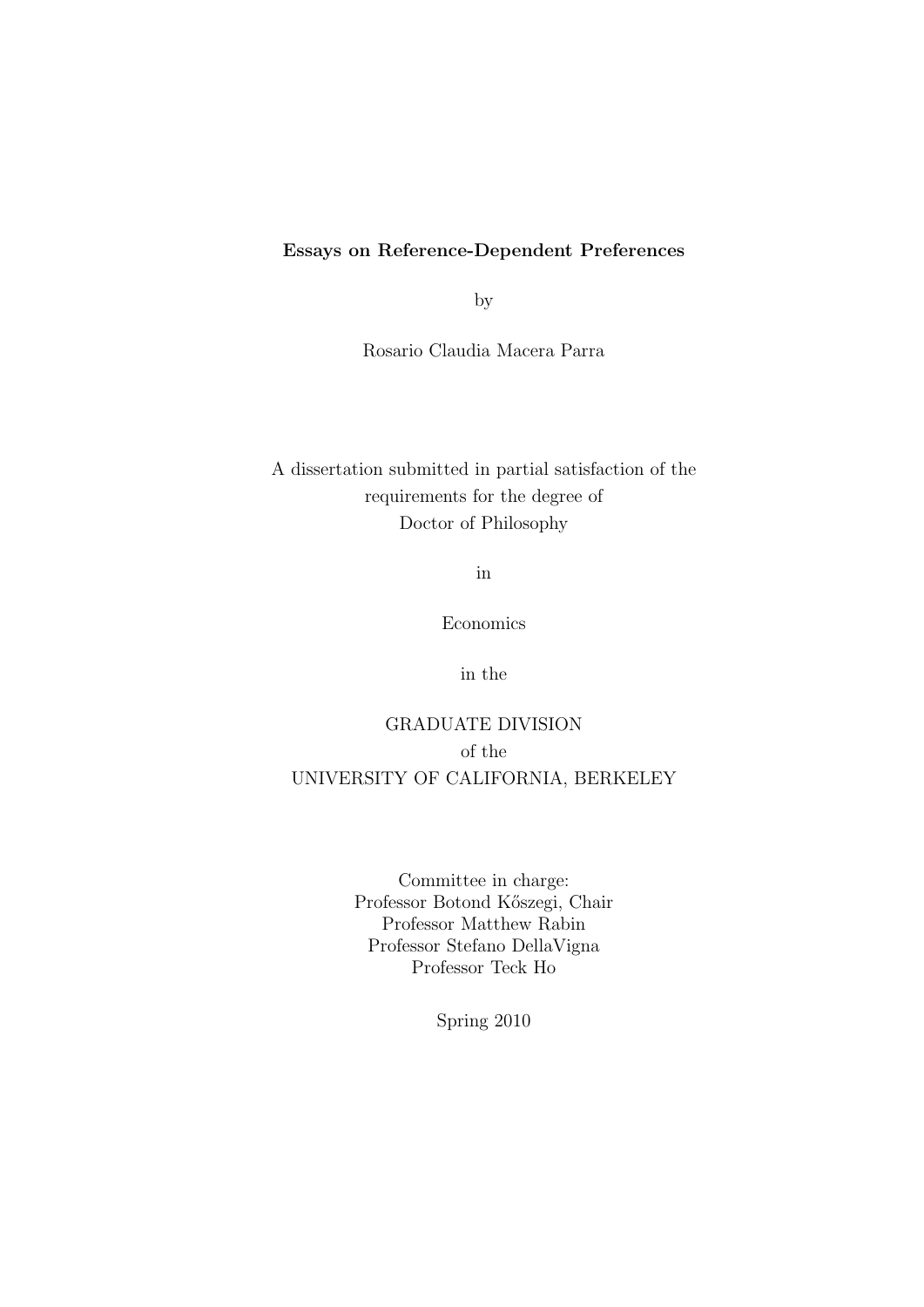#### Essays on Reference-Dependent Preferences

by

Rosario Claudia Macera Parra

## A dissertation submitted in partial satisfaction of the requirements for the degree of Doctor of Philosophy

in

Economics

in the

## GRADUATE DIVISION of the UNIVERSITY OF CALIFORNIA, BERKELEY

Committee in charge: Professor Botond Kőszegi, Chair Professor Matthew Rabin Professor Stefano DellaVigna Professor Teck Ho

Spring 2010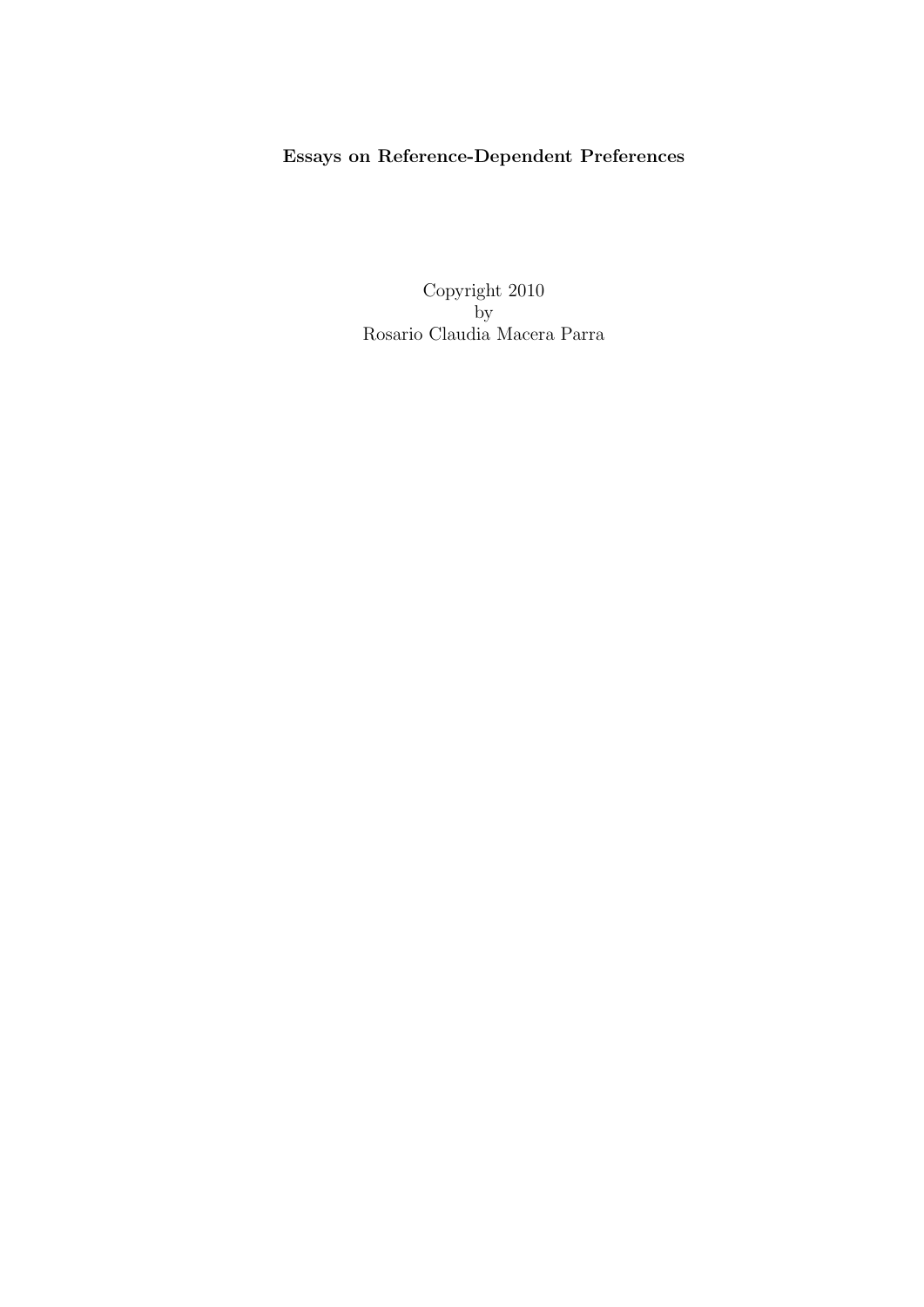## Essays on Reference-Dependent Preferences

Copyright 2010 by Rosario Claudia Macera Parra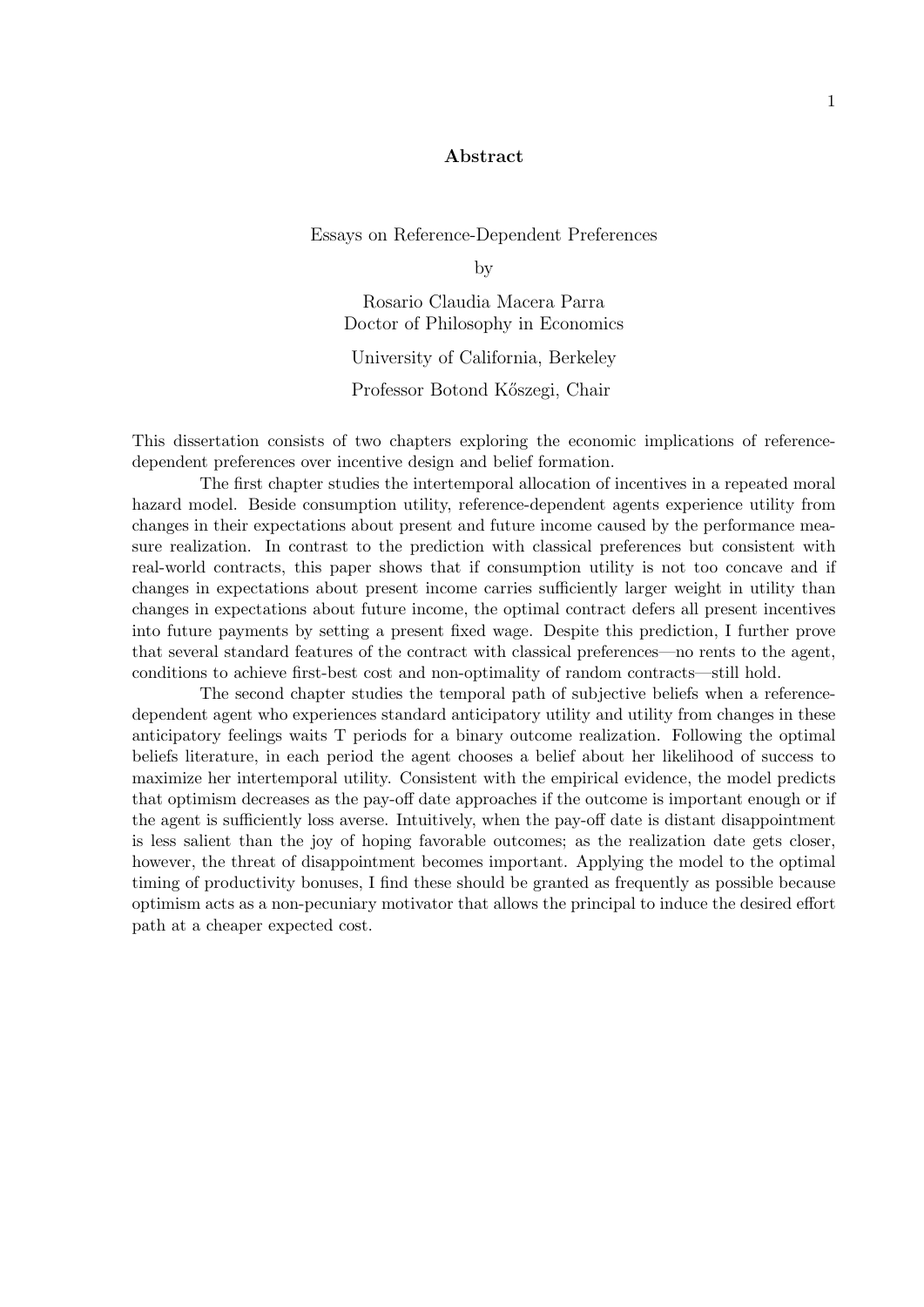#### Abstract

Essays on Reference-Dependent Preferences

by

Rosario Claudia Macera Parra Doctor of Philosophy in Economics University of California, Berkeley

Professor Botond K˝oszegi, Chair

This dissertation consists of two chapters exploring the economic implications of referencedependent preferences over incentive design and belief formation.

The first chapter studies the intertemporal allocation of incentives in a repeated moral hazard model. Beside consumption utility, reference-dependent agents experience utility from changes in their expectations about present and future income caused by the performance measure realization. In contrast to the prediction with classical preferences but consistent with real-world contracts, this paper shows that if consumption utility is not too concave and if changes in expectations about present income carries sufficiently larger weight in utility than changes in expectations about future income, the optimal contract defers all present incentives into future payments by setting a present fixed wage. Despite this prediction, I further prove that several standard features of the contract with classical preferences—no rents to the agent, conditions to achieve first-best cost and non-optimality of random contracts—still hold.

The second chapter studies the temporal path of subjective beliefs when a referencedependent agent who experiences standard anticipatory utility and utility from changes in these anticipatory feelings waits T periods for a binary outcome realization. Following the optimal beliefs literature, in each period the agent chooses a belief about her likelihood of success to maximize her intertemporal utility. Consistent with the empirical evidence, the model predicts that optimism decreases as the pay-off date approaches if the outcome is important enough or if the agent is sufficiently loss averse. Intuitively, when the pay-off date is distant disappointment is less salient than the joy of hoping favorable outcomes; as the realization date gets closer, however, the threat of disappointment becomes important. Applying the model to the optimal timing of productivity bonuses, I find these should be granted as frequently as possible because optimism acts as a non-pecuniary motivator that allows the principal to induce the desired effort path at a cheaper expected cost.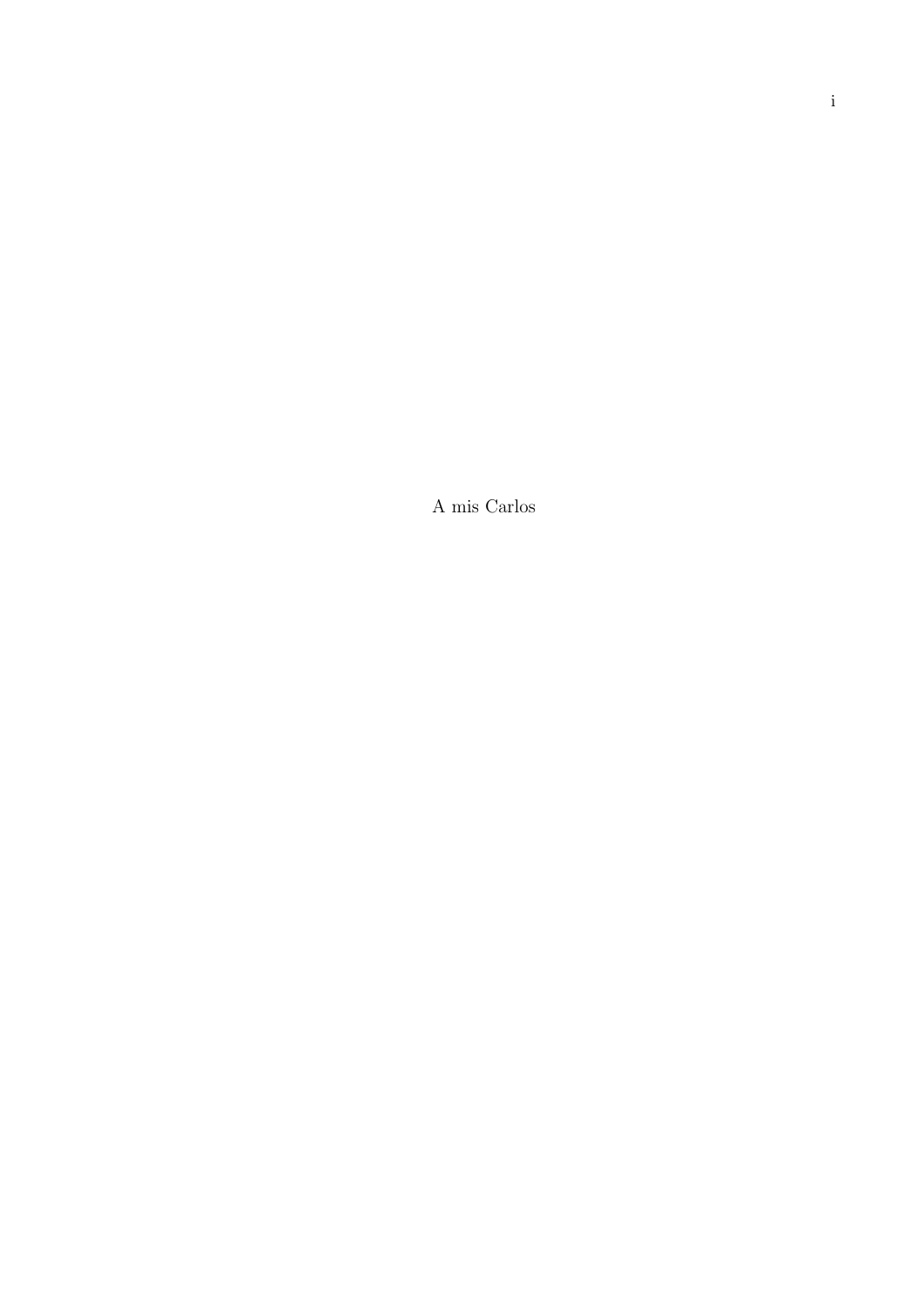A mis Carlos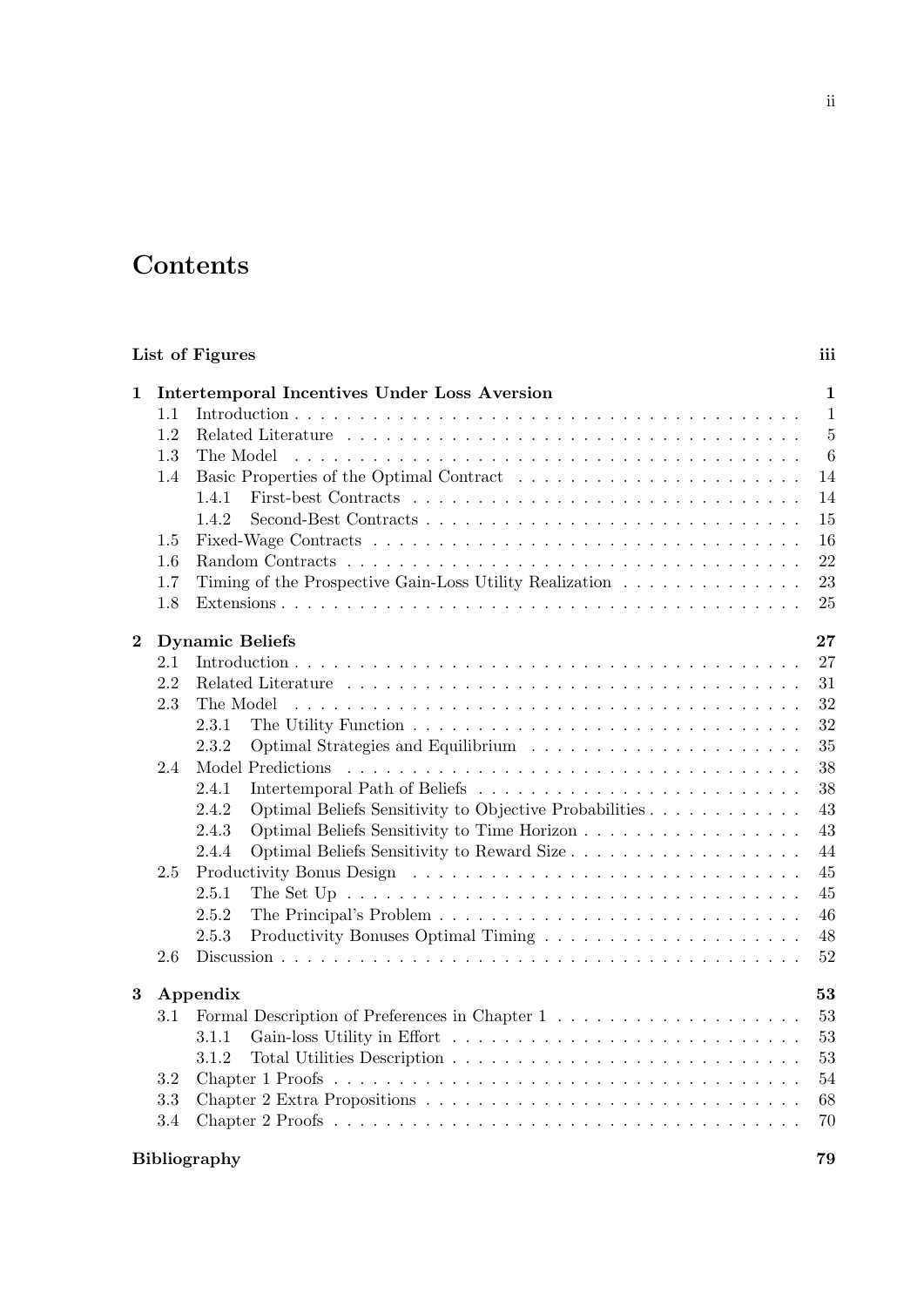## **Contents**

| List of Figures |                                                      |                                                                                                                                                                                                              |                                                                                                                     |
|-----------------|------------------------------------------------------|--------------------------------------------------------------------------------------------------------------------------------------------------------------------------------------------------------------|---------------------------------------------------------------------------------------------------------------------|
| 1               | 1.1<br>1.2<br>1.3<br>1.4<br>1.5<br>1.6<br>1.7<br>1.8 | <b>Intertemporal Incentives Under Loss Aversion</b><br>The Model<br>1.4.1<br>1.4.2<br>Timing of the Prospective Gain-Loss Utility Realization $\ldots \ldots \ldots \ldots \ldots$                           | iii<br>$\mathbf{1}$<br>$\mathbf{1}$<br>$\overline{5}$<br>$\boldsymbol{6}$<br>14<br>14<br>15<br>16<br>22<br>23<br>25 |
| $\bf{2}$        | 2.1                                                  | <b>Dynamic Beliefs</b>                                                                                                                                                                                       | 27<br>27                                                                                                            |
|                 | 2.2<br>2.3                                           | The Model<br>2.3.1<br>2.3.2                                                                                                                                                                                  | 31<br>32<br>32                                                                                                      |
|                 | 2.4                                                  | Model Predictions<br>2.4.1<br>2.4.2<br>Optimal Beliefs Sensitivity to Objective Probabilities<br>Optimal Beliefs Sensitivity to Time Horizon<br>2.4.3<br>Optimal Beliefs Sensitivity to Reward Size<br>2.4.4 | 35<br>38<br>38<br>43<br>43<br>44                                                                                    |
|                 | 2.5<br>2.6                                           | 2.5.1<br>The Set Up $\ldots \ldots \ldots \ldots \ldots \ldots \ldots \ldots \ldots \ldots \ldots \ldots$<br>2.5.2<br>2.5.3                                                                                  | 45<br>45<br>46<br>48<br>52                                                                                          |
| $\bf{3}$        | 3.1<br>3.2<br>3.3<br>3.4                             | Appendix<br>3.1.1<br>3.1.2                                                                                                                                                                                   | 53<br>53<br>53<br>53<br>54<br>68<br>70                                                                              |

## Bibliography 79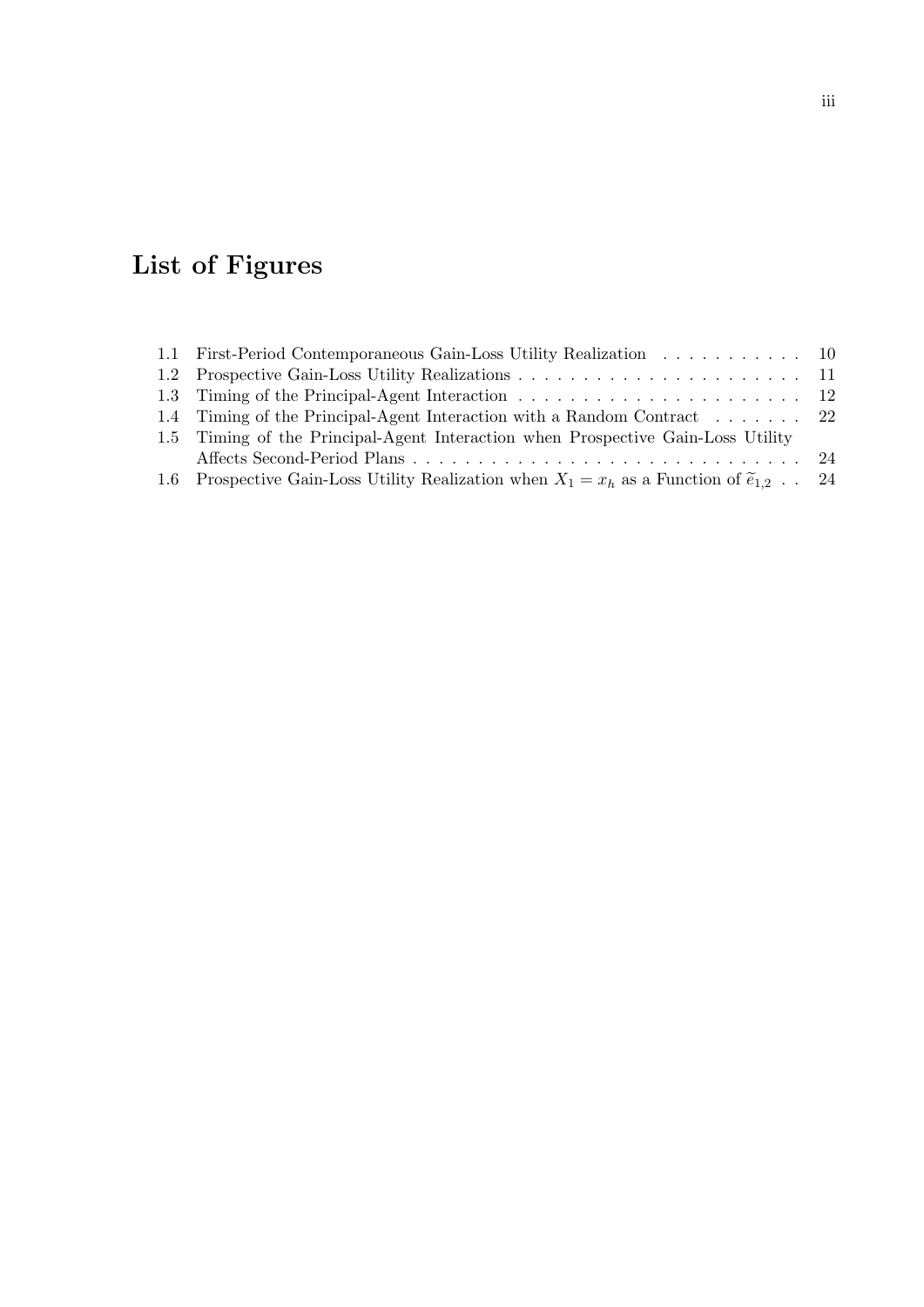# List of Figures

| 1.1 First-Period Contemporaneous Gain-Loss Utility Realization 10                                      |  |
|--------------------------------------------------------------------------------------------------------|--|
|                                                                                                        |  |
|                                                                                                        |  |
| 1.4 Timing of the Principal-Agent Interaction with a Random Contract 22                                |  |
| 1.5 Timing of the Principal-Agent Interaction when Prospective Gain-Loss Utility                       |  |
|                                                                                                        |  |
| 1.6 Prospective Gain-Loss Utility Realization when $X_1 = x_h$ as a Function of $\tilde{e}_{1,2}$ . 24 |  |
|                                                                                                        |  |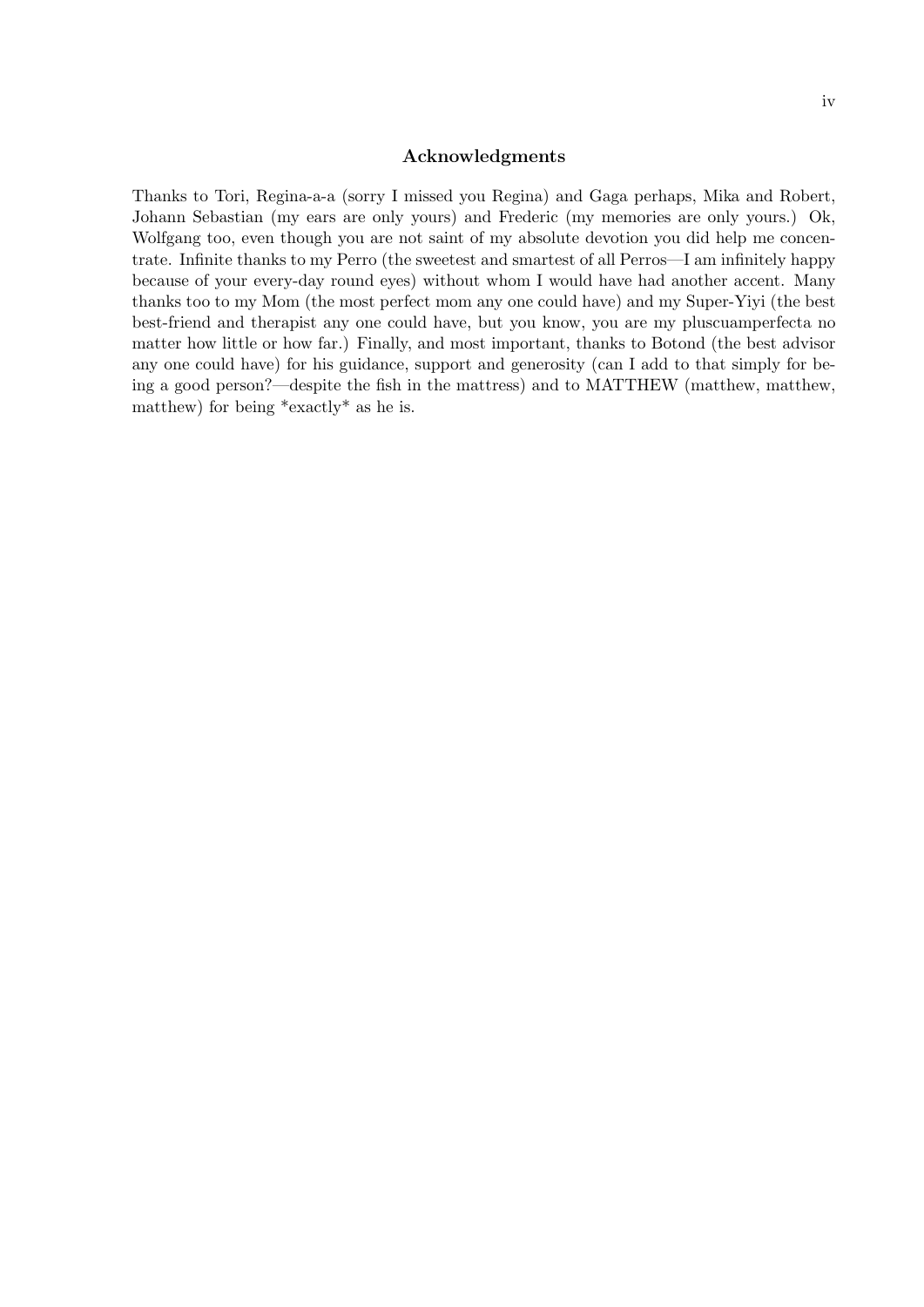#### Acknowledgments

Thanks to Tori, Regina-a-a (sorry I missed you Regina) and Gaga perhaps, Mika and Robert, Johann Sebastian (my ears are only yours) and Frederic (my memories are only yours.) Ok, Wolfgang too, even though you are not saint of my absolute devotion you did help me concentrate. Infinite thanks to my Perro (the sweetest and smartest of all Perros—I am infinitely happy because of your every-day round eyes) without whom I would have had another accent. Many thanks too to my Mom (the most perfect mom any one could have) and my Super-Yiyi (the best best-friend and therapist any one could have, but you know, you are my pluscuamperfecta no matter how little or how far.) Finally, and most important, thanks to Botond (the best advisor any one could have) for his guidance, support and generosity (can I add to that simply for being a good person?—despite the fish in the mattress) and to MATTHEW (matthew, matthew, matthew) for being \*exactly\* as he is.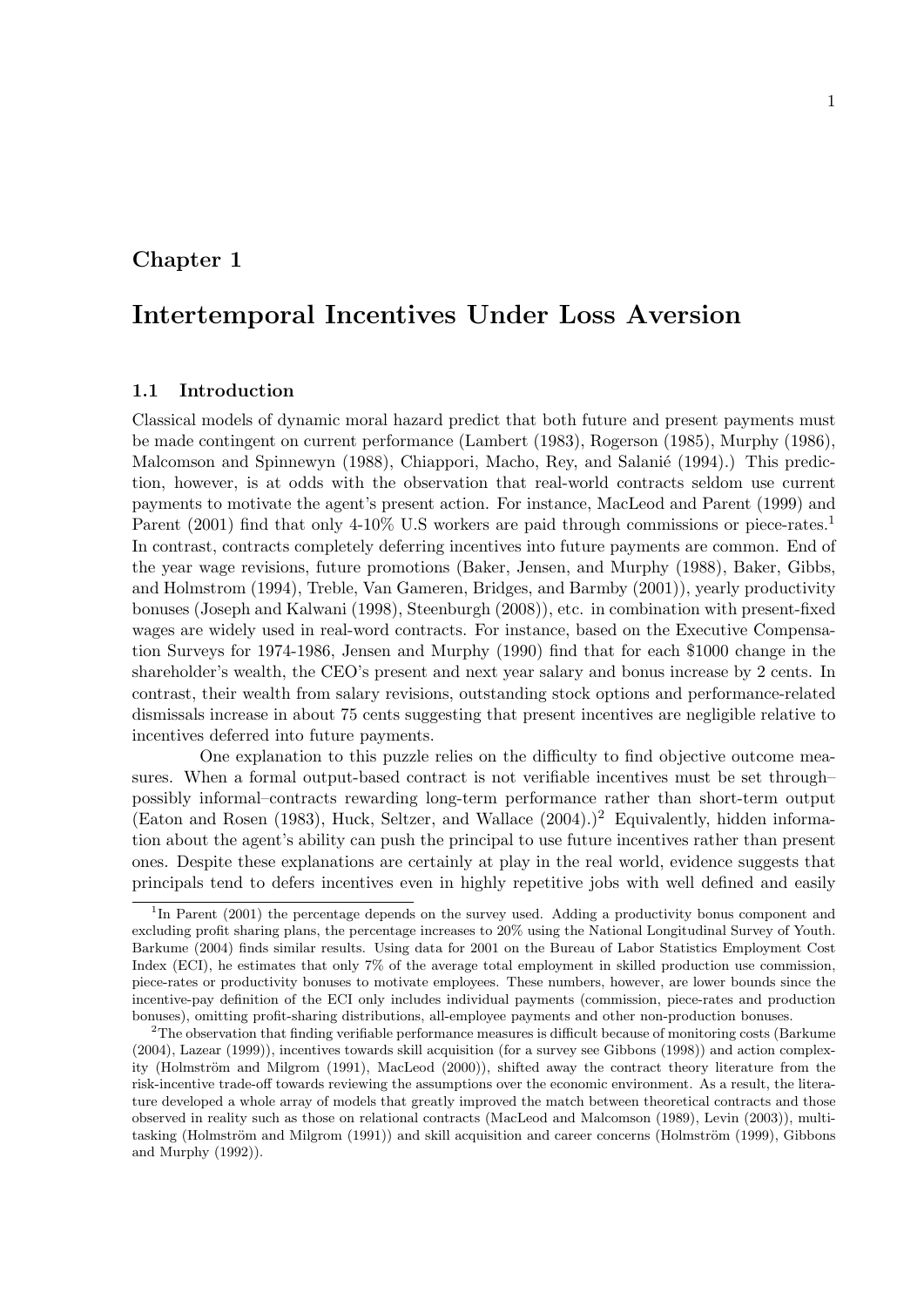## Chapter 1

## Intertemporal Incentives Under Loss Aversion

#### 1.1 Introduction

Classical models of dynamic moral hazard predict that both future and present payments must be made contingent on current performance (Lambert (1983), Rogerson (1985), Murphy (1986), Malcomson and Spinnewyn (1988), Chiappori, Macho, Rey, and Salanié (1994).) This prediction, however, is at odds with the observation that real-world contracts seldom use current payments to motivate the agent's present action. For instance, MacLeod and Parent (1999) and Parent (2001) find that only 4-10% U.S workers are paid through commissions or piece-rates.<sup>1</sup> In contrast, contracts completely deferring incentives into future payments are common. End of the year wage revisions, future promotions (Baker, Jensen, and Murphy (1988), Baker, Gibbs, and Holmstrom (1994), Treble, Van Gameren, Bridges, and Barmby (2001)), yearly productivity bonuses (Joseph and Kalwani (1998), Steenburgh (2008)), etc. in combination with present-fixed wages are widely used in real-word contracts. For instance, based on the Executive Compensation Surveys for 1974-1986, Jensen and Murphy (1990) find that for each \$1000 change in the shareholder's wealth, the CEO's present and next year salary and bonus increase by 2 cents. In contrast, their wealth from salary revisions, outstanding stock options and performance-related dismissals increase in about 75 cents suggesting that present incentives are negligible relative to incentives deferred into future payments.

One explanation to this puzzle relies on the difficulty to find objective outcome measures. When a formal output-based contract is not verifiable incentives must be set through– possibly informal–contracts rewarding long-term performance rather than short-term output (Eaton and Rosen (1983), Huck, Seltzer, and Wallace  $(2004).$ )<sup>2</sup> Equivalently, hidden information about the agent's ability can push the principal to use future incentives rather than present ones. Despite these explanations are certainly at play in the real world, evidence suggests that principals tend to defers incentives even in highly repetitive jobs with well defined and easily

<sup>&</sup>lt;sup>1</sup>In Parent (2001) the percentage depends on the survey used. Adding a productivity bonus component and excluding profit sharing plans, the percentage increases to 20% using the National Longitudinal Survey of Youth. Barkume (2004) finds similar results. Using data for 2001 on the Bureau of Labor Statistics Employment Cost Index (ECI), he estimates that only 7% of the average total employment in skilled production use commission, piece-rates or productivity bonuses to motivate employees. These numbers, however, are lower bounds since the incentive-pay definition of the ECI only includes individual payments (commission, piece-rates and production bonuses), omitting profit-sharing distributions, all-employee payments and other non-production bonuses.

<sup>&</sup>lt;sup>2</sup>The observation that finding verifiable performance measures is difficult because of monitoring costs (Barkume) (2004), Lazear (1999)), incentives towards skill acquisition (for a survey see Gibbons (1998)) and action complexity (Holmström and Milgrom (1991), MacLeod (2000)), shifted away the contract theory literature from the risk-incentive trade-off towards reviewing the assumptions over the economic environment. As a result, the literature developed a whole array of models that greatly improved the match between theoretical contracts and those observed in reality such as those on relational contracts (MacLeod and Malcomson (1989), Levin (2003)), multitasking (Holmström and Milgrom (1991)) and skill acquisition and career concerns (Holmström (1999), Gibbons and Murphy (1992)).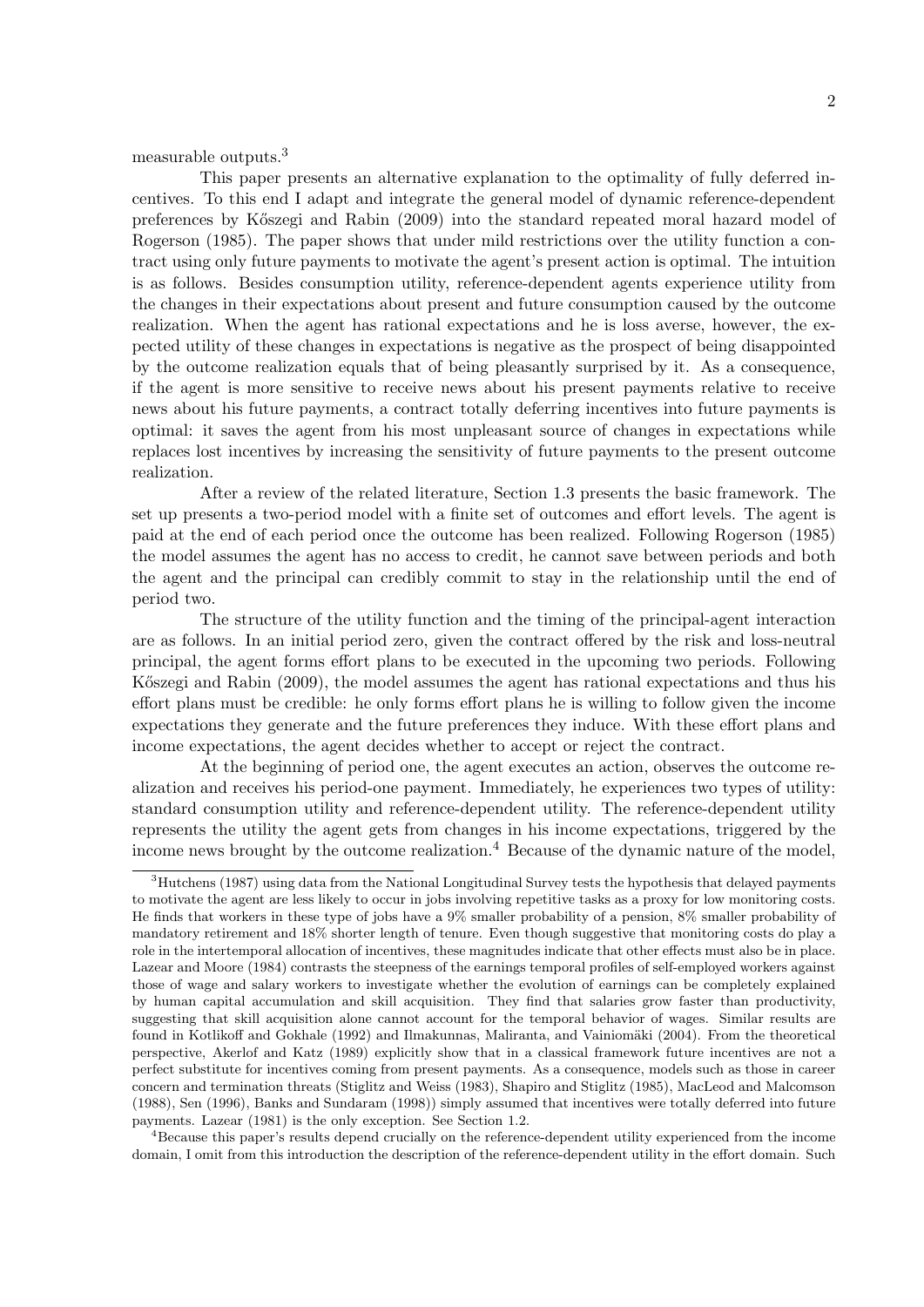measurable outputs.<sup>3</sup>

This paper presents an alternative explanation to the optimality of fully deferred incentives. To this end I adapt and integrate the general model of dynamic reference-dependent preferences by K˝oszegi and Rabin (2009) into the standard repeated moral hazard model of Rogerson (1985). The paper shows that under mild restrictions over the utility function a contract using only future payments to motivate the agent's present action is optimal. The intuition is as follows. Besides consumption utility, reference-dependent agents experience utility from the changes in their expectations about present and future consumption caused by the outcome realization. When the agent has rational expectations and he is loss averse, however, the expected utility of these changes in expectations is negative as the prospect of being disappointed by the outcome realization equals that of being pleasantly surprised by it. As a consequence, if the agent is more sensitive to receive news about his present payments relative to receive news about his future payments, a contract totally deferring incentives into future payments is optimal: it saves the agent from his most unpleasant source of changes in expectations while replaces lost incentives by increasing the sensitivity of future payments to the present outcome realization.

After a review of the related literature, Section 1.3 presents the basic framework. The set up presents a two-period model with a finite set of outcomes and effort levels. The agent is paid at the end of each period once the outcome has been realized. Following Rogerson (1985) the model assumes the agent has no access to credit, he cannot save between periods and both the agent and the principal can credibly commit to stay in the relationship until the end of period two.

The structure of the utility function and the timing of the principal-agent interaction are as follows. In an initial period zero, given the contract offered by the risk and loss-neutral principal, the agent forms effort plans to be executed in the upcoming two periods. Following Kőszegi and Rabin (2009), the model assumes the agent has rational expectations and thus his effort plans must be credible: he only forms effort plans he is willing to follow given the income expectations they generate and the future preferences they induce. With these effort plans and income expectations, the agent decides whether to accept or reject the contract.

At the beginning of period one, the agent executes an action, observes the outcome realization and receives his period-one payment. Immediately, he experiences two types of utility: standard consumption utility and reference-dependent utility. The reference-dependent utility represents the utility the agent gets from changes in his income expectations, triggered by the income news brought by the outcome realization.<sup>4</sup> Because of the dynamic nature of the model,

<sup>4</sup>Because this paper's results depend crucially on the reference-dependent utility experienced from the income domain, I omit from this introduction the description of the reference-dependent utility in the effort domain. Such

<sup>&</sup>lt;sup>3</sup>Hutchens (1987) using data from the National Longitudinal Survey tests the hypothesis that delayed payments to motivate the agent are less likely to occur in jobs involving repetitive tasks as a proxy for low monitoring costs. He finds that workers in these type of jobs have a 9% smaller probability of a pension, 8% smaller probability of mandatory retirement and 18% shorter length of tenure. Even though suggestive that monitoring costs do play a role in the intertemporal allocation of incentives, these magnitudes indicate that other effects must also be in place. Lazear and Moore (1984) contrasts the steepness of the earnings temporal profiles of self-employed workers against those of wage and salary workers to investigate whether the evolution of earnings can be completely explained by human capital accumulation and skill acquisition. They find that salaries grow faster than productivity, suggesting that skill acquisition alone cannot account for the temporal behavior of wages. Similar results are found in Kotlikoff and Gokhale (1992) and Ilmakunnas, Maliranta, and Vainiomäki (2004). From the theoretical perspective, Akerlof and Katz (1989) explicitly show that in a classical framework future incentives are not a perfect substitute for incentives coming from present payments. As a consequence, models such as those in career concern and termination threats (Stiglitz and Weiss (1983), Shapiro and Stiglitz (1985), MacLeod and Malcomson (1988), Sen (1996), Banks and Sundaram (1998)) simply assumed that incentives were totally deferred into future payments. Lazear (1981) is the only exception. See Section 1.2.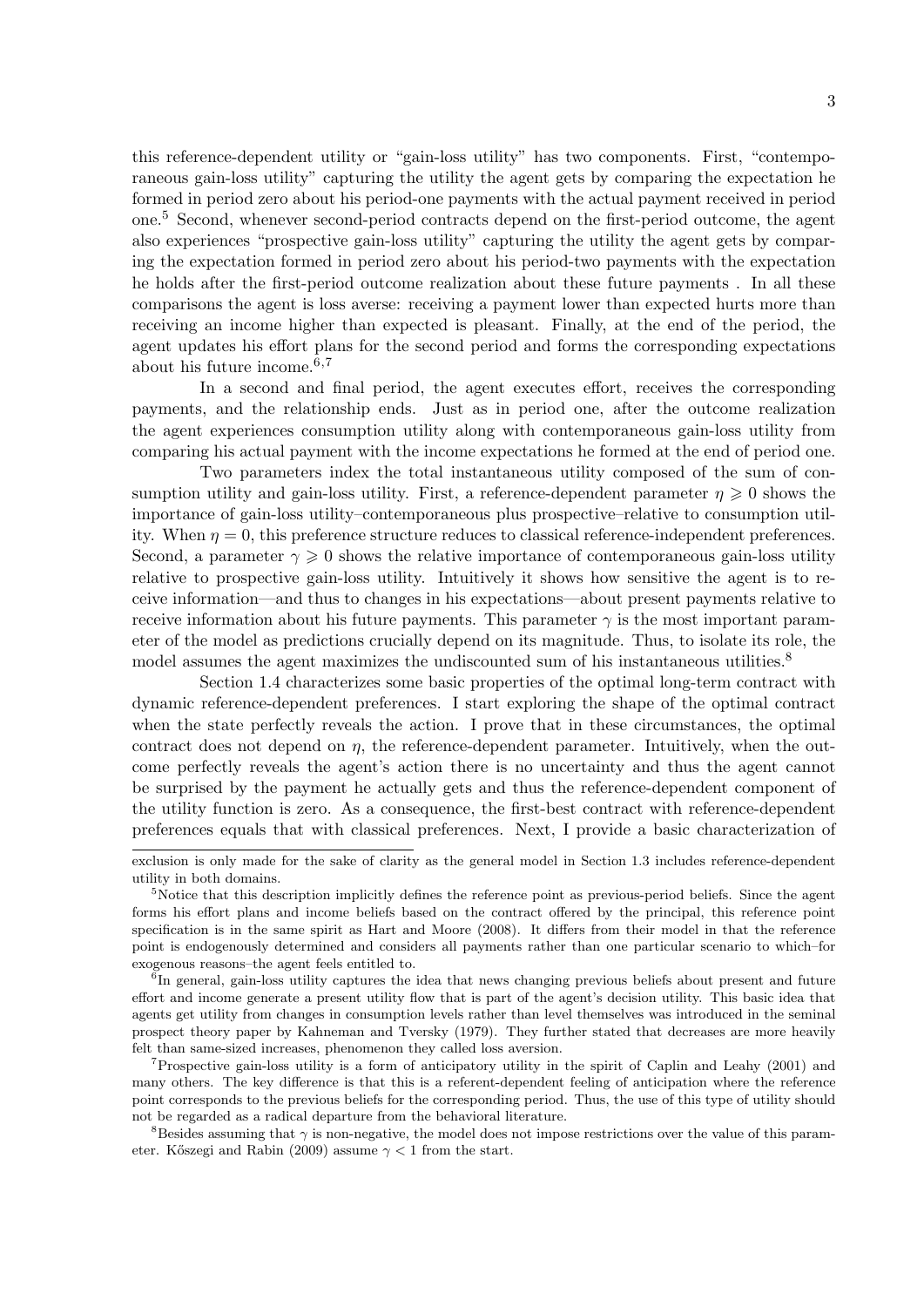this reference-dependent utility or "gain-loss utility" has two components. First, "contemporaneous gain-loss utility" capturing the utility the agent gets by comparing the expectation he formed in period zero about his period-one payments with the actual payment received in period one.<sup>5</sup> Second, whenever second-period contracts depend on the first-period outcome, the agent also experiences "prospective gain-loss utility" capturing the utility the agent gets by comparing the expectation formed in period zero about his period-two payments with the expectation he holds after the first-period outcome realization about these future payments . In all these comparisons the agent is loss averse: receiving a payment lower than expected hurts more than receiving an income higher than expected is pleasant. Finally, at the end of the period, the agent updates his effort plans for the second period and forms the corresponding expectations about his future income.6,<sup>7</sup>

In a second and final period, the agent executes effort, receives the corresponding payments, and the relationship ends. Just as in period one, after the outcome realization the agent experiences consumption utility along with contemporaneous gain-loss utility from comparing his actual payment with the income expectations he formed at the end of period one.

Two parameters index the total instantaneous utility composed of the sum of consumption utility and gain-loss utility. First, a reference-dependent parameter  $\eta \geqslant 0$  shows the importance of gain-loss utility–contemporaneous plus prospective–relative to consumption utility. When  $\eta = 0$ , this preference structure reduces to classical reference-independent preferences. Second, a parameter  $\gamma \geq 0$  shows the relative importance of contemporaneous gain-loss utility relative to prospective gain-loss utility. Intuitively it shows how sensitive the agent is to receive information—and thus to changes in his expectations—about present payments relative to receive information about his future payments. This parameter  $\gamma$  is the most important parameter of the model as predictions crucially depend on its magnitude. Thus, to isolate its role, the model assumes the agent maximizes the undiscounted sum of his instantaneous utilities.<sup>8</sup>

Section 1.4 characterizes some basic properties of the optimal long-term contract with dynamic reference-dependent preferences. I start exploring the shape of the optimal contract when the state perfectly reveals the action. I prove that in these circumstances, the optimal contract does not depend on  $\eta$ , the reference-dependent parameter. Intuitively, when the outcome perfectly reveals the agent's action there is no uncertainty and thus the agent cannot be surprised by the payment he actually gets and thus the reference-dependent component of the utility function is zero. As a consequence, the first-best contract with reference-dependent preferences equals that with classical preferences. Next, I provide a basic characterization of

<sup>8</sup>Besides assuming that  $\gamma$  is non-negative, the model does not impose restrictions over the value of this parameter. Kőszegi and Rabin (2009) assume  $\gamma < 1$  from the start.

exclusion is only made for the sake of clarity as the general model in Section 1.3 includes reference-dependent utility in both domains.

<sup>&</sup>lt;sup>5</sup>Notice that this description implicitly defines the reference point as previous-period beliefs. Since the agent forms his effort plans and income beliefs based on the contract offered by the principal, this reference point specification is in the same spirit as Hart and Moore (2008). It differs from their model in that the reference point is endogenously determined and considers all payments rather than one particular scenario to which–for exogenous reasons–the agent feels entitled to.

<sup>&</sup>lt;sup>6</sup>In general, gain-loss utility captures the idea that news changing previous beliefs about present and future effort and income generate a present utility flow that is part of the agent's decision utility. This basic idea that agents get utility from changes in consumption levels rather than level themselves was introduced in the seminal prospect theory paper by Kahneman and Tversky (1979). They further stated that decreases are more heavily felt than same-sized increases, phenomenon they called loss aversion.

<sup>7</sup>Prospective gain-loss utility is a form of anticipatory utility in the spirit of Caplin and Leahy (2001) and many others. The key difference is that this is a referent-dependent feeling of anticipation where the reference point corresponds to the previous beliefs for the corresponding period. Thus, the use of this type of utility should not be regarded as a radical departure from the behavioral literature.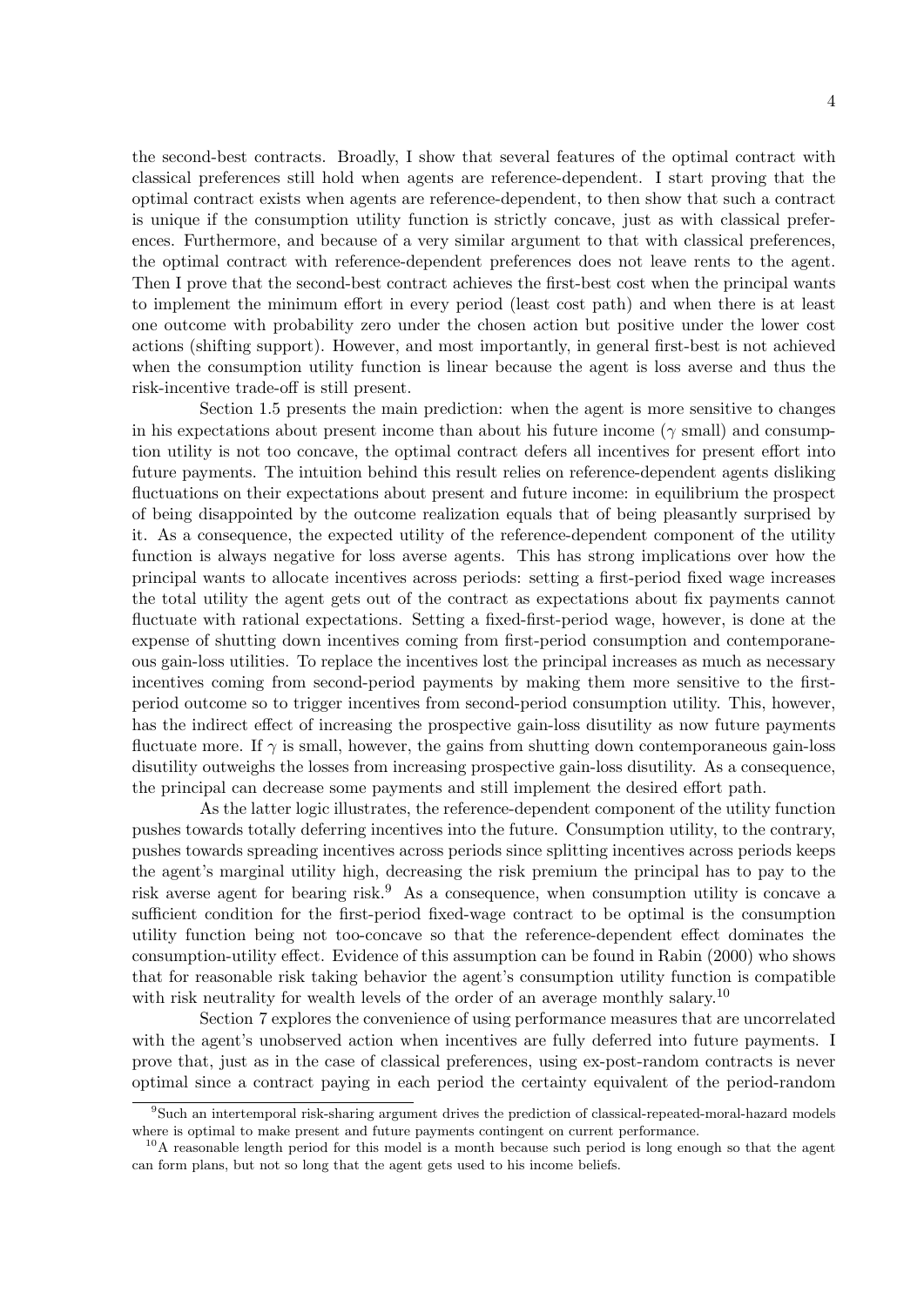the second-best contracts. Broadly, I show that several features of the optimal contract with classical preferences still hold when agents are reference-dependent. I start proving that the optimal contract exists when agents are reference-dependent, to then show that such a contract is unique if the consumption utility function is strictly concave, just as with classical preferences. Furthermore, and because of a very similar argument to that with classical preferences, the optimal contract with reference-dependent preferences does not leave rents to the agent. Then I prove that the second-best contract achieves the first-best cost when the principal wants to implement the minimum effort in every period (least cost path) and when there is at least one outcome with probability zero under the chosen action but positive under the lower cost actions (shifting support). However, and most importantly, in general first-best is not achieved when the consumption utility function is linear because the agent is loss averse and thus the risk-incentive trade-off is still present.

Section 1.5 presents the main prediction: when the agent is more sensitive to changes in his expectations about present income than about his future income ( $\gamma$  small) and consumption utility is not too concave, the optimal contract defers all incentives for present effort into future payments. The intuition behind this result relies on reference-dependent agents disliking fluctuations on their expectations about present and future income: in equilibrium the prospect of being disappointed by the outcome realization equals that of being pleasantly surprised by it. As a consequence, the expected utility of the reference-dependent component of the utility function is always negative for loss averse agents. This has strong implications over how the principal wants to allocate incentives across periods: setting a first-period fixed wage increases the total utility the agent gets out of the contract as expectations about fix payments cannot fluctuate with rational expectations. Setting a fixed-first-period wage, however, is done at the expense of shutting down incentives coming from first-period consumption and contemporaneous gain-loss utilities. To replace the incentives lost the principal increases as much as necessary incentives coming from second-period payments by making them more sensitive to the firstperiod outcome so to trigger incentives from second-period consumption utility. This, however, has the indirect effect of increasing the prospective gain-loss disutility as now future payments fluctuate more. If  $\gamma$  is small, however, the gains from shutting down contemporaneous gain-loss disutility outweighs the losses from increasing prospective gain-loss disutility. As a consequence, the principal can decrease some payments and still implement the desired effort path.

As the latter logic illustrates, the reference-dependent component of the utility function pushes towards totally deferring incentives into the future. Consumption utility, to the contrary, pushes towards spreading incentives across periods since splitting incentives across periods keeps the agent's marginal utility high, decreasing the risk premium the principal has to pay to the risk averse agent for bearing risk.<sup>9</sup> As a consequence, when consumption utility is concave a sufficient condition for the first-period fixed-wage contract to be optimal is the consumption utility function being not too-concave so that the reference-dependent effect dominates the consumption-utility effect. Evidence of this assumption can be found in Rabin (2000) who shows that for reasonable risk taking behavior the agent's consumption utility function is compatible with risk neutrality for wealth levels of the order of an average monthly salary.<sup>10</sup>

Section 7 explores the convenience of using performance measures that are uncorrelated with the agent's unobserved action when incentives are fully deferred into future payments. I prove that, just as in the case of classical preferences, using ex-post-random contracts is never optimal since a contract paying in each period the certainty equivalent of the period-random

<sup>9</sup>Such an intertemporal risk-sharing argument drives the prediction of classical-repeated-moral-hazard models where is optimal to make present and future payments contingent on current performance.

<sup>&</sup>lt;sup>10</sup>A reasonable length period for this model is a month because such period is long enough so that the agent can form plans, but not so long that the agent gets used to his income beliefs.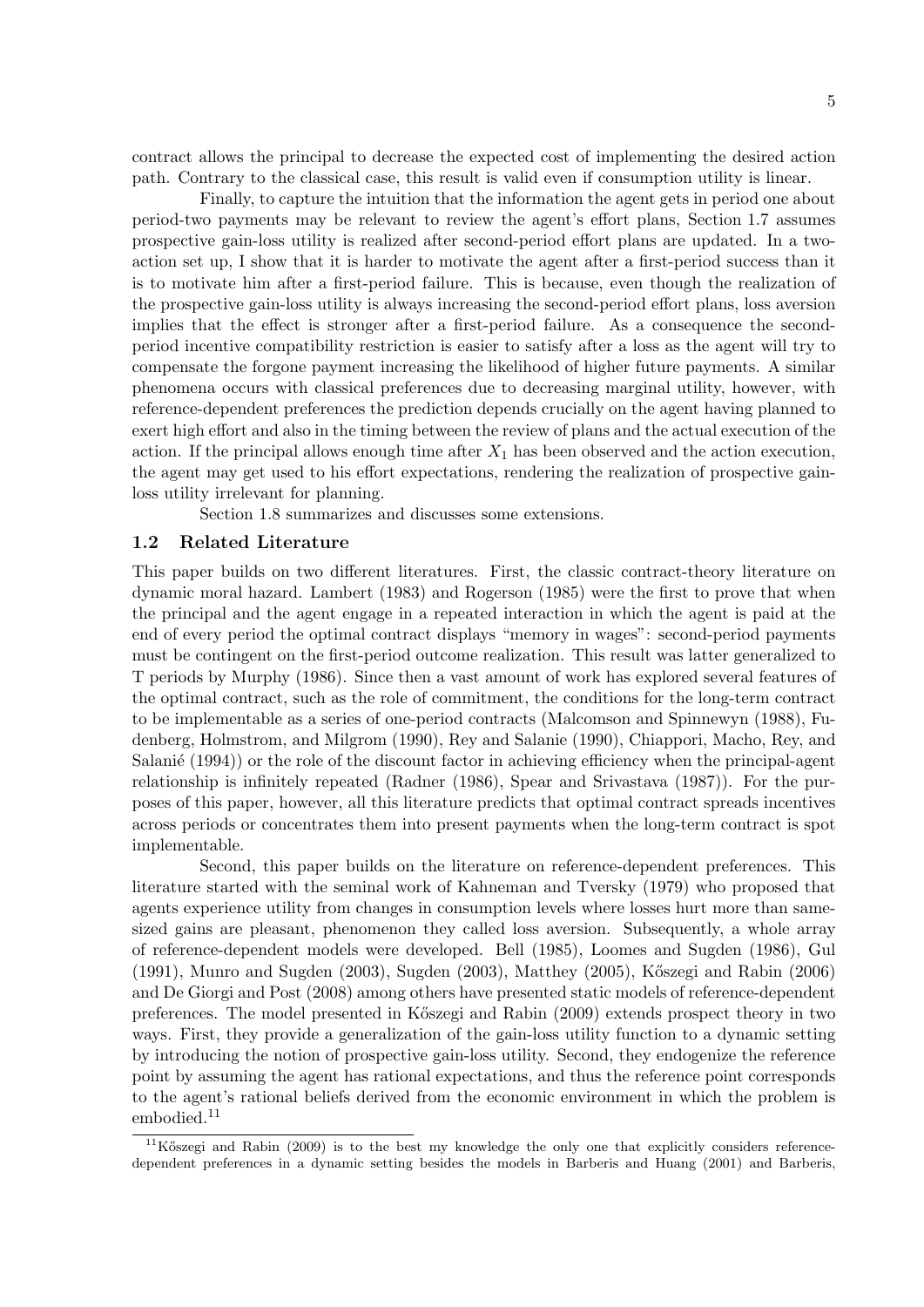contract allows the principal to decrease the expected cost of implementing the desired action path. Contrary to the classical case, this result is valid even if consumption utility is linear.

Finally, to capture the intuition that the information the agent gets in period one about period-two payments may be relevant to review the agent's effort plans, Section 1.7 assumes prospective gain-loss utility is realized after second-period effort plans are updated. In a twoaction set up, I show that it is harder to motivate the agent after a first-period success than it is to motivate him after a first-period failure. This is because, even though the realization of the prospective gain-loss utility is always increasing the second-period effort plans, loss aversion implies that the effect is stronger after a first-period failure. As a consequence the secondperiod incentive compatibility restriction is easier to satisfy after a loss as the agent will try to compensate the forgone payment increasing the likelihood of higher future payments. A similar phenomena occurs with classical preferences due to decreasing marginal utility, however, with reference-dependent preferences the prediction depends crucially on the agent having planned to exert high effort and also in the timing between the review of plans and the actual execution of the action. If the principal allows enough time after  $X_1$  has been observed and the action execution, the agent may get used to his effort expectations, rendering the realization of prospective gainloss utility irrelevant for planning.

Section 1.8 summarizes and discusses some extensions.

#### 1.2 Related Literature

This paper builds on two different literatures. First, the classic contract-theory literature on dynamic moral hazard. Lambert (1983) and Rogerson (1985) were the first to prove that when the principal and the agent engage in a repeated interaction in which the agent is paid at the end of every period the optimal contract displays "memory in wages": second-period payments must be contingent on the first-period outcome realization. This result was latter generalized to T periods by Murphy (1986). Since then a vast amount of work has explored several features of the optimal contract, such as the role of commitment, the conditions for the long-term contract to be implementable as a series of one-period contracts (Malcomson and Spinnewyn (1988), Fudenberg, Holmstrom, and Milgrom (1990), Rey and Salanie (1990), Chiappori, Macho, Rey, and Salanié  $(1994)$ ) or the role of the discount factor in achieving efficiency when the principal-agent relationship is infinitely repeated (Radner (1986), Spear and Srivastava (1987)). For the purposes of this paper, however, all this literature predicts that optimal contract spreads incentives across periods or concentrates them into present payments when the long-term contract is spot implementable.

Second, this paper builds on the literature on reference-dependent preferences. This literature started with the seminal work of Kahneman and Tversky (1979) who proposed that agents experience utility from changes in consumption levels where losses hurt more than samesized gains are pleasant, phenomenon they called loss aversion. Subsequently, a whole array of reference-dependent models were developed. Bell (1985), Loomes and Sugden (1986), Gul (1991), Munro and Sugden (2003), Sugden (2003), Matthey (2005), K˝oszegi and Rabin (2006) and De Giorgi and Post (2008) among others have presented static models of reference-dependent preferences. The model presented in K˝oszegi and Rabin (2009) extends prospect theory in two ways. First, they provide a generalization of the gain-loss utility function to a dynamic setting by introducing the notion of prospective gain-loss utility. Second, they endogenize the reference point by assuming the agent has rational expectations, and thus the reference point corresponds to the agent's rational beliefs derived from the economic environment in which the problem is embodied.<sup>11</sup>

 $11K$ őszegi and Rabin (2009) is to the best my knowledge the only one that explicitly considers referencedependent preferences in a dynamic setting besides the models in Barberis and Huang (2001) and Barberis,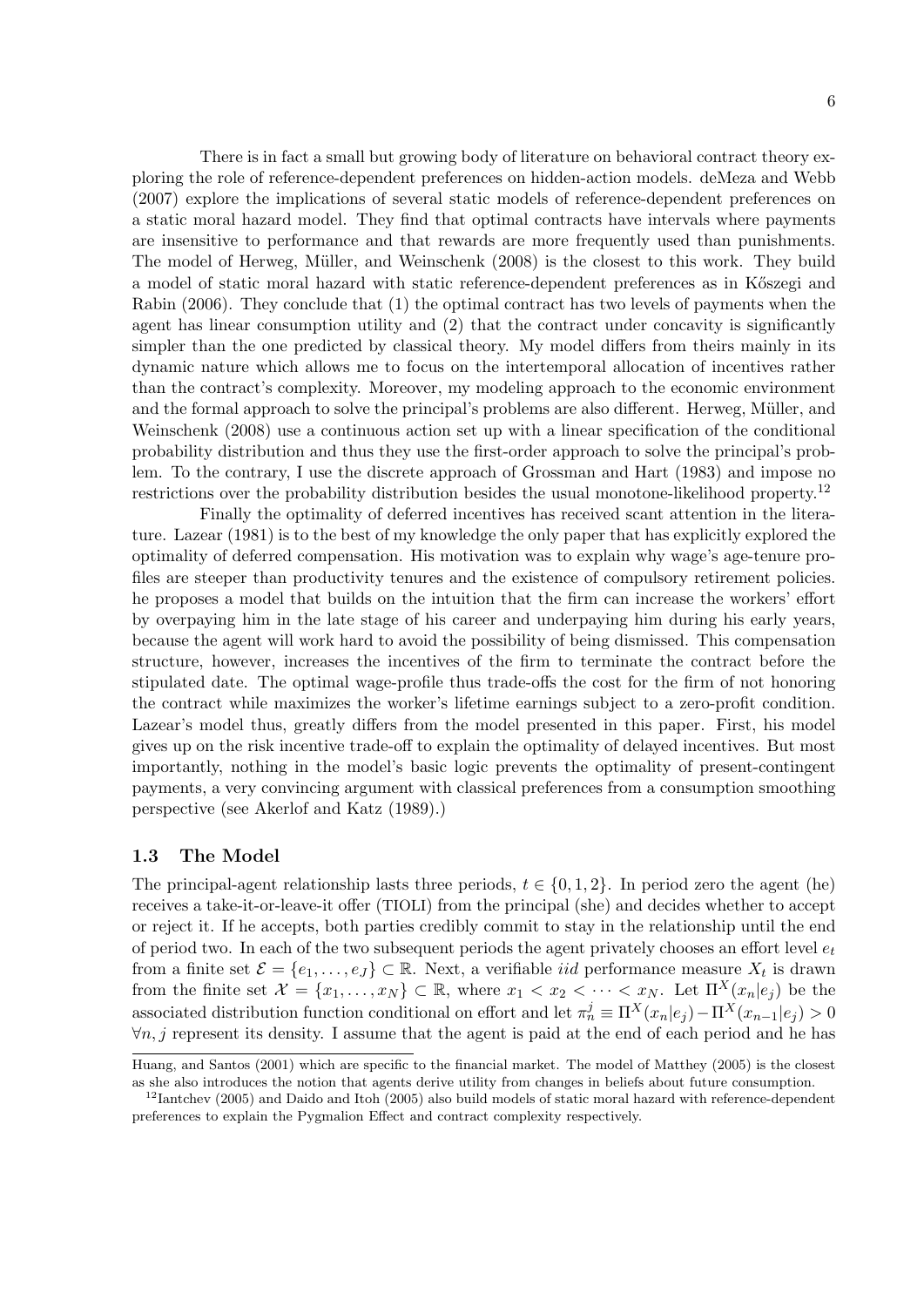There is in fact a small but growing body of literature on behavioral contract theory exploring the role of reference-dependent preferences on hidden-action models. deMeza and Webb (2007) explore the implications of several static models of reference-dependent preferences on a static moral hazard model. They find that optimal contracts have intervals where payments are insensitive to performance and that rewards are more frequently used than punishments. The model of Herweg, Müller, and Weinschenk (2008) is the closest to this work. They build a model of static moral hazard with static reference-dependent preferences as in Kőszegi and Rabin (2006). They conclude that (1) the optimal contract has two levels of payments when the agent has linear consumption utility and (2) that the contract under concavity is significantly simpler than the one predicted by classical theory. My model differs from theirs mainly in its dynamic nature which allows me to focus on the intertemporal allocation of incentives rather than the contract's complexity. Moreover, my modeling approach to the economic environment and the formal approach to solve the principal's problems are also different. Herweg, Müller, and Weinschenk (2008) use a continuous action set up with a linear specification of the conditional probability distribution and thus they use the first-order approach to solve the principal's problem. To the contrary, I use the discrete approach of Grossman and Hart (1983) and impose no restrictions over the probability distribution besides the usual monotone-likelihood property.<sup>12</sup>

Finally the optimality of deferred incentives has received scant attention in the literature. Lazear (1981) is to the best of my knowledge the only paper that has explicitly explored the optimality of deferred compensation. His motivation was to explain why wage's age-tenure profiles are steeper than productivity tenures and the existence of compulsory retirement policies. he proposes a model that builds on the intuition that the firm can increase the workers' effort by overpaying him in the late stage of his career and underpaying him during his early years, because the agent will work hard to avoid the possibility of being dismissed. This compensation structure, however, increases the incentives of the firm to terminate the contract before the stipulated date. The optimal wage-profile thus trade-offs the cost for the firm of not honoring the contract while maximizes the worker's lifetime earnings subject to a zero-profit condition. Lazear's model thus, greatly differs from the model presented in this paper. First, his model gives up on the risk incentive trade-off to explain the optimality of delayed incentives. But most importantly, nothing in the model's basic logic prevents the optimality of present-contingent payments, a very convincing argument with classical preferences from a consumption smoothing perspective (see Akerlof and Katz (1989).)

#### 1.3 The Model

The principal-agent relationship lasts three periods,  $t \in \{0, 1, 2\}$ . In period zero the agent (he) receives a take-it-or-leave-it offer (TIOLI) from the principal (she) and decides whether to accept or reject it. If he accepts, both parties credibly commit to stay in the relationship until the end of period two. In each of the two subsequent periods the agent privately chooses an effort level  $e_t$ from a finite set  $\mathcal{E} = \{e_1, \ldots, e_J\} \subset \mathbb{R}$ . Next, a verifiable *iid* performance measure  $X_t$  is drawn from the finite set  $\mathcal{X} = \{x_1, \ldots, x_N\} \subset \mathbb{R}$ , where  $x_1 < x_2 < \cdots < x_N$ . Let  $\Pi^X(x_n|e_i)$  be the associated distribution function conditional on effort and let  $\pi_n^j \equiv \Pi^X(x_n|e_j) - \Pi^X(x_{n-1}|e_j) > 0$  $\forall n, j$  represent its density. I assume that the agent is paid at the end of each period and he has

Huang, and Santos (2001) which are specific to the financial market. The model of Matthey (2005) is the closest as she also introduces the notion that agents derive utility from changes in beliefs about future consumption.

<sup>&</sup>lt;sup>12</sup>Iantchev (2005) and Daido and Itoh (2005) also build models of static moral hazard with reference-dependent preferences to explain the Pygmalion Effect and contract complexity respectively.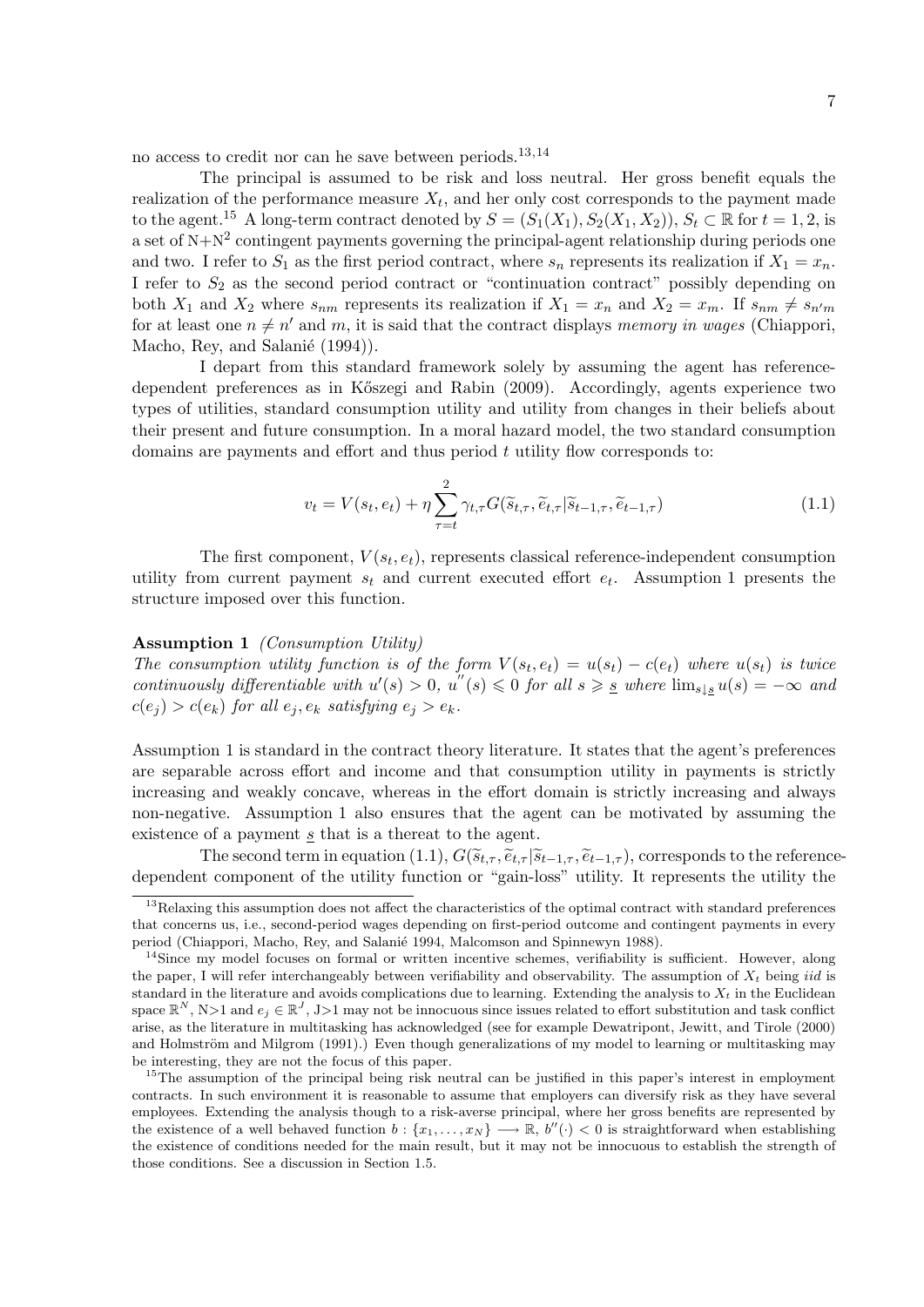no access to credit nor can he save between periods.13,<sup>14</sup>

The principal is assumed to be risk and loss neutral. Her gross benefit equals the realization of the performance measure  $X_t$ , and her only cost corresponds to the payment made to the agent.<sup>15</sup> A long-term contract denoted by  $S = (S_1(X_1), S_2(X_1, X_2)), S_t \subset \mathbb{R}$  for  $t = 1, 2$ , is a set of  $N+N^2$  contingent payments governing the principal-agent relationship during periods one and two. I refer to  $S_1$  as the first period contract, where  $s_n$  represents its realization if  $X_1 = x_n$ . I refer to  $S_2$  as the second period contract or "continuation contract" possibly depending on both  $X_1$  and  $X_2$  where  $s_{nm}$  represents its realization if  $X_1 = x_n$  and  $X_2 = x_m$ . If  $s_{nm} \neq s_{n'm}$ for at least one  $n \neq n'$  and m, it is said that the contract displays memory in wages (Chiappori, Macho, Rey, and Salanié (1994)).

I depart from this standard framework solely by assuming the agent has referencedependent preferences as in K˝oszegi and Rabin (2009). Accordingly, agents experience two types of utilities, standard consumption utility and utility from changes in their beliefs about their present and future consumption. In a moral hazard model, the two standard consumption domains are payments and effort and thus period  $t$  utility flow corresponds to:

$$
v_t = V(s_t, e_t) + \eta \sum_{\tau=t}^{2} \gamma_{t,\tau} G(\tilde{s}_{t,\tau}, \tilde{e}_{t,\tau} | \tilde{s}_{t-1,\tau}, \tilde{e}_{t-1,\tau})
$$
(1.1)

The first component,  $V(s_t, e_t)$ , represents classical reference-independent consumption utility from current payment  $s_t$  and current executed effort  $e_t$ . Assumption 1 presents the structure imposed over this function.

#### Assumption 1 (Consumption Utility)

The consumption utility function is of the form  $V(s_t, e_t) = u(s_t) - c(e_t)$  where  $u(s_t)$  is twice continuously differentiable with  $u'(s) > 0$ ,  $u''(s) \leq 0$  for all  $s \geq s$  where  $\lim_{s \downarrow s} u(s) = -\infty$  and  $c(e_i) > c(e_k)$  for all  $e_i, e_k$  satisfying  $e_i > e_k$ .

Assumption 1 is standard in the contract theory literature. It states that the agent's preferences are separable across effort and income and that consumption utility in payments is strictly increasing and weakly concave, whereas in the effort domain is strictly increasing and always non-negative. Assumption 1 also ensures that the agent can be motivated by assuming the existence of a payment  $s$  that is a thereat to the agent.

The second term in equation (1.1),  $G(\widetilde{s}_{t,\tau}, \widetilde{e}_{t,\tau} | \widetilde{s}_{t-1,\tau}, \widetilde{e}_{t-1,\tau})$ , corresponds to the referencedependent component of the utility function or "gain-loss" utility. It represents the utility the

<sup>&</sup>lt;sup>13</sup>Relaxing this assumption does not affect the characteristics of the optimal contract with standard preferences that concerns us, i.e., second-period wages depending on first-period outcome and contingent payments in every period (Chiappori, Macho, Rey, and Salanié 1994, Malcomson and Spinnewyn 1988).

<sup>&</sup>lt;sup>14</sup>Since my model focuses on formal or written incentive schemes, verifiability is sufficient. However, along the paper, I will refer interchangeably between verifiability and observability. The assumption of  $X_t$  being *iid* is standard in the literature and avoids complications due to learning. Extending the analysis to  $X_t$  in the Euclidean space  $\mathbb{R}^N$ , N>1 and  $e_j \in \mathbb{R}^J$ , J>1 may not be innocuous since issues related to effort substitution and task conflict arise, as the literature in multitasking has acknowledged (see for example Dewatripont, Jewitt, and Tirole (2000) and Holmström and Milgrom (1991).) Even though generalizations of my model to learning or multitasking may be interesting, they are not the focus of this paper.

<sup>&</sup>lt;sup>15</sup>The assumption of the principal being risk neutral can be justified in this paper's interest in employment contracts. In such environment it is reasonable to assume that employers can diversify risk as they have several employees. Extending the analysis though to a risk-averse principal, where her gross benefits are represented by the existence of a well behaved function  $b: \{x_1, \ldots, x_N\} \longrightarrow \mathbb{R}, b''(\cdot) < 0$  is straightforward when establishing the existence of conditions needed for the main result, but it may not be innocuous to establish the strength of those conditions. See a discussion in Section 1.5.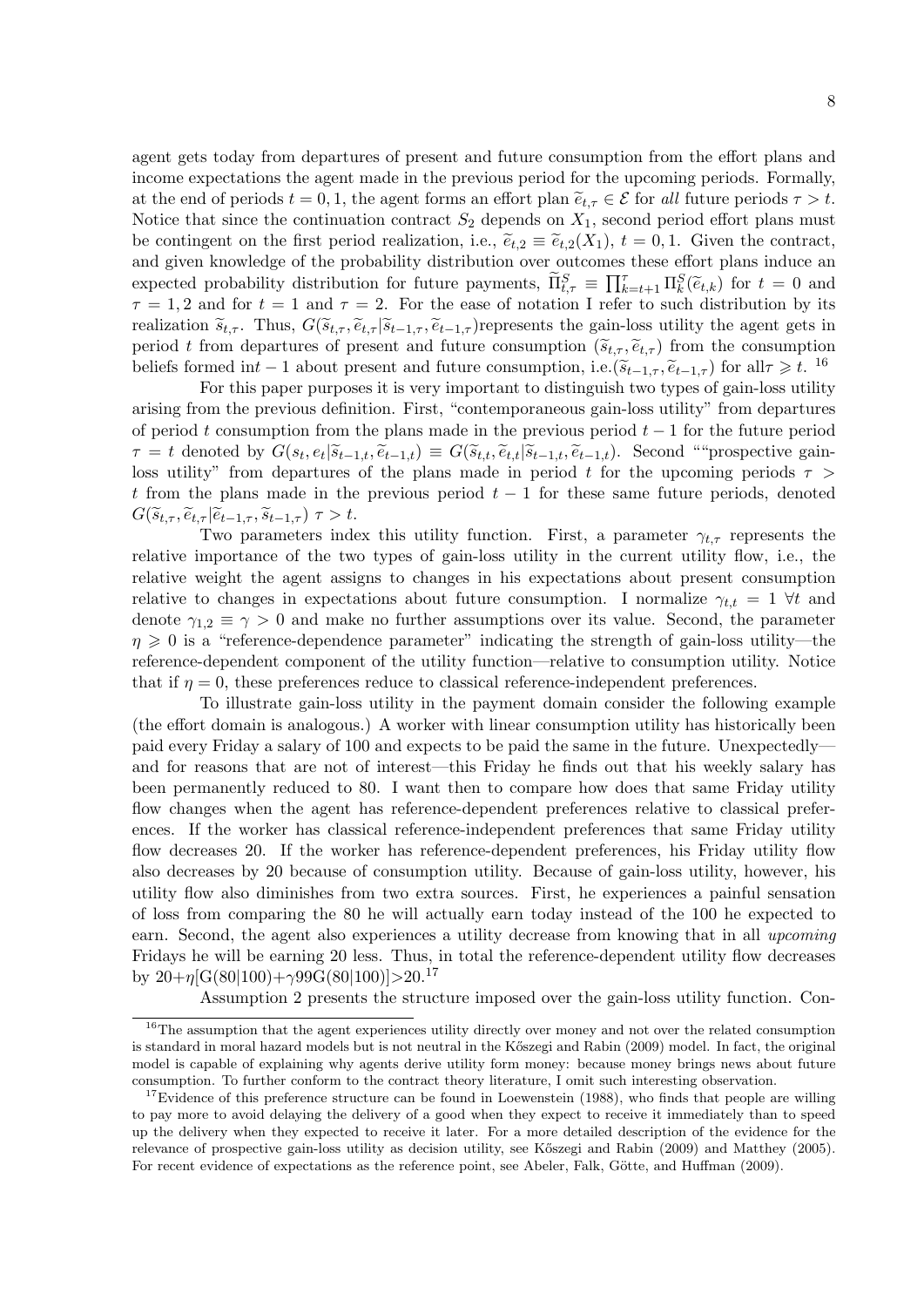agent gets today from departures of present and future consumption from the effort plans and income expectations the agent made in the previous period for the upcoming periods. Formally, at the end of periods  $t = 0, 1$ , the agent forms an effort plan  $\tilde{e}_{t,\tau} \in \mathcal{E}$  for all future periods  $\tau > t$ . Notice that since the continuation contract  $S_2$  depends on  $X_1$ , second period effort plans must be contingent on the first period realization, i.e.,  $\tilde{e}_{t,2} \equiv \tilde{e}_{t,2}(X_1)$ ,  $t = 0, 1$ . Given the contract, and given knowledge of the probability distribution over outcomes these effort plans induce an expected probability distribution for future payments,  $\widetilde{\Pi}_{t,\tau}^S \equiv \prod_{k=t+1}^{\tau} \Pi_k^S(\widetilde{e}_{t,k})$  for  $t = 0$  and  $\tau = 1, 2$  and for  $t = 1$  and  $\tau = 2$ . For the gase of potation I refer to such distribution by its  $\tau = 1, 2$  and for  $t = 1$  and  $\tau = 2$ . For the ease of notation I refer to such distribution by its realization  $\tilde{s}_{t,\tau}$ . Thus,  $G(\tilde{s}_{t,\tau}, \tilde{e}_{t,\tau} | \tilde{s}_{t-1,\tau}, \tilde{e}_{t-1,\tau})$ represents the gain-loss utility the agent gets in period t from departures of present and future consumption  $(\tilde{s}_{t,\tau}, \tilde{e}_{t,\tau})$  from the consumption beliefs formed int − 1 about present and future consumption, i.e. $(\tilde{s}_{t-1,\tau}, \tilde{e}_{t-1,\tau})$  for all $\tau \geq t$ . <sup>16</sup><br>For this paper purposes it is very important to distinguish two types of gain loss utility

For this paper purposes it is very important to distinguish two types of gain-loss utility arising from the previous definition. First, "contemporaneous gain-loss utility" from departures of period t consumption from the plans made in the previous period  $t-1$  for the future period  $\tau = t$  denoted by  $G(s_t, e_t | \widetilde{s}_{t-1,t}, \widetilde{e}_{t-1,t}) \equiv G(\widetilde{s}_{t,t}, \widetilde{e}_{t,t} | \widetilde{s}_{t-1,t}, \widetilde{e}_{t-1,t})$ . Second ""prospective gain-<br>less utility" from departures of the plans made in period t for the uncerning periods  $\tau >$ loss utility" from departures of the plans made in period t for the upcoming periods  $\tau$ t from the plans made in the previous period  $t - 1$  for these same future periods, denoted  $G(\widetilde{s}_{t,\tau}, \widetilde{e}_{t,\tau} | \widetilde{e}_{t-1,\tau}, \widetilde{s}_{t-1,\tau}) \tau > t.$ 

Two parameters index this utility function. First, a parameter  $\gamma_{t,\tau}$  represents the relative importance of the two types of gain-loss utility in the current utility flow, i.e., the relative weight the agent assigns to changes in his expectations about present consumption relative to changes in expectations about future consumption. I normalize  $\gamma_{t,t} = 1 \ \forall t$  and denote  $\gamma_{1,2} \equiv \gamma > 0$  and make no further assumptions over its value. Second, the parameter  $\eta \geq 0$  is a "reference-dependence parameter" indicating the strength of gain-loss utility—the reference-dependent component of the utility function—relative to consumption utility. Notice that if  $\eta = 0$ , these preferences reduce to classical reference-independent preferences.

To illustrate gain-loss utility in the payment domain consider the following example (the effort domain is analogous.) A worker with linear consumption utility has historically been paid every Friday a salary of 100 and expects to be paid the same in the future. Unexpectedly and for reasons that are not of interest—this Friday he finds out that his weekly salary has been permanently reduced to 80. I want then to compare how does that same Friday utility flow changes when the agent has reference-dependent preferences relative to classical preferences. If the worker has classical reference-independent preferences that same Friday utility flow decreases 20. If the worker has reference-dependent preferences, his Friday utility flow also decreases by 20 because of consumption utility. Because of gain-loss utility, however, his utility flow also diminishes from two extra sources. First, he experiences a painful sensation of loss from comparing the 80 he will actually earn today instead of the 100 he expected to earn. Second, the agent also experiences a utility decrease from knowing that in all upcoming Fridays he will be earning 20 less. Thus, in total the reference-dependent utility flow decreases by  $20+\eta$ [G(80|100)+ $\gamma$ 99G(80|100)]>20.<sup>17</sup>

Assumption 2 presents the structure imposed over the gain-loss utility function. Con-

<sup>&</sup>lt;sup>16</sup>The assumption that the agent experiences utility directly over money and not over the related consumption is standard in moral hazard models but is not neutral in the Kőszegi and Rabin (2009) model. In fact, the original model is capable of explaining why agents derive utility form money: because money brings news about future consumption. To further conform to the contract theory literature, I omit such interesting observation.

<sup>&</sup>lt;sup>17</sup>Evidence of this preference structure can be found in Loewenstein (1988), who finds that people are willing to pay more to avoid delaying the delivery of a good when they expect to receive it immediately than to speed up the delivery when they expected to receive it later. For a more detailed description of the evidence for the relevance of prospective gain-loss utility as decision utility, see Kőszegi and Rabin (2009) and Matthey (2005). For recent evidence of expectations as the reference point, see Abeler, Falk, Götte, and Huffman (2009).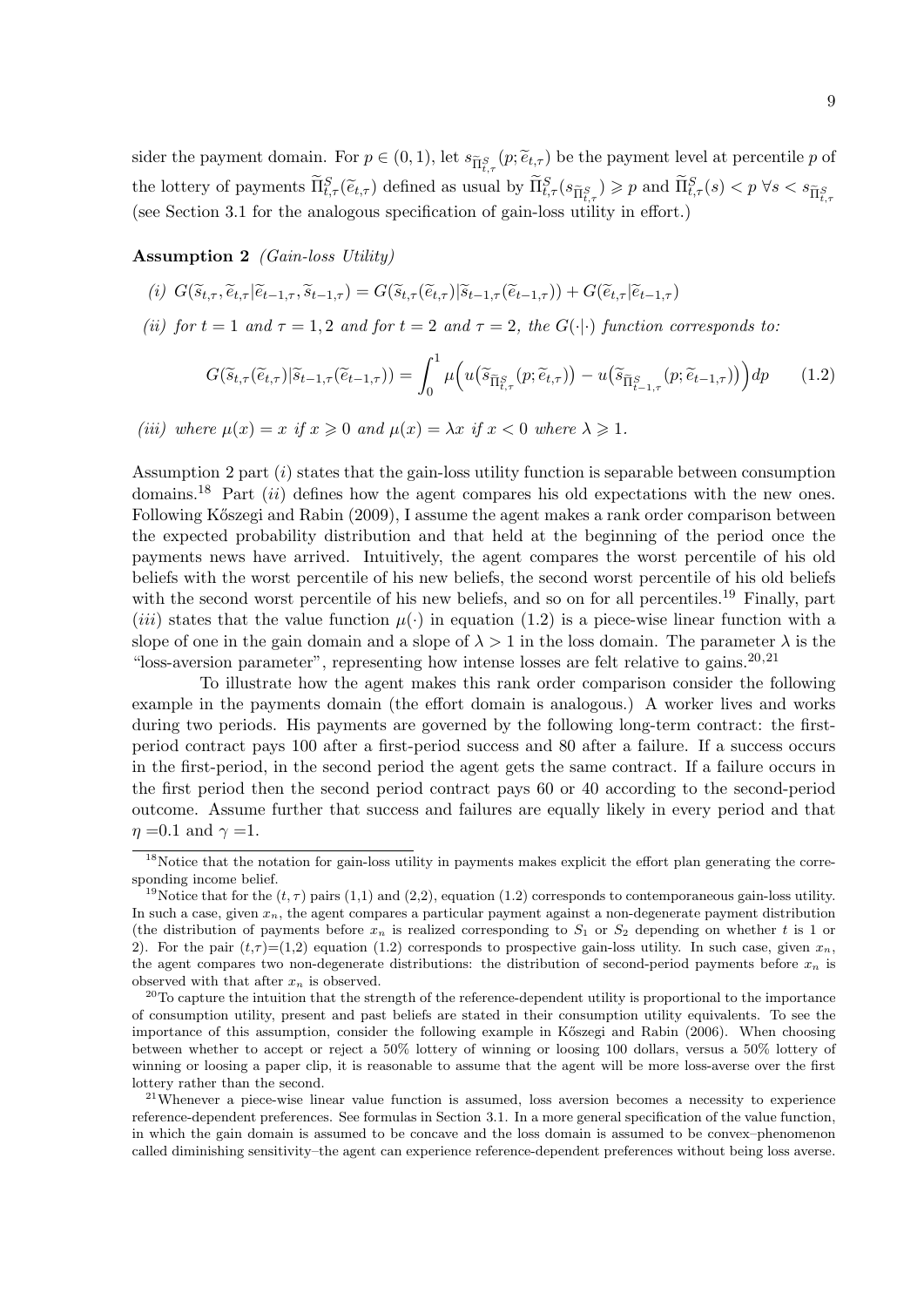sider the payment domain. For  $p \in (0, 1)$ , let  $s_{\tilde{\Pi}_{t,\tau}^S}(p; \tilde{e}_{t,\tau})$  be the payment level at percentile p of the lottery of payments  $\widetilde{\Pi}_{t,\tau}^S(\widetilde{e}_{t,\tau})$  defined as usual by  $\widetilde{\Pi}_{t,\tau}^S(s_{\widetilde{\Pi}_{t,\tau}^S}) \geq p$  and  $\widetilde{\Pi}_{t,\tau}^S(s) < p \ \forall s < s_{\widetilde{\Pi}_{t,\tau}^S}$ (see Section 3.1 for the analogous specification of gain-loss utility in effort.)

Assumption 2 (Gain-loss Utility)

- (i)  $G(\tilde{s}_{t\tau}, \tilde{e}_{t\tau} | \tilde{e}_{t-1\tau}, \tilde{s}_{t-1\tau}) = G(\tilde{s}_{t\tau} | \tilde{e}_{t\tau} | \tilde{s}_{t-1\tau}(\tilde{e}_{t-1\tau})) + G(\tilde{e}_{t\tau} | \tilde{e}_{t-1\tau})$
- (ii) for  $t = 1$  and  $\tau = 1, 2$  and for  $t = 2$  and  $\tau = 2$ , the  $G(\cdot | \cdot)$  function corresponds to:

$$
G(\widetilde{s}_{t,\tau}(\widetilde{e}_{t,\tau})|\widetilde{s}_{t-1,\tau}(\widetilde{e}_{t-1,\tau})) = \int_0^1 \mu\Big(u\big(\widetilde{s}_{\widetilde{\Pi}_{t,\tau}^S}(p;\widetilde{e}_{t,\tau})\big) - u\big(\widetilde{s}_{\widetilde{\Pi}_{t-1,\tau}^S}(p;\widetilde{e}_{t-1,\tau})\big)\Big)dp\qquad(1.2)
$$

(iii) where  $\mu(x) = x$  if  $x \ge 0$  and  $\mu(x) = \lambda x$  if  $x < 0$  where  $\lambda \ge 1$ .

Assumption 2 part  $(i)$  states that the gain-loss utility function is separable between consumption domains.<sup>18</sup> Part *(ii)* defines how the agent compares his old expectations with the new ones. Following Kőszegi and Rabin (2009), I assume the agent makes a rank order comparison between the expected probability distribution and that held at the beginning of the period once the payments news have arrived. Intuitively, the agent compares the worst percentile of his old beliefs with the worst percentile of his new beliefs, the second worst percentile of his old beliefs with the second worst percentile of his new beliefs, and so on for all percentiles.<sup>19</sup> Finally, part (*iii*) states that the value function  $\mu(\cdot)$  in equation (1.2) is a piece-wise linear function with a slope of one in the gain domain and a slope of  $\lambda > 1$  in the loss domain. The parameter  $\lambda$  is the "loss-aversion parameter", representing how intense losses are felt relative to gains. $20,21$ 

To illustrate how the agent makes this rank order comparison consider the following example in the payments domain (the effort domain is analogous.) A worker lives and works during two periods. His payments are governed by the following long-term contract: the firstperiod contract pays 100 after a first-period success and 80 after a failure. If a success occurs in the first-period, in the second period the agent gets the same contract. If a failure occurs in the first period then the second period contract pays 60 or 40 according to the second-period outcome. Assume further that success and failures are equally likely in every period and that  $\eta = 0.1$  and  $\gamma = 1$ .

<sup>&</sup>lt;sup>18</sup>Notice that the notation for gain-loss utility in payments makes explicit the effort plan generating the corresponding income belief.

<sup>&</sup>lt;sup>19</sup>Notice that for the  $(t, \tau)$  pairs (1,1) and (2,2), equation (1.2) corresponds to contemporaneous gain-loss utility. In such a case, given  $x_n$ , the agent compares a particular payment against a non-degenerate payment distribution (the distribution of payments before  $x_n$  is realized corresponding to  $S_1$  or  $S_2$  depending on whether t is 1 or 2). For the pair  $(t,\tau)$  =(1,2) equation (1.2) corresponds to prospective gain-loss utility. In such case, given  $x_n$ , the agent compares two non-degenerate distributions: the distribution of second-period payments before  $x_n$  is observed with that after  $x_n$  is observed.

 $20$ To capture the intuition that the strength of the reference-dependent utility is proportional to the importance of consumption utility, present and past beliefs are stated in their consumption utility equivalents. To see the importance of this assumption, consider the following example in Kőszegi and Rabin (2006). When choosing between whether to accept or reject a 50% lottery of winning or loosing 100 dollars, versus a 50% lottery of winning or loosing a paper clip, it is reasonable to assume that the agent will be more loss-averse over the first lottery rather than the second.

<sup>&</sup>lt;sup>21</sup>Whenever a piece-wise linear value function is assumed, loss aversion becomes a necessity to experience reference-dependent preferences. See formulas in Section 3.1. In a more general specification of the value function, in which the gain domain is assumed to be concave and the loss domain is assumed to be convex–phenomenon called diminishing sensitivity–the agent can experience reference-dependent preferences without being loss averse.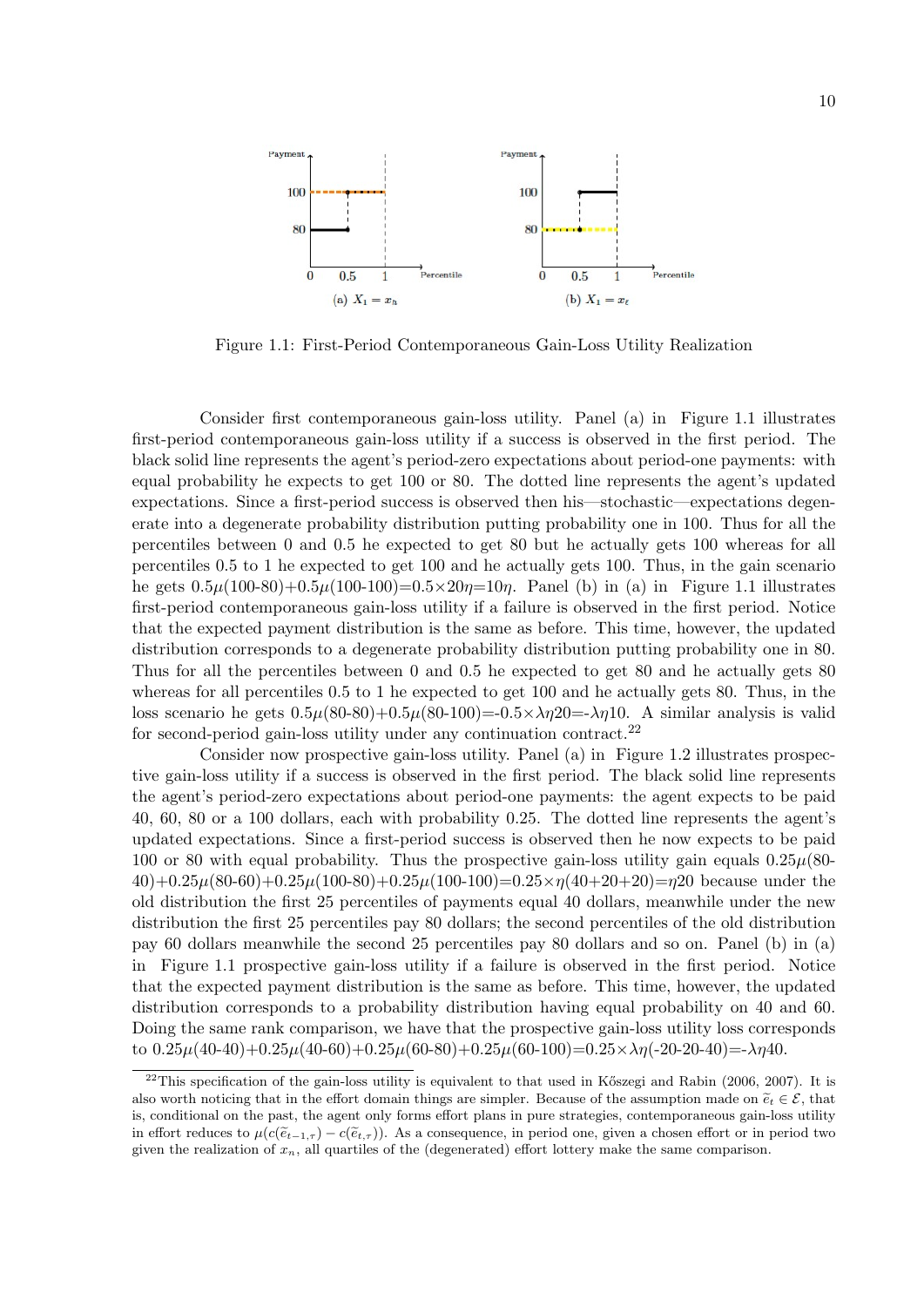

Figure 1.1: First-Period Contemporaneous Gain-Loss Utility Realization

Consider first contemporaneous gain-loss utility. Panel (a) in Figure 1.1 illustrates first-period contemporaneous gain-loss utility if a success is observed in the first period. The black solid line represents the agent's period-zero expectations about period-one payments: with equal probability he expects to get 100 or 80. The dotted line represents the agent's updated expectations. Since a first-period success is observed then his—stochastic—expectations degenerate into a degenerate probability distribution putting probability one in 100. Thus for all the percentiles between 0 and 0.5 he expected to get 80 but he actually gets 100 whereas for all percentiles 0.5 to 1 he expected to get 100 and he actually gets 100. Thus, in the gain scenario he gets  $0.5\mu(100-80)+0.5\mu(100-100)=0.5\times 20\eta=10\eta$ . Panel (b) in (a) in Figure 1.1 illustrates first-period contemporaneous gain-loss utility if a failure is observed in the first period. Notice that the expected payment distribution is the same as before. This time, however, the updated distribution corresponds to a degenerate probability distribution putting probability one in 80. Thus for all the percentiles between 0 and 0.5 he expected to get 80 and he actually gets 80 whereas for all percentiles 0.5 to 1 he expected to get 100 and he actually gets 80. Thus, in the loss scenario he gets  $0.5\mu(80-80)+0.5\mu(80-100)=-0.5\times\lambda\eta$ 20 $=$ - $\lambda\eta$ 10. A similar analysis is valid for second-period gain-loss utility under any continuation contract.<sup>22</sup>

Consider now prospective gain-loss utility. Panel (a) in Figure 1.2 illustrates prospective gain-loss utility if a success is observed in the first period. The black solid line represents the agent's period-zero expectations about period-one payments: the agent expects to be paid 40, 60, 80 or a 100 dollars, each with probability 0.25. The dotted line represents the agent's updated expectations. Since a first-period success is observed then he now expects to be paid 100 or 80 with equal probability. Thus the prospective gain-loss utility gain equals  $0.25\mu(80 40)+0.25\mu(80-60)+0.25\mu(100-80)+0.25\mu(100-100)=0.25\times\eta(40+20+20)=\eta$  because under the old distribution the first 25 percentiles of payments equal 40 dollars, meanwhile under the new distribution the first 25 percentiles pay 80 dollars; the second percentiles of the old distribution pay 60 dollars meanwhile the second 25 percentiles pay 80 dollars and so on. Panel (b) in (a) in Figure 1.1 prospective gain-loss utility if a failure is observed in the first period. Notice that the expected payment distribution is the same as before. This time, however, the updated distribution corresponds to a probability distribution having equal probability on 40 and 60. Doing the same rank comparison, we have that the prospective gain-loss utility loss corresponds to  $0.25\mu(40-40)+0.25\mu(40-60)+0.25\mu(60-80)+0.25\mu(60-100)=0.25\times\lambda\eta(-20-20-40)=\lambda\eta(40-40)$ 

 $^{22}$ This specification of the gain-loss utility is equivalent to that used in Kőszegi and Rabin (2006, 2007). It is also worth noticing that in the effort domain things are simpler. Because of the assumption made on  $\tilde{e}_t \in \mathcal{E}$ , that is, conditional on the past, the agent only forms effort plans in pure strategies, contemporaneous gain-loss utility in effort reduces to  $\mu(c(\tilde{e}_{t-1,\tau}) - c(\tilde{e}_{t,\tau}))$ . As a consequence, in period one, given a chosen effort or in period two given the realization of  $x_n$ , all quartiles of the (degenerated) effort lottery make the same comparison.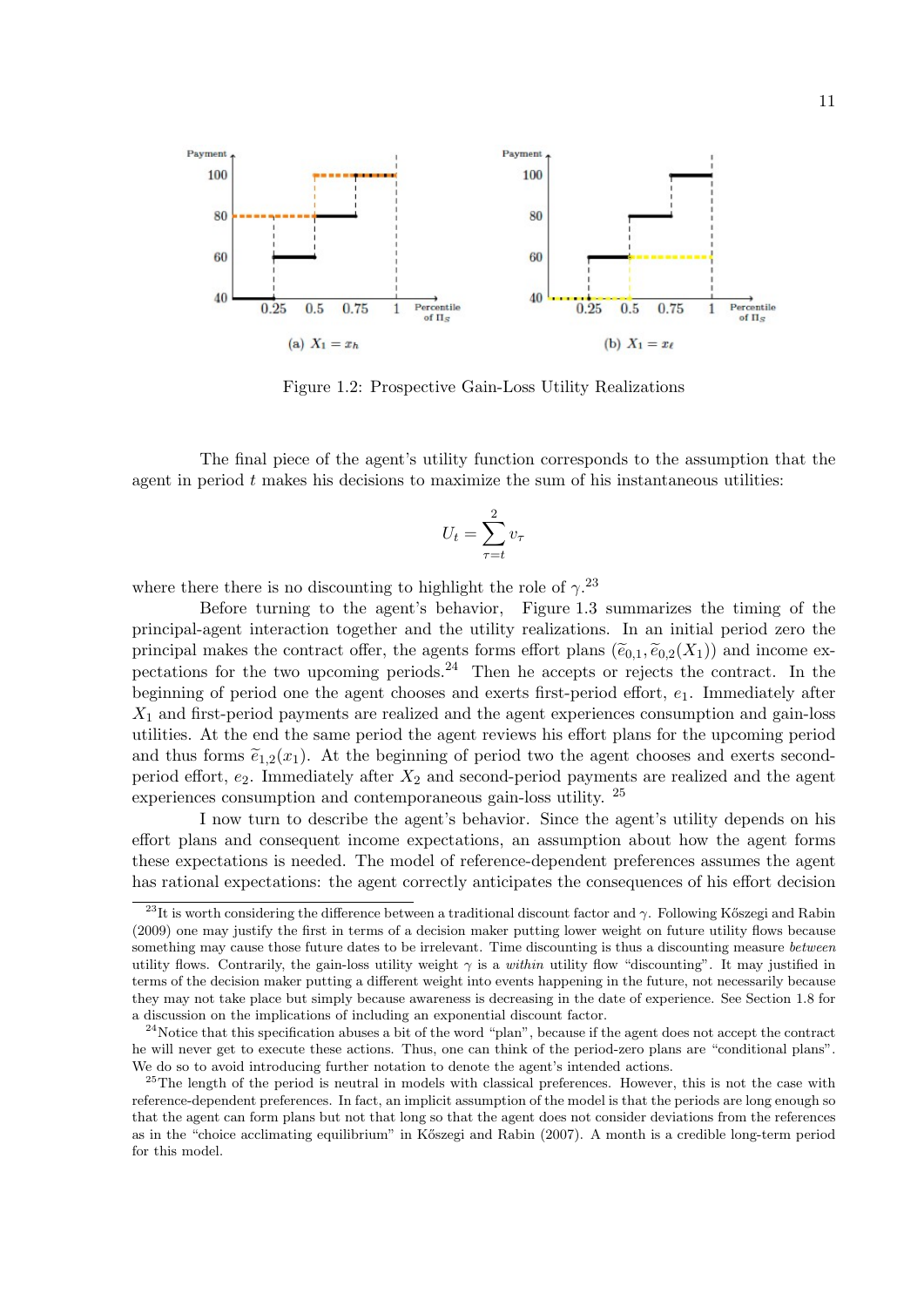

Figure 1.2: Prospective Gain-Loss Utility Realizations

The final piece of the agent's utility function corresponds to the assumption that the agent in period  $t$  makes his decisions to maximize the sum of his instantaneous utilities:

$$
U_t = \sum_{\tau=t}^2 v_\tau
$$

where there there is no discounting to highlight the role of  $\gamma^{23}$ 

Before turning to the agent's behavior, Figure 1.3 summarizes the timing of the principal-agent interaction together and the utility realizations. In an initial period zero the principal makes the contract offer, the agents forms effort plans  $(\tilde{e}_{0,1}, \tilde{e}_{0,2}(X_1))$  and income expectations for the two upcoming periods.<sup>24</sup> Then he accepts or rejects the contract. In the beginning of period one the agent chooses and exerts first-period effort,  $e_1$ . Immediately after  $X_1$  and first-period payments are realized and the agent experiences consumption and gain-loss utilities. At the end the same period the agent reviews his effort plans for the upcoming period and thus forms  $\tilde{e}_{1,2}(x_1)$ . At the beginning of period two the agent chooses and exerts secondperiod effort,  $e_2$ . Immediately after  $X_2$  and second-period payments are realized and the agent experiences consumption and contemporaneous gain-loss utility. <sup>25</sup>

I now turn to describe the agent's behavior. Since the agent's utility depends on his effort plans and consequent income expectations, an assumption about how the agent forms these expectations is needed. The model of reference-dependent preferences assumes the agent has rational expectations: the agent correctly anticipates the consequences of his effort decision

<sup>&</sup>lt;sup>23</sup>It is worth considering the difference between a traditional discount factor and  $\gamma$ . Following Kőszegi and Rabin (2009) one may justify the first in terms of a decision maker putting lower weight on future utility flows because something may cause those future dates to be irrelevant. Time discounting is thus a discounting measure between utility flows. Contrarily, the gain-loss utility weight  $\gamma$  is a *within* utility flow "discounting". It may justified in terms of the decision maker putting a different weight into events happening in the future, not necessarily because they may not take place but simply because awareness is decreasing in the date of experience. See Section 1.8 for a discussion on the implications of including an exponential discount factor.

 $^{24}$ Notice that this specification abuses a bit of the word "plan", because if the agent does not accept the contract he will never get to execute these actions. Thus, one can think of the period-zero plans are "conditional plans". We do so to avoid introducing further notation to denote the agent's intended actions.

<sup>&</sup>lt;sup>25</sup>The length of the period is neutral in models with classical preferences. However, this is not the case with reference-dependent preferences. In fact, an implicit assumption of the model is that the periods are long enough so that the agent can form plans but not that long so that the agent does not consider deviations from the references as in the "choice acclimating equilibrium" in Kőszegi and Rabin (2007). A month is a credible long-term period for this model.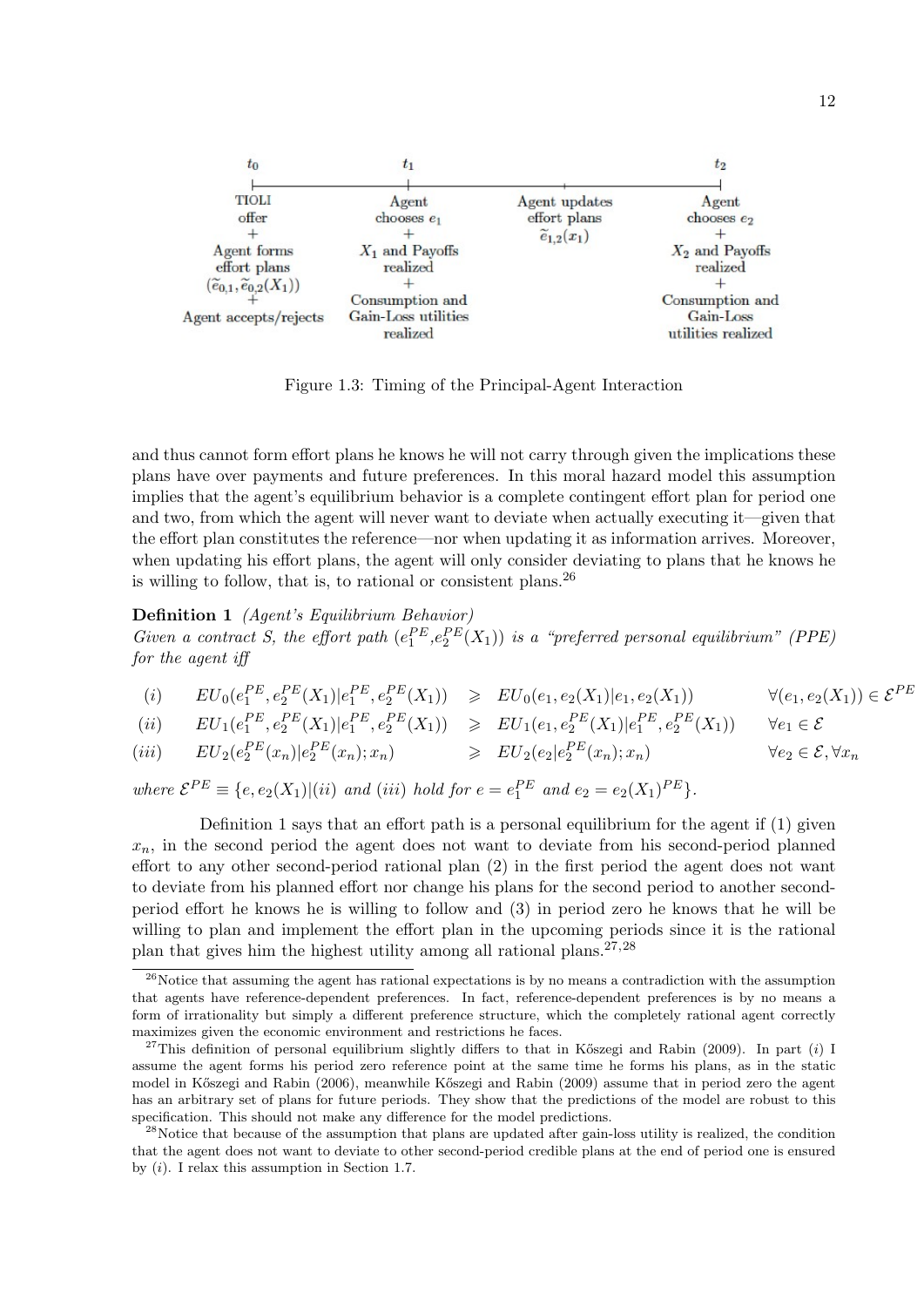

Figure 1.3: Timing of the Principal-Agent Interaction

and thus cannot form effort plans he knows he will not carry through given the implications these plans have over payments and future preferences. In this moral hazard model this assumption implies that the agent's equilibrium behavior is a complete contingent effort plan for period one and two, from which the agent will never want to deviate when actually executing it—given that the effort plan constitutes the reference—nor when updating it as information arrives. Moreover, when updating his effort plans, the agent will only consider deviating to plans that he knows he is willing to follow, that is, to rational or consistent plans.  $26$ 

Definition 1 (Agent's Equilibrium Behavior) Given a contract S, the effort path  $(e_1^{PE}, e_2^{PE}(X_1))$  is a "preferred personal equilibrium" (PPE) for the agent iff

 $(ii) \qquad EU_0(e_1^{PE}, e_2^{PE}(X_1)|e_1^{PE}, e_2^{PE}(X_1)) \geq EU_0(e_1, e_2(X_1)|e_1, e_2(X_1)) \qquad \forall (e_1, e_2(X_1)) \in \mathcal{E}^{PE}$ 

$$
(ii) \qquad EU_1(e_1^{PE}, e_2^{PE}(X_1)| e_1^{PE}, e_2^{PE}(X_1)) \geq EU_1(e_1, e_2^{PE}(X_1)| e_1^{PE}, e_2^{PE}(X_1)) \qquad \forall e_1 \in \mathcal{E}
$$

(iii)  $EU_2(e_2^{PE}(x_n)|e_2^{PE}(x_n); x_n) \geq EU_2(e_2|e_2^{PE})$  $\forall e_2 \in \mathcal{E}, \forall x_n$ 

where  $\mathcal{E}^{PE} \equiv \{e, e_2(X_1) | (ii) \text{ and } (iii) \text{ hold for } e = e_1^{PE} \text{ and } e_2 = e_2(X_1)^{PE}\}.$ 

Definition 1 says that an effort path is a personal equilibrium for the agent if (1) given  $x_n$ , in the second period the agent does not want to deviate from his second-period planned effort to any other second-period rational plan (2) in the first period the agent does not want to deviate from his planned effort nor change his plans for the second period to another secondperiod effort he knows he is willing to follow and (3) in period zero he knows that he will be willing to plan and implement the effort plan in the upcoming periods since it is the rational plan that gives him the highest utility among all rational plans.  $27,28$ 

<sup>&</sup>lt;sup>26</sup>Notice that assuming the agent has rational expectations is by no means a contradiction with the assumption that agents have reference-dependent preferences. In fact, reference-dependent preferences is by no means a form of irrationality but simply a different preference structure, which the completely rational agent correctly maximizes given the economic environment and restrictions he faces.

<sup>&</sup>lt;sup>27</sup>This definition of personal equilibrium slightly differs to that in Kőszegi and Rabin (2009). In part (i) I assume the agent forms his period zero reference point at the same time he forms his plans, as in the static model in Kőszegi and Rabin (2006), meanwhile Kőszegi and Rabin (2009) assume that in period zero the agent has an arbitrary set of plans for future periods. They show that the predictions of the model are robust to this specification. This should not make any difference for the model predictions.

<sup>&</sup>lt;sup>28</sup>Notice that because of the assumption that plans are updated after gain-loss utility is realized, the condition that the agent does not want to deviate to other second-period credible plans at the end of period one is ensured by  $(i)$ . I relax this assumption in Section 1.7.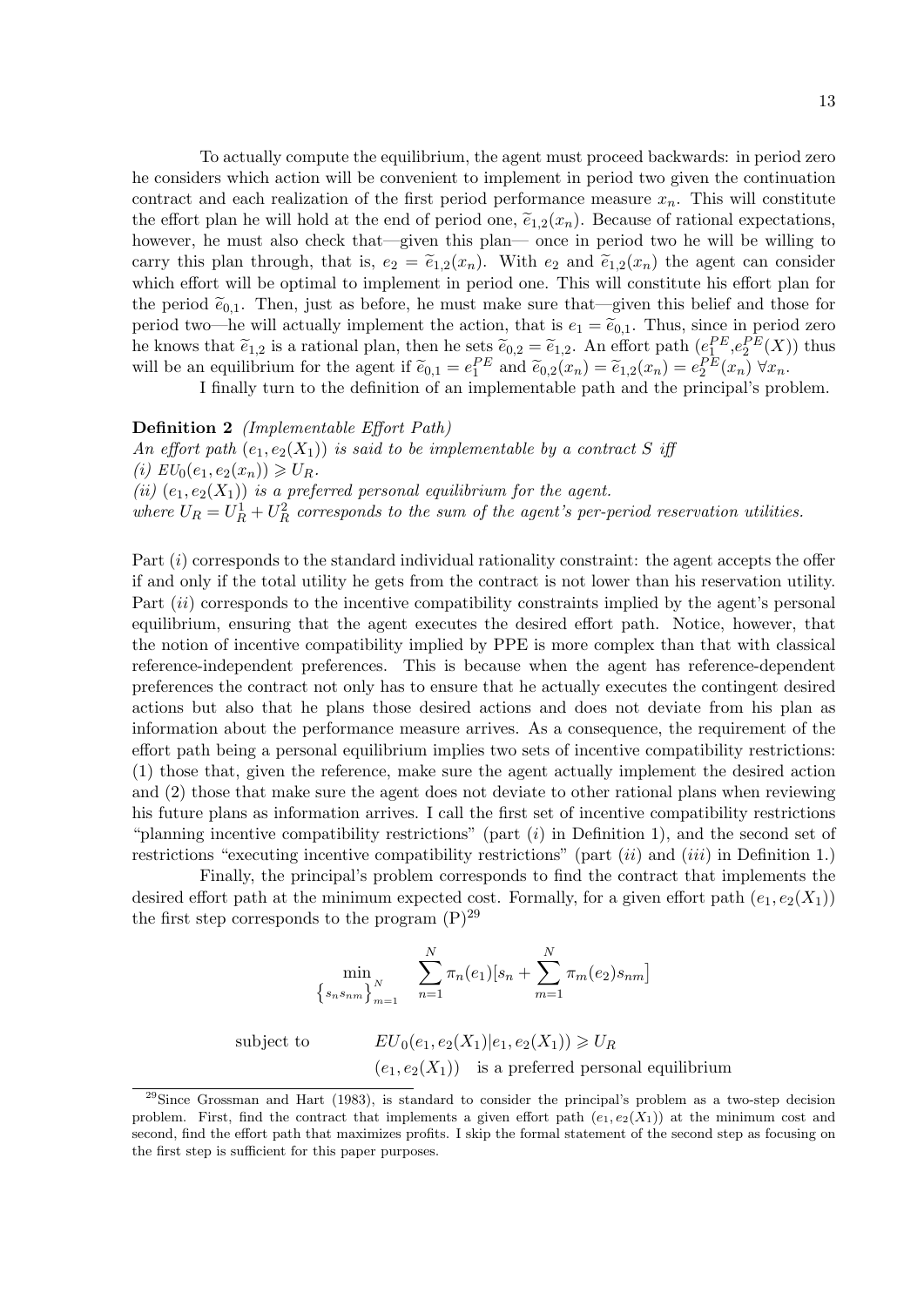To actually compute the equilibrium, the agent must proceed backwards: in period zero he considers which action will be convenient to implement in period two given the continuation contract and each realization of the first period performance measure  $x_n$ . This will constitute the effort plan he will hold at the end of period one,  $\tilde{e}_{1,2}(x_n)$ . Because of rational expectations, however, he must also check that—given this plan— once in period two he will be willing to carry this plan through, that is,  $e_2 = \tilde{e}_{1,2}(x_n)$ . With  $e_2$  and  $\tilde{e}_{1,2}(x_n)$  the agent can consider which effort will be optimal to implement in period one. This will constitute his effort plan for the period  $\tilde{e}_{0,1}$ . Then, just as before, he must make sure that—given this belief and those for period two—he will actually implement the action, that is  $e_1 = \tilde{e}_{0,1}$ . Thus, since in period zero he knows that  $\tilde{e}_{1,2}$  is a rational plan, then he sets  $\tilde{e}_{0,2} = \tilde{e}_{1,2}$ . An effort path  $(e_1^{PE}, e_2^{PE}(X))$  thus will be an equilibrium for the agent if  $\tilde{e}_{0,1} = e_1^{PE}$  and  $\tilde{e}_{0,2}(x_n) = \tilde{e}_{1,2}(x_n) = e_2^{PE}(x_n) \,\forall x_n$ .

I finally turn to the definition of an implementable path and the principal's problem.

#### Definition 2 (Implementable Effort Path)

An effort path  $(e_1, e_2(X_1))$  is said to be implementable by a contract S iff (i)  $EU_0(e_1, e_2(x_n)) \geq U_R$ . (ii)  $(e_1, e_2(X_1))$  is a preferred personal equilibrium for the agent. where  $U_R = U_R^1 + U_R^2$  corresponds to the sum of the agent's per-period reservation utilities.

Part (i) corresponds to the standard individual rationality constraint: the agent accepts the offer if and only if the total utility he gets from the contract is not lower than his reservation utility. Part *(ii)* corresponds to the incentive compatibility constraints implied by the agent's personal equilibrium, ensuring that the agent executes the desired effort path. Notice, however, that the notion of incentive compatibility implied by PPE is more complex than that with classical reference-independent preferences. This is because when the agent has reference-dependent preferences the contract not only has to ensure that he actually executes the contingent desired actions but also that he plans those desired actions and does not deviate from his plan as information about the performance measure arrives. As a consequence, the requirement of the effort path being a personal equilibrium implies two sets of incentive compatibility restrictions: (1) those that, given the reference, make sure the agent actually implement the desired action and (2) those that make sure the agent does not deviate to other rational plans when reviewing his future plans as information arrives. I call the first set of incentive compatibility restrictions "planning incentive compatibility restrictions" (part  $(i)$  in Definition 1), and the second set of restrictions "executing incentive compatibility restrictions" (part  $(ii)$  and  $(iii)$  in Definition 1.)

Finally, the principal's problem corresponds to find the contract that implements the desired effort path at the minimum expected cost. Formally, for a given effort path  $(e_1, e_2(X_1))$ the first step corresponds to the program  $(P)^{29}$ 

$$
\min_{\{s_n s_{nm}\}_{m=1}^N} \sum_{n=1}^N \pi_n(e_1)[s_n + \sum_{m=1}^N \pi_m(e_2)s_{nm}]
$$
\nsubject to\n
$$
EU_0(e_1, e_2(X_1)|e_1, e_2(X_1)) \geq U_R
$$
\n
$$
(e_1, e_2(X_1)) \text{ is a preferred personal equilibrium}
$$

<sup>&</sup>lt;sup>29</sup>Since Grossman and Hart (1983), is standard to consider the principal's problem as a two-step decision problem. First, find the contract that implements a given effort path  $(e_1, e_2(X_1))$  at the minimum cost and second, find the effort path that maximizes profits. I skip the formal statement of the second step as focusing on the first step is sufficient for this paper purposes.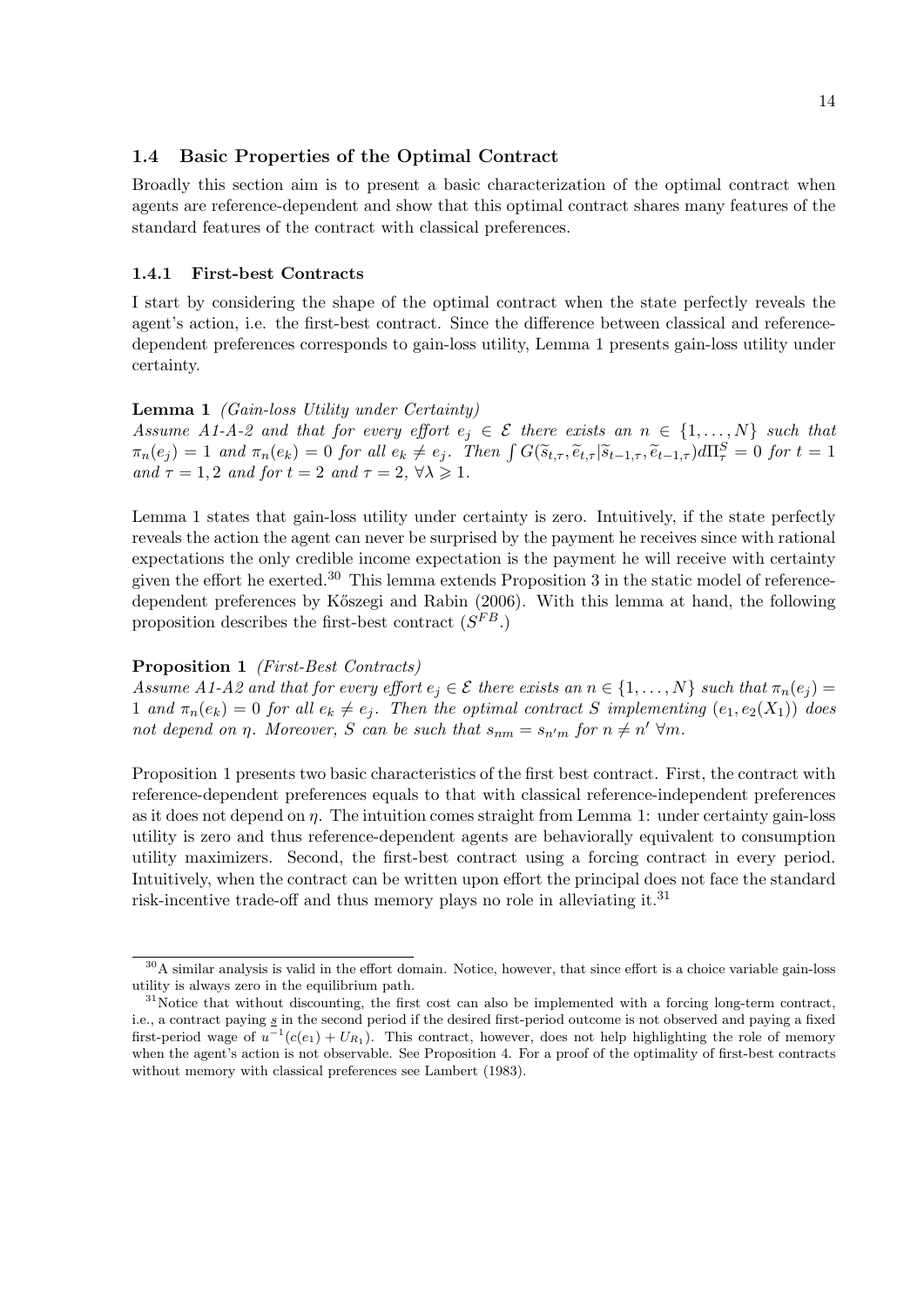#### 1.4 Basic Properties of the Optimal Contract

Broadly this section aim is to present a basic characterization of the optimal contract when agents are reference-dependent and show that this optimal contract shares many features of the standard features of the contract with classical preferences.

#### 1.4.1 First-best Contracts

I start by considering the shape of the optimal contract when the state perfectly reveals the agent's action, i.e. the first-best contract. Since the difference between classical and referencedependent preferences corresponds to gain-loss utility, Lemma 1 presents gain-loss utility under certainty.

#### Lemma 1 *(Gain-loss Utility under Certainty)*

Assume A1-A-2 and that for every effort  $e_i \in \mathcal{E}$  there exists an  $n \in \{1, ..., N\}$  such that  $\pi_n(e_j) = 1$  and  $\pi_n(e_k) = 0$  for all  $e_k \neq e_j$ . Then  $\int G(\tilde{s}_{t,\tau}, \tilde{e}_{t,\tau} | \tilde{s}_{t-1,\tau}, \tilde{e}_{t-1,\tau}) d\Pi_{\tau}^S = 0$  for  $t = 1$ and  $\tau = 1, 2$  and for  $t = 2$  and  $\tau = 2, \forall \lambda \geq 1$ .

Lemma 1 states that gain-loss utility under certainty is zero. Intuitively, if the state perfectly reveals the action the agent can never be surprised by the payment he receives since with rational expectations the only credible income expectation is the payment he will receive with certainty given the effort he exerted.<sup>30</sup> This lemma extends Proposition 3 in the static model of referencedependent preferences by K˝oszegi and Rabin (2006). With this lemma at hand, the following proposition describes the first-best contract  $(S^{FB})$ .

#### Proposition 1 (First-Best Contracts)

Assume A1-A2 and that for every effort  $e_i \in \mathcal{E}$  there exists an  $n \in \{1, ..., N\}$  such that  $\pi_n(e_i)$ 1 and  $\pi_n(e_k) = 0$  for all  $e_k \neq e_j$ . Then the optimal contract S implementing  $(e_1, e_2(X_1))$  does not depend on  $\eta$ . Moreover, S can be such that  $s_{nm} = s_{n'm}$  for  $n \neq n' \forall m$ .

Proposition 1 presents two basic characteristics of the first best contract. First, the contract with reference-dependent preferences equals to that with classical reference-independent preferences as it does not depend on  $\eta$ . The intuition comes straight from Lemma 1: under certainty gain-loss utility is zero and thus reference-dependent agents are behaviorally equivalent to consumption utility maximizers. Second, the first-best contract using a forcing contract in every period. Intuitively, when the contract can be written upon effort the principal does not face the standard risk-incentive trade-off and thus memory plays no role in alleviating it.<sup>31</sup>

 $30$ A similar analysis is valid in the effort domain. Notice, however, that since effort is a choice variable gain-loss utility is always zero in the equilibrium path.

 $31$ Notice that without discounting, the first cost can also be implemented with a forcing long-term contract, i.e., a contract paying s in the second period if the desired first-period outcome is not observed and paying a fixed first-period wage of  $u^{-1}(c(e_1) + U_{R_1})$ . This contract, however, does not help highlighting the role of memory when the agent's action is not observable. See Proposition 4. For a proof of the optimality of first-best contracts without memory with classical preferences see Lambert (1983).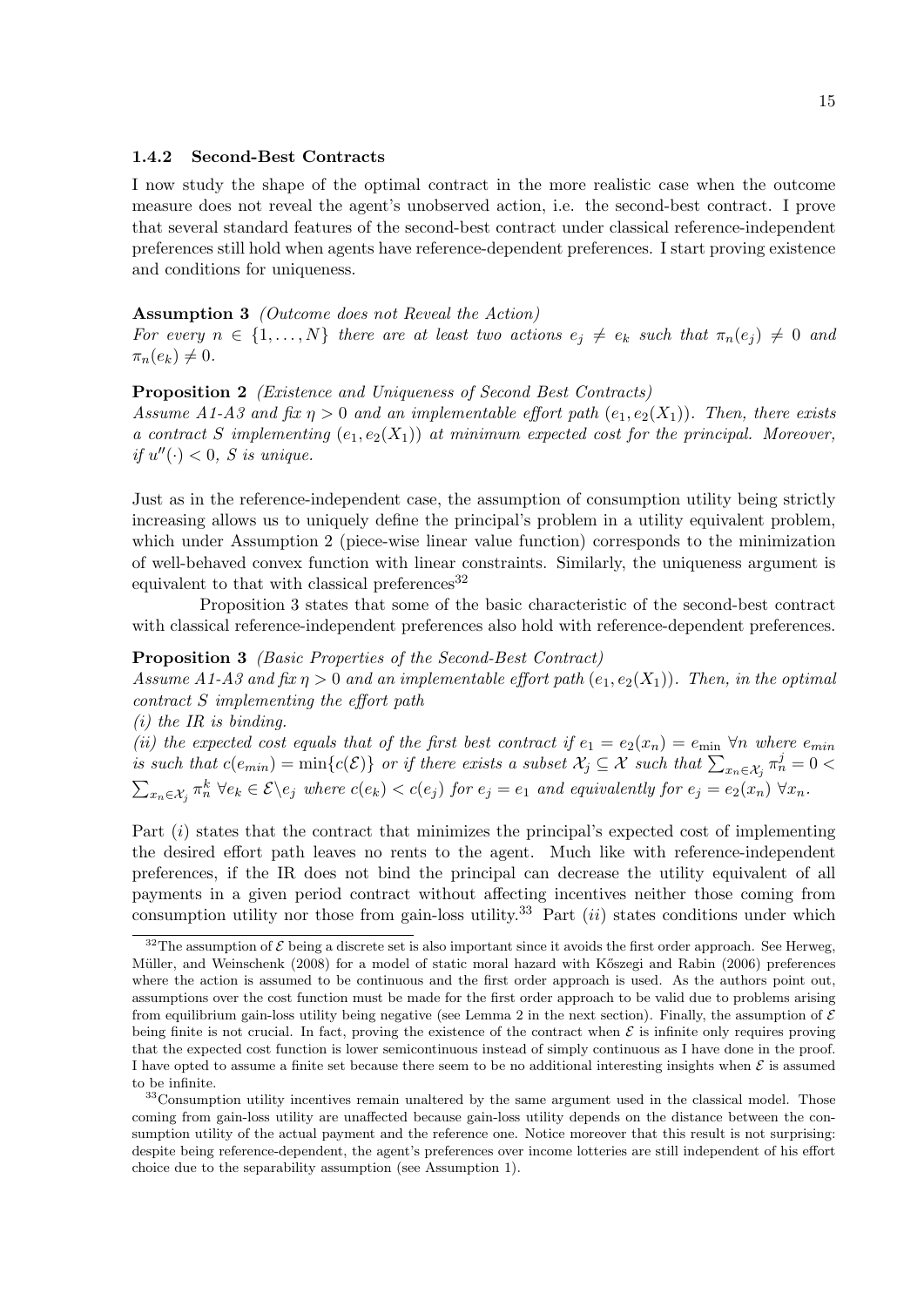#### 1.4.2 Second-Best Contracts

I now study the shape of the optimal contract in the more realistic case when the outcome measure does not reveal the agent's unobserved action, i.e. the second-best contract. I prove that several standard features of the second-best contract under classical reference-independent preferences still hold when agents have reference-dependent preferences. I start proving existence and conditions for uniqueness.

#### Assumption 3 (Outcome does not Reveal the Action)

For every  $n \in \{1, ..., N\}$  there are at least two actions  $e_i \neq e_k$  such that  $\pi_n(e_i) \neq 0$  and  $\pi_n(e_k) \neq 0.$ 

#### Proposition 2 *(Existence and Uniqueness of Second Best Contracts)*

Assume A1-A3 and fix  $\eta > 0$  and an implementable effort path  $(e_1, e_2(X_1))$ . Then, there exists a contract S implementing  $(e_1, e_2(X_1))$  at minimum expected cost for the principal. Moreover, if  $u''(\cdot) < 0$ , *S* is unique.

Just as in the reference-independent case, the assumption of consumption utility being strictly increasing allows us to uniquely define the principal's problem in a utility equivalent problem, which under Assumption 2 (piece-wise linear value function) corresponds to the minimization of well-behaved convex function with linear constraints. Similarly, the uniqueness argument is equivalent to that with classical preferences<sup>32</sup>

Proposition 3 states that some of the basic characteristic of the second-best contract with classical reference-independent preferences also hold with reference-dependent preferences.

#### Proposition 3 (Basic Properties of the Second-Best Contract)

Assume A1-A3 and fix  $\eta > 0$  and an implementable effort path  $(e_1, e_2(X_1))$ . Then, in the optimal contract S implementing the effort path

 $(i)$  the IR is binding.

(ii) the expected cost equals that of the first best contract if  $e_1 = e_2(x_n) = e_{\min} \,\forall n$  where  $e_{\min}$ is such that  $c(e_{min}) = \min\{c(\mathcal{E})\}$  or if there exists a subset  $\mathcal{X}_j \subseteq \mathcal{X}$  such that  $\sum_{x_n \in \mathcal{X}_j} \pi_n^j = 0$  $\sum_{x_n \in \mathcal{X}_j} \pi_n^k \ \forall e_k \in \mathcal{E} \backslash e_j$  where  $c(e_k) < c(e_j)$  for  $e_j = e_1$  and equivalently for  $e_j = e_2(x_n) \ \forall x_n$ .

Part  $(i)$  states that the contract that minimizes the principal's expected cost of implementing the desired effort path leaves no rents to the agent. Much like with reference-independent preferences, if the IR does not bind the principal can decrease the utility equivalent of all payments in a given period contract without affecting incentives neither those coming from consumption utility nor those from gain-loss utility.<sup>33</sup> Part  $(ii)$  states conditions under which

<sup>&</sup>lt;sup>32</sup>The assumption of  $\mathcal E$  being a discrete set is also important since it avoids the first order approach. See Herweg, Müller, and Weinschenk (2008) for a model of static moral hazard with Kőszegi and Rabin (2006) preferences where the action is assumed to be continuous and the first order approach is used. As the authors point out, assumptions over the cost function must be made for the first order approach to be valid due to problems arising from equilibrium gain-loss utility being negative (see Lemma 2 in the next section). Finally, the assumption of  $\mathcal E$ being finite is not crucial. In fact, proving the existence of the contract when  $\mathcal E$  is infinite only requires proving that the expected cost function is lower semicontinuous instead of simply continuous as I have done in the proof. I have opted to assume a finite set because there seem to be no additional interesting insights when  $\mathcal E$  is assumed to be infinite.

<sup>&</sup>lt;sup>33</sup>Consumption utility incentives remain unaltered by the same argument used in the classical model. Those coming from gain-loss utility are unaffected because gain-loss utility depends on the distance between the consumption utility of the actual payment and the reference one. Notice moreover that this result is not surprising: despite being reference-dependent, the agent's preferences over income lotteries are still independent of his effort choice due to the separability assumption (see Assumption 1).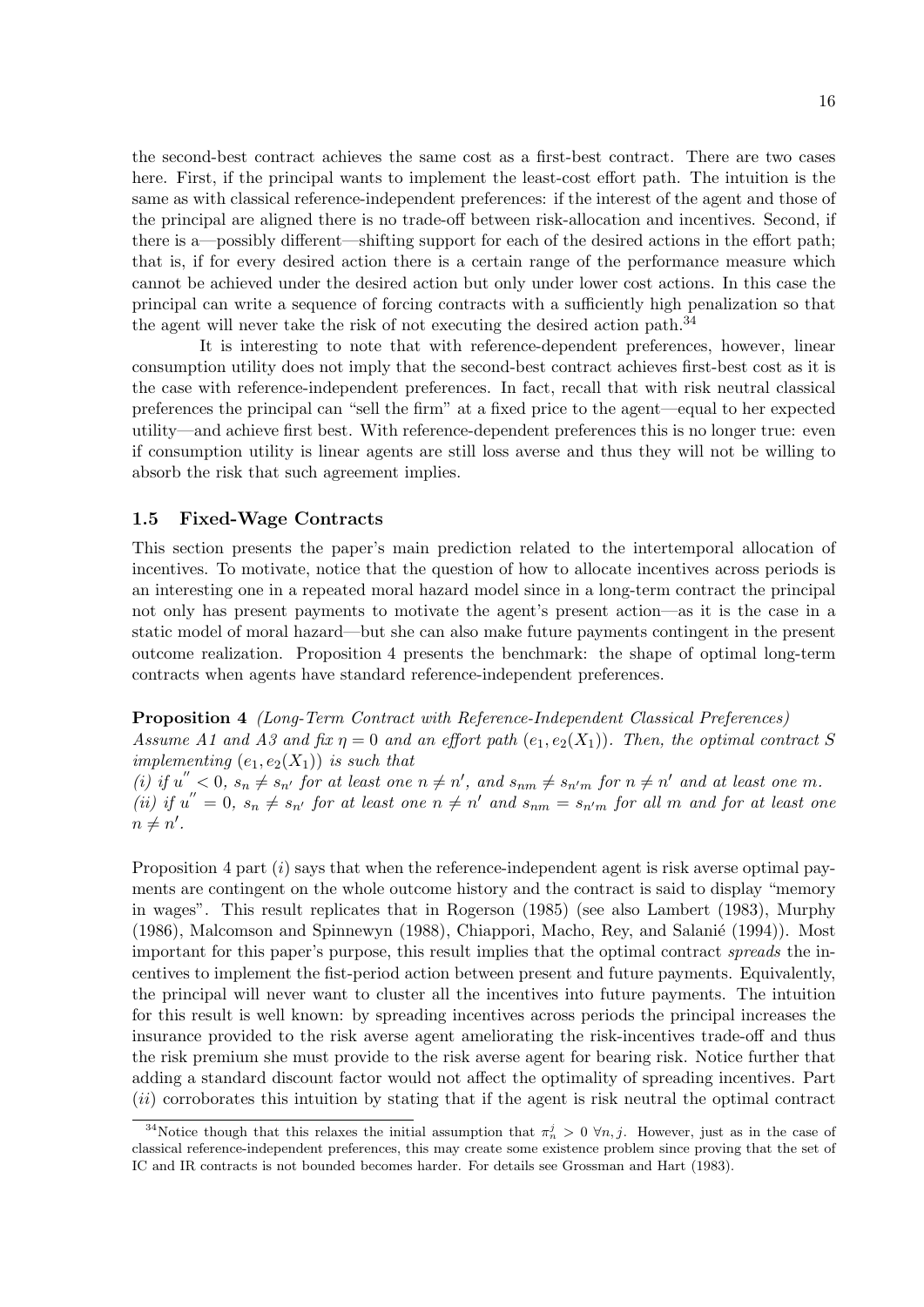the second-best contract achieves the same cost as a first-best contract. There are two cases here. First, if the principal wants to implement the least-cost effort path. The intuition is the same as with classical reference-independent preferences: if the interest of the agent and those of the principal are aligned there is no trade-off between risk-allocation and incentives. Second, if there is a—possibly different—shifting support for each of the desired actions in the effort path; that is, if for every desired action there is a certain range of the performance measure which cannot be achieved under the desired action but only under lower cost actions. In this case the principal can write a sequence of forcing contracts with a sufficiently high penalization so that the agent will never take the risk of not executing the desired action path.<sup>34</sup>

It is interesting to note that with reference-dependent preferences, however, linear consumption utility does not imply that the second-best contract achieves first-best cost as it is the case with reference-independent preferences. In fact, recall that with risk neutral classical preferences the principal can "sell the firm" at a fixed price to the agent—equal to her expected utility—and achieve first best. With reference-dependent preferences this is no longer true: even if consumption utility is linear agents are still loss averse and thus they will not be willing to absorb the risk that such agreement implies.

#### 1.5 Fixed-Wage Contracts

This section presents the paper's main prediction related to the intertemporal allocation of incentives. To motivate, notice that the question of how to allocate incentives across periods is an interesting one in a repeated moral hazard model since in a long-term contract the principal not only has present payments to motivate the agent's present action—as it is the case in a static model of moral hazard—but she can also make future payments contingent in the present outcome realization. Proposition 4 presents the benchmark: the shape of optimal long-term contracts when agents have standard reference-independent preferences.

Proposition 4 (Long-Term Contract with Reference-Independent Classical Preferences) Assume A1 and A3 and fix  $\eta = 0$  and an effort path  $(e_1, e_2(X_1))$ . Then, the optimal contract S implementing  $(e_1, e_2(X_1))$  is such that

(i) if  $u'' < 0$ ,  $s_n \neq s_{n'}$  for at least one  $n \neq n'$ , and  $s_{nm} \neq s_{n'm}$  for  $n \neq n'$  and at least one m. (ii) if  $u'' = 0$ ,  $s_n \neq s_{n'}$  for at least one  $n \neq n'$  and  $s_{nm} = s_{n'm}$  for all m and for at least one  $n \neq n'.$ 

Proposition  $4$  part  $(i)$  says that when the reference-independent agent is risk averse optimal payments are contingent on the whole outcome history and the contract is said to display "memory in wages". This result replicates that in Rogerson (1985) (see also Lambert (1983), Murphy  $(1986)$ , Malcomson and Spinnewyn  $(1988)$ , Chiappori, Macho, Rey, and Salanié  $(1994)$ ). Most important for this paper's purpose, this result implies that the optimal contract spreads the incentives to implement the fist-period action between present and future payments. Equivalently, the principal will never want to cluster all the incentives into future payments. The intuition for this result is well known: by spreading incentives across periods the principal increases the insurance provided to the risk averse agent ameliorating the risk-incentives trade-off and thus the risk premium she must provide to the risk averse agent for bearing risk. Notice further that adding a standard discount factor would not affect the optimality of spreading incentives. Part  $(ii)$  corroborates this intuition by stating that if the agent is risk neutral the optimal contract

<sup>&</sup>lt;sup>34</sup>Notice though that this relaxes the initial assumption that  $\pi_n^j > 0 \forall n, j$ . However, just as in the case of classical reference-independent preferences, this may create some existence problem since proving that the set of IC and IR contracts is not bounded becomes harder. For details see Grossman and Hart (1983).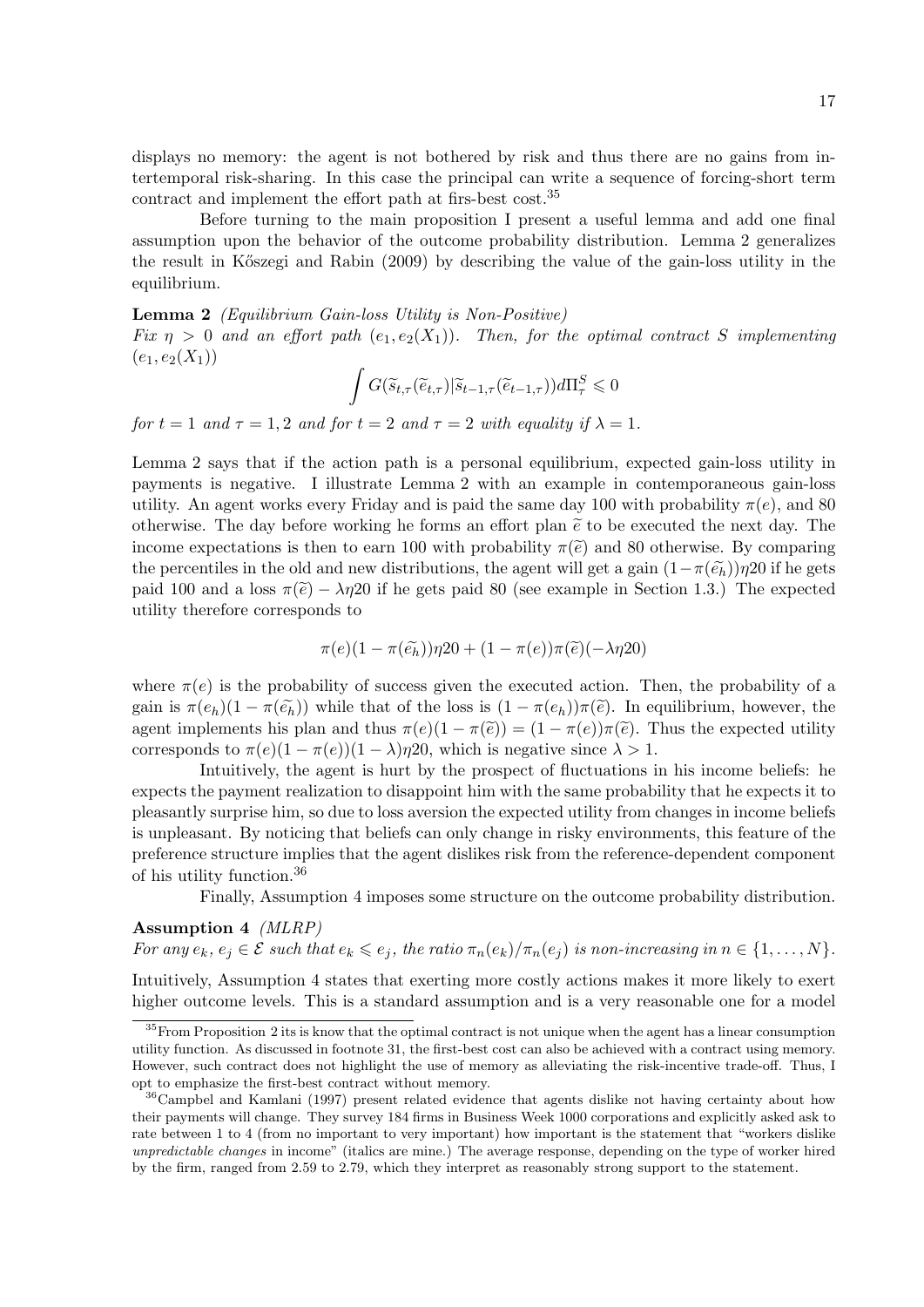displays no memory: the agent is not bothered by risk and thus there are no gains from intertemporal risk-sharing. In this case the principal can write a sequence of forcing-short term contract and implement the effort path at firs-best cost.<sup>35</sup>

Before turning to the main proposition I present a useful lemma and add one final assumption upon the behavior of the outcome probability distribution. Lemma 2 generalizes the result in K˝oszegi and Rabin (2009) by describing the value of the gain-loss utility in the equilibrium.

Lemma 2 (Equilibrium Gain-loss Utility is Non-Positive)

Fix  $\eta > 0$  and an effort path  $(e_1, e_2(X_1))$ . Then, for the optimal contract S implementing  $(e_1, e_2(X_1))$ 

$$
\int G(\widetilde{s}_{t,\tau}(\widetilde{e}_{t,\tau})|\widetilde{s}_{t-1,\tau}(\widetilde{e}_{t-1,\tau}))d\Pi_{\tau}^S\leqslant 0
$$

for  $t = 1$  and  $\tau = 1, 2$  and for  $t = 2$  and  $\tau = 2$  with equality if  $\lambda = 1$ .

Lemma 2 says that if the action path is a personal equilibrium, expected gain-loss utility in payments is negative. I illustrate Lemma 2 with an example in contemporaneous gain-loss utility. An agent works every Friday and is paid the same day 100 with probability  $\pi(e)$ , and 80 otherwise. The day before working he forms an effort plan  $\tilde{e}$  to be executed the next day. The income expectations is then to earn 100 with probability  $\pi(\tilde{e})$  and 80 otherwise. By comparing the percentiles in the old and new distributions, the agent will get a gain  $(1-\pi(\tilde{e}_h))\eta$ 20 if he gets paid 100 and a loss  $\pi(\tilde{e}) - \lambda \eta$  if he gets paid 80 (see example in Section 1.3.) The expected utility therefore corresponds to

$$
\pi(e)(1-\pi(\widetilde{e_h}))\eta 20 + (1-\pi(e))\pi(\widetilde{e})(-\lambda \eta 20)
$$

where  $\pi(e)$  is the probability of success given the executed action. Then, the probability of a gain is  $\pi(e_h)(1 - \pi(\tilde{e}_h))$  while that of the loss is  $(1 - \pi(e_h))\pi(\tilde{e})$ . In equilibrium, however, the agent implements his plan and thus  $\pi(e)(1-\pi(\tilde{e})) = (1-\pi(e))\pi(\tilde{e})$ . Thus the expected utility corresponds to  $\pi(e)(1 - \pi(e))(1 - \lambda)\eta$  which is negative since  $\lambda > 1$ .

Intuitively, the agent is hurt by the prospect of fluctuations in his income beliefs: he expects the payment realization to disappoint him with the same probability that he expects it to pleasantly surprise him, so due to loss aversion the expected utility from changes in income beliefs is unpleasant. By noticing that beliefs can only change in risky environments, this feature of the preference structure implies that the agent dislikes risk from the reference-dependent component of his utility function.<sup>36</sup>

Finally, Assumption 4 imposes some structure on the outcome probability distribution.

#### Assumption 4 (MLRP)

For any  $e_k, e_j \in \mathcal{E}$  such that  $e_k \leqslant e_j$ , the ratio  $\pi_n(e_k)/\pi_n(e_j)$  is non-increasing in  $n \in \{1, ..., N\}$ .

Intuitively, Assumption 4 states that exerting more costly actions makes it more likely to exert higher outcome levels. This is a standard assumption and is a very reasonable one for a model

<sup>&</sup>lt;sup>35</sup>From Proposition 2 its is know that the optimal contract is not unique when the agent has a linear consumption utility function. As discussed in footnote 31, the first-best cost can also be achieved with a contract using memory. However, such contract does not highlight the use of memory as alleviating the risk-incentive trade-off. Thus, I opt to emphasize the first-best contract without memory.

<sup>36</sup>Campbel and Kamlani (1997) present related evidence that agents dislike not having certainty about how their payments will change. They survey 184 firms in Business Week 1000 corporations and explicitly asked ask to rate between 1 to 4 (from no important to very important) how important is the statement that "workers dislike unpredictable changes in income" (italics are mine.) The average response, depending on the type of worker hired by the firm, ranged from 2.59 to 2.79, which they interpret as reasonably strong support to the statement.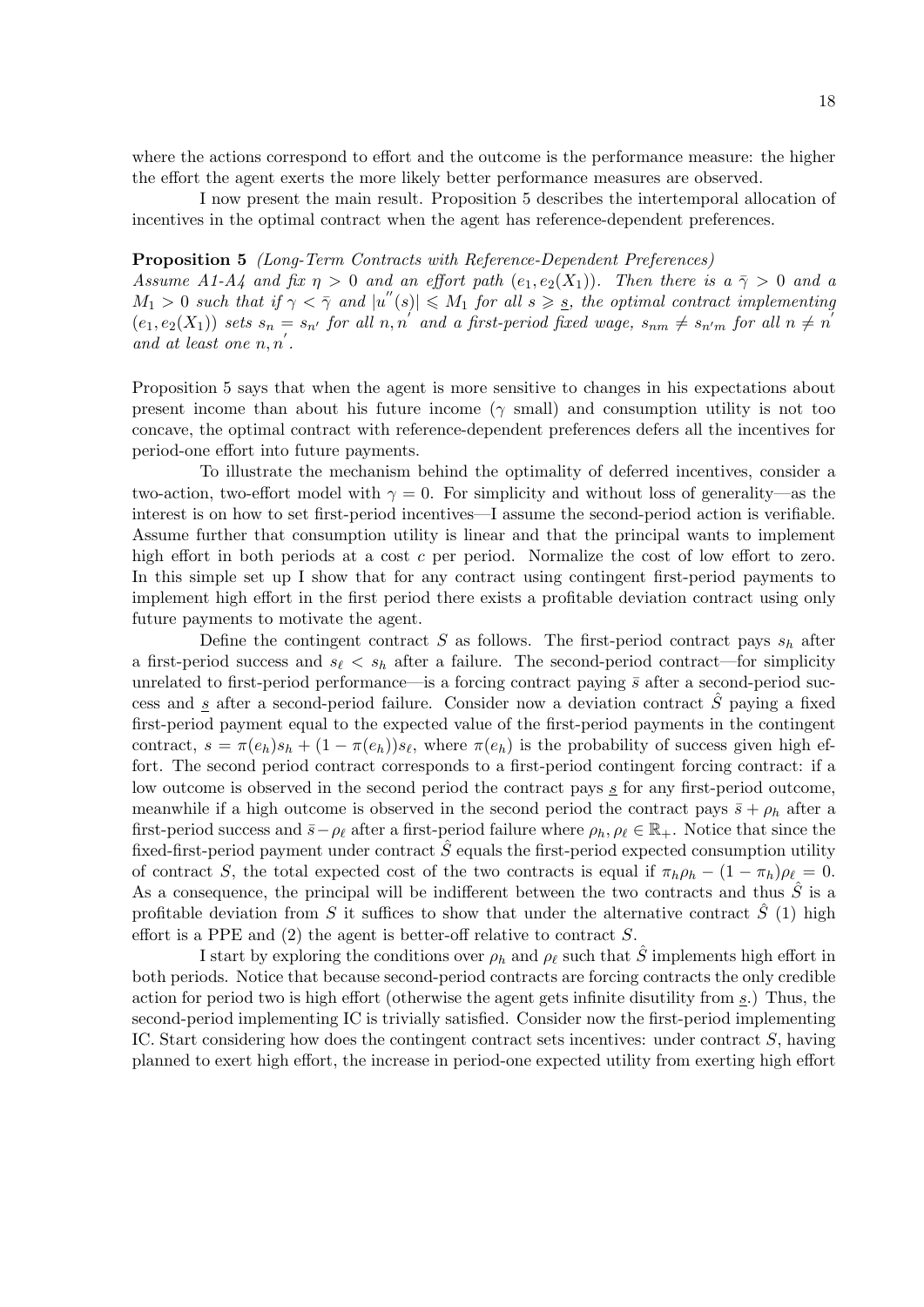where the actions correspond to effort and the outcome is the performance measure: the higher the effort the agent exerts the more likely better performance measures are observed.

I now present the main result. Proposition 5 describes the intertemporal allocation of incentives in the optimal contract when the agent has reference-dependent preferences.

#### Proposition 5 (Long-Term Contracts with Reference-Dependent Preferences)

Assume A1-A4 and fix  $\eta > 0$  and an effort path  $(e_1, e_2(X_1))$ . Then there is  $a \overline{\gamma} > 0$  and a  $M_1 > 0$  such that if  $\gamma < \overline{\gamma}$  and  $|u''(s)| \leq M_1$  for all  $s \geq s$ , the optimal contract implementing  $(e_1, e_2(X_1))$  sets  $s_n = s_{n'}$  for all  $n, n'$  and a first-period fixed wage,  $s_{nm} \neq s_{n'm}$  for all  $n \neq n'$ and at least one  $n, n'$ .

Proposition 5 says that when the agent is more sensitive to changes in his expectations about present income than about his future income ( $\gamma$  small) and consumption utility is not too concave, the optimal contract with reference-dependent preferences defers all the incentives for period-one effort into future payments.

To illustrate the mechanism behind the optimality of deferred incentives, consider a two-action, two-effort model with  $\gamma = 0$ . For simplicity and without loss of generality—as the interest is on how to set first-period incentives—I assume the second-period action is verifiable. Assume further that consumption utility is linear and that the principal wants to implement high effort in both periods at a cost c per period. Normalize the cost of low effort to zero. In this simple set up I show that for any contract using contingent first-period payments to implement high effort in the first period there exists a profitable deviation contract using only future payments to motivate the agent.

Define the contingent contract  $S$  as follows. The first-period contract pays  $s_h$  after a first-period success and  $s_{\ell} < s_h$  after a failure. The second-period contract—for simplicity unrelated to first-period performance—is a forcing contract paying  $\bar{s}$  after a second-period success and  $\underline{s}$  after a second-period failure. Consider now a deviation contract  $\hat{S}$  paying a fixed first-period payment equal to the expected value of the first-period payments in the contingent contract,  $s = \pi(e_h) s_h + (1 - \pi(e_h)) s_{\ell}$ , where  $\pi(e_h)$  is the probability of success given high effort. The second period contract corresponds to a first-period contingent forcing contract: if a low outcome is observed in the second period the contract pays  $s$  for any first-period outcome, meanwhile if a high outcome is observed in the second period the contract pays  $\bar{s} + \rho_h$  after a first-period success and  $\bar{s}-\rho_{\ell}$  after a first-period failure where  $\rho_h, \rho_{\ell} \in \mathbb{R}_+$ . Notice that since the fixed-first-period payment under contract  $\hat{S}$  equals the first-period expected consumption utility of contract S, the total expected cost of the two contracts is equal if  $\pi_h \rho_h - (1 - \pi_h) \rho_\ell = 0$ . As a consequence, the principal will be indifferent between the two contracts and thus  $\hat{S}$  is a profitable deviation from S it suffices to show that under the alternative contract  $\hat{S}$  (1) high effort is a PPE and  $(2)$  the agent is better-off relative to contract S.

I start by exploring the conditions over  $\rho_h$  and  $\rho_\ell$  such that  $\hat{S}$  implements high effort in both periods. Notice that because second-period contracts are forcing contracts the only credible action for period two is high effort (otherwise the agent gets infinite disutility from s.) Thus, the second-period implementing IC is trivially satisfied. Consider now the first-period implementing IC. Start considering how does the contingent contract sets incentives: under contract S, having planned to exert high effort, the increase in period-one expected utility from exerting high effort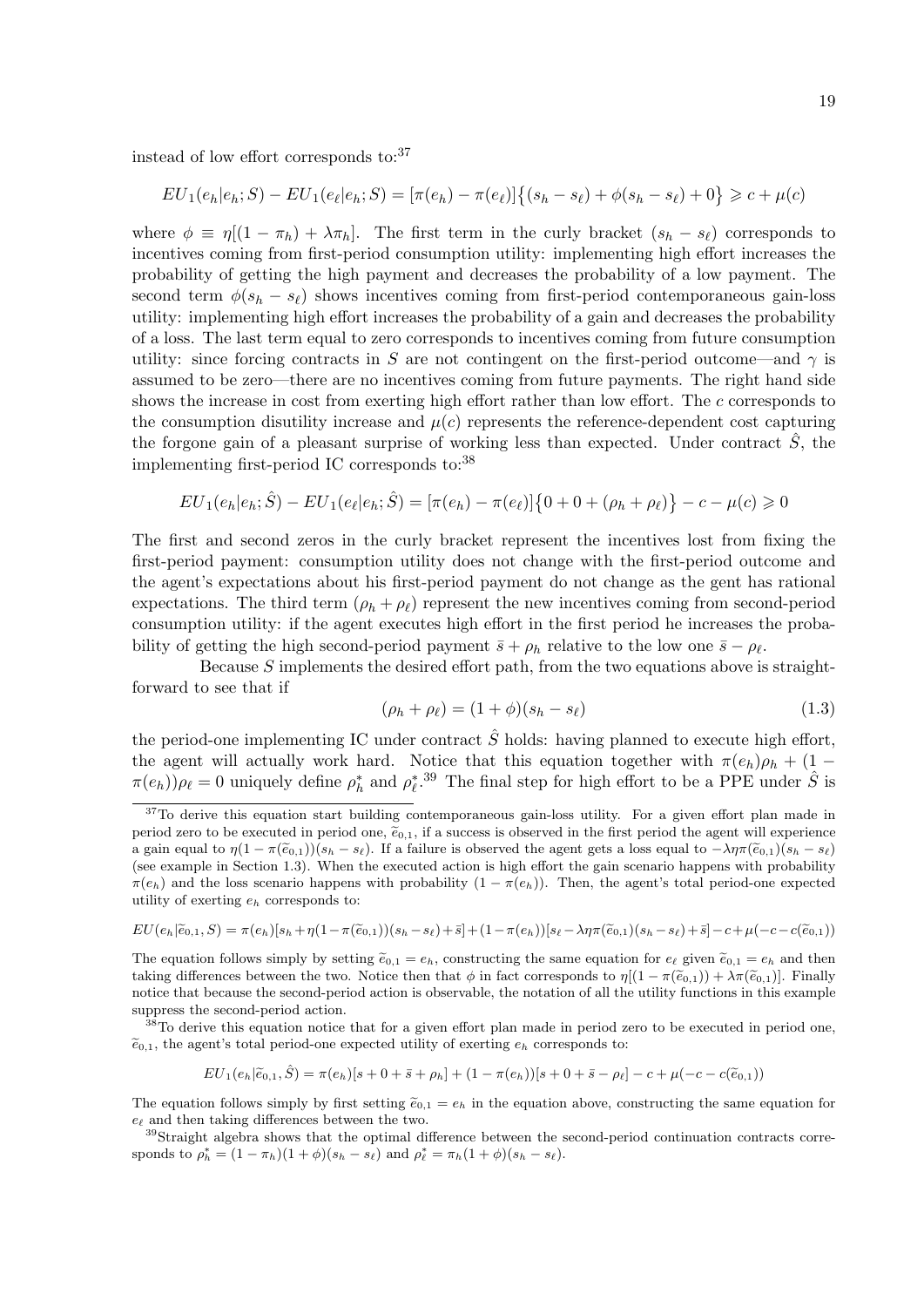instead of low effort corresponds to: $37$ 

$$
EU_1(e_h|e_h;S) - EU_1(e_\ell|e_h;S) = [\pi(e_h) - \pi(e_\ell)]\{(s_h - s_\ell) + \phi(s_h - s_\ell) + 0\} \geq c + \mu(c)
$$

where  $\phi \equiv \eta [(1 - \pi_h) + \lambda \pi_h]$ . The first term in the curly bracket  $(s_h - s_\ell)$  corresponds to incentives coming from first-period consumption utility: implementing high effort increases the probability of getting the high payment and decreases the probability of a low payment. The second term  $\phi(s_h - s_\ell)$  shows incentives coming from first-period contemporaneous gain-loss utility: implementing high effort increases the probability of a gain and decreases the probability of a loss. The last term equal to zero corresponds to incentives coming from future consumption utility: since forcing contracts in S are not contingent on the first-period outcome—and  $\gamma$  is assumed to be zero—there are no incentives coming from future payments. The right hand side shows the increase in cost from exerting high effort rather than low effort. The c corresponds to the consumption disutility increase and  $\mu(c)$  represents the reference-dependent cost capturing the forgone gain of a pleasant surprise of working less than expected. Under contract  $\tilde{S}$ , the implementing first-period IC corresponds to:<sup>38</sup>

$$
EU_1(e_h|e_h; \hat{S}) - EU_1(e_{\ell}|e_h; \hat{S}) = [\pi(e_h) - \pi(e_{\ell})]\{0 + 0 + (\rho_h + \rho_{\ell})\} - c - \mu(c) \ge 0
$$

The first and second zeros in the curly bracket represent the incentives lost from fixing the first-period payment: consumption utility does not change with the first-period outcome and the agent's expectations about his first-period payment do not change as the gent has rational expectations. The third term  $(\rho_h + \rho_\ell)$  represent the new incentives coming from second-period consumption utility: if the agent executes high effort in the first period he increases the probability of getting the high second-period payment  $\bar{s} + \rho_h$  relative to the low one  $\bar{s} - \rho_\ell$ .

Because  $S$  implements the desired effort path, from the two equations above is straightforward to see that if

$$
(\rho_h + \rho_\ell) = (1 + \phi)(s_h - s_\ell) \tag{1.3}
$$

the period-one implementing IC under contract  $\hat{S}$  holds: having planned to execute high effort, the agent will actually work hard. Notice that this equation together with  $\pi(e_h)\rho_h + (1 \pi(e_h)$ ) $\rho_\ell = 0$  uniquely define  $\rho_h^*$  and  $\rho_\ell^*$ .<sup>39</sup> The final step for high effort to be a PPE under  $\hat{S}$  is

$$
EU(e_h|\widetilde{e}_{0,1}, S) = \pi(e_h)[s_h + \eta(1 - \pi(\widetilde{e}_{0,1}))(s_h - s_{\ell}) + \bar{s}] + (1 - \pi(e_h))[s_{\ell} - \lambda \eta \pi(\widetilde{e}_{0,1})(s_h - s_{\ell}) + \bar{s}] - c + \mu(-c - c(\widetilde{e}_{0,1}))
$$

The equation follows simply by setting  $\tilde{e}_{0,1} = e_h$ , constructing the same equation for  $e_\ell$  given  $\tilde{e}_{0,1} = e_h$  and then taking differences between the two. Notice then that  $\phi$  in fact corresponds to  $\eta[(1 - \pi(\tilde{e}_{0,1})) + \lambda \pi(\tilde{e}_{0,1})]$ . Finally notice that because the second-period action is observable, the notation of all the utility functions in this example suppress the second-period action.

 $38$ To derive this equation notice that for a given effort plan made in period zero to be executed in period one,  $\tilde{e}_{0,1}$ , the agent's total period-one expected utility of exerting  $e_h$  corresponds to:

$$
EU_1(e_h|\widetilde{e}_{0,1},\widehat{S}) = \pi(e_h)[s+0+\bar{s}+\rho_h] + (1-\pi(e_h))[s+0+\bar{s}-\rho_\ell] - c + \mu(-c-c(\widetilde{e}_{0,1}))
$$

The equation follows simply by first setting  $\tilde{e}_{0,1} = e_h$  in the equation above, constructing the same equation for  $e_{\ell}$  and then taking differences between the two.

<sup>39</sup>Straight algebra shows that the optimal difference between the second-period continuation contracts corresponds to  $\rho_h^* = (1 - \pi_h)(1 + \phi)(s_h - s_\ell)$  and  $\rho_\ell^* = \pi_h(1 + \phi)(s_h - s_\ell)$ .

<sup>&</sup>lt;sup>37</sup>To derive this equation start building contemporaneous gain-loss utility. For a given effort plan made in period zero to be executed in period one,  $\tilde{e}_{0,1}$ , if a success is observed in the first period the agent will experience a gain equal to  $\eta(1 - \pi(\widetilde{e}_{0,1}))(s_h - s_\ell)$ . If a failure is observed the agent gets a loss equal to  $-\lambda\eta\pi(\widetilde{e}_{0,1})(s_h - s_\ell)$ (see example in Section 1.3). When the executed action is high effort the gain scenario happens with probability  $\pi(e_h)$  and the loss scenario happens with probability  $(1 - \pi(e_h))$ . Then, the agent's total period-one expected utility of exerting  $e_h$  corresponds to: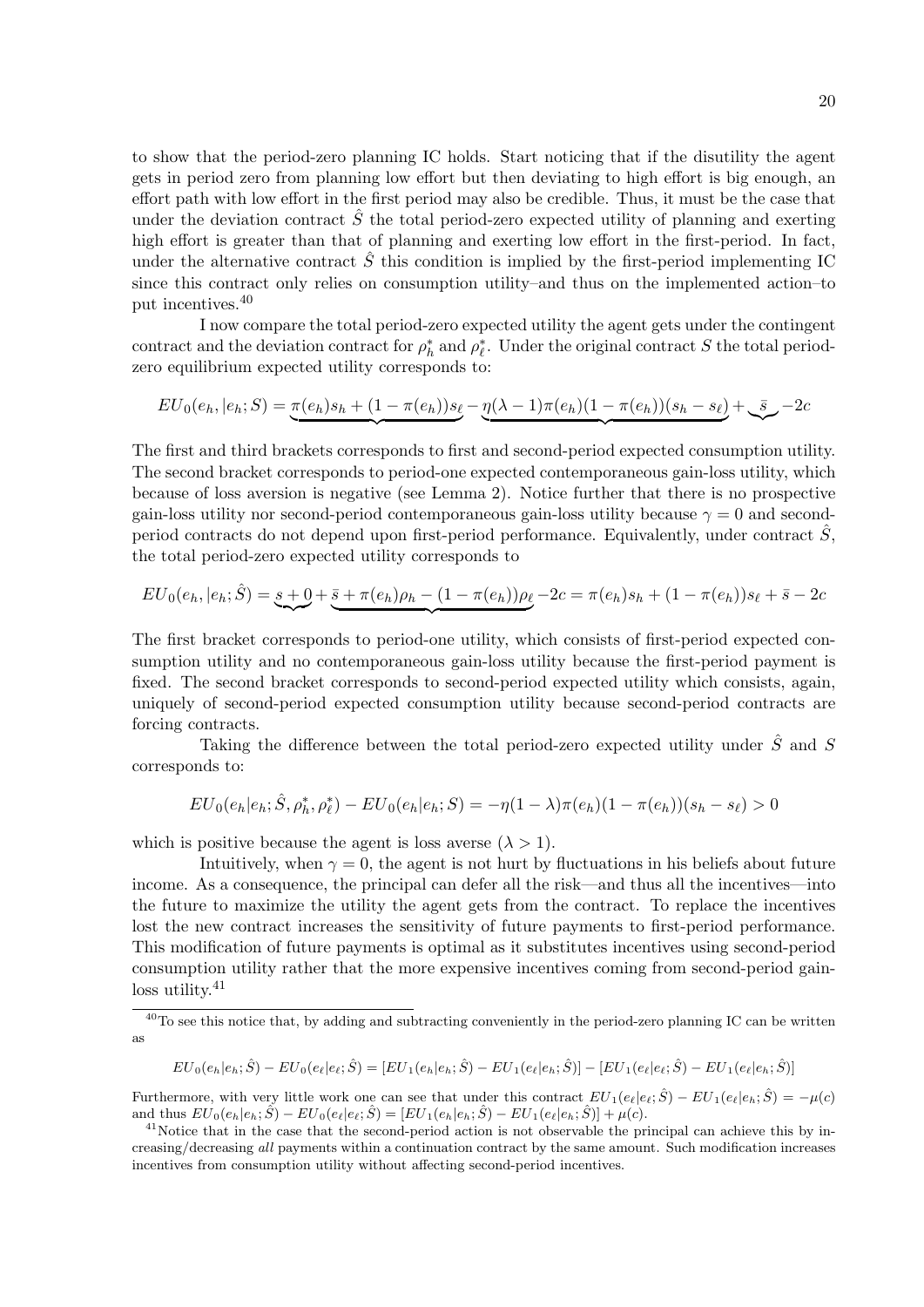to show that the period-zero planning IC holds. Start noticing that if the disutility the agent gets in period zero from planning low effort but then deviating to high effort is big enough, an effort path with low effort in the first period may also be credible. Thus, it must be the case that under the deviation contract  $\hat{S}$  the total period-zero expected utility of planning and exerting high effort is greater than that of planning and exerting low effort in the first-period. In fact, under the alternative contract  $\hat{S}$  this condition is implied by the first-period implementing IC since this contract only relies on consumption utility–and thus on the implemented action–to put incentives.<sup>40</sup>

I now compare the total period-zero expected utility the agent gets under the contingent contract and the deviation contract for  $\rho_h^*$  and  $\rho_\ell^*$ . Under the original contract S the total periodzero equilibrium expected utility corresponds to:

$$
EU_0(e_h, |e_h; S) = \underbrace{\pi(e_h) s_h + (1 - \pi(e_h)) s_\ell}_{\text{max}} - \underbrace{\eta(\lambda - 1)\pi(e_h)(1 - \pi(e_h))(s_h - s_\ell)}_{\text{max}} + \underbrace{\bar{s}}_{\text{max}} - 2c
$$

The first and third brackets corresponds to first and second-period expected consumption utility. The second bracket corresponds to period-one expected contemporaneous gain-loss utility, which because of loss aversion is negative (see Lemma 2). Notice further that there is no prospective gain-loss utility nor second-period contemporaneous gain-loss utility because  $\gamma = 0$  and secondperiod contracts do not depend upon first-period performance. Equivalently, under contract  $\tilde{S}$ , the total period-zero expected utility corresponds to

$$
EU_0(e_h, |e_h; \hat{S}) = \underbrace{s+0}_{\text{max}} + \underbrace{\bar{s} + \pi(e_h)\rho_h - (1 - \pi(e_h))\rho_\ell - 2c}_{\text{max}} = \pi(e_h)s_h + (1 - \pi(e_h))s_\ell + \bar{s} - 2c
$$

The first bracket corresponds to period-one utility, which consists of first-period expected consumption utility and no contemporaneous gain-loss utility because the first-period payment is fixed. The second bracket corresponds to second-period expected utility which consists, again, uniquely of second-period expected consumption utility because second-period contracts are forcing contracts.

Taking the difference between the total period-zero expected utility under  $\hat{S}$  and S corresponds to:

$$
EU_0(e_h|e_h; \hat{S}, \rho_h^*, \rho_\ell^*) - EU_0(e_h|e_h; S) = -\eta(1-\lambda)\pi(e_h)(1-\pi(e_h))(s_h-s_\ell) > 0
$$

which is positive because the agent is loss averse  $(\lambda > 1)$ .

Intuitively, when  $\gamma = 0$ , the agent is not hurt by fluctuations in his beliefs about future income. As a consequence, the principal can defer all the risk—and thus all the incentives—into the future to maximize the utility the agent gets from the contract. To replace the incentives lost the new contract increases the sensitivity of future payments to first-period performance. This modification of future payments is optimal as it substitutes incentives using second-period consumption utility rather that the more expensive incentives coming from second-period gainloss utility.<sup>41</sup>

$$
EU_0(e_h|e_h;\hat{S}) - EU_0(e_{\ell}|e_{\ell};\hat{S}) = [EU_1(e_h|e_h;\hat{S}) - EU_1(e_{\ell}|e_h;\hat{S})] - [EU_1(e_{\ell}|e_{\ell};\hat{S}) - EU_1(e_{\ell}|e_h;\hat{S})]
$$

Furthermore, with very little work one can see that under this contract  $EU_1(e_\ell|e_\ell;\hat{S}) - EU_1(e_\ell|e_h;\hat{S}) = -\mu(c)$ and thus  $EU_0(e_h|e_h; \hat{S}) - EU_0(e_{\ell}|e_{\ell}; \hat{S}) = [EU_1(e_h|e_h; \hat{S}) - EU_1(e_{\ell}|e_h; \hat{S})] + \mu(c).$ 

<sup>&</sup>lt;sup>40</sup>To see this notice that, by adding and subtracting conveniently in the period-zero planning IC can be written as

<sup>&</sup>lt;sup>41</sup>Notice that in the case that the second-period action is not observable the principal can achieve this by increasing/decreasing all payments within a continuation contract by the same amount. Such modification increases incentives from consumption utility without affecting second-period incentives.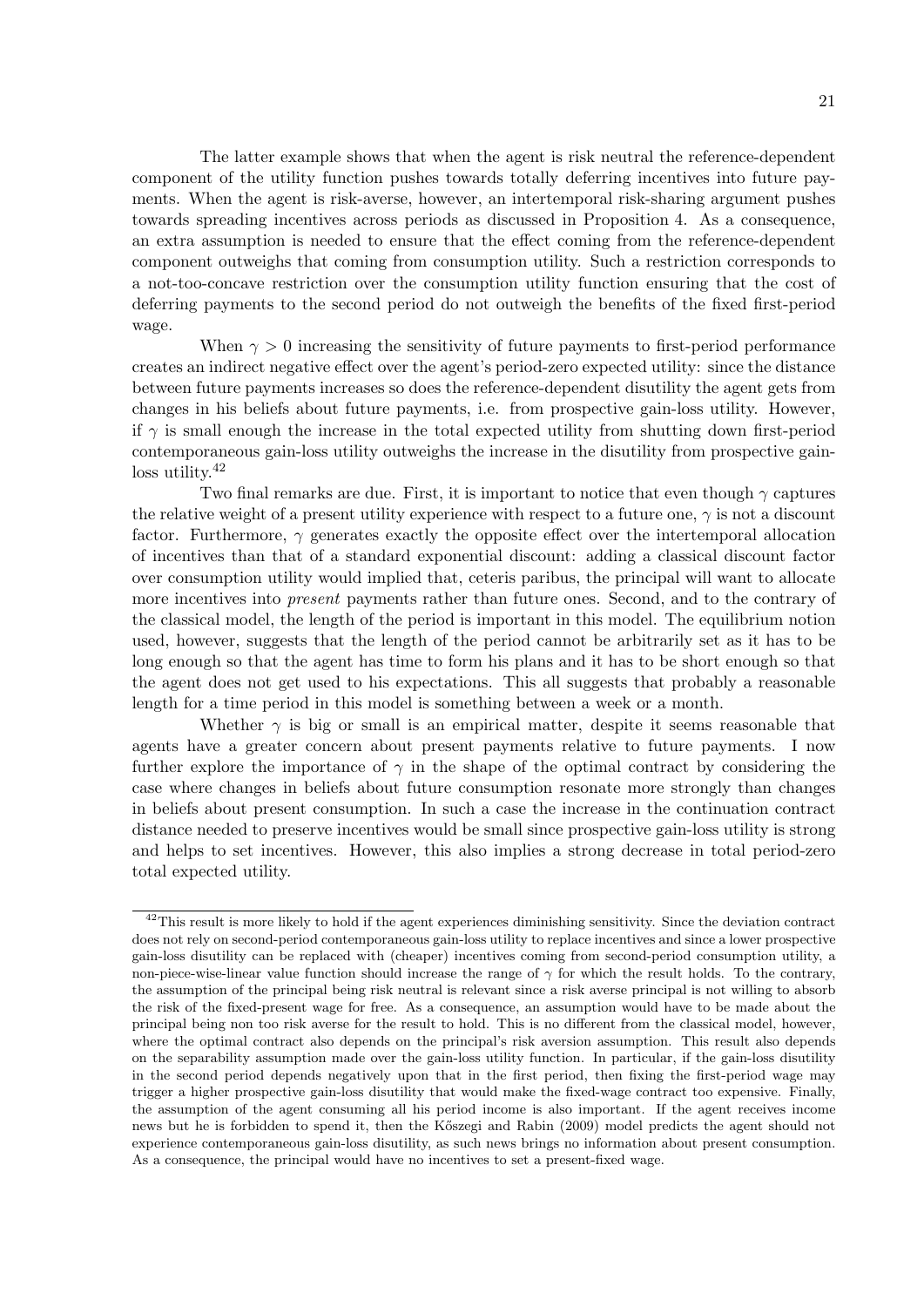The latter example shows that when the agent is risk neutral the reference-dependent component of the utility function pushes towards totally deferring incentives into future payments. When the agent is risk-averse, however, an intertemporal risk-sharing argument pushes towards spreading incentives across periods as discussed in Proposition 4. As a consequence, an extra assumption is needed to ensure that the effect coming from the reference-dependent component outweighs that coming from consumption utility. Such a restriction corresponds to a not-too-concave restriction over the consumption utility function ensuring that the cost of deferring payments to the second period do not outweigh the benefits of the fixed first-period wage.

When  $\gamma > 0$  increasing the sensitivity of future payments to first-period performance creates an indirect negative effect over the agent's period-zero expected utility: since the distance between future payments increases so does the reference-dependent disutility the agent gets from changes in his beliefs about future payments, i.e. from prospective gain-loss utility. However, if  $\gamma$  is small enough the increase in the total expected utility from shutting down first-period contemporaneous gain-loss utility outweighs the increase in the disutility from prospective gainloss utility.<sup>42</sup>

Two final remarks are due. First, it is important to notice that even though  $\gamma$  captures the relative weight of a present utility experience with respect to a future one,  $\gamma$  is not a discount factor. Furthermore,  $\gamma$  generates exactly the opposite effect over the intertemporal allocation of incentives than that of a standard exponential discount: adding a classical discount factor over consumption utility would implied that, ceteris paribus, the principal will want to allocate more incentives into *present* payments rather than future ones. Second, and to the contrary of the classical model, the length of the period is important in this model. The equilibrium notion used, however, suggests that the length of the period cannot be arbitrarily set as it has to be long enough so that the agent has time to form his plans and it has to be short enough so that the agent does not get used to his expectations. This all suggests that probably a reasonable length for a time period in this model is something between a week or a month.

Whether  $\gamma$  is big or small is an empirical matter, despite it seems reasonable that agents have a greater concern about present payments relative to future payments. I now further explore the importance of  $\gamma$  in the shape of the optimal contract by considering the case where changes in beliefs about future consumption resonate more strongly than changes in beliefs about present consumption. In such a case the increase in the continuation contract distance needed to preserve incentives would be small since prospective gain-loss utility is strong and helps to set incentives. However, this also implies a strong decrease in total period-zero total expected utility.

 $42$ This result is more likely to hold if the agent experiences diminishing sensitivity. Since the deviation contract does not rely on second-period contemporaneous gain-loss utility to replace incentives and since a lower prospective gain-loss disutility can be replaced with (cheaper) incentives coming from second-period consumption utility, a non-piece-wise-linear value function should increase the range of  $\gamma$  for which the result holds. To the contrary, the assumption of the principal being risk neutral is relevant since a risk averse principal is not willing to absorb the risk of the fixed-present wage for free. As a consequence, an assumption would have to be made about the principal being non too risk averse for the result to hold. This is no different from the classical model, however, where the optimal contract also depends on the principal's risk aversion assumption. This result also depends on the separability assumption made over the gain-loss utility function. In particular, if the gain-loss disutility in the second period depends negatively upon that in the first period, then fixing the first-period wage may trigger a higher prospective gain-loss disutility that would make the fixed-wage contract too expensive. Finally, the assumption of the agent consuming all his period income is also important. If the agent receives income news but he is forbidden to spend it, then the K˝oszegi and Rabin (2009) model predicts the agent should not experience contemporaneous gain-loss disutility, as such news brings no information about present consumption. As a consequence, the principal would have no incentives to set a present-fixed wage.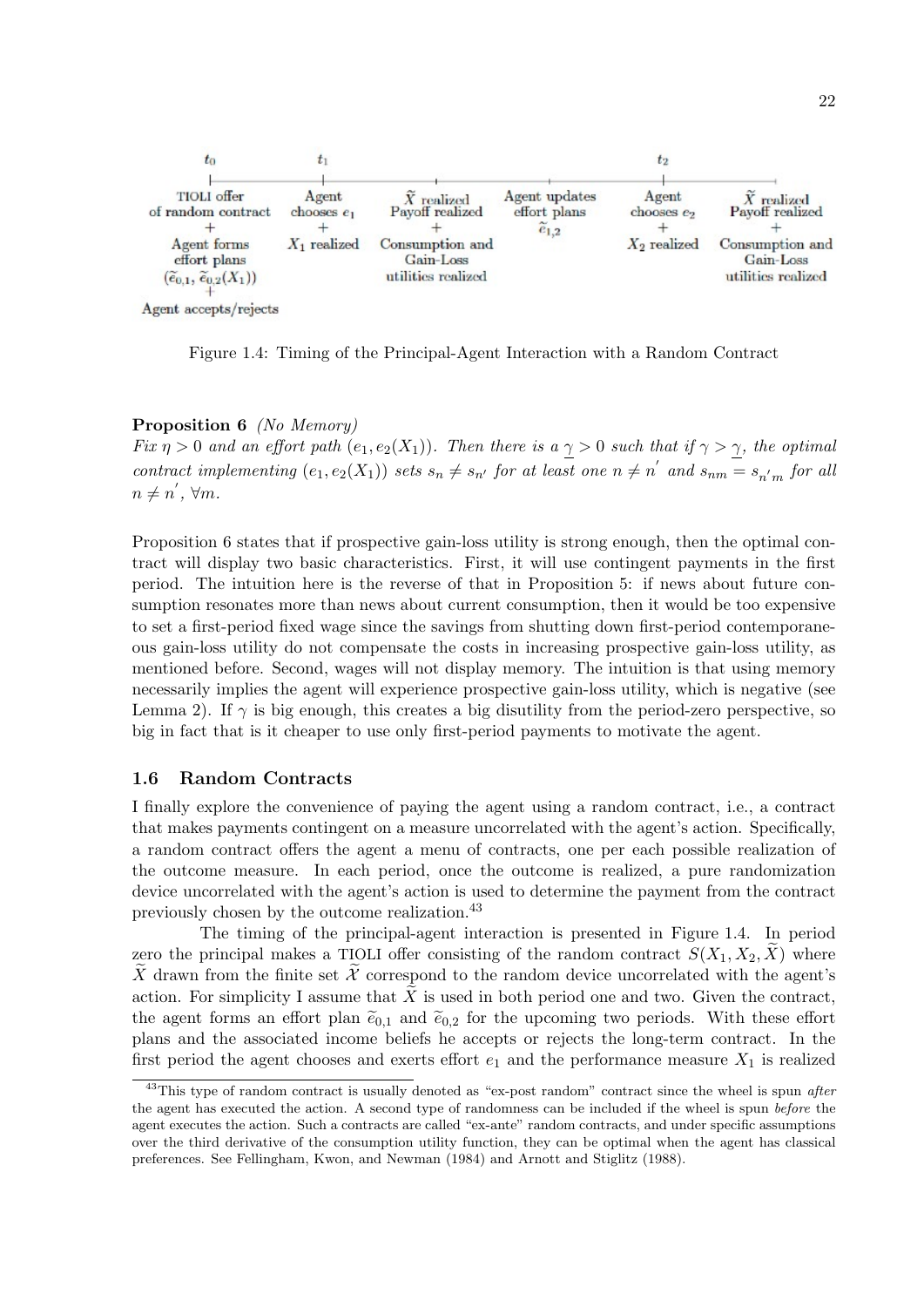

Figure 1.4: Timing of the Principal-Agent Interaction with a Random Contract

#### Proposition 6 (No Memory)

Fix  $\eta > 0$  and an effort path  $(e_1, e_2(X_1))$ . Then there is a  $\gamma > 0$  such that if  $\gamma > \gamma$ , the optimal contract implementing  $(e_1, e_2(X_1))$  sets  $s_n \neq s_{n'}$  for at least one  $n \neq n'$  and  $s_{nm} = s_{n'm}$  for all  $n \neq n', \forall m.$ 

Proposition 6 states that if prospective gain-loss utility is strong enough, then the optimal contract will display two basic characteristics. First, it will use contingent payments in the first period. The intuition here is the reverse of that in Proposition 5: if news about future consumption resonates more than news about current consumption, then it would be too expensive to set a first-period fixed wage since the savings from shutting down first-period contemporaneous gain-loss utility do not compensate the costs in increasing prospective gain-loss utility, as mentioned before. Second, wages will not display memory. The intuition is that using memory necessarily implies the agent will experience prospective gain-loss utility, which is negative (see Lemma 2). If  $\gamma$  is big enough, this creates a big disutility from the period-zero perspective, so big in fact that is it cheaper to use only first-period payments to motivate the agent.

#### 1.6 Random Contracts

I finally explore the convenience of paying the agent using a random contract, i.e., a contract that makes payments contingent on a measure uncorrelated with the agent's action. Specifically, a random contract offers the agent a menu of contracts, one per each possible realization of the outcome measure. In each period, once the outcome is realized, a pure randomization device uncorrelated with the agent's action is used to determine the payment from the contract previously chosen by the outcome realization.<sup>43</sup>

The timing of the principal-agent interaction is presented in Figure 1.4. In period zero the principal makes a TIOLI offer consisting of the random contract  $S(X_1, X_2, X)$  where X drawn from the finite set  $\mathcal X$  correspond to the random device uncorrelated with the agent's action. For simplicity I assume that  $\overline{X}$  is used in both period one and two. Given the contract, the agent forms an effort plan  $\tilde{e}_{0,1}$  and  $\tilde{e}_{0,2}$  for the upcoming two periods. With these effort plans and the associated income beliefs he accepts or rejects the long-term contract. In the first period the agent chooses and exerts effort  $e_1$  and the performance measure  $X_1$  is realized

<sup>&</sup>lt;sup>43</sup>This type of random contract is usually denoted as "ex-post random" contract since the wheel is spun *after* the agent has executed the action. A second type of randomness can be included if the wheel is spun before the agent executes the action. Such a contracts are called "ex-ante" random contracts, and under specific assumptions over the third derivative of the consumption utility function, they can be optimal when the agent has classical preferences. See Fellingham, Kwon, and Newman (1984) and Arnott and Stiglitz (1988).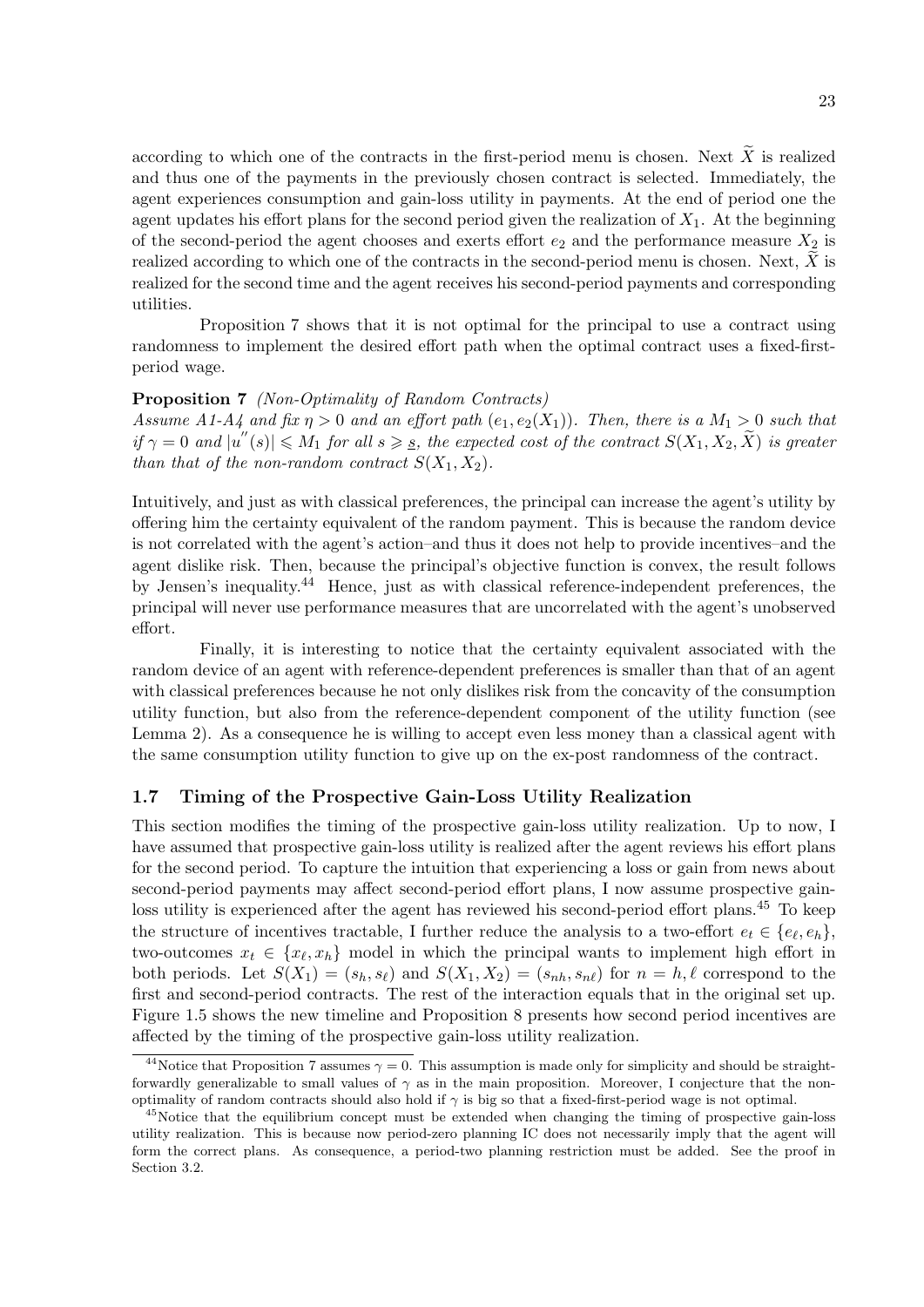according to which one of the contracts in the first-period menu is chosen. Next  $\widetilde{X}$  is realized and thus one of the payments in the previously chosen contract is selected. Immediately, the agent experiences consumption and gain-loss utility in payments. At the end of period one the agent updates his effort plans for the second period given the realization of  $X_1$ . At the beginning of the second-period the agent chooses and exerts effort  $e_2$  and the performance measure  $X_2$  is realized according to which one of the contracts in the second-period menu is chosen. Next,  $X$  is realized for the second time and the agent receives his second-period payments and corresponding utilities.

Proposition 7 shows that it is not optimal for the principal to use a contract using randomness to implement the desired effort path when the optimal contract uses a fixed-firstperiod wage.

#### Proposition 7 (Non-Optimality of Random Contracts)

Assume A1-A4 and fix  $\eta > 0$  and an effort path  $(e_1, e_2(X_1))$ . Then, there is a  $M_1 > 0$  such that  $if \gamma = 0 \text{ and } |u''(s)| \leq M_1 \text{ for all } s \geq s$ , the expected cost of the contract  $S(X_1, X_2, \tilde{X})$  is greater than that of the non-random contract  $S(X_1, X_2)$ .

Intuitively, and just as with classical preferences, the principal can increase the agent's utility by offering him the certainty equivalent of the random payment. This is because the random device is not correlated with the agent's action–and thus it does not help to provide incentives–and the agent dislike risk. Then, because the principal's objective function is convex, the result follows by Jensen's inequality.<sup>44</sup> Hence, just as with classical reference-independent preferences, the principal will never use performance measures that are uncorrelated with the agent's unobserved effort.

Finally, it is interesting to notice that the certainty equivalent associated with the random device of an agent with reference-dependent preferences is smaller than that of an agent with classical preferences because he not only dislikes risk from the concavity of the consumption utility function, but also from the reference-dependent component of the utility function (see Lemma 2). As a consequence he is willing to accept even less money than a classical agent with the same consumption utility function to give up on the ex-post randomness of the contract.

#### 1.7 Timing of the Prospective Gain-Loss Utility Realization

This section modifies the timing of the prospective gain-loss utility realization. Up to now, I have assumed that prospective gain-loss utility is realized after the agent reviews his effort plans for the second period. To capture the intuition that experiencing a loss or gain from news about second-period payments may affect second-period effort plans, I now assume prospective gainloss utility is experienced after the agent has reviewed his second-period effort plans.<sup>45</sup> To keep the structure of incentives tractable, I further reduce the analysis to a two-effort  $e_t \in \{e_\ell, e_h\}$ , two-outcomes  $x_t \in \{x_\ell, x_h\}$  model in which the principal wants to implement high effort in both periods. Let  $S(X_1) = (s_h, s_{\ell})$  and  $S(X_1, X_2) = (s_{nh}, s_{n\ell})$  for  $n = h, \ell$  correspond to the first and second-period contracts. The rest of the interaction equals that in the original set up. Figure 1.5 shows the new timeline and Proposition 8 presents how second period incentives are affected by the timing of the prospective gain-loss utility realization.

<sup>&</sup>lt;sup>44</sup>Notice that Proposition 7 assumes  $\gamma = 0$ . This assumption is made only for simplicity and should be straightforwardly generalizable to small values of  $\gamma$  as in the main proposition. Moreover, I conjecture that the nonoptimality of random contracts should also hold if  $\gamma$  is big so that a fixed-first-period wage is not optimal.

<sup>&</sup>lt;sup>45</sup>Notice that the equilibrium concept must be extended when changing the timing of prospective gain-loss utility realization. This is because now period-zero planning IC does not necessarily imply that the agent will form the correct plans. As consequence, a period-two planning restriction must be added. See the proof in Section 3.2.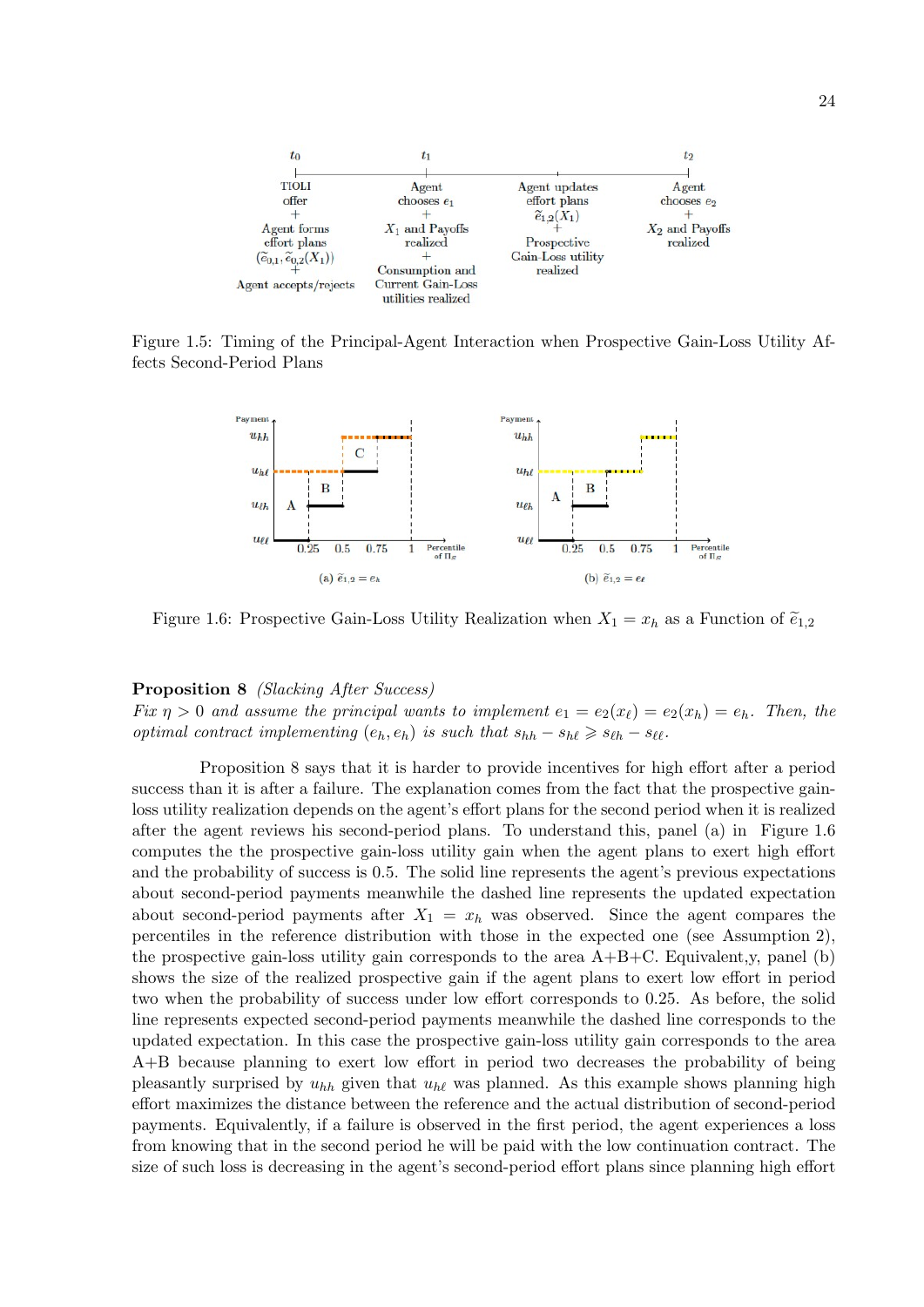

Figure 1.5: Timing of the Principal-Agent Interaction when Prospective Gain-Loss Utility Affects Second-Period Plans



Figure 1.6: Prospective Gain-Loss Utility Realization when  $X_1 = x_h$  as a Function of  $\tilde{e}_{1,2}$ 

Proposition 8 (Slacking After Success) Fix  $\eta > 0$  and assume the principal wants to implement  $e_1 = e_2(x_\ell) = e_2(x_h) = e_h$ . Then, the optimal contract implementing  $(e_h, e_h)$  is such that  $s_{hh} - s_{hl} \geq s_{\ell h} - s_{\ell \ell}$ .

Proposition 8 says that it is harder to provide incentives for high effort after a period success than it is after a failure. The explanation comes from the fact that the prospective gainloss utility realization depends on the agent's effort plans for the second period when it is realized after the agent reviews his second-period plans. To understand this, panel (a) in Figure 1.6 computes the the prospective gain-loss utility gain when the agent plans to exert high effort and the probability of success is 0.5. The solid line represents the agent's previous expectations about second-period payments meanwhile the dashed line represents the updated expectation about second-period payments after  $X_1 = x_h$  was observed. Since the agent compares the percentiles in the reference distribution with those in the expected one (see Assumption 2), the prospective gain-loss utility gain corresponds to the area  $A+B+C$ . Equivalent,y, panel (b) shows the size of the realized prospective gain if the agent plans to exert low effort in period two when the probability of success under low effort corresponds to 0.25. As before, the solid line represents expected second-period payments meanwhile the dashed line corresponds to the updated expectation. In this case the prospective gain-loss utility gain corresponds to the area A+B because planning to exert low effort in period two decreases the probability of being pleasantly surprised by  $u_{hh}$  given that  $u_{hl}$  was planned. As this example shows planning high effort maximizes the distance between the reference and the actual distribution of second-period payments. Equivalently, if a failure is observed in the first period, the agent experiences a loss from knowing that in the second period he will be paid with the low continuation contract. The size of such loss is decreasing in the agent's second-period effort plans since planning high effort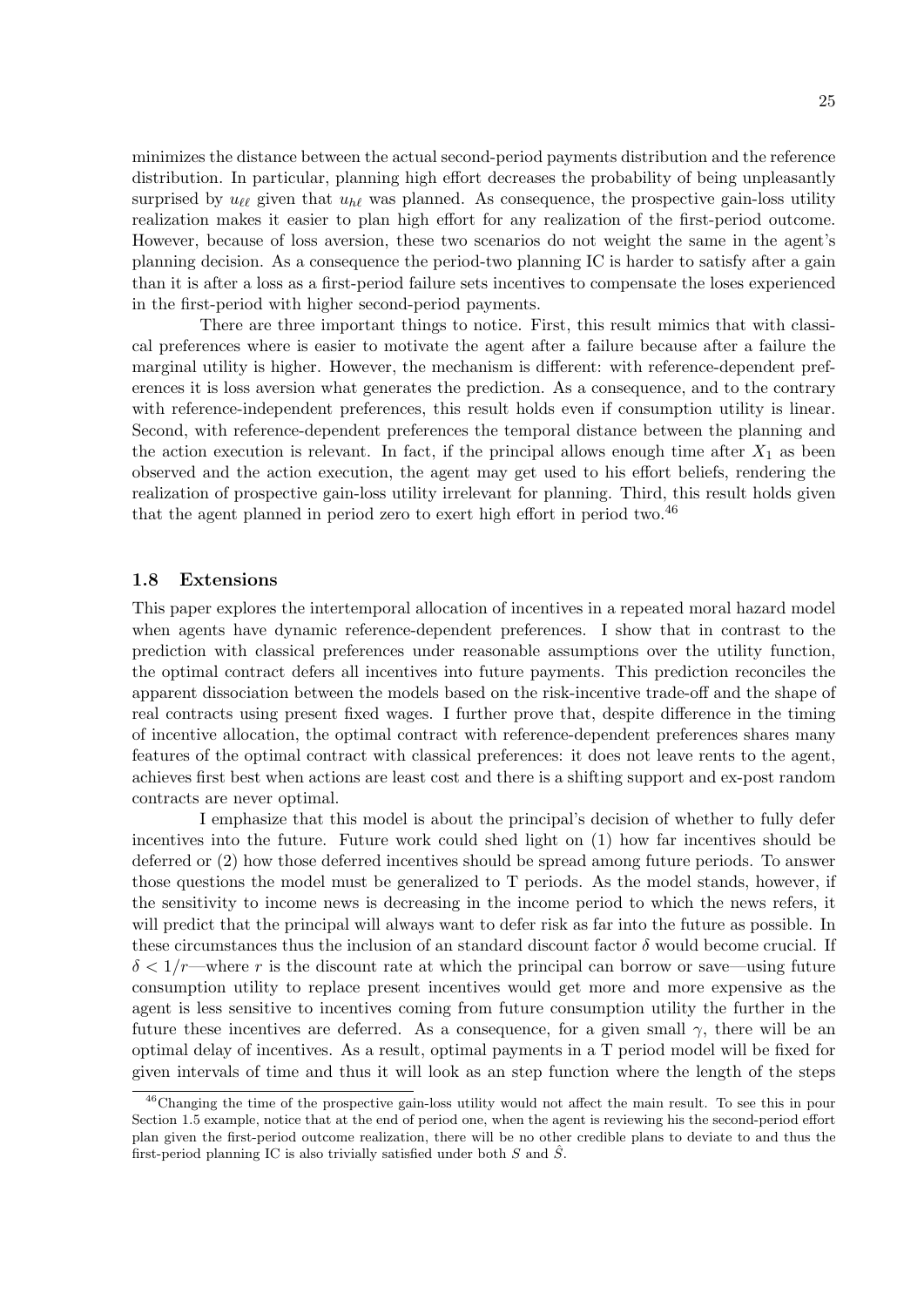minimizes the distance between the actual second-period payments distribution and the reference distribution. In particular, planning high effort decreases the probability of being unpleasantly surprised by  $u_{\ell\ell}$  given that  $u_{h\ell}$  was planned. As consequence, the prospective gain-loss utility realization makes it easier to plan high effort for any realization of the first-period outcome. However, because of loss aversion, these two scenarios do not weight the same in the agent's planning decision. As a consequence the period-two planning IC is harder to satisfy after a gain than it is after a loss as a first-period failure sets incentives to compensate the loses experienced in the first-period with higher second-period payments.

There are three important things to notice. First, this result mimics that with classical preferences where is easier to motivate the agent after a failure because after a failure the marginal utility is higher. However, the mechanism is different: with reference-dependent preferences it is loss aversion what generates the prediction. As a consequence, and to the contrary with reference-independent preferences, this result holds even if consumption utility is linear. Second, with reference-dependent preferences the temporal distance between the planning and the action execution is relevant. In fact, if the principal allows enough time after  $X_1$  as been observed and the action execution, the agent may get used to his effort beliefs, rendering the realization of prospective gain-loss utility irrelevant for planning. Third, this result holds given that the agent planned in period zero to exert high effort in period two.<sup>46</sup>

#### 1.8 Extensions

This paper explores the intertemporal allocation of incentives in a repeated moral hazard model when agents have dynamic reference-dependent preferences. I show that in contrast to the prediction with classical preferences under reasonable assumptions over the utility function, the optimal contract defers all incentives into future payments. This prediction reconciles the apparent dissociation between the models based on the risk-incentive trade-off and the shape of real contracts using present fixed wages. I further prove that, despite difference in the timing of incentive allocation, the optimal contract with reference-dependent preferences shares many features of the optimal contract with classical preferences: it does not leave rents to the agent, achieves first best when actions are least cost and there is a shifting support and ex-post random contracts are never optimal.

I emphasize that this model is about the principal's decision of whether to fully defer incentives into the future. Future work could shed light on (1) how far incentives should be deferred or (2) how those deferred incentives should be spread among future periods. To answer those questions the model must be generalized to T periods. As the model stands, however, if the sensitivity to income news is decreasing in the income period to which the news refers, it will predict that the principal will always want to defer risk as far into the future as possible. In these circumstances thus the inclusion of an standard discount factor  $\delta$  would become crucial. If  $\delta < 1/r$ —where r is the discount rate at which the principal can borrow or save—using future consumption utility to replace present incentives would get more and more expensive as the agent is less sensitive to incentives coming from future consumption utility the further in the future these incentives are deferred. As a consequence, for a given small  $\gamma$ , there will be an optimal delay of incentives. As a result, optimal payments in a T period model will be fixed for given intervals of time and thus it will look as an step function where the length of the steps

<sup>46</sup>Changing the time of the prospective gain-loss utility would not affect the main result. To see this in pour Section 1.5 example, notice that at the end of period one, when the agent is reviewing his the second-period effort plan given the first-period outcome realization, there will be no other credible plans to deviate to and thus the first-period planning IC is also trivially satisfied under both  $S$  and  $\ddot{S}$ .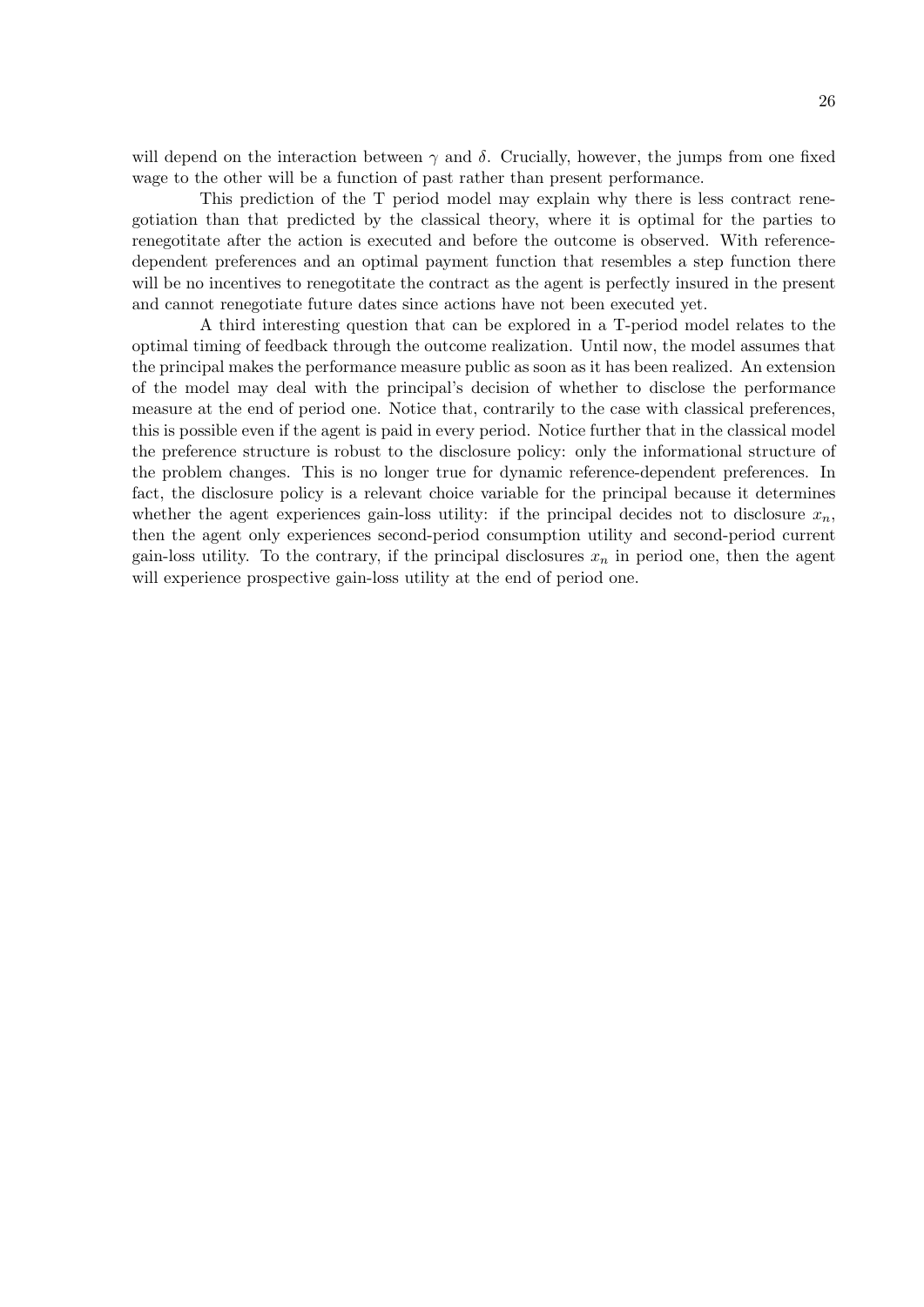will depend on the interaction between  $\gamma$  and  $\delta$ . Crucially, however, the jumps from one fixed wage to the other will be a function of past rather than present performance.

This prediction of the T period model may explain why there is less contract renegotiation than that predicted by the classical theory, where it is optimal for the parties to renegotitate after the action is executed and before the outcome is observed. With referencedependent preferences and an optimal payment function that resembles a step function there will be no incentives to renegotitate the contract as the agent is perfectly insured in the present and cannot renegotiate future dates since actions have not been executed yet.

A third interesting question that can be explored in a T-period model relates to the optimal timing of feedback through the outcome realization. Until now, the model assumes that the principal makes the performance measure public as soon as it has been realized. An extension of the model may deal with the principal's decision of whether to disclose the performance measure at the end of period one. Notice that, contrarily to the case with classical preferences, this is possible even if the agent is paid in every period. Notice further that in the classical model the preference structure is robust to the disclosure policy: only the informational structure of the problem changes. This is no longer true for dynamic reference-dependent preferences. In fact, the disclosure policy is a relevant choice variable for the principal because it determines whether the agent experiences gain-loss utility: if the principal decides not to disclosure  $x_n$ , then the agent only experiences second-period consumption utility and second-period current gain-loss utility. To the contrary, if the principal disclosures  $x_n$  in period one, then the agent will experience prospective gain-loss utility at the end of period one.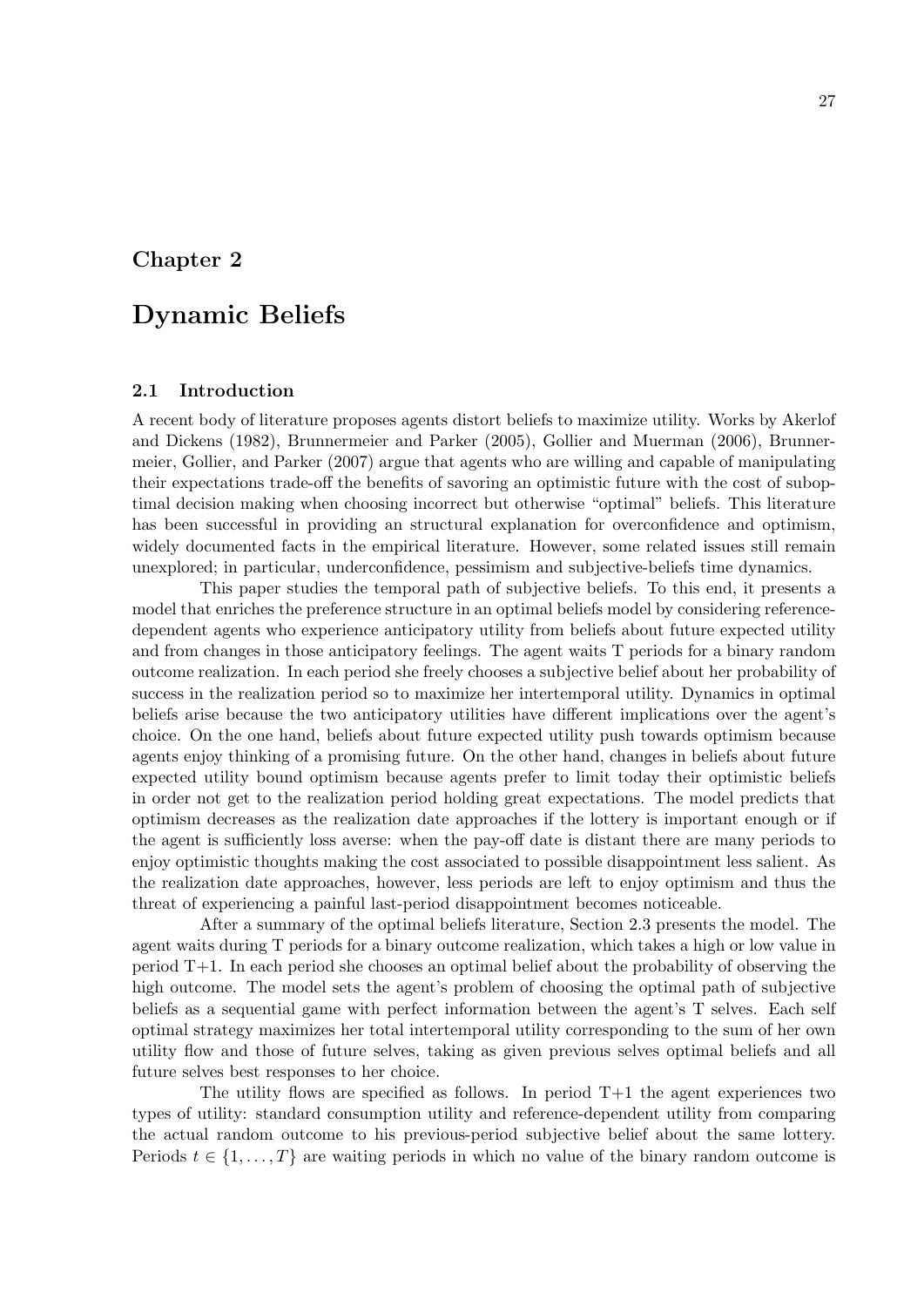## Chapter 2

## Dynamic Beliefs

#### 2.1 Introduction

A recent body of literature proposes agents distort beliefs to maximize utility. Works by Akerlof and Dickens (1982), Brunnermeier and Parker (2005), Gollier and Muerman (2006), Brunnermeier, Gollier, and Parker (2007) argue that agents who are willing and capable of manipulating their expectations trade-off the benefits of savoring an optimistic future with the cost of suboptimal decision making when choosing incorrect but otherwise "optimal" beliefs. This literature has been successful in providing an structural explanation for overconfidence and optimism, widely documented facts in the empirical literature. However, some related issues still remain unexplored; in particular, underconfidence, pessimism and subjective-beliefs time dynamics.

This paper studies the temporal path of subjective beliefs. To this end, it presents a model that enriches the preference structure in an optimal beliefs model by considering referencedependent agents who experience anticipatory utility from beliefs about future expected utility and from changes in those anticipatory feelings. The agent waits T periods for a binary random outcome realization. In each period she freely chooses a subjective belief about her probability of success in the realization period so to maximize her intertemporal utility. Dynamics in optimal beliefs arise because the two anticipatory utilities have different implications over the agent's choice. On the one hand, beliefs about future expected utility push towards optimism because agents enjoy thinking of a promising future. On the other hand, changes in beliefs about future expected utility bound optimism because agents prefer to limit today their optimistic beliefs in order not get to the realization period holding great expectations. The model predicts that optimism decreases as the realization date approaches if the lottery is important enough or if the agent is sufficiently loss averse: when the pay-off date is distant there are many periods to enjoy optimistic thoughts making the cost associated to possible disappointment less salient. As the realization date approaches, however, less periods are left to enjoy optimism and thus the threat of experiencing a painful last-period disappointment becomes noticeable.

After a summary of the optimal beliefs literature, Section 2.3 presents the model. The agent waits during T periods for a binary outcome realization, which takes a high or low value in period T+1. In each period she chooses an optimal belief about the probability of observing the high outcome. The model sets the agent's problem of choosing the optimal path of subjective beliefs as a sequential game with perfect information between the agent's T selves. Each self optimal strategy maximizes her total intertemporal utility corresponding to the sum of her own utility flow and those of future selves, taking as given previous selves optimal beliefs and all future selves best responses to her choice.

The utility flows are specified as follows. In period  $T+1$  the agent experiences two types of utility: standard consumption utility and reference-dependent utility from comparing the actual random outcome to his previous-period subjective belief about the same lottery. Periods  $t \in \{1, \ldots, T\}$  are waiting periods in which no value of the binary random outcome is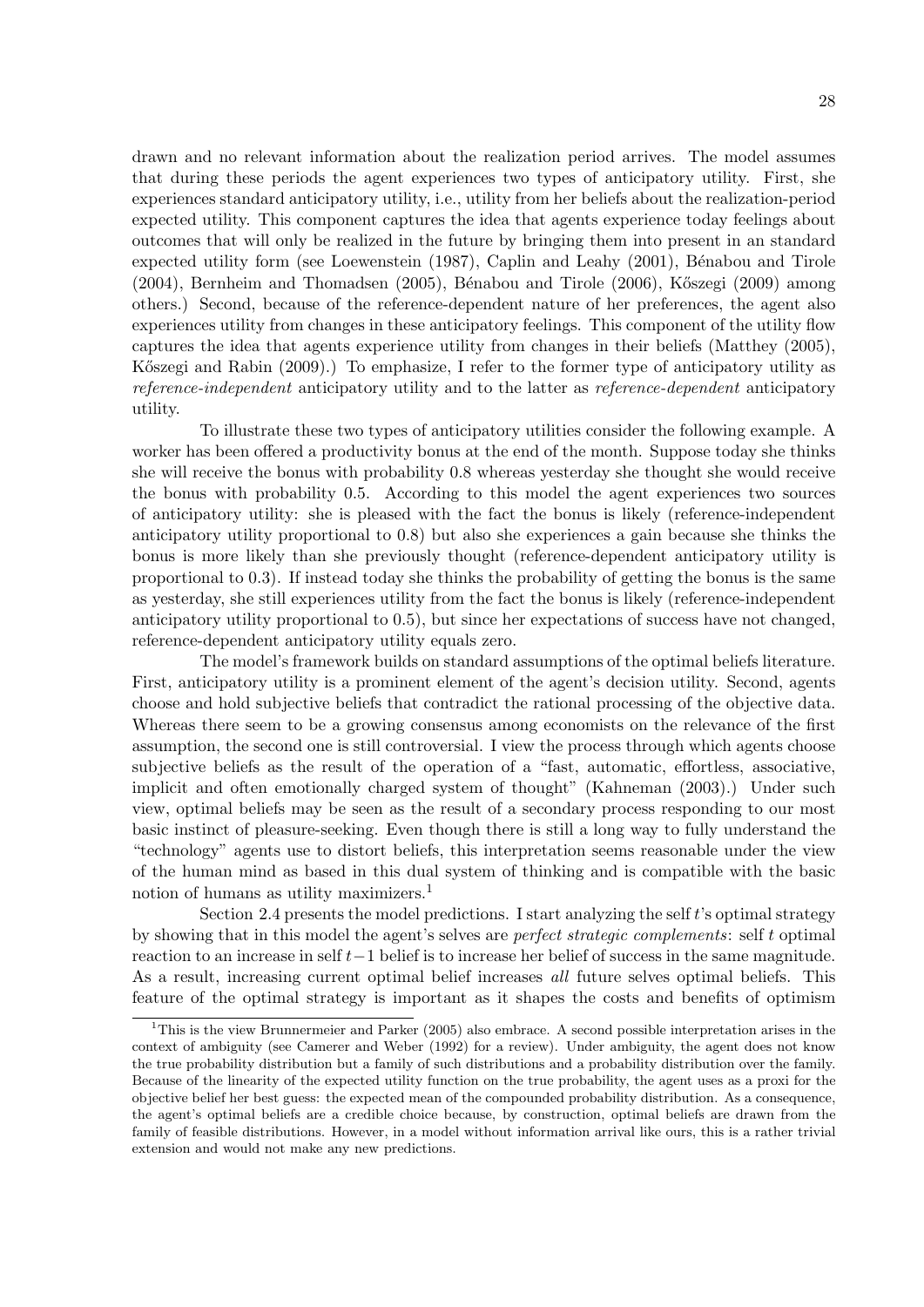drawn and no relevant information about the realization period arrives. The model assumes that during these periods the agent experiences two types of anticipatory utility. First, she experiences standard anticipatory utility, i.e., utility from her beliefs about the realization-period expected utility. This component captures the idea that agents experience today feelings about outcomes that will only be realized in the future by bringing them into present in an standard expected utility form (see Loewenstein (1987), Caplin and Leahy (2001), Bénabou and Tirole  $(2004)$ , Bernheim and Thomadsen  $(2005)$ , Bénabou and Tirole  $(2006)$ , Kőszegi  $(2009)$  among others.) Second, because of the reference-dependent nature of her preferences, the agent also experiences utility from changes in these anticipatory feelings. This component of the utility flow captures the idea that agents experience utility from changes in their beliefs (Matthey (2005), Kőszegi and Rabin (2009).) To emphasize, I refer to the former type of anticipatory utility as reference-independent anticipatory utility and to the latter as reference-dependent anticipatory utility.

To illustrate these two types of anticipatory utilities consider the following example. A worker has been offered a productivity bonus at the end of the month. Suppose today she thinks she will receive the bonus with probability 0.8 whereas yesterday she thought she would receive the bonus with probability 0.5. According to this model the agent experiences two sources of anticipatory utility: she is pleased with the fact the bonus is likely (reference-independent anticipatory utility proportional to 0.8) but also she experiences a gain because she thinks the bonus is more likely than she previously thought (reference-dependent anticipatory utility is proportional to 0.3). If instead today she thinks the probability of getting the bonus is the same as yesterday, she still experiences utility from the fact the bonus is likely (reference-independent anticipatory utility proportional to 0.5), but since her expectations of success have not changed, reference-dependent anticipatory utility equals zero.

The model's framework builds on standard assumptions of the optimal beliefs literature. First, anticipatory utility is a prominent element of the agent's decision utility. Second, agents choose and hold subjective beliefs that contradict the rational processing of the objective data. Whereas there seem to be a growing consensus among economists on the relevance of the first assumption, the second one is still controversial. I view the process through which agents choose subjective beliefs as the result of the operation of a "fast, automatic, effortless, associative, implicit and often emotionally charged system of thought" (Kahneman (2003).) Under such view, optimal beliefs may be seen as the result of a secondary process responding to our most basic instinct of pleasure-seeking. Even though there is still a long way to fully understand the "technology" agents use to distort beliefs, this interpretation seems reasonable under the view of the human mind as based in this dual system of thinking and is compatible with the basic notion of humans as utility maximizers.<sup>1</sup>

Section 2.4 presents the model predictions. I start analyzing the self t's optimal strategy by showing that in this model the agent's selves are perfect strategic complements: self t optimal reaction to an increase in self t−1 belief is to increase her belief of success in the same magnitude. As a result, increasing current optimal belief increases all future selves optimal beliefs. This feature of the optimal strategy is important as it shapes the costs and benefits of optimism

<sup>&</sup>lt;sup>1</sup>This is the view Brunnermeier and Parker (2005) also embrace. A second possible interpretation arises in the context of ambiguity (see Camerer and Weber (1992) for a review). Under ambiguity, the agent does not know the true probability distribution but a family of such distributions and a probability distribution over the family. Because of the linearity of the expected utility function on the true probability, the agent uses as a proxi for the objective belief her best guess: the expected mean of the compounded probability distribution. As a consequence, the agent's optimal beliefs are a credible choice because, by construction, optimal beliefs are drawn from the family of feasible distributions. However, in a model without information arrival like ours, this is a rather trivial extension and would not make any new predictions.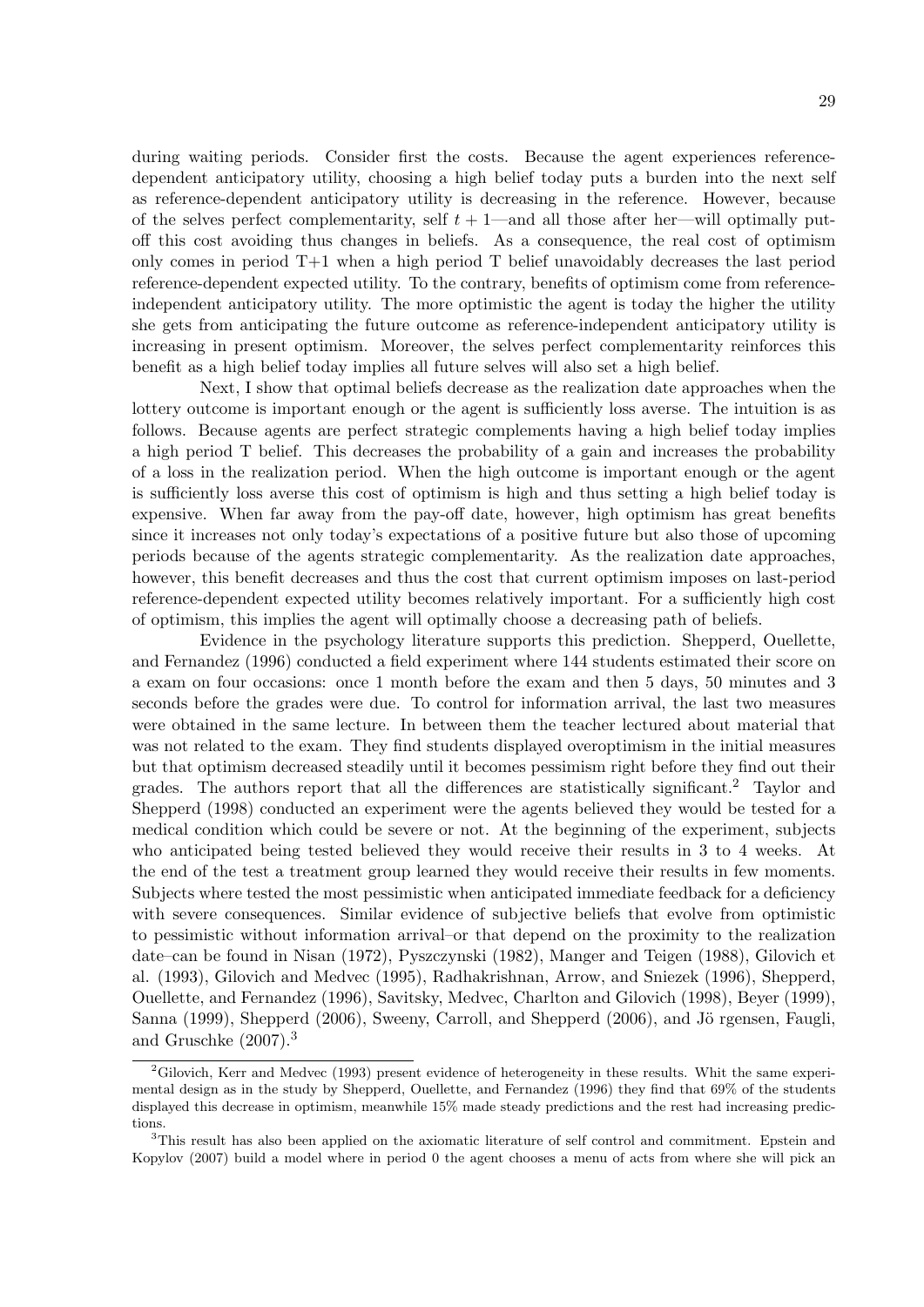during waiting periods. Consider first the costs. Because the agent experiences referencedependent anticipatory utility, choosing a high belief today puts a burden into the next self as reference-dependent anticipatory utility is decreasing in the reference. However, because of the selves perfect complementarity, self  $t + 1$ —and all those after her—will optimally putoff this cost avoiding thus changes in beliefs. As a consequence, the real cost of optimism only comes in period T+1 when a high period T belief unavoidably decreases the last period reference-dependent expected utility. To the contrary, benefits of optimism come from referenceindependent anticipatory utility. The more optimistic the agent is today the higher the utility she gets from anticipating the future outcome as reference-independent anticipatory utility is increasing in present optimism. Moreover, the selves perfect complementarity reinforces this benefit as a high belief today implies all future selves will also set a high belief.

Next, I show that optimal beliefs decrease as the realization date approaches when the lottery outcome is important enough or the agent is sufficiently loss averse. The intuition is as follows. Because agents are perfect strategic complements having a high belief today implies a high period T belief. This decreases the probability of a gain and increases the probability of a loss in the realization period. When the high outcome is important enough or the agent is sufficiently loss averse this cost of optimism is high and thus setting a high belief today is expensive. When far away from the pay-off date, however, high optimism has great benefits since it increases not only today's expectations of a positive future but also those of upcoming periods because of the agents strategic complementarity. As the realization date approaches, however, this benefit decreases and thus the cost that current optimism imposes on last-period reference-dependent expected utility becomes relatively important. For a sufficiently high cost of optimism, this implies the agent will optimally choose a decreasing path of beliefs.

Evidence in the psychology literature supports this prediction. Shepperd, Ouellette, and Fernandez (1996) conducted a field experiment where 144 students estimated their score on a exam on four occasions: once 1 month before the exam and then 5 days, 50 minutes and 3 seconds before the grades were due. To control for information arrival, the last two measures were obtained in the same lecture. In between them the teacher lectured about material that was not related to the exam. They find students displayed overoptimism in the initial measures but that optimism decreased steadily until it becomes pessimism right before they find out their grades. The authors report that all the differences are statistically significant.<sup>2</sup> Taylor and Shepperd (1998) conducted an experiment were the agents believed they would be tested for a medical condition which could be severe or not. At the beginning of the experiment, subjects who anticipated being tested believed they would receive their results in 3 to 4 weeks. At the end of the test a treatment group learned they would receive their results in few moments. Subjects where tested the most pessimistic when anticipated immediate feedback for a deficiency with severe consequences. Similar evidence of subjective beliefs that evolve from optimistic to pessimistic without information arrival–or that depend on the proximity to the realization date–can be found in Nisan (1972), Pyszczynski (1982), Manger and Teigen (1988), Gilovich et al. (1993), Gilovich and Medvec (1995), Radhakrishnan, Arrow, and Sniezek (1996), Shepperd, Ouellette, and Fernandez (1996), Savitsky, Medvec, Charlton and Gilovich (1998), Beyer (1999), Sanna (1999), Shepperd (2006), Sweeny, Carroll, and Shepperd (2006), and Jö rgensen, Faugli, and Gruschke  $(2007)^3$ 

 ${}^{2}$ Gilovich, Kerr and Medvec (1993) present evidence of heterogeneity in these results. Whit the same experimental design as in the study by Shepperd, Ouellette, and Fernandez (1996) they find that 69% of the students displayed this decrease in optimism, meanwhile 15% made steady predictions and the rest had increasing predictions.

<sup>3</sup>This result has also been applied on the axiomatic literature of self control and commitment. Epstein and Kopylov (2007) build a model where in period 0 the agent chooses a menu of acts from where she will pick an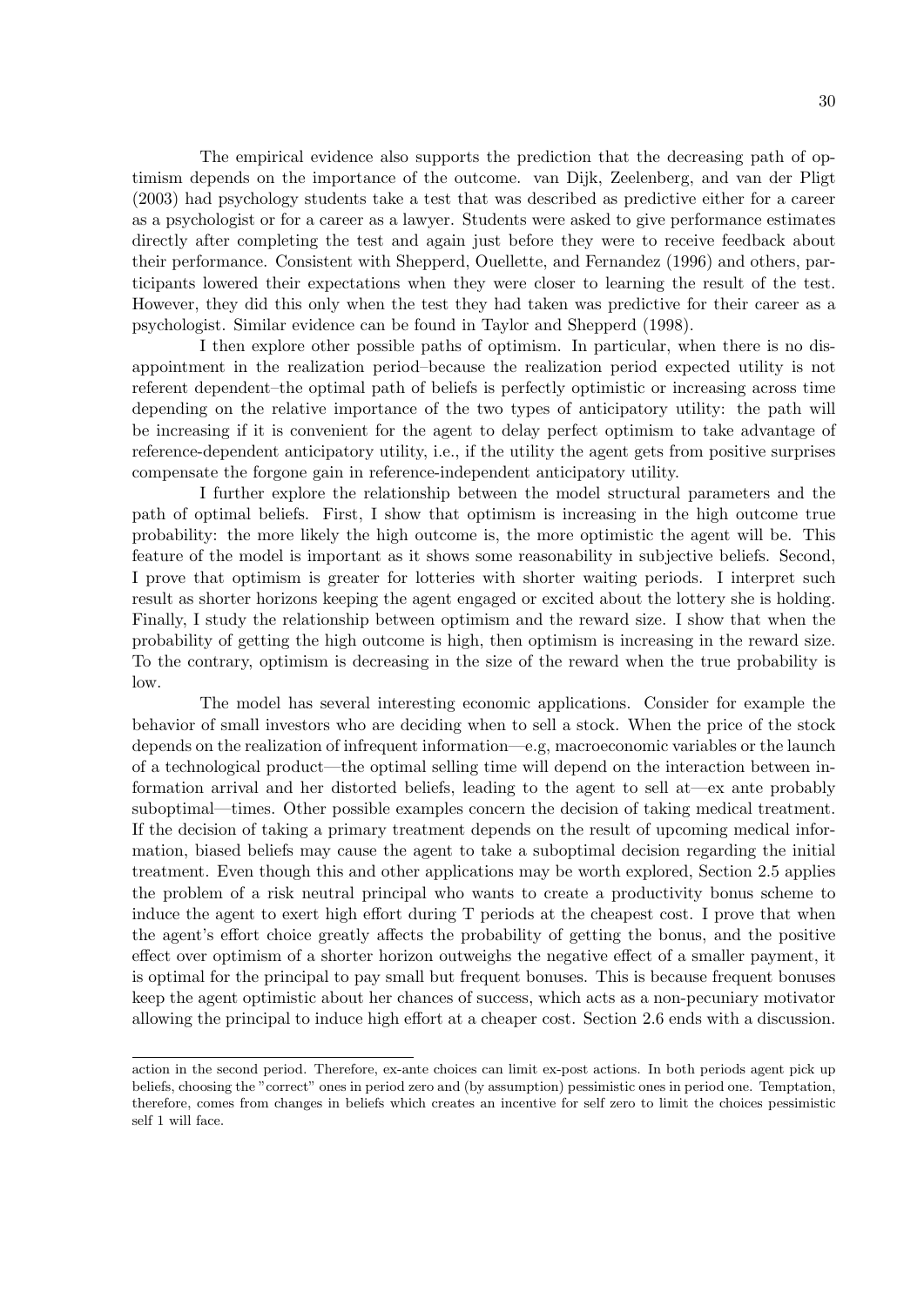The empirical evidence also supports the prediction that the decreasing path of optimism depends on the importance of the outcome. van Dijk, Zeelenberg, and van der Pligt (2003) had psychology students take a test that was described as predictive either for a career as a psychologist or for a career as a lawyer. Students were asked to give performance estimates directly after completing the test and again just before they were to receive feedback about their performance. Consistent with Shepperd, Ouellette, and Fernandez (1996) and others, participants lowered their expectations when they were closer to learning the result of the test. However, they did this only when the test they had taken was predictive for their career as a psychologist. Similar evidence can be found in Taylor and Shepperd (1998).

I then explore other possible paths of optimism. In particular, when there is no disappointment in the realization period–because the realization period expected utility is not referent dependent–the optimal path of beliefs is perfectly optimistic or increasing across time depending on the relative importance of the two types of anticipatory utility: the path will be increasing if it is convenient for the agent to delay perfect optimism to take advantage of reference-dependent anticipatory utility, i.e., if the utility the agent gets from positive surprises compensate the forgone gain in reference-independent anticipatory utility.

I further explore the relationship between the model structural parameters and the path of optimal beliefs. First, I show that optimism is increasing in the high outcome true probability: the more likely the high outcome is, the more optimistic the agent will be. This feature of the model is important as it shows some reasonability in subjective beliefs. Second, I prove that optimism is greater for lotteries with shorter waiting periods. I interpret such result as shorter horizons keeping the agent engaged or excited about the lottery she is holding. Finally, I study the relationship between optimism and the reward size. I show that when the probability of getting the high outcome is high, then optimism is increasing in the reward size. To the contrary, optimism is decreasing in the size of the reward when the true probability is low.

The model has several interesting economic applications. Consider for example the behavior of small investors who are deciding when to sell a stock. When the price of the stock depends on the realization of infrequent information—e.g, macroeconomic variables or the launch of a technological product—the optimal selling time will depend on the interaction between information arrival and her distorted beliefs, leading to the agent to sell at—ex ante probably suboptimal—times. Other possible examples concern the decision of taking medical treatment. If the decision of taking a primary treatment depends on the result of upcoming medical information, biased beliefs may cause the agent to take a suboptimal decision regarding the initial treatment. Even though this and other applications may be worth explored, Section 2.5 applies the problem of a risk neutral principal who wants to create a productivity bonus scheme to induce the agent to exert high effort during T periods at the cheapest cost. I prove that when the agent's effort choice greatly affects the probability of getting the bonus, and the positive effect over optimism of a shorter horizon outweighs the negative effect of a smaller payment, it is optimal for the principal to pay small but frequent bonuses. This is because frequent bonuses keep the agent optimistic about her chances of success, which acts as a non-pecuniary motivator allowing the principal to induce high effort at a cheaper cost. Section 2.6 ends with a discussion.

action in the second period. Therefore, ex-ante choices can limit ex-post actions. In both periods agent pick up beliefs, choosing the "correct" ones in period zero and (by assumption) pessimistic ones in period one. Temptation, therefore, comes from changes in beliefs which creates an incentive for self zero to limit the choices pessimistic self 1 will face.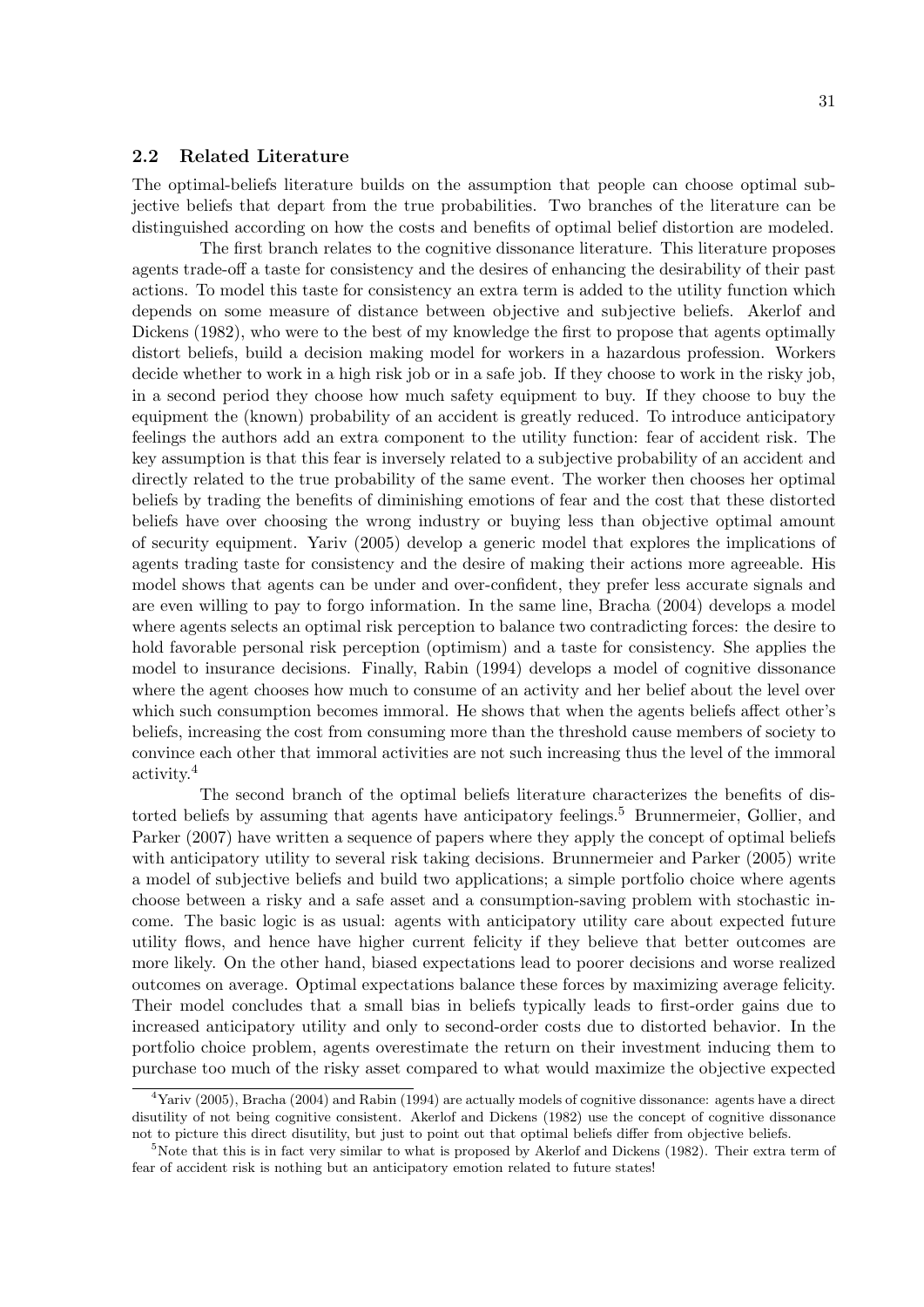## 2.2 Related Literature

The optimal-beliefs literature builds on the assumption that people can choose optimal subjective beliefs that depart from the true probabilities. Two branches of the literature can be distinguished according on how the costs and benefits of optimal belief distortion are modeled.

The first branch relates to the cognitive dissonance literature. This literature proposes agents trade-off a taste for consistency and the desires of enhancing the desirability of their past actions. To model this taste for consistency an extra term is added to the utility function which depends on some measure of distance between objective and subjective beliefs. Akerlof and Dickens (1982), who were to the best of my knowledge the first to propose that agents optimally distort beliefs, build a decision making model for workers in a hazardous profession. Workers decide whether to work in a high risk job or in a safe job. If they choose to work in the risky job, in a second period they choose how much safety equipment to buy. If they choose to buy the equipment the (known) probability of an accident is greatly reduced. To introduce anticipatory feelings the authors add an extra component to the utility function: fear of accident risk. The key assumption is that this fear is inversely related to a subjective probability of an accident and directly related to the true probability of the same event. The worker then chooses her optimal beliefs by trading the benefits of diminishing emotions of fear and the cost that these distorted beliefs have over choosing the wrong industry or buying less than objective optimal amount of security equipment. Yariv (2005) develop a generic model that explores the implications of agents trading taste for consistency and the desire of making their actions more agreeable. His model shows that agents can be under and over-confident, they prefer less accurate signals and are even willing to pay to forgo information. In the same line, Bracha (2004) develops a model where agents selects an optimal risk perception to balance two contradicting forces: the desire to hold favorable personal risk perception (optimism) and a taste for consistency. She applies the model to insurance decisions. Finally, Rabin (1994) develops a model of cognitive dissonance where the agent chooses how much to consume of an activity and her belief about the level over which such consumption becomes immoral. He shows that when the agents beliefs affect other's beliefs, increasing the cost from consuming more than the threshold cause members of society to convince each other that immoral activities are not such increasing thus the level of the immoral activity.<sup>4</sup>

The second branch of the optimal beliefs literature characterizes the benefits of distorted beliefs by assuming that agents have anticipatory feelings.<sup>5</sup> Brunnermeier, Gollier, and Parker (2007) have written a sequence of papers where they apply the concept of optimal beliefs with anticipatory utility to several risk taking decisions. Brunnermeier and Parker (2005) write a model of subjective beliefs and build two applications; a simple portfolio choice where agents choose between a risky and a safe asset and a consumption-saving problem with stochastic income. The basic logic is as usual: agents with anticipatory utility care about expected future utility flows, and hence have higher current felicity if they believe that better outcomes are more likely. On the other hand, biased expectations lead to poorer decisions and worse realized outcomes on average. Optimal expectations balance these forces by maximizing average felicity. Their model concludes that a small bias in beliefs typically leads to first-order gains due to increased anticipatory utility and only to second-order costs due to distorted behavior. In the portfolio choice problem, agents overestimate the return on their investment inducing them to purchase too much of the risky asset compared to what would maximize the objective expected

<sup>&</sup>lt;sup>4</sup>Yariv (2005), Bracha (2004) and Rabin (1994) are actually models of cognitive dissonance: agents have a direct disutility of not being cognitive consistent. Akerlof and Dickens (1982) use the concept of cognitive dissonance not to picture this direct disutility, but just to point out that optimal beliefs differ from objective beliefs.

<sup>&</sup>lt;sup>5</sup>Note that this is in fact very similar to what is proposed by Akerlof and Dickens (1982). Their extra term of fear of accident risk is nothing but an anticipatory emotion related to future states!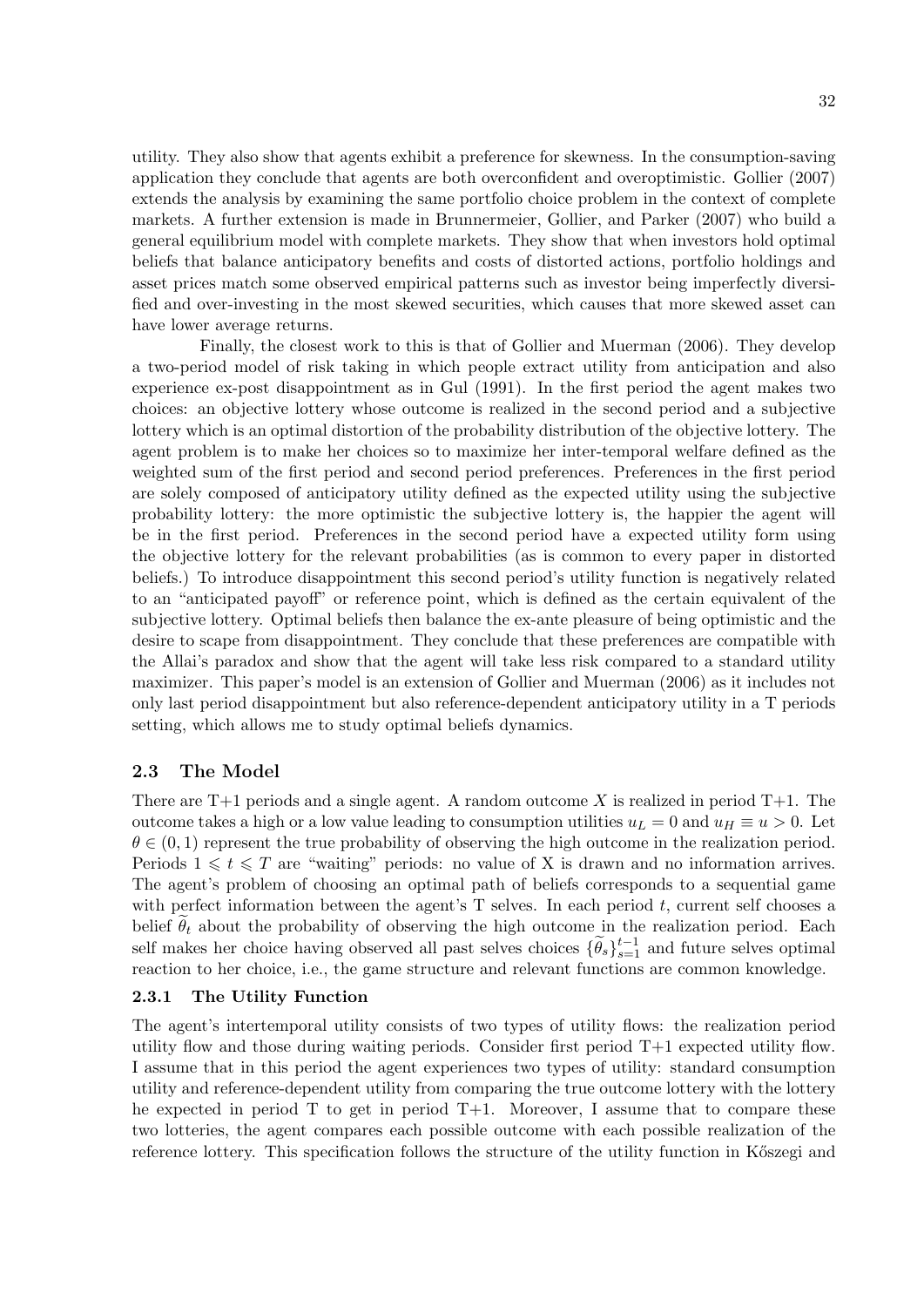utility. They also show that agents exhibit a preference for skewness. In the consumption-saving application they conclude that agents are both overconfident and overoptimistic. Gollier (2007) extends the analysis by examining the same portfolio choice problem in the context of complete markets. A further extension is made in Brunnermeier, Gollier, and Parker (2007) who build a general equilibrium model with complete markets. They show that when investors hold optimal beliefs that balance anticipatory benefits and costs of distorted actions, portfolio holdings and asset prices match some observed empirical patterns such as investor being imperfectly diversified and over-investing in the most skewed securities, which causes that more skewed asset can have lower average returns.

Finally, the closest work to this is that of Gollier and Muerman (2006). They develop a two-period model of risk taking in which people extract utility from anticipation and also experience ex-post disappointment as in Gul (1991). In the first period the agent makes two choices: an objective lottery whose outcome is realized in the second period and a subjective lottery which is an optimal distortion of the probability distribution of the objective lottery. The agent problem is to make her choices so to maximize her inter-temporal welfare defined as the weighted sum of the first period and second period preferences. Preferences in the first period are solely composed of anticipatory utility defined as the expected utility using the subjective probability lottery: the more optimistic the subjective lottery is, the happier the agent will be in the first period. Preferences in the second period have a expected utility form using the objective lottery for the relevant probabilities (as is common to every paper in distorted beliefs.) To introduce disappointment this second period's utility function is negatively related to an "anticipated payoff" or reference point, which is defined as the certain equivalent of the subjective lottery. Optimal beliefs then balance the ex-ante pleasure of being optimistic and the desire to scape from disappointment. They conclude that these preferences are compatible with the Allai's paradox and show that the agent will take less risk compared to a standard utility maximizer. This paper's model is an extension of Gollier and Muerman (2006) as it includes not only last period disappointment but also reference-dependent anticipatory utility in a T periods setting, which allows me to study optimal beliefs dynamics.

## 2.3 The Model

There are  $T+1$  periods and a single agent. A random outcome X is realized in period  $T+1$ . The outcome takes a high or a low value leading to consumption utilities  $u_L = 0$  and  $u_H \equiv u > 0$ . Let  $\theta \in (0,1)$  represent the true probability of observing the high outcome in the realization period. Periods  $1 \leq t \leq T$  are "waiting" periods: no value of X is drawn and no information arrives. The agent's problem of choosing an optimal path of beliefs corresponds to a sequential game with perfect information between the agent's  $T$  selves. In each period  $t$ , current self chooses a belief  $\theta_t$  about the probability of observing the high outcome in the realization period. Each self makes her choice having observed all past selves choices  $\{\widetilde{\theta}_s\}_{s=1}^{t-1}$  and future selves optimal reaction to her choice, i.e., the game structure and relevant functions are common knowledge.

## 2.3.1 The Utility Function

The agent's intertemporal utility consists of two types of utility flows: the realization period utility flow and those during waiting periods. Consider first period  $T+1$  expected utility flow. I assume that in this period the agent experiences two types of utility: standard consumption utility and reference-dependent utility from comparing the true outcome lottery with the lottery he expected in period  $T$  to get in period  $T+1$ . Moreover, I assume that to compare these two lotteries, the agent compares each possible outcome with each possible realization of the reference lottery. This specification follows the structure of the utility function in Kőszegi and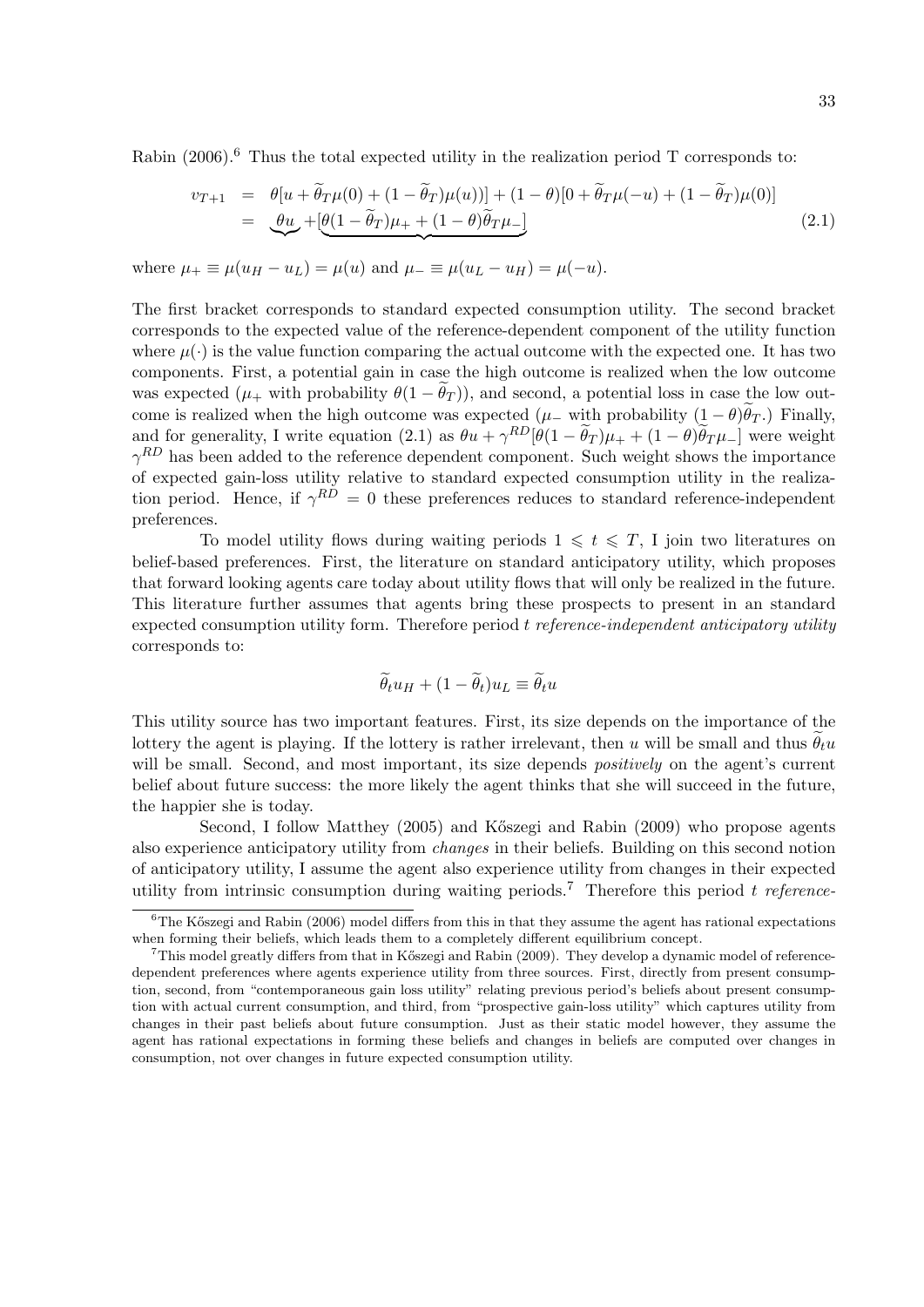Rabin  $(2006)$ .<sup>6</sup> Thus the total expected utility in the realization period T corresponds to:

$$
v_{T+1} = \theta[u + \widetilde{\theta}_T\mu(0) + (1 - \widetilde{\theta}_T)\mu(u))] + (1 - \theta)[0 + \widetilde{\theta}_T\mu(-u) + (1 - \widetilde{\theta}_T)\mu(0)]
$$
  
= 
$$
\underbrace{\theta u}_{\sim} + [\underbrace{\theta(1 - \widetilde{\theta}_T)\mu_+ + (1 - \theta)\widetilde{\theta}_T\mu_-]}_{\sim}
$$
 (2.1)

where  $\mu_{+} \equiv \mu(u_H - u_L) = \mu(u)$  and  $\mu_{-} \equiv \mu(u_L - u_H) = \mu(-u)$ .

The first bracket corresponds to standard expected consumption utility. The second bracket corresponds to the expected value of the reference-dependent component of the utility function where  $\mu(\cdot)$  is the value function comparing the actual outcome with the expected one. It has two components. First, a potential gain in case the high outcome is realized when the low outcome was expected  $(\mu_+$  with probability  $\theta(1 - \theta_T)$ , and second, a potential loss in case the low outcome is realized when the high outcome was expected  $(\mu$  with probability  $(1-\theta)\theta_T$ .) Finally, and for generality, I write equation (2.1) as  $\theta u + \gamma^{RD} [\theta (1 - \tilde{\theta}_T) \mu_{+} + (1 - \theta) \tilde{\theta}_T \mu_{-}]$  were weight  $\gamma^{RD}$  has been added to the reference dependent component. Such weight shows the importance of expected gain-loss utility relative to standard expected consumption utility in the realization period. Hence, if  $\gamma^{RD} = 0$  these preferences reduces to standard reference-independent preferences.

To model utility flows during waiting periods  $1 \leq t \leq T$ , I join two literatures on belief-based preferences. First, the literature on standard anticipatory utility, which proposes that forward looking agents care today about utility flows that will only be realized in the future. This literature further assumes that agents bring these prospects to present in an standard expected consumption utility form. Therefore period  $t$  reference-independent anticipatory utility corresponds to:

$$
\widetilde{\theta}_t u_H + (1 - \widetilde{\theta}_t) u_L \equiv \widetilde{\theta}_t u
$$

This utility source has two important features. First, its size depends on the importance of the lottery the agent is playing. If the lottery is rather irrelevant, then u will be small and thus  $\hat{\theta}_t u$ will be small. Second, and most important, its size depends *positively* on the agent's current belief about future success: the more likely the agent thinks that she will succeed in the future, the happier she is today.

Second, I follow Matthey  $(2005)$  and Kőszegi and Rabin  $(2009)$  who propose agents also experience anticipatory utility from changes in their beliefs. Building on this second notion of anticipatory utility, I assume the agent also experience utility from changes in their expected utility from intrinsic consumption during waiting periods.<sup>7</sup> Therefore this period t reference-

 $6$ The Kőszegi and Rabin (2006) model differs from this in that they assume the agent has rational expectations when forming their beliefs, which leads them to a completely different equilibrium concept.

 $7$ This model greatly differs from that in Kőszegi and Rabin (2009). They develop a dynamic model of referencedependent preferences where agents experience utility from three sources. First, directly from present consumption, second, from "contemporaneous gain loss utility" relating previous period's beliefs about present consumption with actual current consumption, and third, from "prospective gain-loss utility" which captures utility from changes in their past beliefs about future consumption. Just as their static model however, they assume the agent has rational expectations in forming these beliefs and changes in beliefs are computed over changes in consumption, not over changes in future expected consumption utility.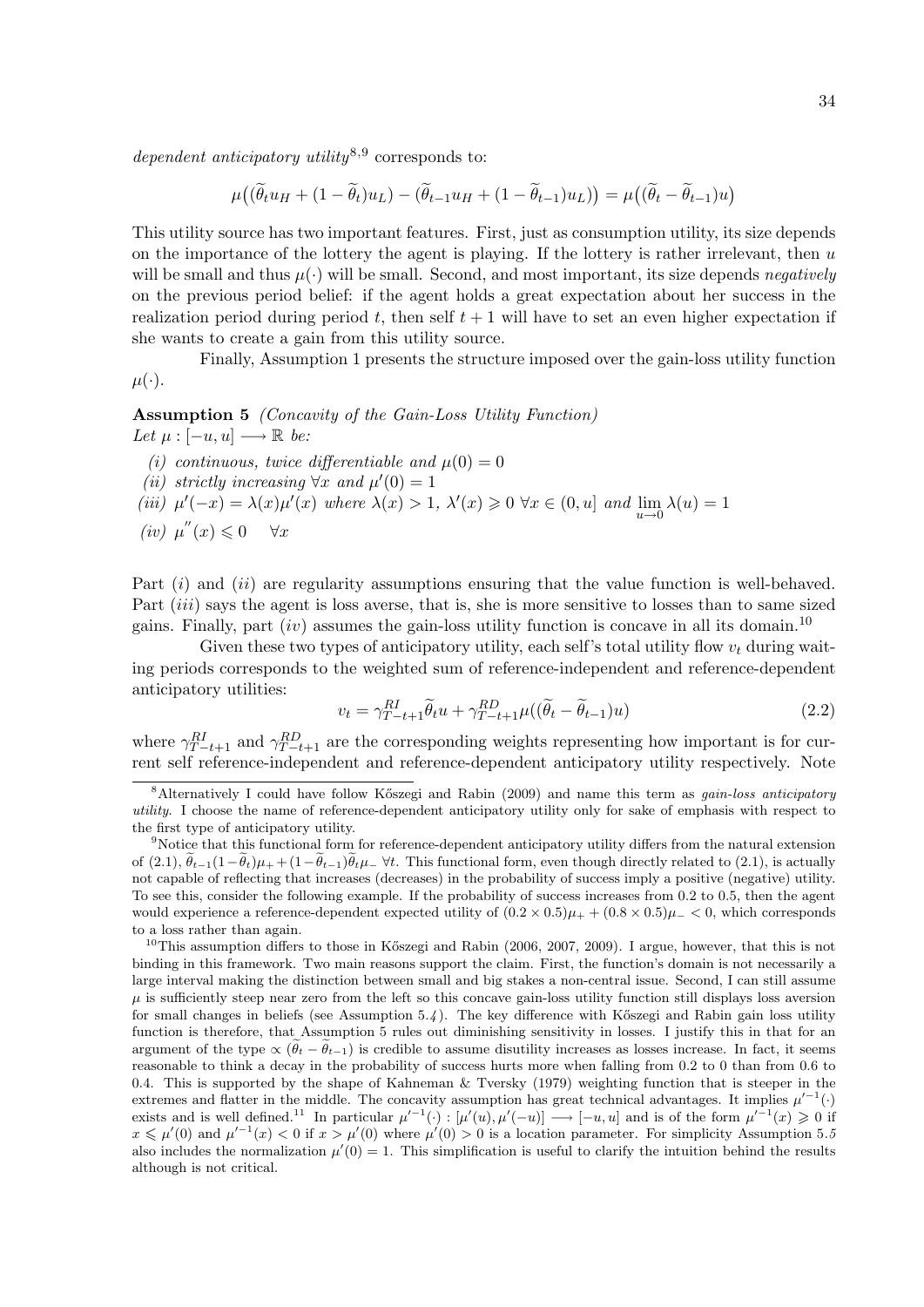dependent anticipatory utility<sup>8,9</sup> corresponds to:

$$
\mu((\widetilde{\theta}_t u_H + (1 - \widetilde{\theta}_t)u_L) - (\widetilde{\theta}_{t-1} u_H + (1 - \widetilde{\theta}_{t-1})u_L)) = \mu((\widetilde{\theta}_t - \widetilde{\theta}_{t-1})u)
$$

This utility source has two important features. First, just as consumption utility, its size depends on the importance of the lottery the agent is playing. If the lottery is rather irrelevant, then  $u$ will be small and thus  $\mu(\cdot)$  will be small. Second, and most important, its size depends negatively on the previous period belief: if the agent holds a great expectation about her success in the realization period during period t, then self  $t + 1$  will have to set an even higher expectation if she wants to create a gain from this utility source.

Finally, Assumption 1 presents the structure imposed over the gain-loss utility function  $\mu(\cdot).$ 

Assumption 5 (Concavity of the Gain-Loss Utility Function) Let  $\mu : [-u, u] \longrightarrow \mathbb{R}$  be:

- (i) continuous, twice differentiable and  $\mu(0) = 0$
- (ii) strictly increasing  $\forall x$  and  $\mu'(0) = 1$
- (iii)  $\mu'(-x) = \lambda(x)\mu'(x)$  where  $\lambda(x) > 1$ ,  $\lambda'(x) \ge 0 \ \forall x \in (0, u]$  and  $\lim_{u \to 0} \lambda(u) = 1$
- (iv)  $\mu''(x) \leq 0 \quad \forall x$

Part  $(i)$  and  $(ii)$  are regularity assumptions ensuring that the value function is well-behaved. Part *(iii)* says the agent is loss averse, that is, she is more sensitive to losses than to same sized gains. Finally, part  $(iv)$  assumes the gain-loss utility function is concave in all its domain.<sup>10</sup>

Given these two types of anticipatory utility, each self's total utility flow  $v_t$  during waiting periods corresponds to the weighted sum of reference-independent and reference-dependent anticipatory utilities:

$$
v_t = \gamma_{T-t+1}^{RI} \tilde{\theta}_t u + \gamma_{T-t+1}^{RD} \mu \left( (\tilde{\theta}_t - \tilde{\theta}_{t-1}) u \right) \tag{2.2}
$$

where  $\gamma_{T-t+1}^{RI}$  and  $\gamma_{T-t+1}^{RD}$  are the corresponding weights representing how important is for current self reference-independent and reference-dependent anticipatory utility respectively. Note

<sup>&</sup>lt;sup>8</sup>Alternatively I could have follow Kőszegi and Rabin (2009) and name this term as *gain-loss anticipatory* utility. I choose the name of reference-dependent anticipatory utility only for sake of emphasis with respect to the first type of anticipatory utility.

<sup>&</sup>lt;sup>9</sup>Notice that this functional form for reference-dependent anticipatory utility differs from the natural extension of  $(2.1), \theta_{t-1}(1-\theta_t)\mu_++(1-\theta_{t-1})\theta_t\mu_-\ \forall t$ . This functional form, even though directly related to (2.1), is actually not capable of reflecting that increases (decreases) in the probability of success imply a positive (negative) utility. To see this, consider the following example. If the probability of success increases from 0.2 to 0.5, then the agent would experience a reference-dependent expected utility of  $(0.2 \times 0.5)\mu_+ + (0.8 \times 0.5)\mu_- < 0$ , which corresponds to a loss rather than again.

<sup>&</sup>lt;sup>10</sup>This assumption differs to those in Kőszegi and Rabin (2006, 2007, 2009). I argue, however, that this is not binding in this framework. Two main reasons support the claim. First, the function's domain is not necessarily a large interval making the distinction between small and big stakes a non-central issue. Second, I can still assume  $\mu$  is sufficiently steep near zero from the left so this concave gain-loss utility function still displays loss aversion for small changes in beliefs (see Assumption  $5.4$ ). The key difference with Kőszegi and Rabin gain loss utility function is therefore, that Assumption 5 rules out diminishing sensitivity in losses. I justify this in that for an argument of the type  $\propto (\tilde{\theta}_t - \tilde{\theta}_{t-1})$  is credible to assume disutility increases as losses increase. In fact, it seems reasonable to think a decay in the probability of success hurts more when falling from 0.2 to 0 than from 0.6 to 0.4. This is supported by the shape of Kahneman & Tversky (1979) weighting function that is steeper in the extremes and flatter in the middle. The concavity assumption has great technical advantages. It implies  $\mu'^{-1}(\cdot)$ exists and is well defined.<sup>11</sup> In particular  $\mu'^{-1}(\cdot) : [\mu'(u), \mu'(-u)] \longrightarrow [-u, u]$  and is of the form  $\mu'^{-1}(x) \geq 0$  if  $x \le \mu'(0)$  and  $\mu'^{-1}(x) < 0$  if  $x > \mu'(0)$  where  $\mu'(0) > 0$  is a location parameter. For simplicity Assumption 5.5 also includes the normalization  $\mu'(0) = 1$ . This simplification is useful to clarify the intuition behind the results although is not critical.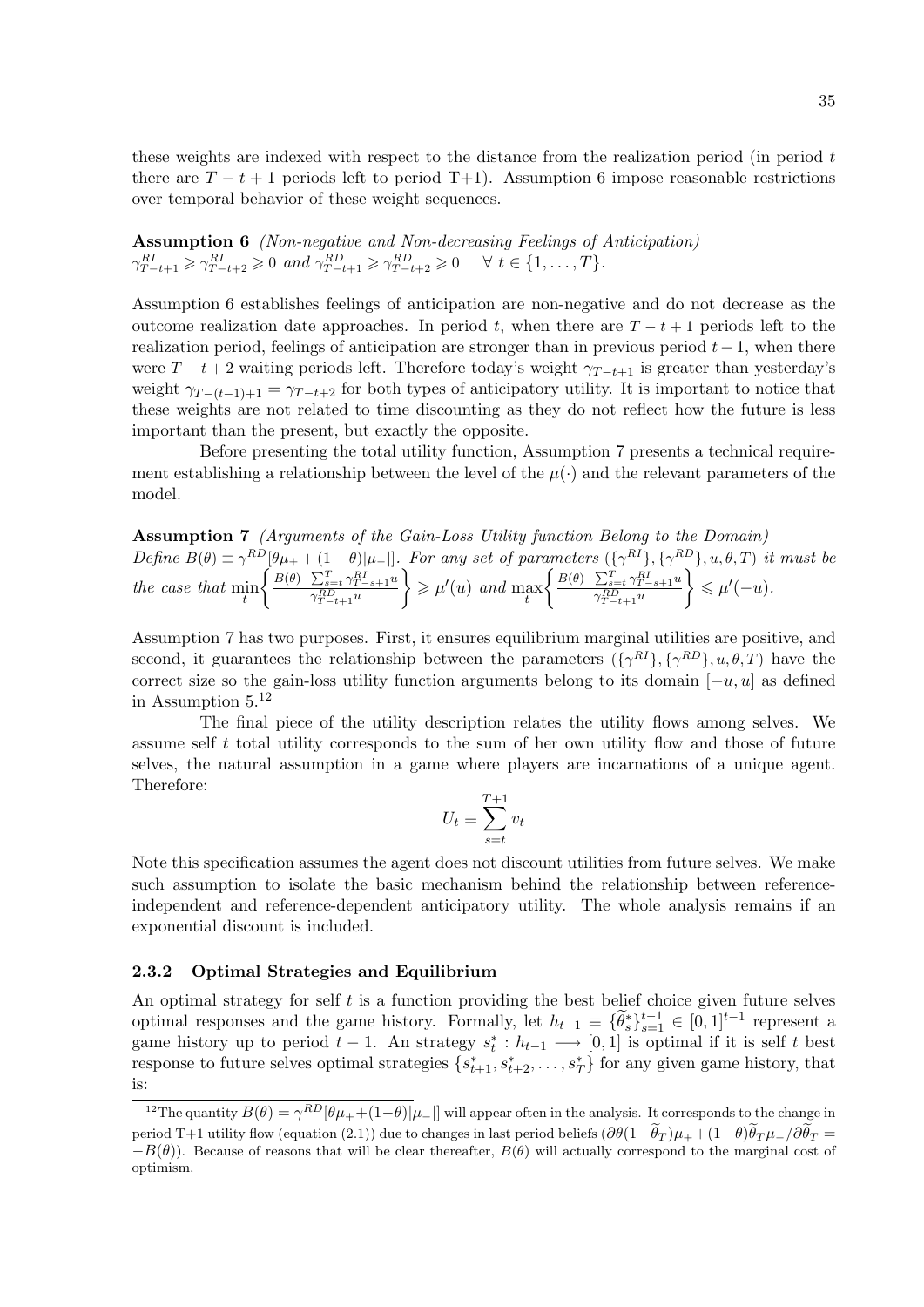these weights are indexed with respect to the distance from the realization period (in period  $t$ ) there are  $T - t + 1$  periods left to period T+1). Assumption 6 impose reasonable restrictions over temporal behavior of these weight sequences.

Assumption 6 (Non-negative and Non-decreasing Feelings of Anticipation)  $\gamma_{T-t+1}^{RI} \geqslant \gamma_{T-t+2}^{RI} \geqslant 0 \text{ and } \gamma_{T-t+1}^{RD} \geqslant \gamma_{T-t+2}^{RD} \geqslant 0 \quad \forall \ t \in \{1, \dots, T\}.$ 

Assumption 6 establishes feelings of anticipation are non-negative and do not decrease as the outcome realization date approaches. In period t, when there are  $T - t + 1$  periods left to the realization period, feelings of anticipation are stronger than in previous period  $t-1$ , when there were  $T - t + 2$  waiting periods left. Therefore today's weight  $\gamma_{T-t+1}$  is greater than yesterday's weight  $\gamma_{T-(t-1)+1} = \gamma_{T-t+2}$  for both types of anticipatory utility. It is important to notice that these weights are not related to time discounting as they do not reflect how the future is less important than the present, but exactly the opposite.

Before presenting the total utility function, Assumption 7 presents a technical requirement establishing a relationship between the level of the  $\mu(\cdot)$  and the relevant parameters of the model.

Assumption 7 (Arguments of the Gain-Loss Utility function Belong to the Domain) Define  $B(\theta) \equiv \gamma^{RD} [\theta \mu_+ + (1 - \theta) | \mu_- |]$ . For any set of parameters  $({\gamma^{RI}}$ ,  ${\gamma^{RD}}$ ,  $u, \theta, T)$  it must be the case that  $\min_t$  $\int B(\theta) - \sum_{s=t}^{T} \gamma_{T-s+1}^{RI} u$  $\gamma_{T-t+1}^{RD} u$  $\left\{\geqslant \mu'(u)\;\,and\; \max_t\right\}$  $\int B(\theta) - \sum_{s=t}^{T} \gamma_{T-s+1}^{RI} u$  $\gamma_{T-t+1}^{RD} u$  $\Big\} \leqslant \mu'(-u).$ 

Assumption 7 has two purposes. First, it ensures equilibrium marginal utilities are positive, and second, it guarantees the relationship between the parameters  $({\gamma^{RI}}$ ,  ${\gamma^{RD}}$ ,  $u, \theta, T$ ) have the correct size so the gain-loss utility function arguments belong to its domain  $[-u, u]$  as defined in Assumption  $5^{12}$ 

The final piece of the utility description relates the utility flows among selves. We assume self t total utility corresponds to the sum of her own utility flow and those of future selves, the natural assumption in a game where players are incarnations of a unique agent. Therefore:

$$
U_t \equiv \sum_{s=t}^{T+1} v_t
$$

Note this specification assumes the agent does not discount utilities from future selves. We make such assumption to isolate the basic mechanism behind the relationship between referenceindependent and reference-dependent anticipatory utility. The whole analysis remains if an exponential discount is included.

#### 2.3.2 Optimal Strategies and Equilibrium

An optimal strategy for self  $t$  is a function providing the best belief choice given future selves optimal responses and the game history. Formally, let  $h_{t-1} \equiv {\{\widetilde{\theta}_s^*\}}_{s=1}^{t-1} \in [0,1]^{t-1}$  represent a game history up to period  $t-1$ . An strategy  $s_t^* : h_{t-1} \longrightarrow [0,1]$  is optimal if it is self t best response to future selves optimal strategies  $\{s_{t+1}^*, s_{t+2}^*, \ldots, s_T^*\}$  for any given game history, that is:

<sup>&</sup>lt;sup>12</sup>The quantity  $B(\theta) = \gamma^{RD} [\theta \mu_+ + (1-\theta) | \mu_-|]$  will appear often in the analysis. It corresponds to the change in period T+1 utility flow (equation (2.1)) due to changes in last period beliefs  $(\partial \theta(1-\tilde{\theta}_T)\mu_+ + (1-\theta)\tilde{\theta}_T\mu_-/\partial \tilde{\theta}_T =$  $-B(\theta)$ ). Because of reasons that will be clear thereafter,  $B(\theta)$  will actually correspond to the marginal cost of optimism.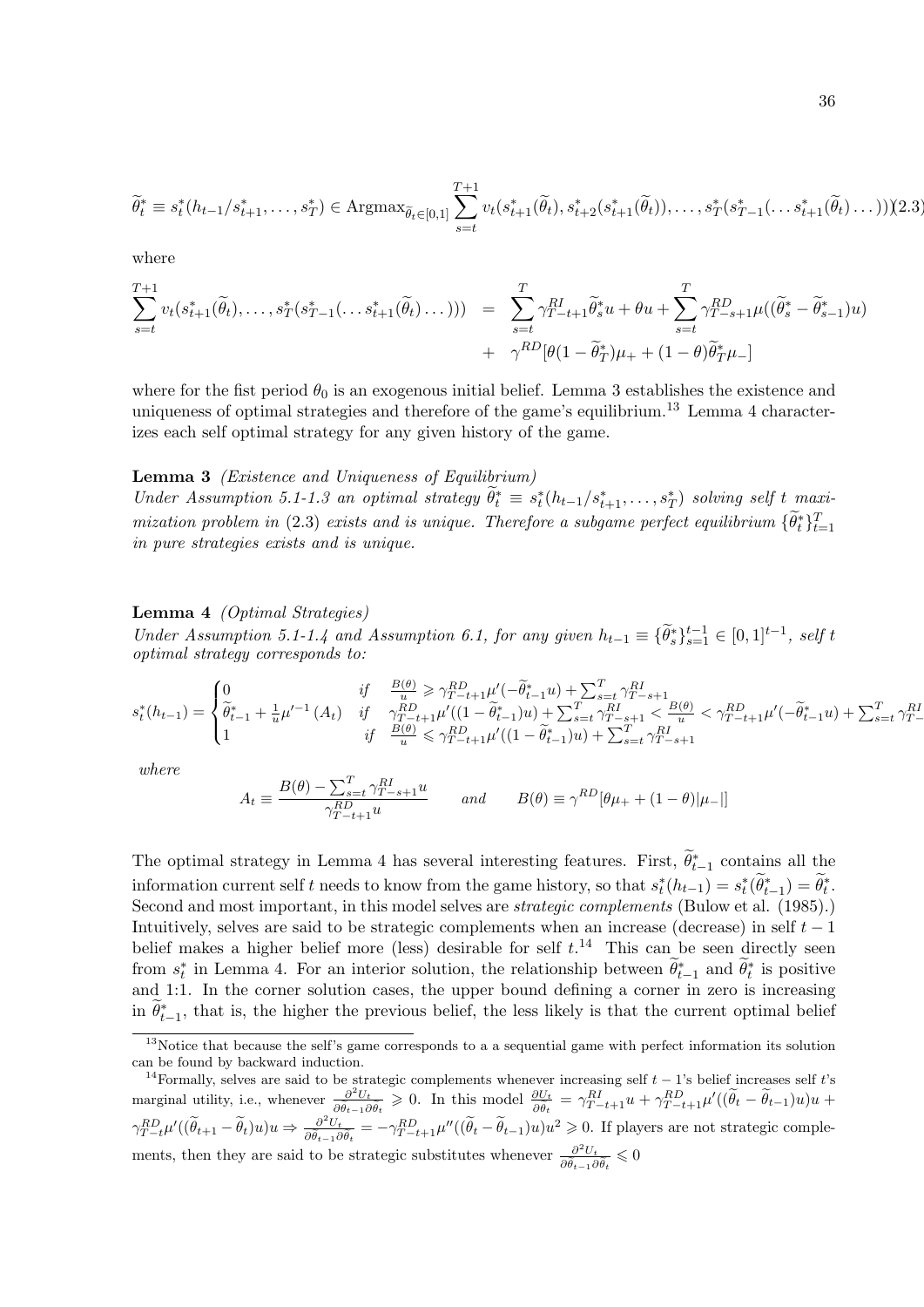$$
\widetilde{\theta}_t^* \equiv s_t^*(h_{t-1}/s_{t+1}^*,\ldots,s_T^*) \in \text{Argmax}_{\widetilde{\theta}_t \in [0,1]} \sum_{s=t}^{T+1} v_t(s_{t+1}^*(\widetilde{\theta}_t),s_{t+2}^*(s_{t+1}^*(\widetilde{\theta}_t)),\ldots,s_T^*(s_{T-1}^*(\ldots s_{t+1}^*(\widetilde{\theta}_t),\ldots)))
$$

where

$$
\sum_{s=t}^{T+1} v_t(s_{t+1}^*(\widetilde{\theta}_t), \dots, s_T^*(s_{T-1}^*(\dots s_{t+1}^*(\widetilde{\theta}_t), \dots))) = \sum_{s=t}^T \gamma_{T-t+1}^{RI} \widetilde{\theta}_s^* u + \theta u + \sum_{s=t}^T \gamma_{T-s+1}^{RD} \mu((\widetilde{\theta}_s^* - \widetilde{\theta}_{s-1}^*) u) + \gamma^{RD} [\theta (1 - \widetilde{\theta}_T^*) \mu_+ + (1 - \theta) \widetilde{\theta}_T^* \mu_-]
$$

where for the fist period  $\theta_0$  is an exogenous initial belief. Lemma 3 establishes the existence and uniqueness of optimal strategies and therefore of the game's equilibrium.<sup>13</sup> Lemma 4 characterizes each self optimal strategy for any given history of the game.

#### Lemma 3 *(Existence and Uniqueness of Equilibrium)*

Under Assumption 5.1-1.3 an optimal strategy  $\widetilde{\theta}_t^* \equiv s_t^*(h_{t-1}/s_{t+1}^*, \ldots, s_T^*)$  solving self t maximization problem in (2.3) exists and is unique. Therefore a subgame perfect equilibrium  $\{\widetilde{\theta}_t^*\}_{t=1}^T$ in pure strategies exists and is unique.

#### Lemma 4 (Optimal Strategies)

Under Assumption 5.1-1.4 and Assumption 6.1, for any given  $h_{t-1} \equiv {\tilde{\theta}_s}^* \}_{s=1}^{t-1}$  ∈ [0, 1]<sup>t-1</sup>, self t optimal strategy corresponds to:

$$
s^*_t(h_{t-1}) = \begin{cases} 0 & \text{if} \quad \frac{B(\theta)}{u} \geqslant \gamma_{T-t+1}^{RD} \mu'(-\tilde{\theta}^*_{t-1}u) + \sum_{s=t}^T \gamma_{T-s+1}^{RI} \\ \tilde{\theta}^*_{t-1} + \frac{1}{u} \mu'^{-1}(A_t) & \text{if} \quad \gamma_{T-t+1}^{RD} \mu'((1-\tilde{\theta}^*_{t-1})u) + \sum_{s=t}^T \gamma_{T-s+1}^{RI} < \frac{B(\theta)}{u} < \gamma_{T-t+1}^{RD} \mu'(-\tilde{\theta}^*_{t-1}u) + \sum_{s=t}^T \gamma_{T-t+1}^{RI} \\ 1 & \text{if} \quad \frac{B(\theta)}{u} \leqslant \gamma_{T-t+1}^{RD} \mu'((1-\tilde{\theta}^*_{t-1})u) + \sum_{s=t}^T \gamma_{T-s+1}^{RI} \end{cases}
$$

where

$$
A_t \equiv \frac{B(\theta) - \sum_{s=t}^T \gamma_{T-s+1}^{RI} u}{\gamma_{T-t+1}^{RD} u} \quad \text{and} \quad B(\theta) \equiv \gamma^{RD} [\theta \mu_+ + (1 - \theta) | \mu_- |]
$$

The optimal strategy in Lemma 4 has several interesting features. First,  $\widetilde{\theta}_{t-1}^*$  contains all the information current self t needs to know from the game history, so that  $s_t^*(h_{t-1}) = s_t^*(\tilde{\theta}_{t-1}^*) = \tilde{\theta}_t^*$ . Second and most important, in this model selves are *strategic complements* (Bulow et al. (1985).) Intuitively, selves are said to be strategic complements when an increase (decrease) in self  $t - 1$ belief makes a higher belief more (less) desirable for self  $t$ .<sup>14</sup> This can be seen directly seen from  $s_t^*$  in Lemma 4. For an interior solution, the relationship between  $\tilde{\theta}_{t-1}^*$  and  $\tilde{\theta}_t^*$  is positive and 1:1. In the corner solution cases, the upper bound defining a corner in zero is increasing in  $\tilde{\theta}_{t-1}^*$ , that is, the higher the previous belief, the less likely is that the current optimal belief

<sup>&</sup>lt;sup>13</sup>Notice that because the self's game corresponds to a a sequential game with perfect information its solution can be found by backward induction.

<sup>&</sup>lt;sup>14</sup>Formally, selves are said to be strategic complements whenever increasing self  $t - 1$ 's belief increases self t's marginal utility, i.e., whenever  $\frac{\partial^2 U_t}{\partial \tilde{\lambda}}$  $\frac{\partial^2 U_t}{\partial \tilde{\theta}_{t-1} \partial \tilde{\theta}_t} \geq 0$ . In this model  $\frac{\partial U_t}{\partial \tilde{\theta}_t} = \gamma_{T-t+1}^{RI} u + \gamma_{T-t+1}^{RD} \mu'((\tilde{\theta}_t - \tilde{\theta}_{t-1})u)u +$  $\gamma_{T-t}^{RD} \mu'((\widetilde{\theta}_{t+1} - \widetilde{\theta}_t)u)u \Rightarrow \frac{\partial^2 U_t}{\partial \widetilde{\theta}_{t-1}\widetilde{\theta}}$  $\frac{\partial^2 U_t}{\partial \tilde{\theta}_{t-1} \partial \tilde{\theta}_t} = -\gamma_{T-t+1}^{RD} \mu''((\tilde{\theta}_t - \tilde{\theta}_{t-1})u)u^2 \geq 0.$  If players are not strategic complements, then they are said to be strategic substitutes whenever  $\frac{\partial^2 U_t}{\partial \hat{\alpha}}$  $\frac{\partial^2 U_t}{\partial \tilde{\theta}_{t-1} \partial \tilde{\theta}_t} \leqslant 0$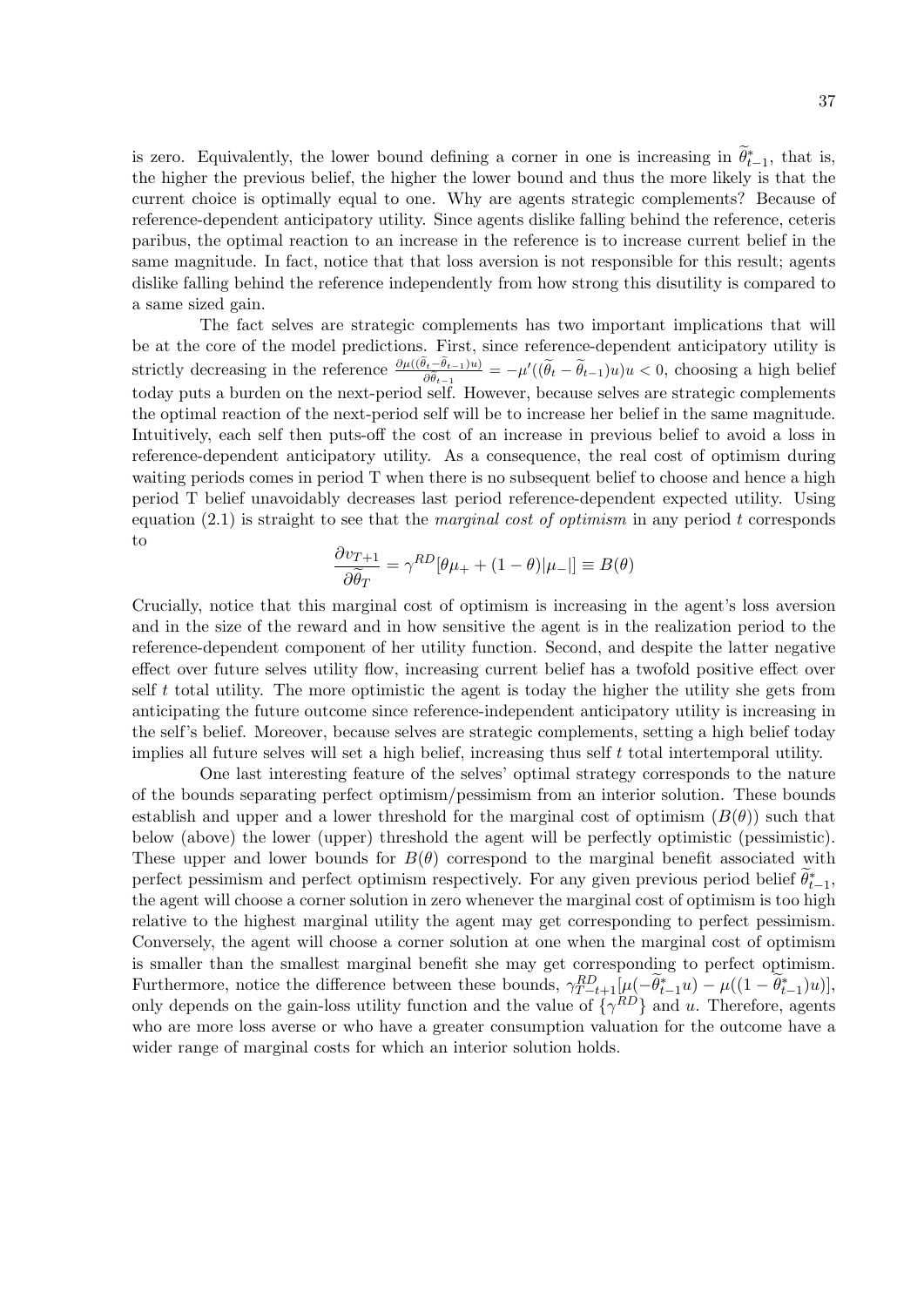is zero. Equivalently, the lower bound defining a corner in one is increasing in  $\tilde{\theta}_{t-1}^*$ , that is, the higher the previous belief, the higher the lower bound and thus the more likely is that the current choice is optimally equal to one. Why are agents strategic complements? Because of reference-dependent anticipatory utility. Since agents dislike falling behind the reference, ceteris paribus, the optimal reaction to an increase in the reference is to increase current belief in the same magnitude. In fact, notice that that loss aversion is not responsible for this result; agents dislike falling behind the reference independently from how strong this disutility is compared to a same sized gain.

The fact selves are strategic complements has two important implications that will be at the core of the model predictions. First, since reference-dependent anticipatory utility is strictly decreasing in the reference  $\frac{\partial \mu((\theta_t-\theta_{t-1})u)}{\partial \tilde{\theta}_{t-1}} = -\mu'((\tilde{\theta}_t-\tilde{\theta}_{t-1})u)u < 0$ , choosing a high belief today puts a burden on the next-period self. However, because selves are strategic complements the optimal reaction of the next-period self will be to increase her belief in the same magnitude. Intuitively, each self then puts-off the cost of an increase in previous belief to avoid a loss in reference-dependent anticipatory utility. As a consequence, the real cost of optimism during waiting periods comes in period T when there is no subsequent belief to choose and hence a high period T belief unavoidably decreases last period reference-dependent expected utility. Using equation  $(2.1)$  is straight to see that the *marginal cost of optimism* in any period t corresponds to

$$
\frac{\partial v_{T+1}}{\partial \tilde{\theta}_T} = \gamma^{RD} [\theta \mu_+ + (1 - \theta) | \mu_- || \equiv B(\theta)
$$

Crucially, notice that this marginal cost of optimism is increasing in the agent's loss aversion and in the size of the reward and in how sensitive the agent is in the realization period to the reference-dependent component of her utility function. Second, and despite the latter negative effect over future selves utility flow, increasing current belief has a twofold positive effect over self  $t$  total utility. The more optimistic the agent is today the higher the utility she gets from anticipating the future outcome since reference-independent anticipatory utility is increasing in the self's belief. Moreover, because selves are strategic complements, setting a high belief today implies all future selves will set a high belief, increasing thus self  $t$  total intertemporal utility.

One last interesting feature of the selves' optimal strategy corresponds to the nature of the bounds separating perfect optimism/pessimism from an interior solution. These bounds establish and upper and a lower threshold for the marginal cost of optimism  $(B(\theta))$  such that below (above) the lower (upper) threshold the agent will be perfectly optimistic (pessimistic). These upper and lower bounds for  $B(\theta)$  correspond to the marginal benefit associated with perfect pessimism and perfect optimism respectively. For any given previous period belief  $\tilde{\theta}_{t-1}^*$ , the agent will choose a corner solution in zero whenever the marginal cost of optimism is too high relative to the highest marginal utility the agent may get corresponding to perfect pessimism. Conversely, the agent will choose a corner solution at one when the marginal cost of optimism is smaller than the smallest marginal benefit she may get corresponding to perfect optimism. Furthermore, notice the difference between these bounds,  $\gamma_{T-t+1}^{RD}[\mu(-\tilde{\theta}_{t-1}^*u) - \mu((1-\tilde{\theta}_{t-1}^*u))],$ only depends on the gain-loss utility function and the value of  $\{\gamma^{RD}\}\$  and u. Therefore, agents who are more loss averse or who have a greater consumption valuation for the outcome have a wider range of marginal costs for which an interior solution holds.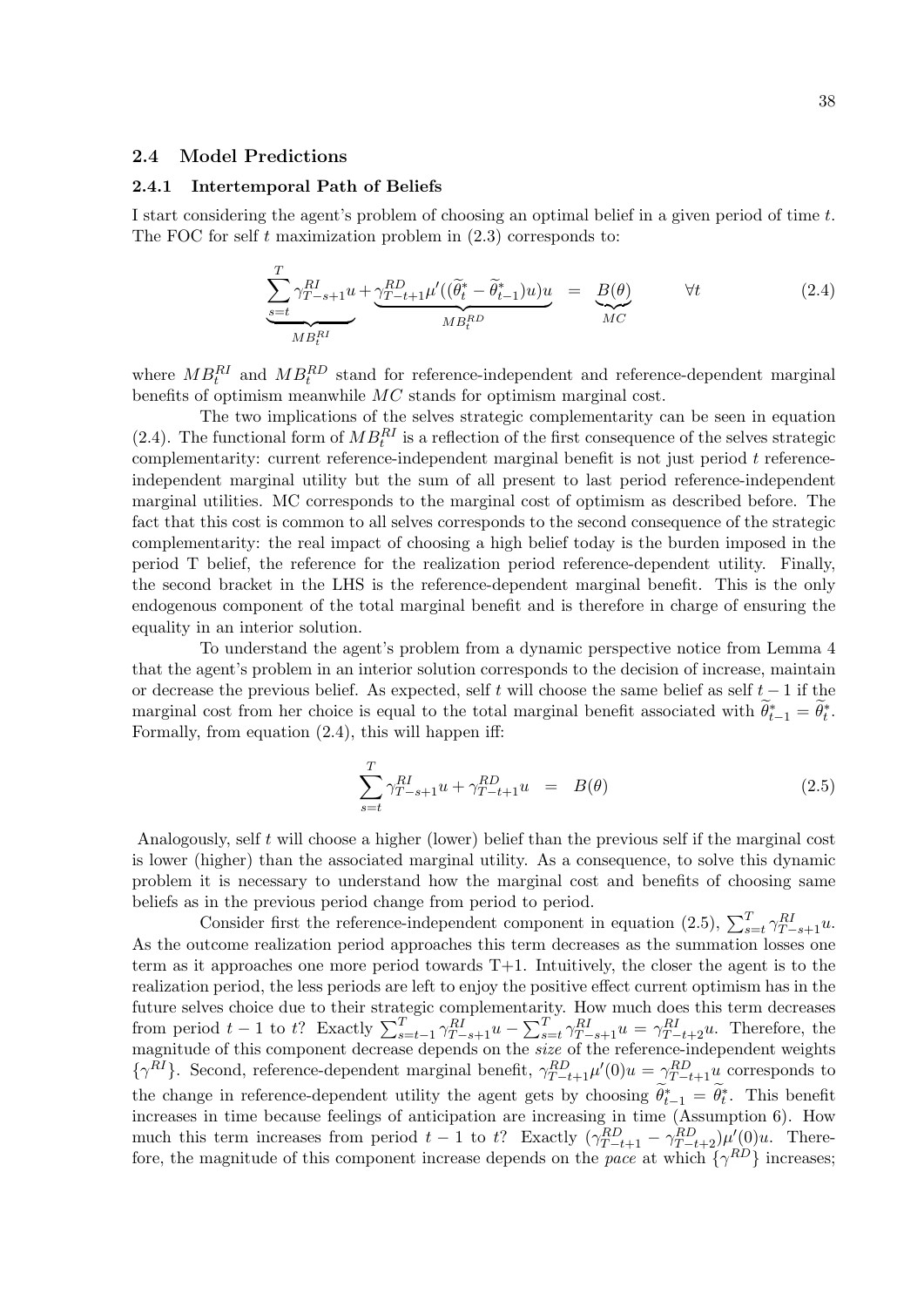## 2.4 Model Predictions

#### 2.4.1 Intertemporal Path of Beliefs

I start considering the agent's problem of choosing an optimal belief in a given period of time t. The FOC for self t maximization problem in  $(2.3)$  corresponds to:

$$
\underbrace{\sum_{s=t}^{T} \gamma_{T-s+1}^{RI} u}_{MB_t^{RI}} + \underbrace{\gamma_{T-t+1}^{RD} \mu'((\tilde{\theta}_t^* - \tilde{\theta}_{t-1}^*) u) u}_{MB_t^{RD}} = \underbrace{B(\theta)}_{MC} \qquad \forall t
$$
\n(2.4)

where  $MB_t^{RI}$  and  $MB_t^{RD}$  stand for reference-independent and reference-dependent marginal benefits of optimism meanwhile  $MC$  stands for optimism marginal cost.

The two implications of the selves strategic complementarity can be seen in equation (2.4). The functional form of  $MB_t^{RI}$  is a reflection of the first consequence of the selves strategic complementarity: current reference-independent marginal benefit is not just period  $t$  referenceindependent marginal utility but the sum of all present to last period reference-independent marginal utilities. MC corresponds to the marginal cost of optimism as described before. The fact that this cost is common to all selves corresponds to the second consequence of the strategic complementarity: the real impact of choosing a high belief today is the burden imposed in the period T belief, the reference for the realization period reference-dependent utility. Finally, the second bracket in the LHS is the reference-dependent marginal benefit. This is the only endogenous component of the total marginal benefit and is therefore in charge of ensuring the equality in an interior solution.

To understand the agent's problem from a dynamic perspective notice from Lemma 4 that the agent's problem in an interior solution corresponds to the decision of increase, maintain or decrease the previous belief. As expected, self t will choose the same belief as self  $t - 1$  if the marginal cost from her choice is equal to the total marginal benefit associated with  $\widetilde{\theta}_{t-1}^* = \widetilde{\theta}_t^*$ . Formally, from equation (2.4), this will happen iff:

$$
\sum_{s=t}^{T} \gamma_{T-s+1}^{RI} u + \gamma_{T-t+1}^{RD} u = B(\theta)
$$
\n(2.5)

Analogously, self t will choose a higher (lower) belief than the previous self if the marginal cost is lower (higher) than the associated marginal utility. As a consequence, to solve this dynamic problem it is necessary to understand how the marginal cost and benefits of choosing same beliefs as in the previous period change from period to period.

Consider first the reference-independent component in equation (2.5),  $\sum_{s=t}^{T} \gamma_{T-s+1}^{RI} u$ . As the outcome realization period approaches this term decreases as the summation losses one term as it approaches one more period towards T+1. Intuitively, the closer the agent is to the realization period, the less periods are left to enjoy the positive effect current optimism has in the future selves choice due to their strategic complementarity. How much does this term decreases from period  $t-1$  to  $t$ ? Exactly  $\sum_{s=t-1}^{T} \gamma_{T-s+1}^{RI} u - \sum_{s=t}^{T} \gamma_{T-s+1}^{RI} u = \gamma_{T-t+2}^{RI} u$ . Therefore, the magnitude of this component decrease depends on the *size* of the reference-independent weights  $\{\gamma^{RI}\}\$ . Second, reference-dependent marginal benefit,  $\gamma^{RD}_{T-t+1}\mu'(0)u = \gamma^{RD}_{T-t+1}u$  corresponds to the change in reference-dependent utility the agent gets by choosing  $\widetilde{\theta}_{t-1}^* = \widetilde{\theta}_t^*$ . This benefit increases in time because feelings of anticipation are increasing in time (Assumption 6). How much this term increases from period  $t-1$  to t? Exactly  $(\gamma_{T-t+1}^{RD} - \gamma_{T-t+2}^{RD})\mu'(0)u$ . Therefore, the magnitude of this component increase depends on the pace at which  $\{\gamma^{RD}\}\$  increases;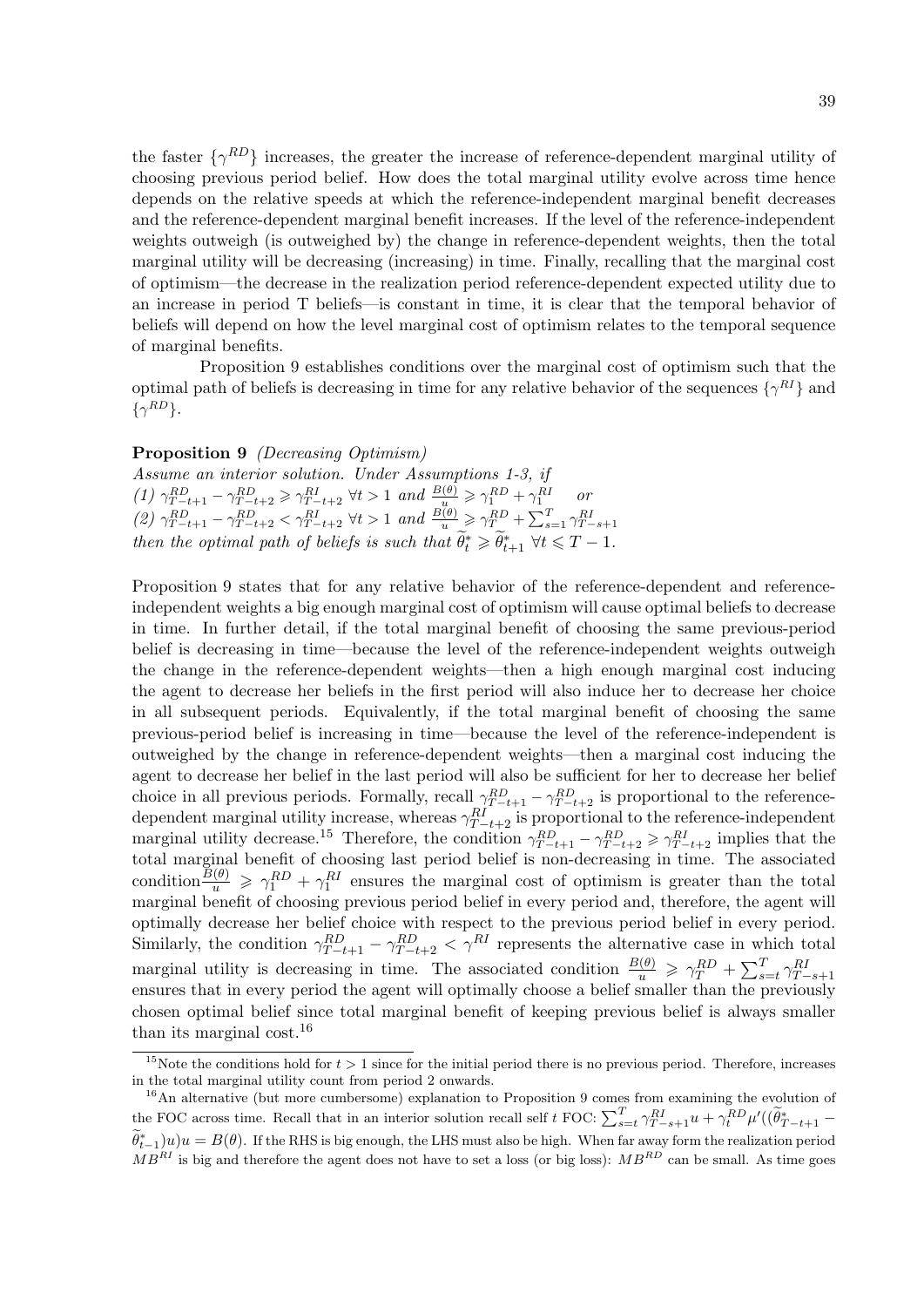the faster  $\{\gamma^{RD}\}\$  increases, the greater the increase of reference-dependent marginal utility of choosing previous period belief. How does the total marginal utility evolve across time hence depends on the relative speeds at which the reference-independent marginal benefit decreases and the reference-dependent marginal benefit increases. If the level of the reference-independent weights outweigh (is outweighed by) the change in reference-dependent weights, then the total marginal utility will be decreasing (increasing) in time. Finally, recalling that the marginal cost of optimism—the decrease in the realization period reference-dependent expected utility due to an increase in period T beliefs—is constant in time, it is clear that the temporal behavior of beliefs will depend on how the level marginal cost of optimism relates to the temporal sequence of marginal benefits.

Proposition 9 establishes conditions over the marginal cost of optimism such that the optimal path of beliefs is decreasing in time for any relative behavior of the sequences  $\{\gamma^{RI}\}$  and  $\{\gamma^{RD}\}.$ 

## Proposition 9 *(Decreasing Optimism)*

Assume an interior solution. Under Assumptions 1-3, if (1)  $\gamma_{T-t+1}^{RD} - \gamma_{T-t+2}^{RD} \ge \gamma_{T-t+2}^{RI} \quad \forall t > 1 \text{ and } \frac{B(\theta)}{u} \ge \gamma_1^{RD} + \gamma_1^{RI} \quad \text{or}$ (2)  $\gamma_{T-t+1}^{RD} - \gamma_{T-t+2}^{RD} < \gamma_{T-t+2}^{RI} \forall t > 1$  and  $\frac{B(\theta)}{u} \geq \gamma_T^{RD} + \sum_{s=1}^T \gamma_{T-s+1}^{RI}$ <br>then the optimal path of beliefs is such that  $\tilde{\theta}_t^* \geq \tilde{\theta}_{t+1}^* \forall t \leq T-1$ .

Proposition 9 states that for any relative behavior of the reference-dependent and referenceindependent weights a big enough marginal cost of optimism will cause optimal beliefs to decrease in time. In further detail, if the total marginal benefit of choosing the same previous-period belief is decreasing in time—because the level of the reference-independent weights outweigh the change in the reference-dependent weights—then a high enough marginal cost inducing the agent to decrease her beliefs in the first period will also induce her to decrease her choice in all subsequent periods. Equivalently, if the total marginal benefit of choosing the same previous-period belief is increasing in time—because the level of the reference-independent is outweighed by the change in reference-dependent weights—then a marginal cost inducing the agent to decrease her belief in the last period will also be sufficient for her to decrease her belief choice in all previous periods. Formally, recall  $\gamma_{T-t+1}^{RD} - \gamma_{T-t+2}^{RD}$  is proportional to the referencedependent marginal utility increase, whereas  $\gamma_{T-t+2}^{RI}$  is proportional to the reference-independent marginal utility decrease.<sup>15</sup> Therefore, the condition  $\gamma_{T-t+1}^{RD} - \gamma_{T-t+2}^{RD} \ge \gamma_{T-t+2}^{RI}$  implies that the total marginal benefit of choosing last period belief is non-decreasing in time. The associated condition  $\frac{\tilde{B}(\theta)}{u} \geq \gamma_1^{RD} + \gamma_1^{RI}$  ensures the marginal cost of optimism is greater than the total marginal benefit of choosing previous period belief in every period and, therefore, the agent will optimally decrease her belief choice with respect to the previous period belief in every period. Similarly, the condition  $\gamma_{T-t+1}^{RD} - \gamma_{T-t+2}^{RD} < \gamma_{I}^{RI}$  represents the alternative case in which total marginal utility is decreasing in time. The associated condition  $\frac{B(\theta)}{u} \geq \gamma_T^{RD} + \sum_{s=t}^T \gamma_{T-s+1}^{RI}$ ensures that in every period the agent will optimally choose a belief smaller than the previously chosen optimal belief since total marginal benefit of keeping previous belief is always smaller than its marginal cost.<sup>16</sup>

<sup>&</sup>lt;sup>15</sup>Note the conditions hold for  $t > 1$  since for the initial period there is no previous period. Therefore, increases in the total marginal utility count from period 2 onwards.

<sup>&</sup>lt;sup>16</sup>An alternative (but more cumbersome) explanation to Proposition 9 comes from examining the evolution of the FOC across time. Recall that in an interior solution recall self t FOC:  $\sum_{s=t}^{T} \gamma_{T-s+1}^{RI} u + \gamma_t^{RD} \mu'((\tilde{\theta}_{T-t+1}^*)^{-1} - \tilde{\theta}_{T-t+1}^*)^{-1}$  $(\widetilde{\theta}_{t-1}^*)u)u = B(\theta)$ . If the RHS is big enough, the LHS must also be high. When far away form the realization period  $MB^{RI}$  is big and therefore the agent does not have to set a loss (or big loss):  $MB^{RD}$  can be small. As time goes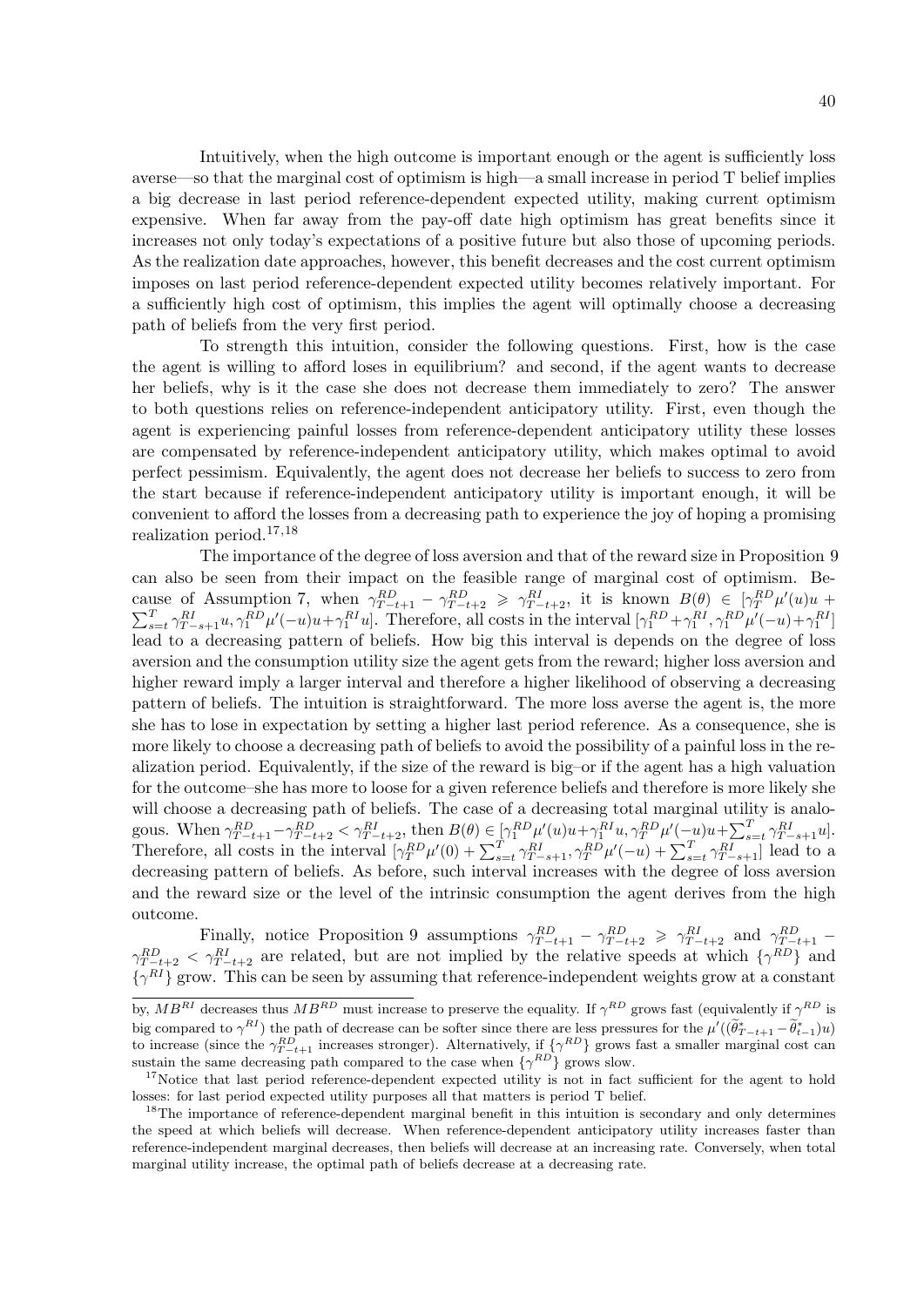Intuitively, when the high outcome is important enough or the agent is sufficiently loss averse—so that the marginal cost of optimism is high—a small increase in period T belief implies a big decrease in last period reference-dependent expected utility, making current optimism expensive. When far away from the pay-off date high optimism has great benefits since it increases not only today's expectations of a positive future but also those of upcoming periods. As the realization date approaches, however, this benefit decreases and the cost current optimism imposes on last period reference-dependent expected utility becomes relatively important. For a sufficiently high cost of optimism, this implies the agent will optimally choose a decreasing path of beliefs from the very first period.

To strength this intuition, consider the following questions. First, how is the case the agent is willing to afford loses in equilibrium? and second, if the agent wants to decrease her beliefs, why is it the case she does not decrease them immediately to zero? The answer to both questions relies on reference-independent anticipatory utility. First, even though the agent is experiencing painful losses from reference-dependent anticipatory utility these losses are compensated by reference-independent anticipatory utility, which makes optimal to avoid perfect pessimism. Equivalently, the agent does not decrease her beliefs to success to zero from the start because if reference-independent anticipatory utility is important enough, it will be convenient to afford the losses from a decreasing path to experience the joy of hoping a promising realization period.17,<sup>18</sup>

The importance of the degree of loss aversion and that of the reward size in Proposition 9 can also be seen from their impact on the feasible range of marginal cost of optimism. Because of Assumption 7, when  $\gamma_{T-t+1}^{RD} - \gamma_{T-t+2}^{RD} \geq \gamma_{T-t+2}^{RI}$ , it is known  $B(\theta) \in [\gamma_T^{RD} \mu'(u)u +$  $\sum_{s=t}^{T} \gamma_{T-s+1}^{RI} u, \gamma_1^{RD} \mu'(-u)u + \gamma_1^{RI} u$ . Therefore, all costs in the interval  $[\gamma_1^{RD} + \gamma_1^{RI}, \gamma_1^{RD} \mu'(-u) + \gamma_1^{RI}]$ lead to a decreasing pattern of beliefs. How big this interval is depends on the degree of loss aversion and the consumption utility size the agent gets from the reward; higher loss aversion and higher reward imply a larger interval and therefore a higher likelihood of observing a decreasing pattern of beliefs. The intuition is straightforward. The more loss averse the agent is, the more she has to lose in expectation by setting a higher last period reference. As a consequence, she is more likely to choose a decreasing path of beliefs to avoid the possibility of a painful loss in the realization period. Equivalently, if the size of the reward is big–or if the agent has a high valuation for the outcome–she has more to loose for a given reference beliefs and therefore is more likely she will choose a decreasing path of beliefs. The case of a decreasing total marginal utility is analogous. When  $\gamma_{T-t+1}^{RD} - \gamma_{T-t+2}^{RD} < \gamma_{T-t+2}^{RI}$ , then  $B(\theta) \in [\gamma_1^{RD} \mu'(u)u + \gamma_1^{RI} u, \gamma_T^{RD} \mu'(-u)u + \sum_{s=t}^{T} \gamma_{T-s+1}^{RI} u]$ . Therefore, all costs in the interval  $[\gamma_T^{RD} \mu'(0) + \sum_{s=t}^T \gamma_{T-s+1}^{RI}, \gamma_T^{RD} \mu'(-u) + \sum_{s=t}^T \gamma_{T-s+1}^{RI}]$  lead to a decreasing pattern of beliefs. As before, such interval increases with the degree of loss aversion and the reward size or the level of the intrinsic consumption the agent derives from the high outcome.

Finally, notice Proposition 9 assumptions  $\gamma_{T-t+1}^{RD} - \gamma_{T-t+2}^{RD} \ge \gamma_{T-t+2}^{RI}$  and  $\gamma_{T-t+1}^{RD}$  $\gamma_{T-t+2}^{RD} < \gamma_{T-t+2}^{RI}$  are related, but are not implied by the relative speeds at which  $\{\gamma_{T}^{RD}\}\$  and  $\{\gamma^{RI}\}\$  grow. This can be seen by assuming that reference-independent weights grow at a constant

by,  $MB^{RI}$  decreases thus  $MB^{RD}$  must increase to preserve the equality. If  $\gamma^{RD}$  grows fast (equivalently if  $\gamma^{RD}$  is big compared to  $\gamma^{RI}$ ) the path of decrease can be softer since there are less pressures for the  $\mu'((\tilde{\theta}^*_{T-t+1} - \tilde{\theta}^*_{t-1})u)$ to increase (since the  $\gamma_{T-t+1}^{RD}$  increases stronger). Alternatively, if  $\{\gamma^{RD}\}\$ grows fast a smaller marginal cost can sustain the same decreasing path compared to the case when  $\{\gamma^{RD}\}\$  grows slow.

<sup>&</sup>lt;sup>17</sup>Notice that last period reference-dependent expected utility is not in fact sufficient for the agent to hold losses: for last period expected utility purposes all that matters is period T belief.

<sup>&</sup>lt;sup>18</sup>The importance of reference-dependent marginal benefit in this intuition is secondary and only determines the speed at which beliefs will decrease. When reference-dependent anticipatory utility increases faster than reference-independent marginal decreases, then beliefs will decrease at an increasing rate. Conversely, when total marginal utility increase, the optimal path of beliefs decrease at a decreasing rate.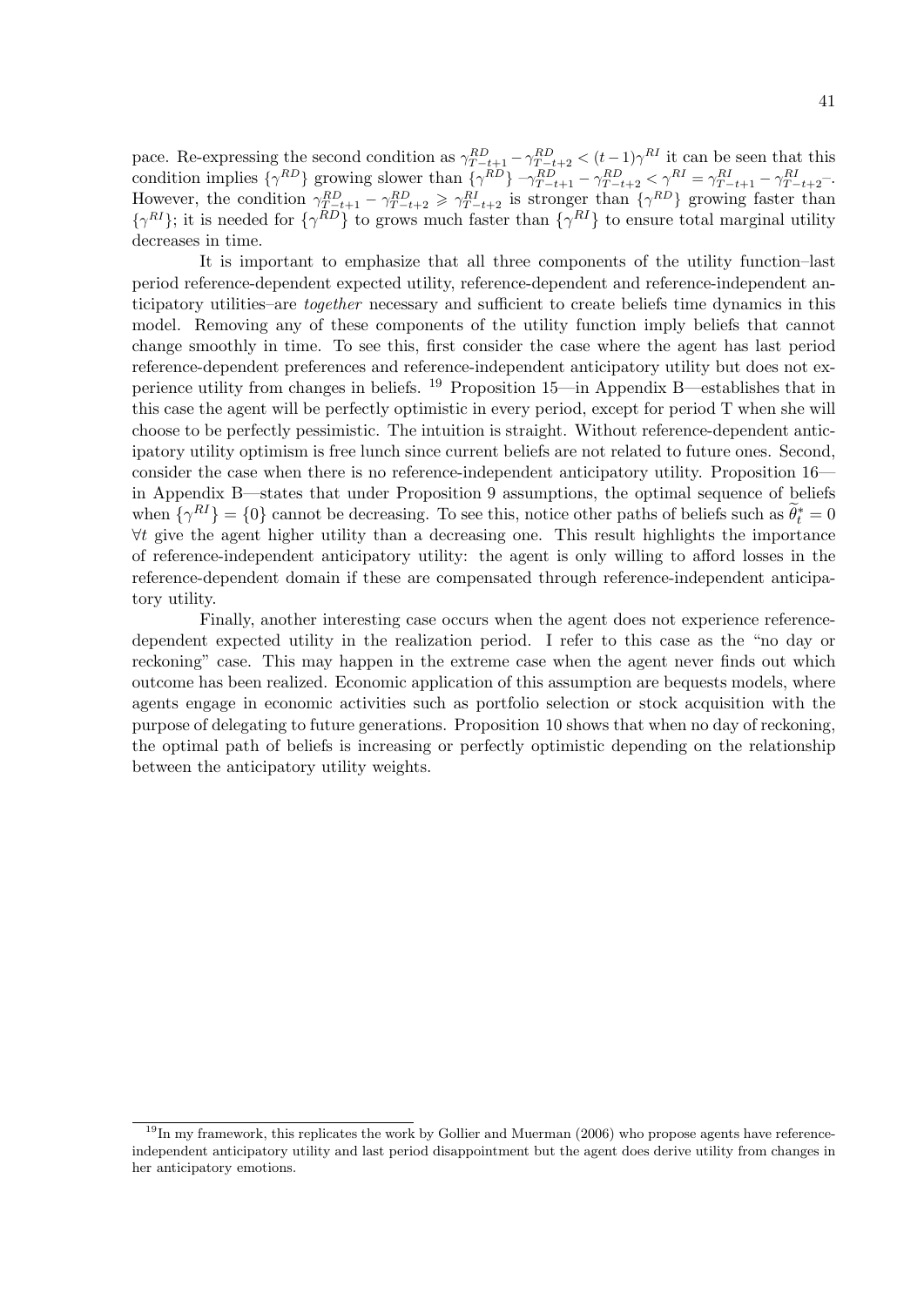pace. Re-expressing the second condition as  $\gamma_{T-t+1}^{RD} - \gamma_{T-t+2}^{RD} < (t-1)\gamma^{RI}$  it can be seen that this condition implies  $\{\gamma^{RD}\}\$ growing slower than  $\{\gamma^{RD}\}\$   $\gamma^{RD}_{T-t+1} - \gamma^{RD}_{T-t+2} < \gamma^{RI} = \gamma^{RI}_{T-t+1} - \gamma^{RI}_{T-t+2}$ . However, the condition  $\gamma_{T-t+1}^{RD} - \gamma_{T-t+2}^{RD} \ge \gamma_{T-t+2}^{RI}$  is stronger than  $\{\gamma^{RD}\}$  growing faster than  $\{\gamma^{RI}\}$ ; it is needed for  $\{\gamma^{RD}\}$  to grows much faster than  $\{\gamma^{RI}\}$  to ensure total marginal utility decreases in time.

It is important to emphasize that all three components of the utility function–last period reference-dependent expected utility, reference-dependent and reference-independent anticipatory utilities–are together necessary and sufficient to create beliefs time dynamics in this model. Removing any of these components of the utility function imply beliefs that cannot change smoothly in time. To see this, first consider the case where the agent has last period reference-dependent preferences and reference-independent anticipatory utility but does not experience utility from changes in beliefs. <sup>19</sup> Proposition 15—in Appendix B—establishes that in this case the agent will be perfectly optimistic in every period, except for period T when she will choose to be perfectly pessimistic. The intuition is straight. Without reference-dependent anticipatory utility optimism is free lunch since current beliefs are not related to future ones. Second, consider the case when there is no reference-independent anticipatory utility. Proposition 16 in Appendix B—states that under Proposition 9 assumptions, the optimal sequence of beliefs when  $\{\gamma^{RI}\} = \{0\}$  cannot be decreasing. To see this, notice other paths of beliefs such as  $\tilde{\theta}_t^* = 0$  $\forall t$  give the agent higher utility than a decreasing one. This result highlights the importance of reference-independent anticipatory utility: the agent is only willing to afford losses in the reference-dependent domain if these are compensated through reference-independent anticipatory utility.

Finally, another interesting case occurs when the agent does not experience referencedependent expected utility in the realization period. I refer to this case as the "no day or reckoning" case. This may happen in the extreme case when the agent never finds out which outcome has been realized. Economic application of this assumption are bequests models, where agents engage in economic activities such as portfolio selection or stock acquisition with the purpose of delegating to future generations. Proposition 10 shows that when no day of reckoning, the optimal path of beliefs is increasing or perfectly optimistic depending on the relationship between the anticipatory utility weights.

 $19$ In my framework, this replicates the work by Gollier and Muerman (2006) who propose agents have referenceindependent anticipatory utility and last period disappointment but the agent does derive utility from changes in her anticipatory emotions.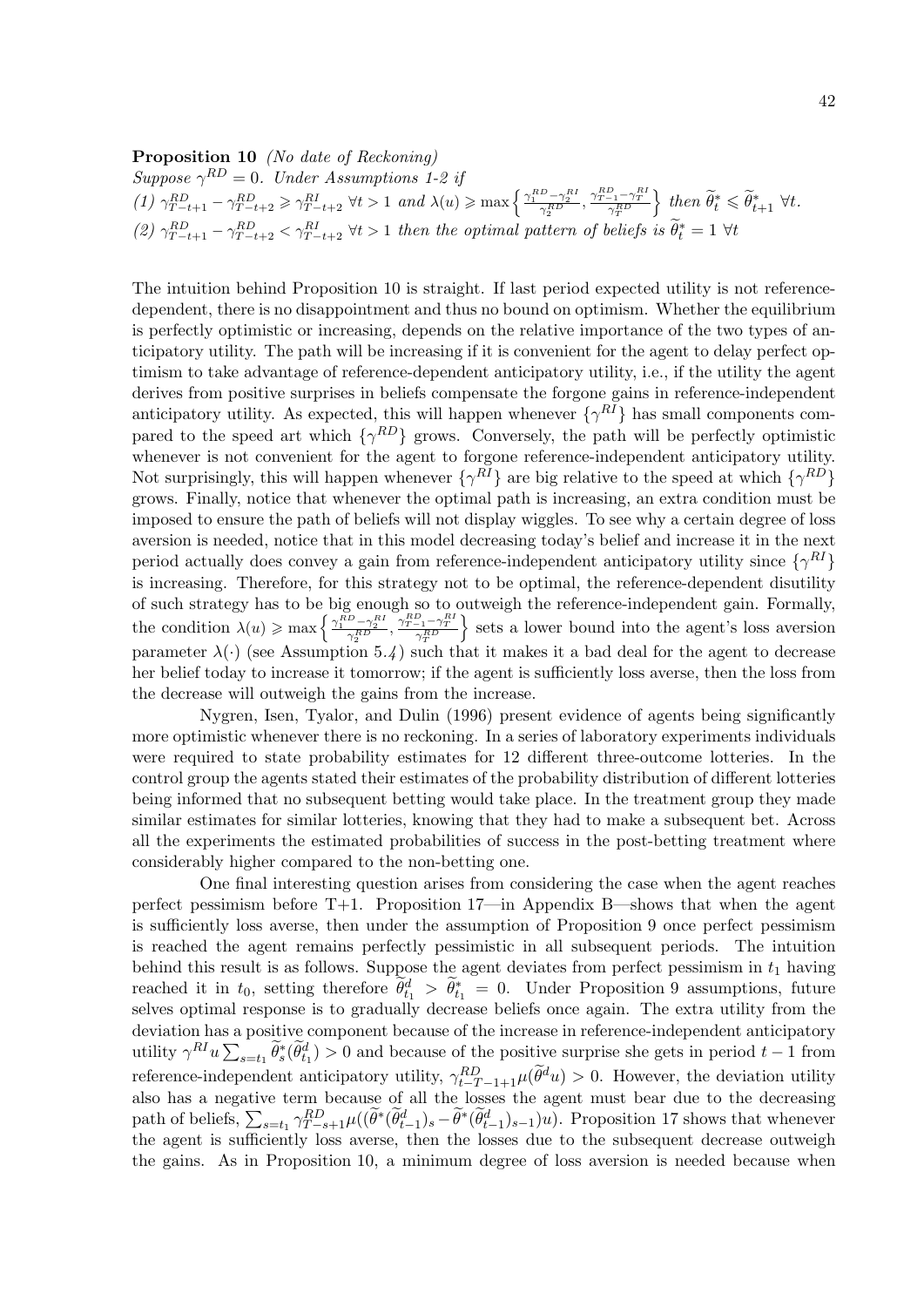## Proposition 10 (No date of Reckoning)

Suppose  $\gamma^{RD} = 0$ . Under Assumptions 1-2 if (1)  $\gamma_{T-t+1}^{RD} - \gamma_{T-t+2}^{RD} \ge \gamma_{T-t+2}^{RI} \quad \forall t > 1 \text{ and } \lambda(u) \ge \max\left\{\frac{\gamma_1^{RD} - \gamma_2^{RI}}{\gamma_2^{RD}}, \frac{\gamma_{T-1}^{RD} - \gamma_T^{RI}}{\gamma_T^{RD}}\right\}$ } then  $\widetilde{\theta}_t^* \leq \widetilde{\theta}_{t+1}^*$   $\forall t$ . (2)  $\gamma_{T-t+1}^{RD} - \gamma_{T-t+2}^{RD} < \gamma_{T-t+2}^{RI}$   $\forall t > 1$  then the optimal pattern of beliefs is  $\tilde{\theta}_t^* = 1$   $\forall t$ 

The intuition behind Proposition 10 is straight. If last period expected utility is not referencedependent, there is no disappointment and thus no bound on optimism. Whether the equilibrium is perfectly optimistic or increasing, depends on the relative importance of the two types of anticipatory utility. The path will be increasing if it is convenient for the agent to delay perfect optimism to take advantage of reference-dependent anticipatory utility, i.e., if the utility the agent derives from positive surprises in beliefs compensate the forgone gains in reference-independent anticipatory utility. As expected, this will happen whenever  $\{\gamma^{RI}\}$  has small components compared to the speed art which  $\{\gamma^{RD}\}\$  grows. Conversely, the path will be perfectly optimistic whenever is not convenient for the agent to forgone reference-independent anticipatory utility. Not surprisingly, this will happen whenever  $\{\gamma^{RI}\}\$ are big relative to the speed at which  $\{\gamma^{RD}\}\$ grows. Finally, notice that whenever the optimal path is increasing, an extra condition must be imposed to ensure the path of beliefs will not display wiggles. To see why a certain degree of loss aversion is needed, notice that in this model decreasing today's belief and increase it in the next period actually does convey a gain from reference-independent anticipatory utility since  $\{\gamma^{RI}\}$ is increasing. Therefore, for this strategy not to be optimal, the reference-dependent disutility of such strategy has to be big enough so to outweigh the reference-independent gain. Formally, the condition  $\lambda(u) \ge \max\left\{\frac{\gamma_1^{RD} - \gamma_2^{RI}}{\gamma_2^{RD}}, \frac{\gamma_{T-1}^{RD} - \gamma_T^{RI}}{\gamma_T^{RD}}\right\}$ } sets a lower bound into the agent's loss aversion parameter  $\lambda(\cdot)$  (see Assumption 5.4) such that it makes it a bad deal for the agent to decrease her belief today to increase it tomorrow; if the agent is sufficiently loss averse, then the loss from the decrease will outweigh the gains from the increase.

Nygren, Isen, Tyalor, and Dulin (1996) present evidence of agents being significantly more optimistic whenever there is no reckoning. In a series of laboratory experiments individuals were required to state probability estimates for 12 different three-outcome lotteries. In the control group the agents stated their estimates of the probability distribution of different lotteries being informed that no subsequent betting would take place. In the treatment group they made similar estimates for similar lotteries, knowing that they had to make a subsequent bet. Across all the experiments the estimated probabilities of success in the post-betting treatment where considerably higher compared to the non-betting one.

One final interesting question arises from considering the case when the agent reaches perfect pessimism before T+1. Proposition 17—in Appendix B—shows that when the agent is sufficiently loss averse, then under the assumption of Proposition 9 once perfect pessimism is reached the agent remains perfectly pessimistic in all subsequent periods. The intuition behind this result is as follows. Suppose the agent deviates from perfect pessimism in  $t_1$  having reached it in  $t_0$ , setting therefore  $\tilde{\theta}^d_{t_1} > \tilde{\theta}^*_{t_1} = 0$ . Under Proposition 9 assumptions, future selves optimal response is to gradually decrease beliefs once again. The extra utility from the deviation has a positive component because of the increase in reference-independent anticipatory utility  $\gamma^{RI}u\sum_{s=t_1}\tilde{\theta}_s^*(\tilde{\theta}_{t_1}^d) > 0$  and because of the positive surprise she gets in period  $t-1$  from reference-independent anticipatory utility,  $\gamma_{t-T-1+1}^{RD} \mu(\tilde{\theta}^d u) > 0$ . However, the deviation utility also has a negative term because of all the losses the agent must bear due to the decreasing path of beliefs,  $\sum_{s=t_1} \gamma_{T-s+1}^{RD} \mu((\widetilde{\theta}^*(\widetilde{\theta}_{t-1}^d)_s - \widetilde{\theta}^*(\widetilde{\theta}_{t-1}^d)_s))u)$ . Proposition 17 shows that whenever the agent is sufficiently loss averse, then the losses due to the subsequent decrease outweigh the gains. As in Proposition 10, a minimum degree of loss aversion is needed because when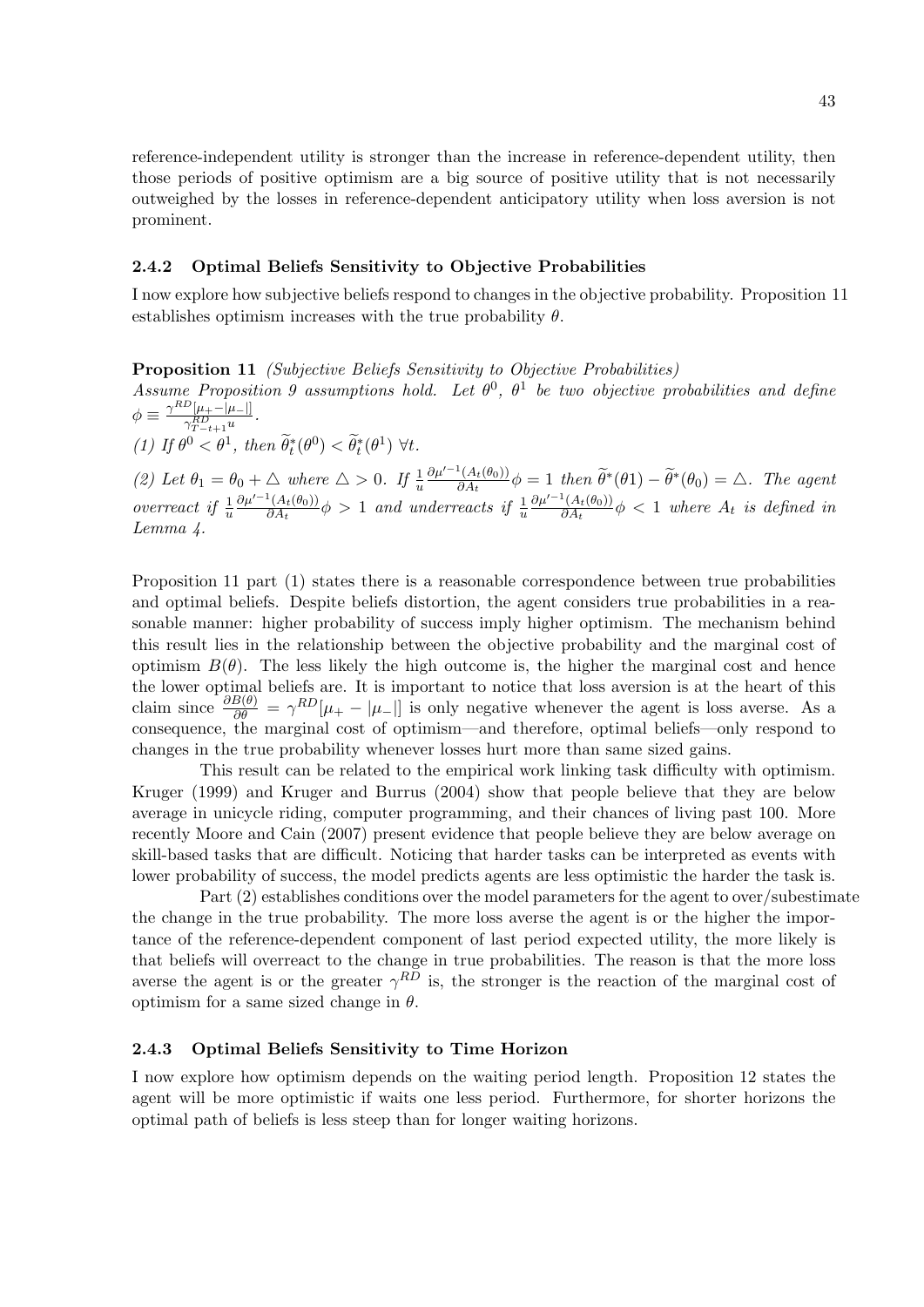reference-independent utility is stronger than the increase in reference-dependent utility, then those periods of positive optimism are a big source of positive utility that is not necessarily outweighed by the losses in reference-dependent anticipatory utility when loss aversion is not prominent.

## 2.4.2 Optimal Beliefs Sensitivity to Objective Probabilities

I now explore how subjective beliefs respond to changes in the objective probability. Proposition 11 establishes optimism increases with the true probability  $\theta$ .

Proposition 11 (Subjective Beliefs Sensitivity to Objective Probabilities)

Assume Proposition 9 assumptions hold. Let  $\theta^0$ ,  $\theta^1$  be two objective probabilities and define  $\phi \equiv \frac{\gamma^{RD}[\mu_+-|\mu_-|]}{e^{RD}}$  $\frac{-\mu_{+}-\mu_{-||}}{\gamma_{T-t+1}^{RD}}$ .

(1) If  $\theta^0 < \theta^1$ , then  $\widetilde{\theta}_t^*(\theta^0) < \widetilde{\theta}_t^*(\theta^1) \ \forall t$ .

(2) Let  $\theta_1 = \theta_0 + \triangle$  where  $\triangle > 0$ . If  $\frac{1}{u}$  $\partial \mu'^{-1}(A_t(\theta_0))$  $\frac{\partial^4(A_t(\theta_0))}{\partial A_t}\phi = 1$  then  $\widetilde{\theta}^*(\theta_1) - \widetilde{\theta}^*(\theta_0) = \triangle$ . The agent overreact if  $\frac{1}{u}$  $\partial \mu'^{-1}(A_t(\theta_0))$  $\frac{\partial^4 (A_t(\theta_0))}{\partial A_t} \phi > 1$  and underreacts if  $\frac{1}{u}$  $\partial \mu'^{-1}(A_t(\theta_0))$  $\frac{\partial^2 (A_t(\theta_0))}{\partial A_t} \phi < 1$  where  $A_t$  is defined in Lemma 4.

Proposition 11 part (1) states there is a reasonable correspondence between true probabilities and optimal beliefs. Despite beliefs distortion, the agent considers true probabilities in a reasonable manner: higher probability of success imply higher optimism. The mechanism behind this result lies in the relationship between the objective probability and the marginal cost of optimism  $B(\theta)$ . The less likely the high outcome is, the higher the marginal cost and hence the lower optimal beliefs are. It is important to notice that loss aversion is at the heart of this claim since  $\frac{\partial B(\theta)}{\partial \theta} = \gamma^{RD}[\mu_+ - |\mu_-|]$  is only negative whenever the agent is loss averse. As a consequence, the marginal cost of optimism—and therefore, optimal beliefs—only respond to changes in the true probability whenever losses hurt more than same sized gains.

This result can be related to the empirical work linking task difficulty with optimism. Kruger (1999) and Kruger and Burrus (2004) show that people believe that they are below average in unicycle riding, computer programming, and their chances of living past 100. More recently Moore and Cain (2007) present evidence that people believe they are below average on skill-based tasks that are difficult. Noticing that harder tasks can be interpreted as events with lower probability of success, the model predicts agents are less optimistic the harder the task is.

Part (2) establishes conditions over the model parameters for the agent to over/subestimate the change in the true probability. The more loss averse the agent is or the higher the importance of the reference-dependent component of last period expected utility, the more likely is that beliefs will overreact to the change in true probabilities. The reason is that the more loss averse the agent is or the greater  $\gamma^{RD}$  is, the stronger is the reaction of the marginal cost of optimism for a same sized change in  $\theta$ .

## 2.4.3 Optimal Beliefs Sensitivity to Time Horizon

I now explore how optimism depends on the waiting period length. Proposition 12 states the agent will be more optimistic if waits one less period. Furthermore, for shorter horizons the optimal path of beliefs is less steep than for longer waiting horizons.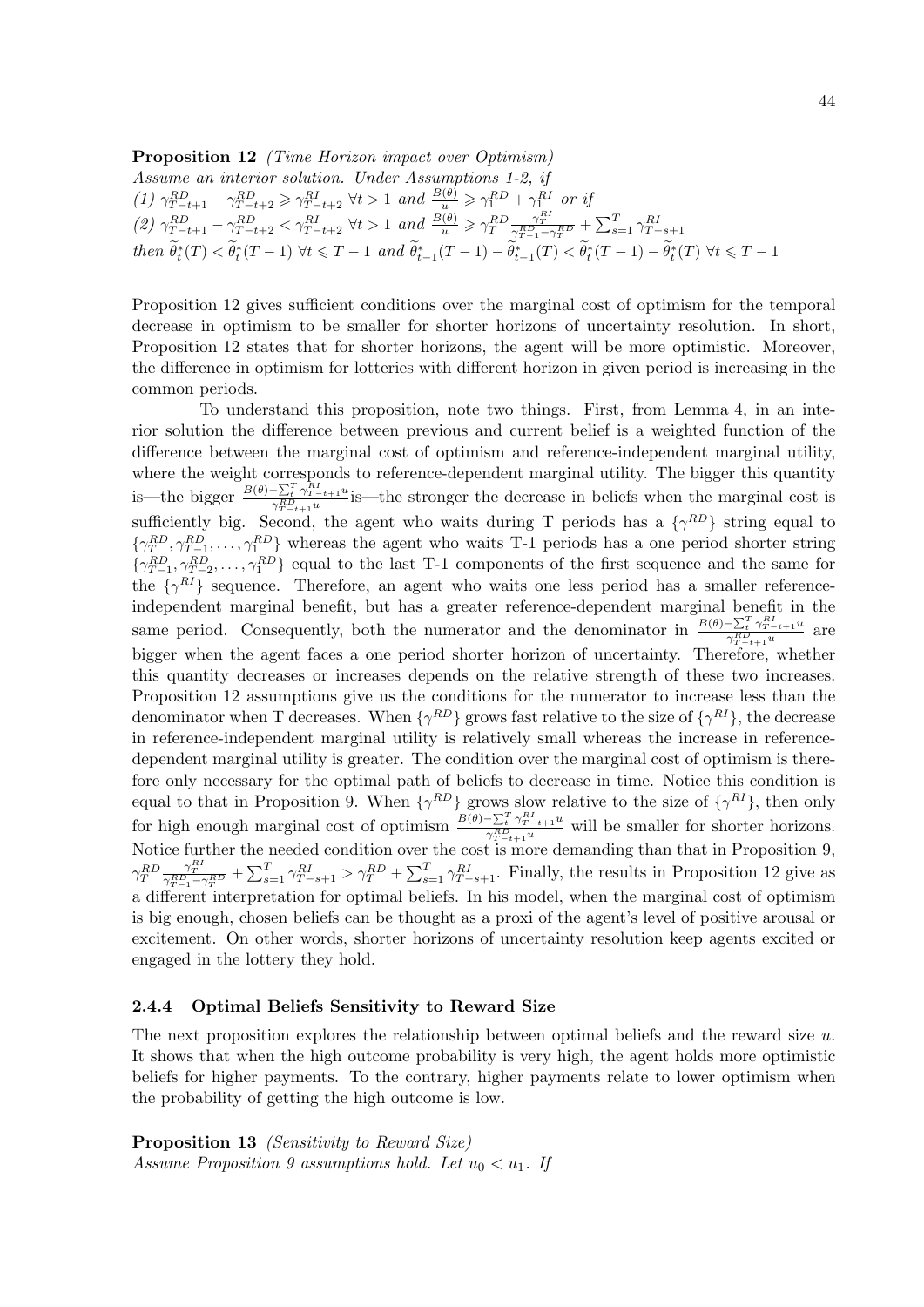**Proposition 12** (Time Horizon impact over Optimism) Assume an interior solution. Under Assumptions 1-2, if (1)  $\gamma_{T-t+1}^{RD} - \gamma_{T-t+2}^{RD} \ge \gamma_{T-t+2}^{RI} \ \forall t > 1 \ and \ \frac{B(\theta)}{u} \ge \gamma_1^{RD} + \gamma_{1}^{RI} \ or \ ij$ (2)  $\gamma_{T-t+1}^{RD} - \gamma_{T-t+2}^{RD} < \gamma_{T-t+2}^{RI}$   $\forall t > 1$  and  $\frac{B(\theta)}{u} \geq \gamma_T^{RD} \frac{\gamma_T^{RI}}{\gamma_{T-1}^{RD} - \gamma_T^{RD}} + \sum_{s=1}^T \gamma_{T-s+1}^{RI}$ then  $\widetilde{\theta}_t^*(T) < \widetilde{\theta}_t^*(T-1) \ \forall t \leq T-1 \ and \ \widetilde{\theta}_{t-1}^*(T-1) - \widetilde{\theta}_{t-1}^*(T) < \widetilde{\theta}_t^*(T-1) - \widetilde{\theta}_t^*(T) \ \forall t \leq T-1$ 

Proposition 12 gives sufficient conditions over the marginal cost of optimism for the temporal decrease in optimism to be smaller for shorter horizons of uncertainty resolution. In short, Proposition 12 states that for shorter horizons, the agent will be more optimistic. Moreover, the difference in optimism for lotteries with different horizon in given period is increasing in the common periods.

To understand this proposition, note two things. First, from Lemma 4, in an interior solution the difference between previous and current belief is a weighted function of the difference between the marginal cost of optimism and reference-independent marginal utility, where the weight corresponds to reference-dependent marginal utility. The bigger this quantity is—the bigger  $\frac{B(\theta)-\sum_{t}^{T} \gamma_{T-t+1}^{RI} u}{\gamma_{T}^{RD}}$  $\frac{\sum_{t} \gamma_{T-t+1}^{\gamma_{T-t+1}} u}{\gamma_{T-t+1}^{\gamma_{T-t+1}}}$  is—the stronger the decrease in beliefs when the marginal cost is sufficiently big. Second, the agent who waits during T periods has a  $\{\gamma^{RD}\}\$  string equal to  $\{\gamma_T^{RD}, \gamma_{T-1}^{RD}, \ldots, \gamma_1^{RD}\}\$  whereas the agent who waits T-1 periods has a one period shorter string  $\{\gamma_{T-1}^{RD}, \gamma_{T-2}^{RD}, \ldots, \gamma_1^{RD}\}\$  equal to the last T-1 components of the first sequence and the same for the  $\{\gamma^{RI}\}$  sequence. Therefore, an agent who waits one less period has a smaller referenceindependent marginal benefit, but has a greater reference-dependent marginal benefit in the same period. Consequently, both the numerator and the denominator in  $\frac{B(\theta) - \sum_{t=0}^{T} \gamma_{T-t+1}^{R_t}{u}}{\gamma_{R,D}}$  $\frac{-\sum_t \gamma_{T-t+1}u}{\gamma_{T-t+1}^{RD}u}$  are bigger when the agent faces a one period shorter horizon of uncertainty. Therefore, whether this quantity decreases or increases depends on the relative strength of these two increases. Proposition 12 assumptions give us the conditions for the numerator to increase less than the denominator when T decreases. When  $\{\gamma^{RD}\}\$  grows fast relative to the size of  $\{\gamma^{RI}\}\$ , the decrease in reference-independent marginal utility is relatively small whereas the increase in referencedependent marginal utility is greater. The condition over the marginal cost of optimism is therefore only necessary for the optimal path of beliefs to decrease in time. Notice this condition is equal to that in Proposition 9. When  $\{\gamma^{RD}\}\$  grows slow relative to the size of  $\{\gamma^{RI}\}\$ , then only for high enough marginal cost of optimism  $\frac{B(\theta) - \sum_{t=1}^{T} \gamma_{T-t+1}^{R_t}{u}}{\gamma_{R,D}}$  $\frac{\sum_{t} \gamma_{T-t+1} u}{\gamma_{T-t+1}^{\mathcal{R}} u}$  will be smaller for shorter horizons. Notice further the needed condition over the cost is more demanding than that in Proposition 9,  $\gamma_T^{RD} \frac{\gamma_T^{RI}}{\gamma_{T-1}^{RD} - \gamma_T^{RD}} + \sum_{s=1}^T \gamma_{T-s+1}^{RI} > \gamma_T^{RD} + \sum_{s=1}^T \gamma_{T-s+1}^{RI}$ . Finally, the results in Proposition 12 give as a different interpretation for optimal beliefs. In his model, when the marginal cost of optimism is big enough, chosen beliefs can be thought as a proxi of the agent's level of positive arousal or excitement. On other words, shorter horizons of uncertainty resolution keep agents excited or engaged in the lottery they hold.

#### 2.4.4 Optimal Beliefs Sensitivity to Reward Size

The next proposition explores the relationship between optimal beliefs and the reward size  $u$ . It shows that when the high outcome probability is very high, the agent holds more optimistic beliefs for higher payments. To the contrary, higher payments relate to lower optimism when the probability of getting the high outcome is low.

Proposition 13 (Sensitivity to Reward Size) Assume Proposition 9 assumptions hold. Let  $u_0 < u_1$ . If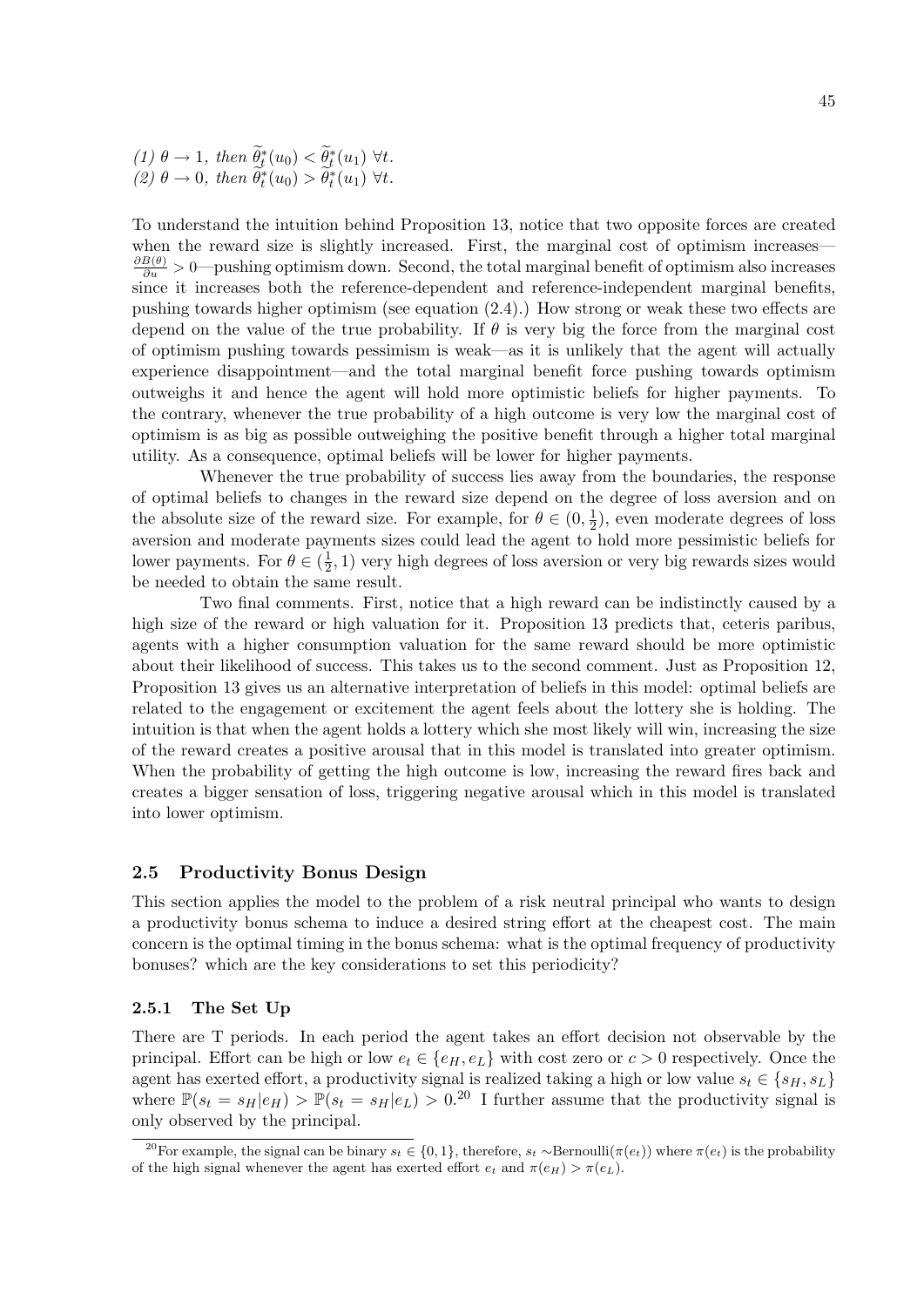(1) 
$$
\theta \to 1
$$
, then  $\widetilde{\theta}_t^*(u_0) < \widetilde{\theta}_t^*(u_1)$   $\forall t$ .  
(2)  $\theta \to 0$ , then  $\widetilde{\theta}_t^*(u_0) > \widetilde{\theta}_t^*(u_1)$   $\forall t$ .

To understand the intuition behind Proposition 13, notice that two opposite forces are created when the reward size is slightly increased. First, the marginal cost of optimism increases—  $\frac{\partial B(\theta)}{\partial u}$  > 0—pushing optimism down. Second, the total marginal benefit of optimism also increases since it increases both the reference-dependent and reference-independent marginal benefits, pushing towards higher optimism (see equation (2.4).) How strong or weak these two effects are depend on the value of the true probability. If  $\theta$  is very big the force from the marginal cost of optimism pushing towards pessimism is weak—as it is unlikely that the agent will actually experience disappointment—and the total marginal benefit force pushing towards optimism outweighs it and hence the agent will hold more optimistic beliefs for higher payments. To the contrary, whenever the true probability of a high outcome is very low the marginal cost of optimism is as big as possible outweighing the positive benefit through a higher total marginal utility. As a consequence, optimal beliefs will be lower for higher payments.

Whenever the true probability of success lies away from the boundaries, the response of optimal beliefs to changes in the reward size depend on the degree of loss aversion and on the absolute size of the reward size. For example, for  $\theta \in (0, \frac{1}{2})$  $(\frac{1}{2})$ , even moderate degrees of loss aversion and moderate payments sizes could lead the agent to hold more pessimistic beliefs for lower payments. For  $\theta \in (\frac{1}{2})$  $(\frac{1}{2}, 1)$  very high degrees of loss aversion or very big rewards sizes would be needed to obtain the same result.

Two final comments. First, notice that a high reward can be indistinctly caused by a high size of the reward or high valuation for it. Proposition 13 predicts that, ceteris paribus, agents with a higher consumption valuation for the same reward should be more optimistic about their likelihood of success. This takes us to the second comment. Just as Proposition 12, Proposition 13 gives us an alternative interpretation of beliefs in this model: optimal beliefs are related to the engagement or excitement the agent feels about the lottery she is holding. The intuition is that when the agent holds a lottery which she most likely will win, increasing the size of the reward creates a positive arousal that in this model is translated into greater optimism. When the probability of getting the high outcome is low, increasing the reward fires back and creates a bigger sensation of loss, triggering negative arousal which in this model is translated into lower optimism.

## 2.5 Productivity Bonus Design

This section applies the model to the problem of a risk neutral principal who wants to design a productivity bonus schema to induce a desired string effort at the cheapest cost. The main concern is the optimal timing in the bonus schema: what is the optimal frequency of productivity bonuses? which are the key considerations to set this periodicity?

## 2.5.1 The Set Up

There are T periods. In each period the agent takes an effort decision not observable by the principal. Effort can be high or low  $e_t \in \{e_H, e_L\}$  with cost zero or  $c > 0$  respectively. Once the agent has exerted effort, a productivity signal is realized taking a high or low value  $s_t \in \{s_H, s_L\}$ where  $\mathbb{P}(s_t = s_H | e_H) > \mathbb{P}(s_t = s_H | e_L) > 0^{20}$  I further assume that the productivity signal is only observed by the principal.

<sup>&</sup>lt;sup>20</sup>For example, the signal can be binary  $s_t \in \{0, 1\}$ , therefore,  $s_t \sim \text{Bernoulli}(\pi(e_t))$  where  $\pi(e_t)$  is the probability of the high signal whenever the agent has exerted effort  $e_t$  and  $\pi(e_H) > \pi(e_L)$ .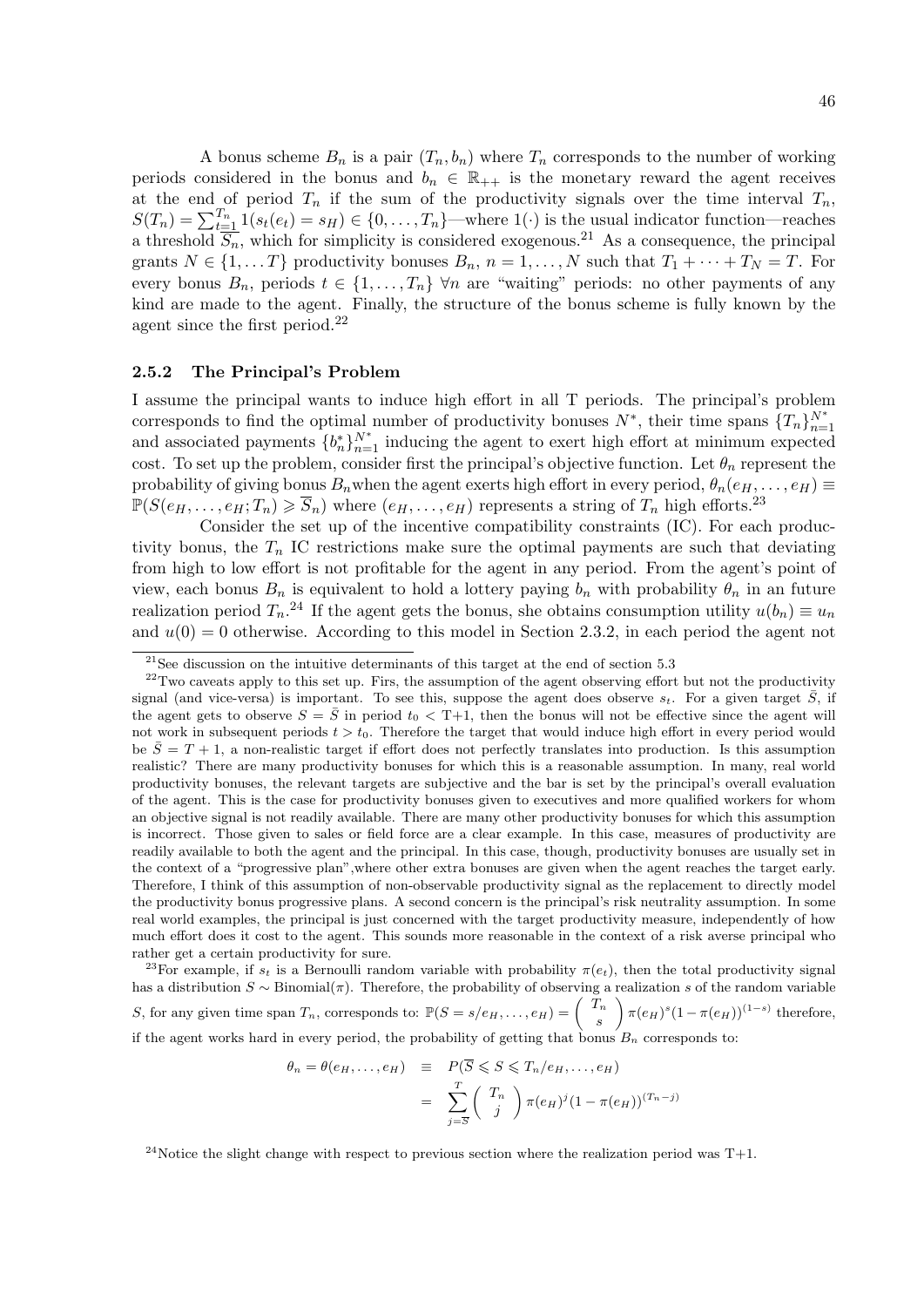A bonus scheme  $B_n$  is a pair  $(T_n, b_n)$  where  $T_n$  corresponds to the number of working periods considered in the bonus and  $b_n \in \mathbb{R}_{++}$  is the monetary reward the agent receives at the end of period  $T_n$  if the sum of the productivity signals over the time interval  $T_n$ ,  $S(T_n) = \sum_{t=1}^{T_n} 1(s_t(e_t) = s_H) \in \{0, \ldots, T_n\}$ —where  $1(\cdot)$  is the usual indicator function—reaches a threshold  $\overline{S_n}$ , which for simplicity is considered exogenous.<sup>21</sup> As a consequence, the principal grants  $N \in \{1, \ldots T\}$  productivity bonuses  $B_n$ ,  $n = 1, \ldots, N$  such that  $T_1 + \cdots + T_N = T$ . For every bonus  $B_n$ , periods  $t \in \{1, ..., T_n\}$   $\forall n$  are "waiting" periods: no other payments of any kind are made to the agent. Finally, the structure of the bonus scheme is fully known by the agent since the first period.<sup>22</sup>

## 2.5.2 The Principal's Problem

I assume the principal wants to induce high effort in all T periods. The principal's problem corresponds to find the optimal number of productivity bonuses  $N^*$ , their time spans  $\{T_n\}_{n=1}^{N^*}$ and associated payments  ${b_n^*}_{n=1}^N$  inducing the agent to exert high effort at minimum expected cost. To set up the problem, consider first the principal's objective function. Let  $\theta_n$  represent the probability of giving bonus  $B_n$  when the agent exerts high effort in every period,  $\theta_n(e_H, \ldots, e_H) \equiv$  $\mathbb{P}(S(e_H, \ldots, e_H; T_n) \geq \overline{S}_n)$  where  $(e_H, \ldots, e_H)$  represents a string of  $T_n$  high efforts.<sup>23</sup>

Consider the set up of the incentive compatibility constraints (IC). For each productivity bonus, the  $T_n$  IC restrictions make sure the optimal payments are such that deviating from high to low effort is not profitable for the agent in any period. From the agent's point of view, each bonus  $B_n$  is equivalent to hold a lottery paying  $b_n$  with probability  $\theta_n$  in an future realization period  $T_n$ .<sup>24</sup> If the agent gets the bonus, she obtains consumption utility  $u(b_n) \equiv u_n$ and  $u(0) = 0$  otherwise. According to this model in Section 2.3.2, in each period the agent not

<sup>23</sup>For example, if  $s_t$  is a Bernoulli random variable with probability  $\pi(e_t)$ , then the total productivity signal has a distribution  $S \sim \text{Binomial}(\pi)$ . Therefore, the probability of observing a realization s of the random variable S, for any given time span  $T_n$ , corresponds to:  $\mathbb{P}(S = s/e_H, \ldots, e_H) = \begin{pmatrix} T_n & 0 & 0 \\ 0 & T_n & 0 \\ 0 & 0 & T_n \end{pmatrix}$ s  $\int \pi(e_H)^s (1-\pi(e_H))^{(1-s)}$  therefore, if the agent works hard in every period, the probability of getting that bonus  $B_n$  corresponds to:

$$
\theta_n = \theta(e_H, \dots, e_H) \equiv P(\overline{S} \leqslant S \leqslant T_n/e_H, \dots, e_H)
$$

$$
= \sum_{j=\overline{S}}^{T} {T_n \choose j} \pi(e_H)^j (1 - \pi(e_H))^{(T_n - j)}
$$

<sup>24</sup>Notice the slight change with respect to previous section where the realization period was  $T+1$ .

 $\rm ^{21}See$  discussion on the intuitive determinants of this target at the end of section 5.3

 $22$ Two caveats apply to this set up. Firs, the assumption of the agent observing effort but not the productivity signal (and vice-versa) is important. To see this, suppose the agent does observe  $s_t$ . For a given target  $\bar{S}$ , if the agent gets to observe  $S = \overline{S}$  in period  $t_0 < T+1$ , then the bonus will not be effective since the agent will not work in subsequent periods  $t > t_0$ . Therefore the target that would induce high effort in every period would be  $\overline{S} = T + 1$ , a non-realistic target if effort does not perfectly translates into production. Is this assumption realistic? There are many productivity bonuses for which this is a reasonable assumption. In many, real world productivity bonuses, the relevant targets are subjective and the bar is set by the principal's overall evaluation of the agent. This is the case for productivity bonuses given to executives and more qualified workers for whom an objective signal is not readily available. There are many other productivity bonuses for which this assumption is incorrect. Those given to sales or field force are a clear example. In this case, measures of productivity are readily available to both the agent and the principal. In this case, though, productivity bonuses are usually set in the context of a "progressive plan",where other extra bonuses are given when the agent reaches the target early. Therefore, I think of this assumption of non-observable productivity signal as the replacement to directly model the productivity bonus progressive plans. A second concern is the principal's risk neutrality assumption. In some real world examples, the principal is just concerned with the target productivity measure, independently of how much effort does it cost to the agent. This sounds more reasonable in the context of a risk averse principal who rather get a certain productivity for sure.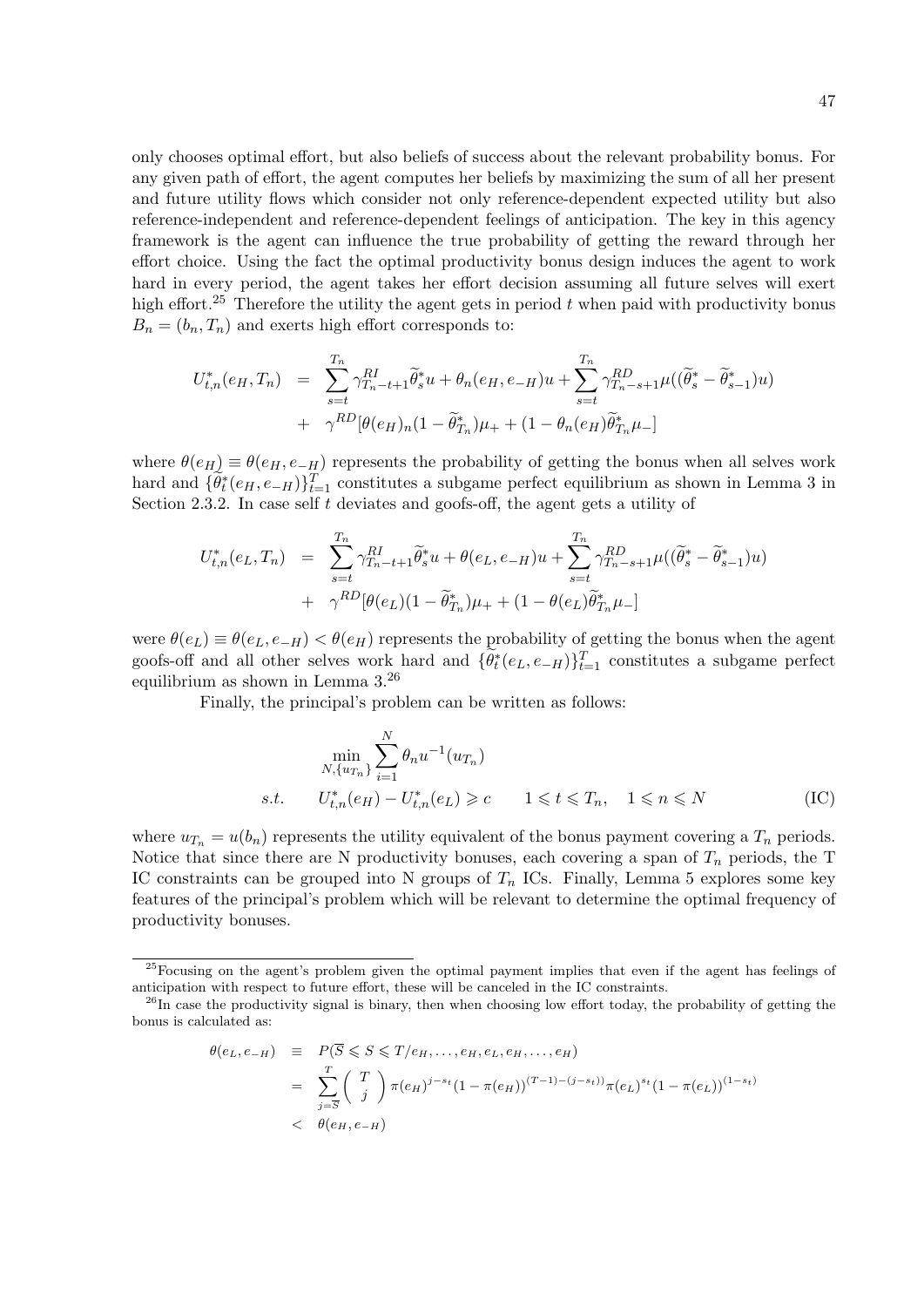only chooses optimal effort, but also beliefs of success about the relevant probability bonus. For any given path of effort, the agent computes her beliefs by maximizing the sum of all her present and future utility flows which consider not only reference-dependent expected utility but also reference-independent and reference-dependent feelings of anticipation. The key in this agency framework is the agent can influence the true probability of getting the reward through her effort choice. Using the fact the optimal productivity bonus design induces the agent to work hard in every period, the agent takes her effort decision assuming all future selves will exert high effort.<sup>25</sup> Therefore the utility the agent gets in period  $t$  when paid with productivity bonus  $B_n = (b_n, T_n)$  and exerts high effort corresponds to:

$$
U_{t,n}^*(e_H, T_n) = \sum_{s=t}^{T_n} \gamma_{T_n-t+1}^{RI} \widetilde{\theta}_s^* u + \theta_n(e_H, e_{-H}) u + \sum_{s=t}^{T_n} \gamma_{T_n-s+1}^{RD} \mu((\widetilde{\theta}_s^* - \widetilde{\theta}_{s-1}^*) u) + \gamma^{RD} [\theta(e_H)_n (1 - \widetilde{\theta}_{T_n}^*) \mu_+ + (1 - \theta_n(e_H) \widetilde{\theta}_{T_n}^* \mu_-]
$$

where  $\theta(e_H) \equiv \theta(e_H, e_H)$  represents the probability of getting the bonus when all selves work hard and  $\{\tilde{\theta}_t^*(e_H, e_H)\}_{t=1}^T$  constitutes a subgame perfect equilibrium as shown in Lemma 3 in Section 2.3.2. In case self  $t$  deviates and goofs-off, the agent gets a utility of

$$
U_{t,n}^*(e_L, T_n) = \sum_{s=t}^{T_n} \gamma_{T_n-t+1}^{RI} \tilde{\theta}_s^* u + \theta(e_L, e_{-H}) u + \sum_{s=t}^{T_n} \gamma_{T_n-s+1}^{RD} \mu((\tilde{\theta}_s^* - \tilde{\theta}_{s-1}^*) u) + \gamma^{RD} [\theta(e_L)(1 - \tilde{\theta}_{T_n}^*) \mu_+ + (1 - \theta(e_L) \tilde{\theta}_{T_n}^* \mu_-]
$$

were  $\theta(e_L) \equiv \theta(e_L, e_H) < \theta(e_H)$  represents the probability of getting the bonus when the agent goofs-off and all other selves work hard and  $\{\tilde{\theta}_t^*(e_L, e_H)\}_{t=1}^T$  constitutes a subgame perfect equilibrium as shown in Lemma 3.<sup>26</sup>

Finally, the principal's problem can be written as follows:

$$
\min_{N, \{u_{T_n}\}} \sum_{i=1}^N \theta_n u^{-1}(u_{T_n})
$$
\n*s.t.*  $U_{t,n}^*(e_H) - U_{t,n}^*(e_L) \ge c$   $1 \le t \le T_n$ ,  $1 \le n \le N$  (IC)

where  $u_{T_n} = u(b_n)$  represents the utility equivalent of the bonus payment covering a  $T_n$  periods. Notice that since there are N productivity bonuses, each covering a span of  $T_n$  periods, the T IC constraints can be grouped into N groups of  $T_n$  ICs. Finally, Lemma 5 explores some key features of the principal's problem which will be relevant to determine the optimal frequency of productivity bonuses.

$$
\theta(e_L, e_{-H}) \equiv P(\overline{S} \leq S \leq T/e_H, \dots, e_H, e_L, e_H, \dots, e_H)
$$
  
= 
$$
\sum_{j=\overline{S}}^{T} {T \choose j} \pi(e_H)^{j-s_t} (1 - \pi(e_H))^{(T-1) - (j-s_t))} \pi(e_L)^{s_t} (1 - \pi(e_L))^{(1-s_t)}
$$
  
< 
$$
\theta(e_H, e_{-H})
$$

<sup>&</sup>lt;sup>25</sup>Focusing on the agent's problem given the optimal payment implies that even if the agent has feelings of anticipation with respect to future effort, these will be canceled in the IC constraints.

 $^{26}$ In case the productivity signal is binary, then when choosing low effort today, the probability of getting the bonus is calculated as: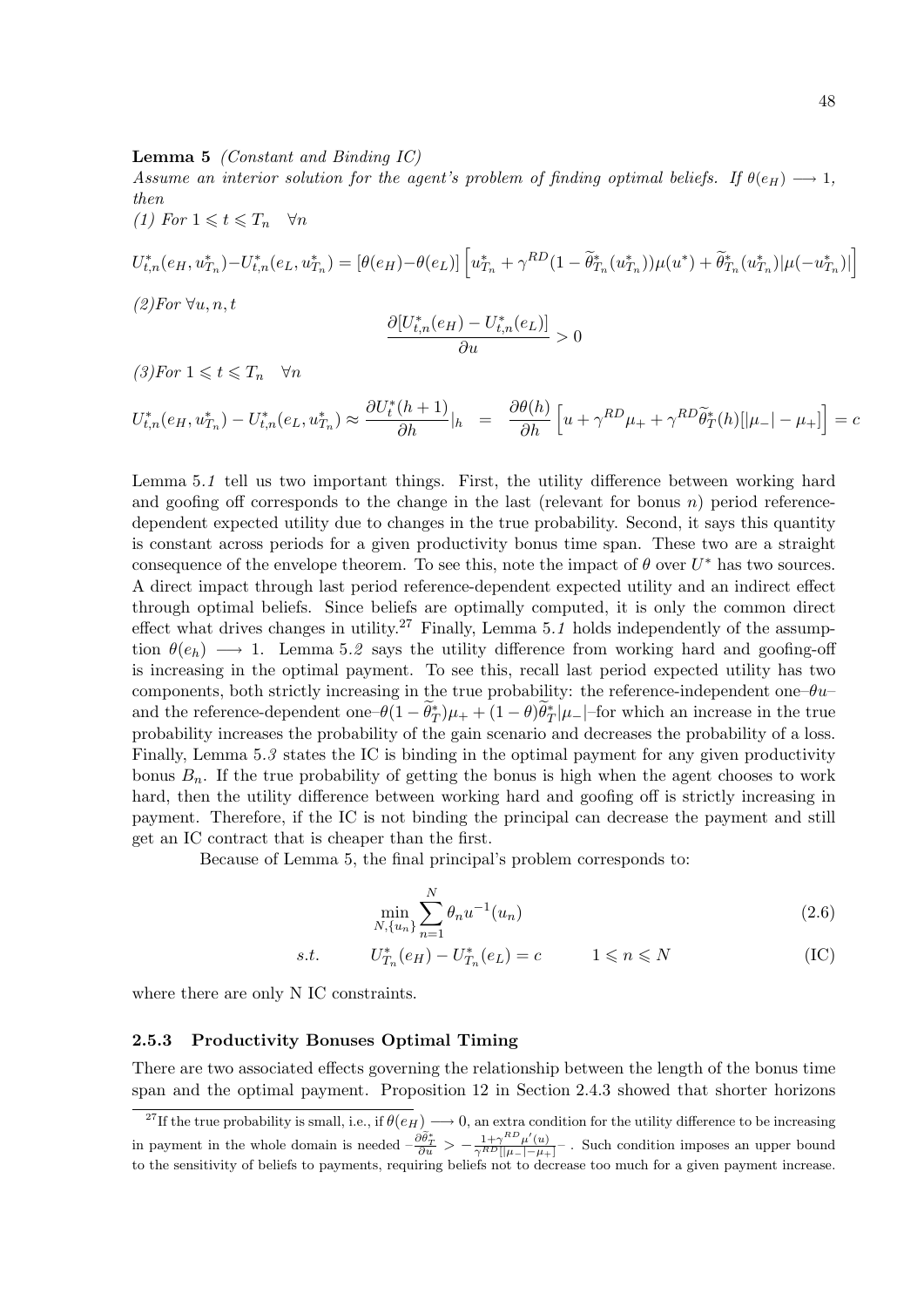#### **Lemma 5** (Constant and Binding  $IC$ )

Assume an interior solution for the agent's problem of finding optimal beliefs. If  $\theta(e_H) \longrightarrow 1$ , then

(1) For  $1 \leq t \leq T_n \quad \forall n$ 

$$
U_{t,n}^*(e_H, u_{T_n}^*) - U_{t,n}^*(e_L, u_{T_n}^*) = [\theta(e_H) - \theta(e_L)] \left[ u_{T_n}^* + \gamma^{RD} (1 - \tilde{\theta}_{T_n}^*(u_{T_n}^*)) \mu(u^*) + \tilde{\theta}_{T_n}^*(u_{T_n}^*) |\mu(-u_{T_n}^*)| \right]
$$

 $(2)$ For  $\forall u, n, t$ 

$$
\frac{\partial[U_{t,n}^*(e_H)-U_{t,n}^*(e_L)]}{\partial u}>0
$$

 $(3)$ For  $1 \leq t \leq T_n \quad \forall n$ 

$$
U_{t,n}^*(e_H, u_{T_n}^*) - U_{t,n}^*(e_L, u_{T_n}^*) \approx \frac{\partial U_t^*(h+1)}{\partial h}|_h = \frac{\partial \theta(h)}{\partial h} \left[ u + \gamma^{RD} \tilde{\mu}_t + \gamma^{RD} \tilde{\theta}_T^*(h) [\vert \mu_- \vert - \mu_+ \vert] \right] = c
$$

Lemma 5.1 tell us two important things. First, the utility difference between working hard and goofing off corresponds to the change in the last (relevant for bonus  $n$ ) period referencedependent expected utility due to changes in the true probability. Second, it says this quantity is constant across periods for a given productivity bonus time span. These two are a straight consequence of the envelope theorem. To see this, note the impact of  $\theta$  over  $U^*$  has two sources. A direct impact through last period reference-dependent expected utility and an indirect effect through optimal beliefs. Since beliefs are optimally computed, it is only the common direct effect what drives changes in utility.<sup>27</sup> Finally, Lemma 5.1 holds independently of the assumption  $\theta(e_h) \longrightarrow 1$ . Lemma 5.2 says the utility difference from working hard and goofing-off is increasing in the optimal payment. To see this, recall last period expected utility has two components, both strictly increasing in the true probability: the reference-independent one– $\theta u$ – and the reference-dependent one– $\theta(1-\tilde{\theta}_T^*)\mu_+ + (1-\theta)\tilde{\theta}_T^*|\mu_-|$ -for which an increase in the true probability increases the probability of the gain scenario and decreases the probability of a loss. Finally, Lemma 5.3 states the IC is binding in the optimal payment for any given productivity bonus  $B_n$ . If the true probability of getting the bonus is high when the agent chooses to work hard, then the utility difference between working hard and goofing off is strictly increasing in payment. Therefore, if the IC is not binding the principal can decrease the payment and still get an IC contract that is cheaper than the first.

Because of Lemma 5, the final principal's problem corresponds to:

$$
\min_{N, \{u_n\}} \sum_{n=1}^{N} \theta_n u^{-1}(u_n) \tag{2.6}
$$

s.t.  $U_{T_n}^*(e_H) - U_{T_n}^*(e_L) = c$   $1 \leq n \leq N$  (IC)

where there are only N IC constraints.

## 2.5.3 Productivity Bonuses Optimal Timing

There are two associated effects governing the relationship between the length of the bonus time span and the optimal payment. Proposition 12 in Section 2.4.3 showed that shorter horizons

<sup>&</sup>lt;sup>27</sup>If the true probability is small, i.e., if  $\theta(e_H) \longrightarrow 0$ , an extra condition for the utility difference to be increasing in payment in the whole domain is needed  $-\frac{\partial \tilde{\theta}_T^*}{\partial u} > -\frac{1+\gamma^{RD}\mu'(u)}{\gamma^{RD}[[\mu_-]-\mu_+]}$ . Such condition imposes an upper bound to the sensitivity of beliefs to payments, requiring beliefs not to decrease too much for a given payment increase.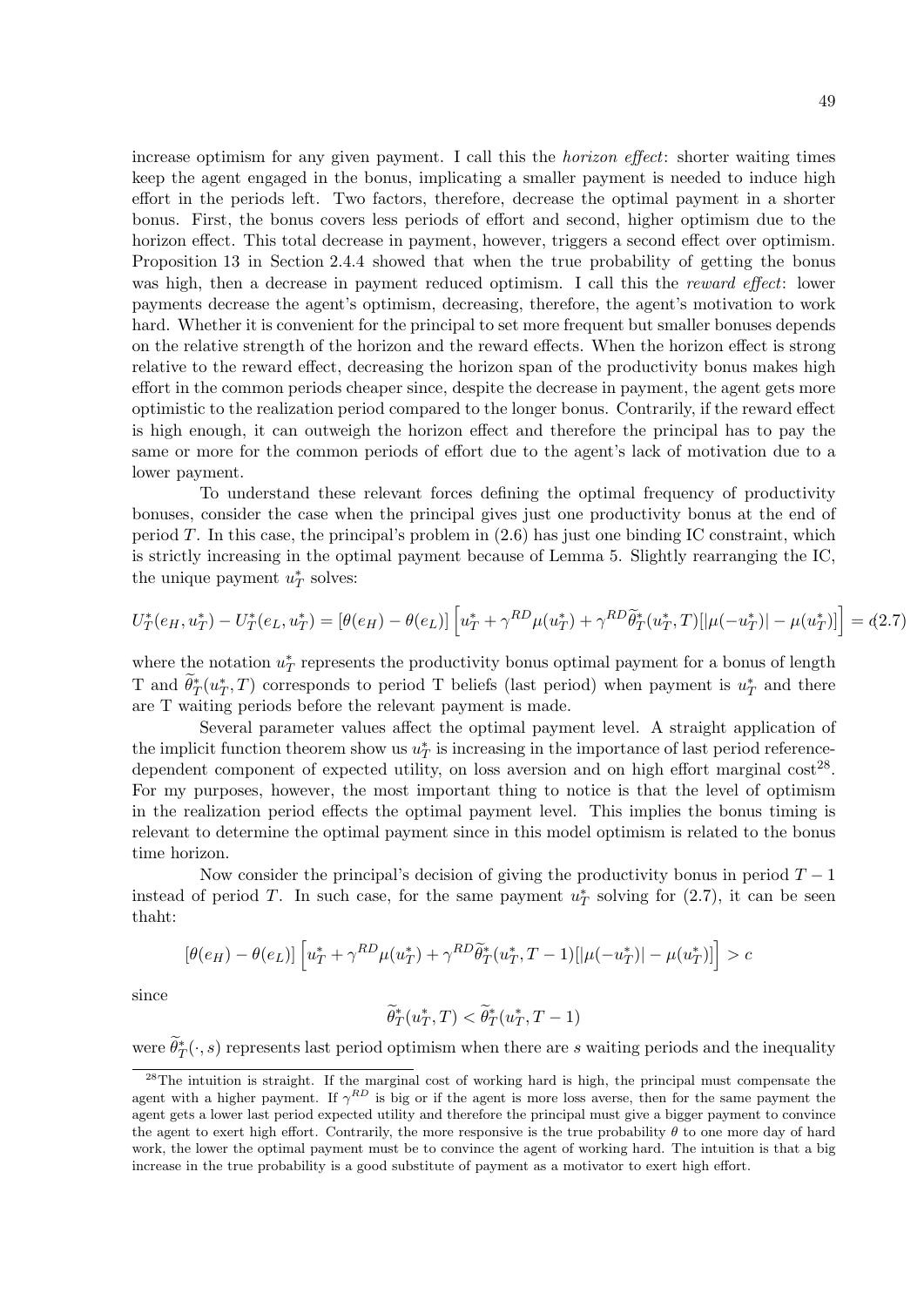increase optimism for any given payment. I call this the *horizon effect*: shorter waiting times keep the agent engaged in the bonus, implicating a smaller payment is needed to induce high effort in the periods left. Two factors, therefore, decrease the optimal payment in a shorter bonus. First, the bonus covers less periods of effort and second, higher optimism due to the horizon effect. This total decrease in payment, however, triggers a second effect over optimism. Proposition 13 in Section 2.4.4 showed that when the true probability of getting the bonus was high, then a decrease in payment reduced optimism. I call this the *reward effect*: lower payments decrease the agent's optimism, decreasing, therefore, the agent's motivation to work hard. Whether it is convenient for the principal to set more frequent but smaller bonuses depends on the relative strength of the horizon and the reward effects. When the horizon effect is strong relative to the reward effect, decreasing the horizon span of the productivity bonus makes high effort in the common periods cheaper since, despite the decrease in payment, the agent gets more optimistic to the realization period compared to the longer bonus. Contrarily, if the reward effect is high enough, it can outweigh the horizon effect and therefore the principal has to pay the same or more for the common periods of effort due to the agent's lack of motivation due to a lower payment.

To understand these relevant forces defining the optimal frequency of productivity bonuses, consider the case when the principal gives just one productivity bonus at the end of period  $T$ . In this case, the principal's problem in  $(2.6)$  has just one binding IC constraint, which is strictly increasing in the optimal payment because of Lemma 5. Slightly rearranging the IC, the unique payment  $u^*_T$  solves:

$$
U_T^*(e_H, u_T^*) - U_T^*(e_L, u_T^*) = [\theta(e_H) - \theta(e_L)] \left[ u_T^* + \gamma^{RD} \mu(u_T^*) + \gamma^{RD} \tilde{\theta}_T^*(u_T^*, T) [\vert \mu(-u_T^*) \vert - \mu(u_T^*)] \right] = (2.7)
$$

where the notation  $u_T^*$  represents the productivity bonus optimal payment for a bonus of length T and  $\widetilde{\theta}_T^*(u_T^*,T)$  corresponds to period T beliefs (last period) when payment is  $u_T^*$  and there are T waiting periods before the relevant payment is made.

Several parameter values affect the optimal payment level. A straight application of the implicit function theorem show us  $u_T^*$  is increasing in the importance of last period referencedependent component of expected utility, on loss aversion and on high effort marginal  $\cos t^{28}$ . For my purposes, however, the most important thing to notice is that the level of optimism in the realization period effects the optimal payment level. This implies the bonus timing is relevant to determine the optimal payment since in this model optimism is related to the bonus time horizon.

Now consider the principal's decision of giving the productivity bonus in period  $T - 1$ instead of period T. In such case, for the same payment  $u^*_T$  solving for (2.7), it can be seen thaht:

$$
[\theta(e_H) - \theta(e_L)] \left[ u_T^* + \gamma^{RD} \mu(u_T^*) + \gamma^{RD} \widetilde{\theta}_T^*(u_T^*, T - 1) [|\mu(-u_T^*)| - \mu(u_T^*)] \right] > c
$$

since

$$
\widetilde{\theta}_T^*(u_T^*, T) < \widetilde{\theta}_T^*(u_T^*, T - 1)
$$

were  $\widetilde{\theta}_T^*(\cdot, s)$  represents last period optimism when there are s waiting periods and the inequality

<sup>&</sup>lt;sup>28</sup>The intuition is straight. If the marginal cost of working hard is high, the principal must compensate the agent with a higher payment. If  $\gamma^{RD}$  is big or if the agent is more loss averse, then for the same payment the agent gets a lower last period expected utility and therefore the principal must give a bigger payment to convince the agent to exert high effort. Contrarily, the more responsive is the true probability  $\theta$  to one more day of hard work, the lower the optimal payment must be to convince the agent of working hard. The intuition is that a big increase in the true probability is a good substitute of payment as a motivator to exert high effort.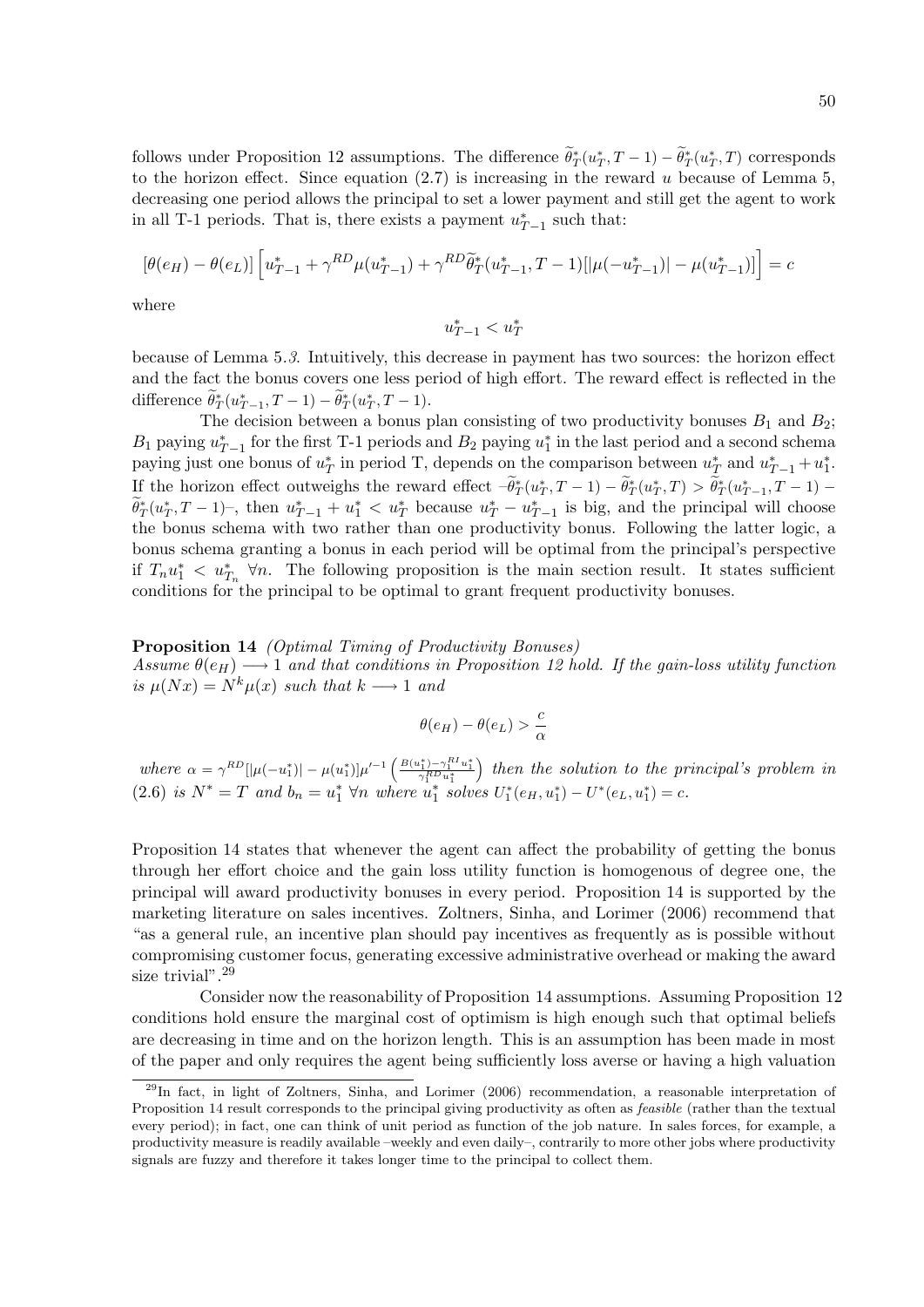follows under Proposition 12 assumptions. The difference  $\tilde{\theta}_T^*(u_T^*,T-1) - \tilde{\theta}_T^*(u_T^*,T)$  corresponds to the horizon effect. Since equation  $(2.7)$  is increasing in the reward u because of Lemma 5, decreasing one period allows the principal to set a lower payment and still get the agent to work in all T-1 periods. That is, there exists a payment  $u_{T-1}^*$  such that:

$$
\left[\theta(e_H) - \theta(e_L)\right] \left[u_{T-1}^* + \gamma^{RD} \mu(u_{T-1}^*) + \gamma^{RD} \tilde{\theta}_T^*(u_{T-1}^*, T-1) [\vert \mu(-u_{T-1}^*) \vert - \mu(u_{T-1}^*)] \right] = c
$$

where

 $u_{T-1}^* < u_T^*$ 

because of Lemma 5.3. Intuitively, this decrease in payment has two sources: the horizon effect and the fact the bonus covers one less period of high effort. The reward effect is reflected in the difference  $\theta^*_T(u^*_{T-1}, T-1) - \theta^*_T(u^*_T, T-1)$ .

The decision between a bonus plan consisting of two productivity bonuses  $B_1$  and  $B_2$ ;  $B_1$  paying  $u_{T-1}^*$  for the first T-1 periods and  $B_2$  paying  $u_1^*$  in the last period and a second schema paying just one bonus of  $u_T^*$  in period T, depends on the comparison between  $u_T^*$  and  $u_{T-1}^* + u_1^*$ . If the horizon effect outweighs the reward effect  $-\theta^*_T(u^*_T, T - 1) - \theta^*_T(u^*_T, T) > \theta^*_T(u^*_{T-1}, T - 1) - \theta^*_T(u^*_{T-1}, T)$  $\widetilde{\theta}_T^*(u_T^*,T-1)$ , then  $u_{T-1}^* + u_1^* < u_T^*$  because  $u_T^* - u_{T-1}^*$  is big, and the principal will choose the bonus schema with two rather than one productivity bonus. Following the latter logic, a bonus schema granting a bonus in each period will be optimal from the principal's perspective if  $T_n u_1^* \leq u_{T_n}^*$   $\forall n$ . The following proposition is the main section result. It states sufficient conditions for the principal to be optimal to grant frequent productivity bonuses.

#### Proposition 14 *(Optimal Timing of Productivity Bonuses)*

Assume  $\theta(e_H) \longrightarrow 1$  and that conditions in Proposition 12 hold. If the gain-loss utility function is  $\mu(Nx) = N^k \mu(x)$  such that  $k \longrightarrow 1$  and

$$
\theta(e_H) - \theta(e_L) > \frac{c}{\alpha}
$$

where  $\alpha = \gamma^{RD} [|\mu(-u_1^*)| - \mu(u_1^*)] \mu'^{-1} \left( \frac{B(u_1^*) - \gamma_1^{RU} u_1^*}{\gamma_1^{RD} u_1^*} \right)$ ) then the solution to the principal's problem in (2.6) is  $N^* = T$  and  $b_n = u_1^* \,\forall n$  where  $u_1^*$  solves  $U_1^*(e_H, u_1^*) - U^*(e_L, u_1^*) = c$ .

Proposition 14 states that whenever the agent can affect the probability of getting the bonus through her effort choice and the gain loss utility function is homogenous of degree one, the principal will award productivity bonuses in every period. Proposition 14 is supported by the marketing literature on sales incentives. Zoltners, Sinha, and Lorimer (2006) recommend that "as a general rule, an incentive plan should pay incentives as frequently as is possible without compromising customer focus, generating excessive administrative overhead or making the award size trivial".<sup>29</sup>

Consider now the reasonability of Proposition 14 assumptions. Assuming Proposition 12 conditions hold ensure the marginal cost of optimism is high enough such that optimal beliefs are decreasing in time and on the horizon length. This is an assumption has been made in most of the paper and only requires the agent being sufficiently loss averse or having a high valuation

<sup>&</sup>lt;sup>29</sup>In fact, in light of Zoltners, Sinha, and Lorimer (2006) recommendation, a reasonable interpretation of Proposition 14 result corresponds to the principal giving productivity as often as *feasible* (rather than the textual every period); in fact, one can think of unit period as function of the job nature. In sales forces, for example, a productivity measure is readily available –weekly and even daily–, contrarily to more other jobs where productivity signals are fuzzy and therefore it takes longer time to the principal to collect them.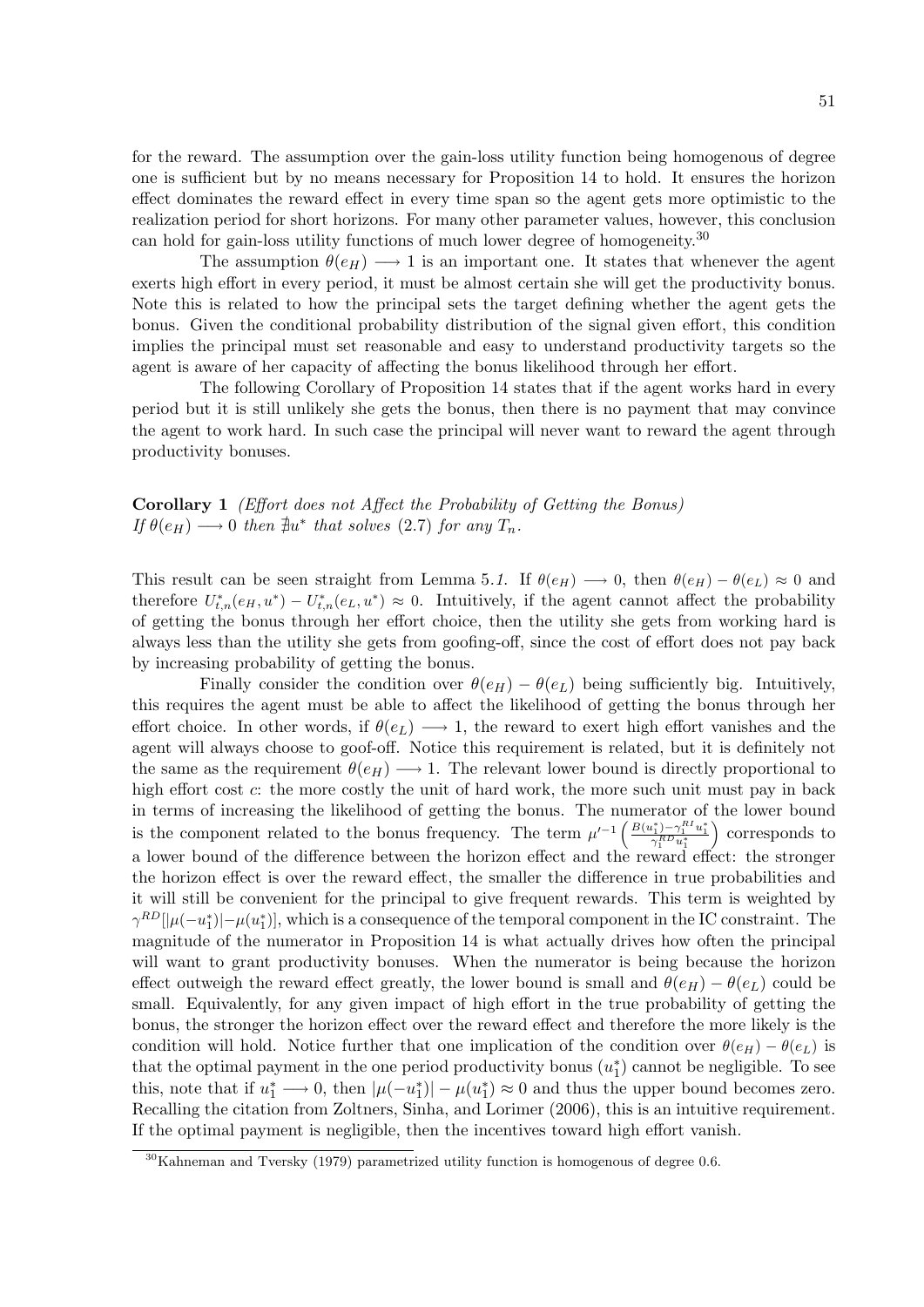for the reward. The assumption over the gain-loss utility function being homogenous of degree one is sufficient but by no means necessary for Proposition 14 to hold. It ensures the horizon effect dominates the reward effect in every time span so the agent gets more optimistic to the realization period for short horizons. For many other parameter values, however, this conclusion can hold for gain-loss utility functions of much lower degree of homogeneity.<sup>30</sup>

The assumption  $\theta(e_H) \longrightarrow 1$  is an important one. It states that whenever the agent exerts high effort in every period, it must be almost certain she will get the productivity bonus. Note this is related to how the principal sets the target defining whether the agent gets the bonus. Given the conditional probability distribution of the signal given effort, this condition implies the principal must set reasonable and easy to understand productivity targets so the agent is aware of her capacity of affecting the bonus likelihood through her effort.

The following Corollary of Proposition 14 states that if the agent works hard in every period but it is still unlikely she gets the bonus, then there is no payment that may convince the agent to work hard. In such case the principal will never want to reward the agent through productivity bonuses.

Corollary 1 (Effort does not Affect the Probability of Getting the Bonus) If  $\theta(e_H) \longrightarrow 0$  then  $\sharp u^*$  that solves (2.7) for any  $T_n$ .

This result can be seen straight from Lemma 5.1. If  $\theta(e_H) \longrightarrow 0$ , then  $\theta(e_H) - \theta(e_L) \approx 0$  and therefore  $U_{t,n}^*(e_H, u^*) - U_{t,n}^*(e_L, u^*) \approx 0$ . Intuitively, if the agent cannot affect the probability of getting the bonus through her effort choice, then the utility she gets from working hard is always less than the utility she gets from goofing-off, since the cost of effort does not pay back by increasing probability of getting the bonus.

Finally consider the condition over  $\theta(e_H) - \theta(e_L)$  being sufficiently big. Intuitively, this requires the agent must be able to affect the likelihood of getting the bonus through her effort choice. In other words, if  $\theta(e_L) \longrightarrow 1$ , the reward to exert high effort vanishes and the agent will always choose to goof-off. Notice this requirement is related, but it is definitely not the same as the requirement  $\theta(e_H) \longrightarrow 1$ . The relevant lower bound is directly proportional to high effort cost  $c$ : the more costly the unit of hard work, the more such unit must pay in back in terms of increasing the likelihood of getting the bonus. The numerator of the lower bound is the component related to the bonus frequency. The term  $\mu'^{-1} \left( \frac{B(u_1^*) - \gamma_1^{R_1} u_1^*}{\gamma_1^{R_1} u_1^*} \right)$  corresponds to a lower bound of the difference between the horizon effect and the reward effect: the stronger the horizon effect is over the reward effect, the smaller the difference in true probabilities and it will still be convenient for the principal to give frequent rewards. This term is weighted by  $\gamma^{RD}[|\mu(-u_1^*)|-\mu(u_1^*)]$ , which is a consequence of the temporal component in the IC constraint. The magnitude of the numerator in Proposition 14 is what actually drives how often the principal will want to grant productivity bonuses. When the numerator is being because the horizon effect outweigh the reward effect greatly, the lower bound is small and  $\theta(e_H) - \theta(e_L)$  could be small. Equivalently, for any given impact of high effort in the true probability of getting the bonus, the stronger the horizon effect over the reward effect and therefore the more likely is the condition will hold. Notice further that one implication of the condition over  $\theta(e_H) - \theta(e_L)$  is that the optimal payment in the one period productivity bonus  $(u_1^*)$  cannot be negligible. To see this, note that if  $u_1^* \longrightarrow 0$ , then  $|\mu(-u_1^*)| - \mu(u_1^*) \approx 0$  and thus the upper bound becomes zero. Recalling the citation from Zoltners, Sinha, and Lorimer (2006), this is an intuitive requirement. If the optimal payment is negligible, then the incentives toward high effort vanish.

 $30$ Kahneman and Tversky (1979) parametrized utility function is homogenous of degree 0.6.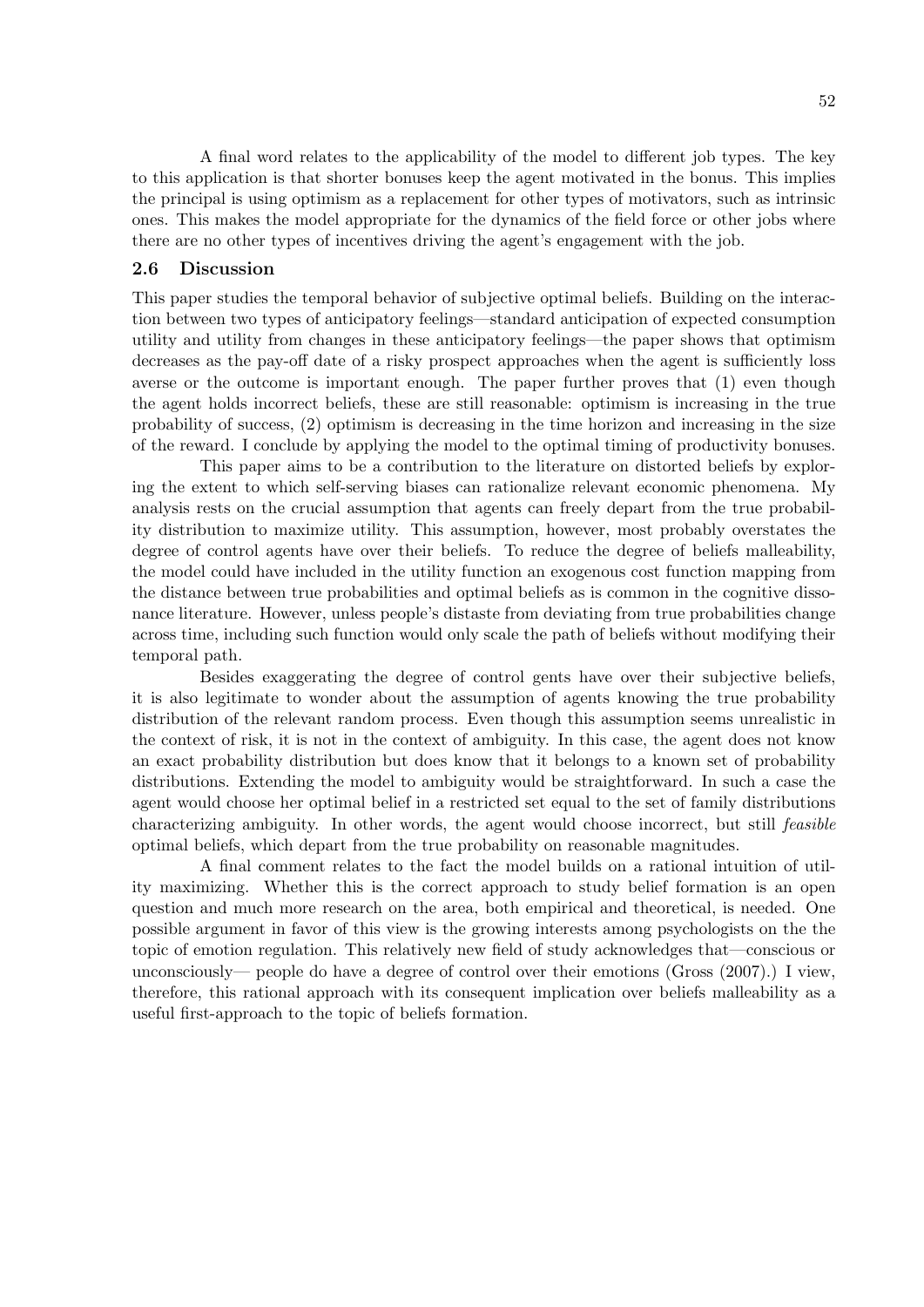A final word relates to the applicability of the model to different job types. The key to this application is that shorter bonuses keep the agent motivated in the bonus. This implies the principal is using optimism as a replacement for other types of motivators, such as intrinsic ones. This makes the model appropriate for the dynamics of the field force or other jobs where there are no other types of incentives driving the agent's engagement with the job.

## 2.6 Discussion

This paper studies the temporal behavior of subjective optimal beliefs. Building on the interaction between two types of anticipatory feelings—standard anticipation of expected consumption utility and utility from changes in these anticipatory feelings—the paper shows that optimism decreases as the pay-off date of a risky prospect approaches when the agent is sufficiently loss averse or the outcome is important enough. The paper further proves that (1) even though the agent holds incorrect beliefs, these are still reasonable: optimism is increasing in the true probability of success, (2) optimism is decreasing in the time horizon and increasing in the size of the reward. I conclude by applying the model to the optimal timing of productivity bonuses.

This paper aims to be a contribution to the literature on distorted beliefs by exploring the extent to which self-serving biases can rationalize relevant economic phenomena. My analysis rests on the crucial assumption that agents can freely depart from the true probability distribution to maximize utility. This assumption, however, most probably overstates the degree of control agents have over their beliefs. To reduce the degree of beliefs malleability, the model could have included in the utility function an exogenous cost function mapping from the distance between true probabilities and optimal beliefs as is common in the cognitive dissonance literature. However, unless people's distaste from deviating from true probabilities change across time, including such function would only scale the path of beliefs without modifying their temporal path.

Besides exaggerating the degree of control gents have over their subjective beliefs, it is also legitimate to wonder about the assumption of agents knowing the true probability distribution of the relevant random process. Even though this assumption seems unrealistic in the context of risk, it is not in the context of ambiguity. In this case, the agent does not know an exact probability distribution but does know that it belongs to a known set of probability distributions. Extending the model to ambiguity would be straightforward. In such a case the agent would choose her optimal belief in a restricted set equal to the set of family distributions characterizing ambiguity. In other words, the agent would choose incorrect, but still feasible optimal beliefs, which depart from the true probability on reasonable magnitudes.

A final comment relates to the fact the model builds on a rational intuition of utility maximizing. Whether this is the correct approach to study belief formation is an open question and much more research on the area, both empirical and theoretical, is needed. One possible argument in favor of this view is the growing interests among psychologists on the the topic of emotion regulation. This relatively new field of study acknowledges that—conscious or unconsciously— people do have a degree of control over their emotions (Gross (2007).) I view, therefore, this rational approach with its consequent implication over beliefs malleability as a useful first-approach to the topic of beliefs formation.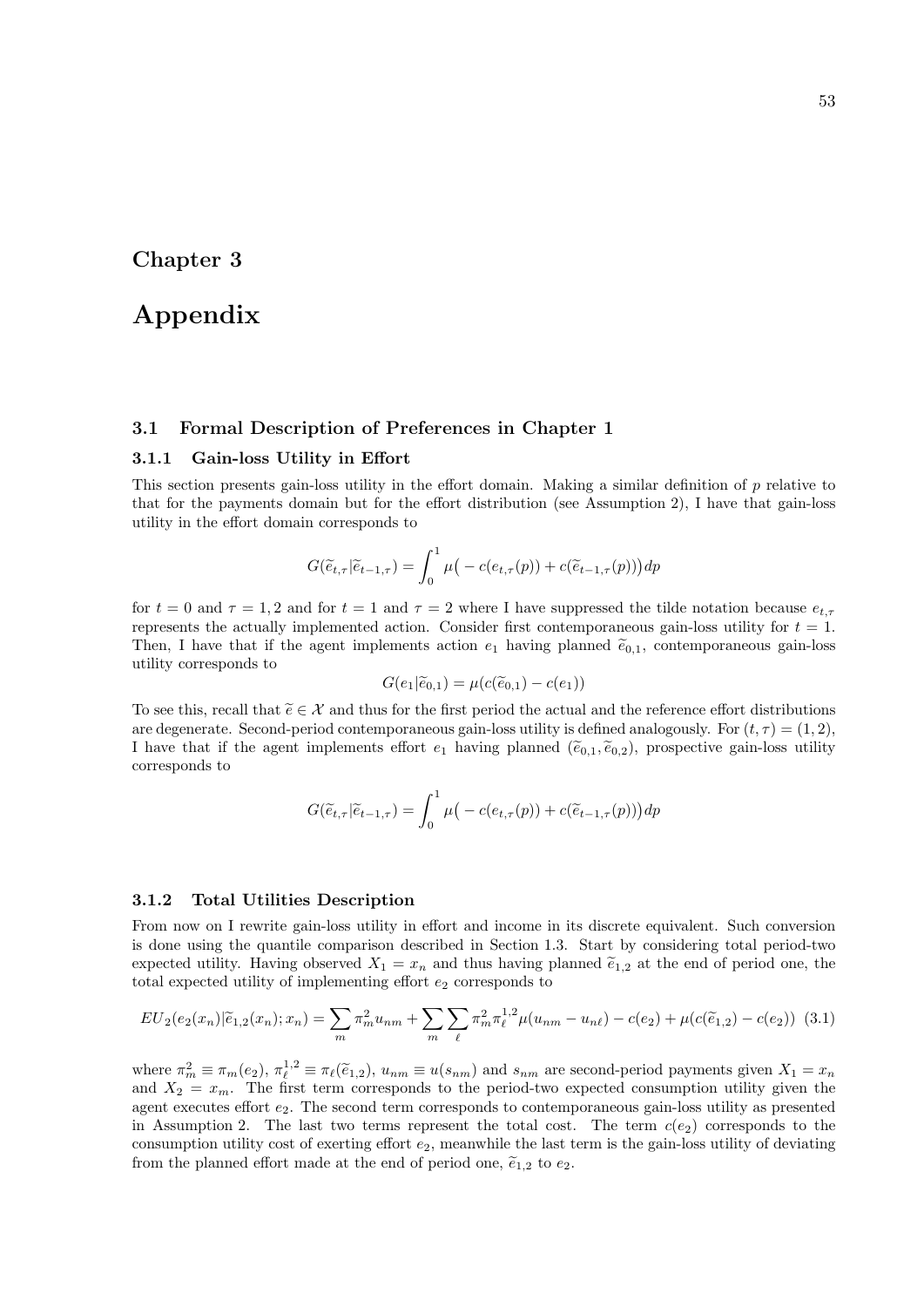## Chapter 3

# Appendix

## 3.1 Formal Description of Preferences in Chapter 1

## 3.1.1 Gain-loss Utility in Effort

This section presents gain-loss utility in the effort domain. Making a similar definition of  $p$  relative to that for the payments domain but for the effort distribution (see Assumption 2), I have that gain-loss utility in the effort domain corresponds to

$$
G(\widetilde{e}_{t,\tau}|\widetilde{e}_{t-1,\tau}) = \int_0^1 \mu\big(-c(e_{t,\tau}(p)) + c(\widetilde{e}_{t-1,\tau}(p))\big)dp
$$

for  $t = 0$  and  $\tau = 1, 2$  and for  $t = 1$  and  $\tau = 2$  where I have suppressed the tilde notation because  $e_{t,\tau}$ represents the actually implemented action. Consider first contemporaneous gain-loss utility for  $t = 1$ . Then, I have that if the agent implements action  $e_1$  having planned  $\tilde{e}_{0,1}$ , contemporaneous gain-loss utility corresponds to

$$
G(e_1|\widetilde{e}_{0,1}) = \mu(c(\widetilde{e}_{0,1}) - c(e_1))
$$

To see this, recall that  $\tilde{e} \in \mathcal{X}$  and thus for the first period the actual and the reference effort distributions are degenerate. Second-period contemporaneous gain-loss utility is defined analogously. For  $(t, \tau) = (1, 2)$ , I have that if the agent implements effort  $e_1$  having planned  $(\tilde{e}_{0,1}, \tilde{e}_{0,2})$ , prospective gain-loss utility corresponds to

$$
G(\widetilde{e}_{t,\tau}|\widetilde{e}_{t-1,\tau}) = \int_0^1 \mu\big(-c(e_{t,\tau}(p)) + c(\widetilde{e}_{t-1,\tau}(p))\big)dp
$$

#### 3.1.2 Total Utilities Description

From now on I rewrite gain-loss utility in effort and income in its discrete equivalent. Such conversion is done using the quantile comparison described in Section 1.3. Start by considering total period-two expected utility. Having observed  $X_1 = x_n$  and thus having planned  $\tilde{e}_{1,2}$  at the end of period one, the total expected utility of implementing effort  $e_2$  corresponds to

$$
EU_2(e_2(x_n)|\widetilde{e}_{1,2}(x_n);x_n) = \sum_m \pi_m^2 u_{nm} + \sum_m \sum_{\ell} \pi_m^2 \pi_{\ell}^{1,2} \mu(u_{nm} - u_{n\ell}) - c(e_2) + \mu(c(\widetilde{e}_{1,2}) - c(e_2))
$$
(3.1)

where  $\pi_m^2 \equiv \pi_m(e_2)$ ,  $\pi_{\ell}^{1,2} \equiv \pi_{\ell}(\tilde{e}_{1,2})$ ,  $u_{nm} \equiv u(s_{nm})$  and  $s_{nm}$  are second-period payments given  $X_1 = x_n$ <br>and  $X_2 = x_m$ . The first term corresponds to the period-two expected consumption utility given the agent executes effort  $e_2$ . The second term corresponds to contemporaneous gain-loss utility as presented in Assumption 2. The last two terms represent the total cost. The term  $c(e_2)$  corresponds to the consumption utility cost of exerting effort  $e_2$ , meanwhile the last term is the gain-loss utility of deviating from the planned effort made at the end of period one,  $\tilde{e}_{1,2}$  to  $e_2$ .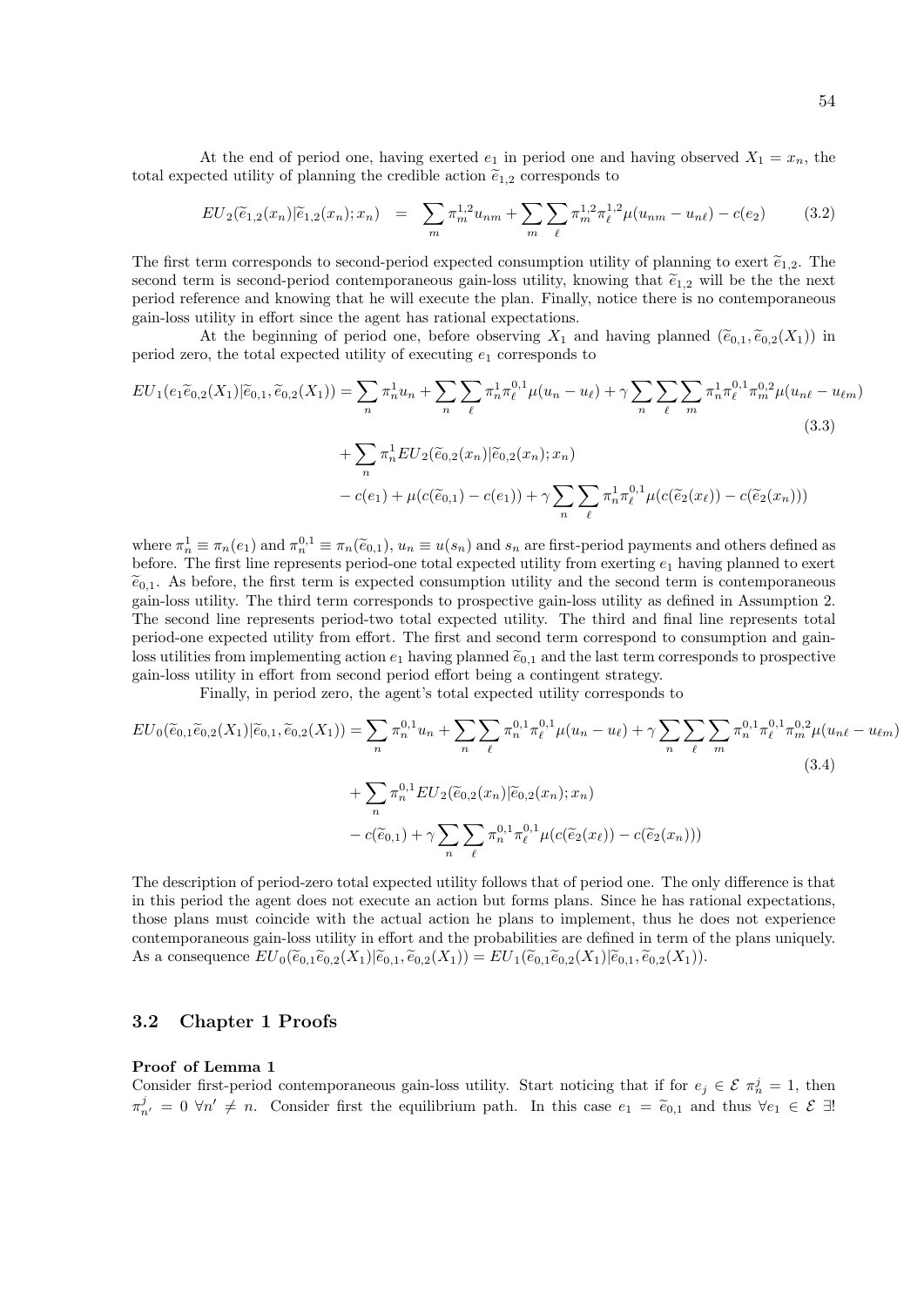At the end of period one, having exerted  $e_1$  in period one and having observed  $X_1 = x_n$ , the total expected utility of planning the credible action  $\tilde{e}_{1,2}$  corresponds to

$$
EU_2(\tilde{e}_{1,2}(x_n)|\tilde{e}_{1,2}(x_n);x_n) = \sum_m \pi_m^{1,2} u_{nm} + \sum_m \sum_{\ell} \pi_m^{1,2} \pi_{\ell}^{1,2} \mu(u_{nm} - u_{n\ell}) - c(e_2)
$$
(3.2)

The first term corresponds to second-period expected consumption utility of planning to exert  $\tilde{e}_{1,2}$ . The second term is second-period contemporaneous gain-loss utility, knowing that  $\tilde{e}_{1,2}$  will be the next period reference and knowing that he will execute the plan. Finally, notice there is no contemporaneous gain-loss utility in effort since the agent has rational expectations.

At the beginning of period one, before observing  $X_1$  and having planned  $(\widetilde{e}_{0,1}, \widetilde{e}_{0,2}(X_1))$  in period zero, the total expected utility of executing  $e_1$  corresponds to

$$
EU_1(e_1\tilde{e}_{0,2}(X_1)|\tilde{e}_{0,1},\tilde{e}_{0,2}(X_1)) = \sum_n \pi_n^1 u_n + \sum_n \sum_{\ell} \pi_n^1 \pi_{\ell}^{0,1} \mu(u_n - u_{\ell}) + \gamma \sum_n \sum_{\ell} \sum_m \pi_n^1 \pi_{\ell}^{0,1} \pi_m^{0,2} \mu(u_{n\ell} - u_{\ell m})
$$
\n
$$
+ \sum_n \pi_n^1 EU_2(\tilde{e}_{0,2}(x_n)|\tilde{e}_{0,2}(x_n);x_n)
$$
\n
$$
- c(e_1) + \mu(c(\tilde{e}_{0,1}) - c(e_1)) + \gamma \sum_n \sum_{\ell} \pi_n^1 \pi_{\ell}^{0,1} \mu(c(\tilde{e}_2(x_\ell)) - c(\tilde{e}_2(x_n)))
$$
\n(3.3)

where  $\pi_n^1 \equiv \pi_n(e_1)$  and  $\pi_n^{0,1} \equiv \pi_n(\tilde{e}_{0,1}), u_n \equiv u(s_n)$  and  $s_n$  are first-period payments and others defined as before. The first line represents period-one total expected utility from exerting  $e_1$  having planned to exert  $\tilde{e}_{0,1}$ . As before, the first term is expected consumption utility and the second term is contemporaneous gain-loss utility. The third term corresponds to prospective gain-loss utility as defined in Assumption 2. The second line represents period-two total expected utility. The third and final line represents total period-one expected utility from effort. The first and second term correspond to consumption and gainloss utilities from implementing action  $e_1$  having planned  $\tilde{e}_{0,1}$  and the last term corresponds to prospective gain-loss utility in effort from second period effort being a contingent strategy.

Finally, in period zero, the agent's total expected utility corresponds to

$$
EU_0(\widetilde{e}_{0,1}\widetilde{e}_{0,2}(X_1)|\widetilde{e}_{0,1},\widetilde{e}_{0,2}(X_1)) = \sum_n \pi_n^{0,1} u_n + \sum_n \sum_{\ell} \pi_n^{0,1} \pi_{\ell}^{0,1} \mu(u_n - u_{\ell}) + \gamma \sum_n \sum_{\ell} \sum_m \pi_n^{0,1} \pi_{\ell}^{0,1} \pi_m^{0,2} \mu(u_{n\ell} - u_{\ell m})
$$
\n
$$
+ \sum_n \pi_n^{0,1} EU_2(\widetilde{e}_{0,2}(x_n)|\widetilde{e}_{0,2}(x_n);x_n)
$$
\n
$$
- c(\widetilde{e}_{0,1}) + \gamma \sum_n \sum_{\ell} \pi_n^{0,1} \pi_{\ell}^{0,1} \mu(c(\widetilde{e}_2(x_\ell)) - c(\widetilde{e}_2(x_n)))
$$
\n(3.4)

The description of period-zero total expected utility follows that of period one. The only difference is that in this period the agent does not execute an action but forms plans. Since he has rational expectations, those plans must coincide with the actual action he plans to implement, thus he does not experience contemporaneous gain-loss utility in effort and the probabilities are defined in term of the plans uniquely. As a consequence  $EU_0(\widetilde{e}_{0,1}\widetilde{e}_{0,2}(X_1)|\widetilde{e}_{0,1}, \widetilde{e}_{0,2}(X_1)) = EU_1(\widetilde{e}_{0,1}\widetilde{e}_{0,2}(X_1)|\widetilde{e}_{0,1}, \widetilde{e}_{0,2}(X_1)).$ 

#### 3.2 Chapter 1 Proofs

#### Proof of Lemma 1

Consider first-period contemporaneous gain-loss utility. Start noticing that if for  $e_j \in \mathcal{E} \pi_n^j = 1$ , then  $\pi_{n'}^j = 0 \ \forall n' \neq n$ . Consider first the equilibrium path. In this case  $e_1 = \tilde{e}_{0,1}$  and thus  $\forall e_1 \in \mathcal{E} \exists!$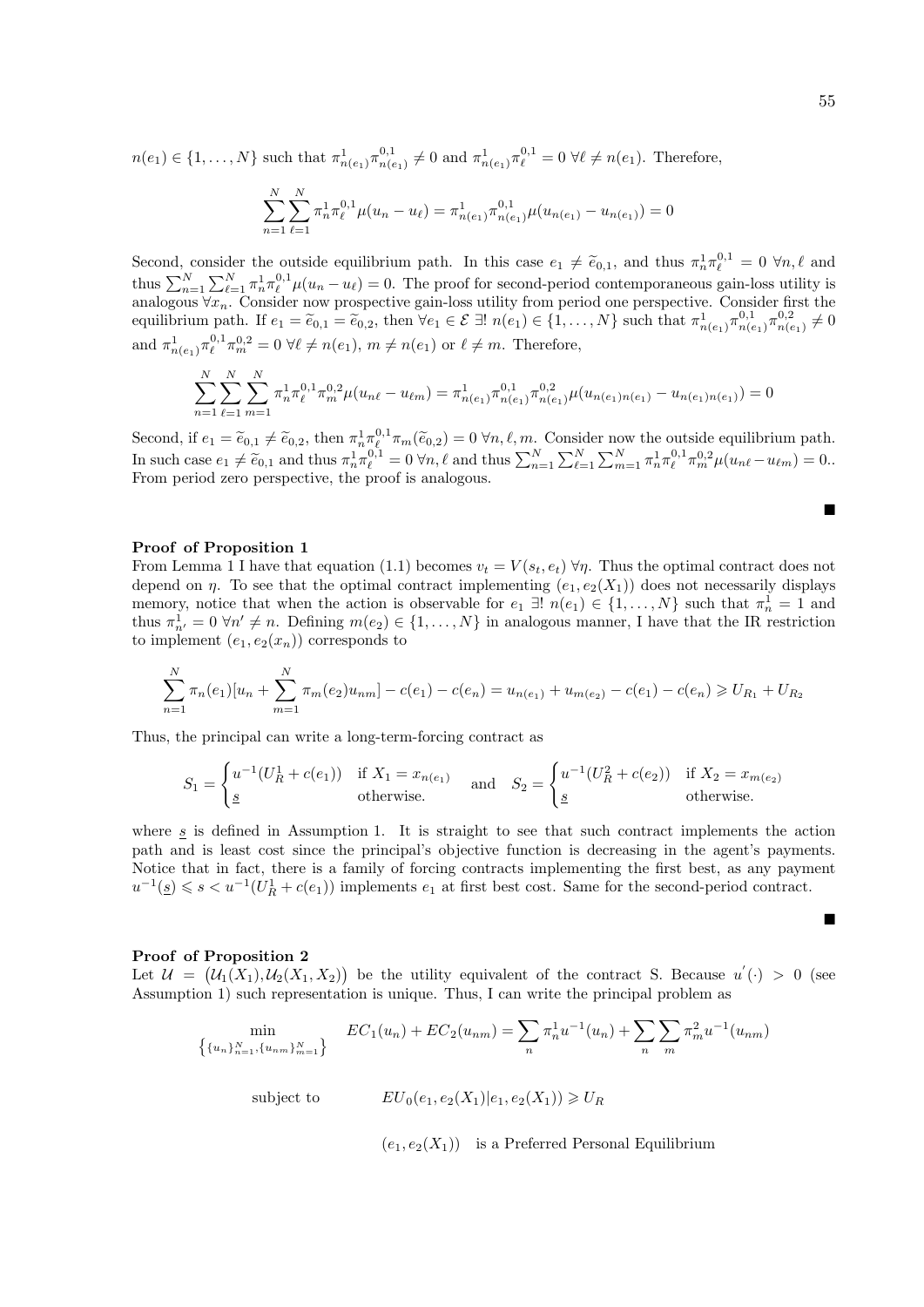$n(e_1) \in \{1, ..., N\}$  such that  $\pi^1_{n(e_1)} \pi^{0,1}_{n(e_1)}$  $n_{n(e_1)}^{0,1} \neq 0$  and  $\pi^1_{n(e_1)} \pi^{0,1}_{\ell} = 0 \,\forall \ell \neq n(e_1)$ . Therefore,

$$
\sum_{n=1}^{N} \sum_{\ell=1}^{N} \pi_n^1 \pi_\ell^{0,1} \mu(u_n - u_\ell) = \pi_{n(e_1)}^1 \pi_{n(e_1)}^{0,1} \mu(u_{n(e_1)} - u_{n(e_1)}) = 0
$$

Second, consider the outside equilibrium path. In this case  $e_1 \neq \tilde{e}_{0,1}$ , and thus  $\pi_n^1 \pi_\ell^{0,1} = 0 \ \forall n,\ell$  and thus  $\sum_{n=1}^N \sum_{\ell=1}^N \pi_n^1 \pi_\ell^{0,1} \mu(u_n - u_\ell) = 0$ . The proof for second-period contemporaneous gain  $\frac{1}{n}\pi_{\ell}^{0,1} = 0 \,\forall n,\ell$  and analogous  $\forall x_n$ . Consider now prospective gain-loss utility from period one perspective. Consider first the equilibrium path. If  $e_1 = \tilde{e}_{0,1} = \tilde{e}_{0,2}$ , then  $\forall e_1 \in \mathcal{E} \exists ! \; n(e_1) \in \{1, \ldots, N\}$  such that  $\pi^1_{n(e_1)} \pi^{0,1}_{n(e_1)}$  $\frac{1}{n(e_1)} \pi^{0,2}_{n(e_2)}$  $n(e_1) \neq 0$ and  $\pi_{n(e_1)}^1 \pi_{\ell}^{0,1} \pi_m^{0,2} = 0 \ \forall \ell \neq n(e_1), \ m \neq n(e_1) \text{ or } \ell \neq m.$  Therefore,

$$
\sum_{n=1}^{N} \sum_{\ell=1}^{N} \sum_{m=1}^{N} \pi_n^1 \pi_\ell^{0,1} \pi_m^{0,2} \mu(u_{n\ell} - u_{\ell m}) = \pi_{n(e_1)}^1 \pi_{n(e_1)}^{0,1} \pi_{n(e_1)}^{0,2} \mu(u_{n(e_1)n(e_1)} - u_{n(e_1)n(e_1)}) = 0
$$

Second, if  $e_1 = \tilde{e}_{0,1} \neq \tilde{e}_{0,2}$ , then  $\pi_n^1 \pi_{n_\ell}^{0,1} \pi_m(\tilde{e}_{0,2}) = 0 \,\forall n, \ell, m$ . Consider now the outside equilibrium path. In such case  $e_1 \neq \tilde{e}_{0,1}$  and thus  $\pi_n^1 \pi_\ell^{0,1} = 0 \,\forall n, \ell$  and thus  $\sum_{n=1}^N \sum_{\ell=1}^N \sum_{m=1}^N \pi_n^1 \pi_\ell^{0,1} \pi_m^{0,2} \mu(u_{n\ell} - u_{\ell m}) = 0$ . From period zero perspective, the proof is analogous.

#### Proof of Proposition 1

From Lemma 1 I have that equation (1.1) becomes  $v_t = V(s_t, e_t) \,\forall \eta$ . Thus the optimal contract does not depend on  $\eta$ . To see that the optimal contract implementing  $(e_1, e_2(X_1))$  does not necessarily displays memory, notice that when the action is observable for  $e_1 \exists ! \; n(e_1) \in \{1, ..., N\}$  such that  $\pi_n^1 = 1$  and thus  $\pi_{n'}^1 = 0 \ \forall n' \neq n$ . Defining  $m(e_2) \in \{1, ..., N\}$  in analogous manner, I have that the IR restriction to implement  $(e_1, e_2(x_n))$  corresponds to

$$
\sum_{n=1}^{N} \pi_n(e_1)[u_n + \sum_{m=1}^{N} \pi_m(e_2)u_{nm}] - c(e_1) - c(e_n) = u_{n(e_1)} + u_{m(e_2)} - c(e_1) - c(e_n) \ge U_{R_1} + U_{R_2}
$$

Thus, the principal can write a long-term-forcing contract as

$$
S_1 = \begin{cases} u^{-1}(U_R^1 + c(e_1)) & \text{if } X_1 = x_{n(e_1)} \\ \underline{s} & \text{otherwise.} \end{cases} \quad \text{and} \quad S_2 = \begin{cases} u^{-1}(U_R^2 + c(e_2)) & \text{if } X_2 = x_{m(e_2)} \\ \underline{s} & \text{otherwise.} \end{cases}
$$

where s is defined in Assumption 1. It is straight to see that such contract implements the action path and is least cost since the principal's objective function is decreasing in the agent's payments. Notice that in fact, there is a family of forcing contracts implementing the first best, as any payment  $u^{-1}(\underline{s}) \leqslant s < u^{-1}(U_R^1 + c(e_1))$  implements  $e_1$  at first best cost. Same for the second-period contract.

#### Proof of Proposition 2

Let  $\mathcal{U} = (\mathcal{U}_1(X_1), \mathcal{U}_2(X_1, X_2))$  be the utility equivalent of the contract S. Because  $u'(\cdot) > 0$  (see Assumption 1) such representation is unique. Thus, I can write the principal problem as

$$
\min_{\{u_n\}_{n=1}^N, \{u_{nm}\}_{m=1}^N\}} EC_1(u_n) + EC_2(u_{nm}) = \sum_n \pi_n^1 u^{-1}(u_n) + \sum_n \sum_m \pi_m^2 u^{-1}(u_{nm})
$$
\n
$$
\text{subject to} \qquad EU_0(e_1, e_2(X_1) | e_1, e_2(X_1)) \ge U_R
$$

 $(e_1, e_2(X_1))$  is a Preferred Personal Equilibrium

п

Ė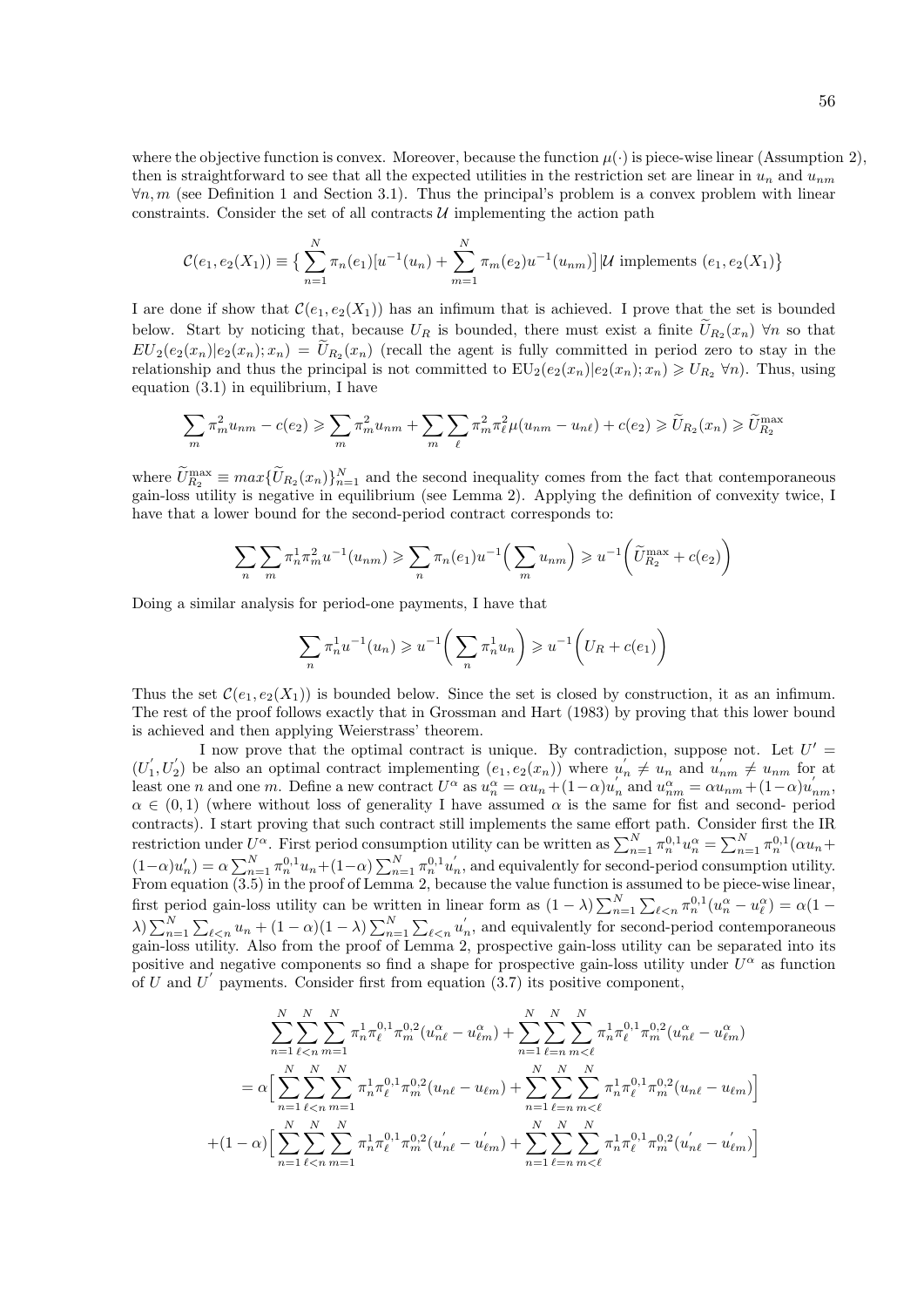where the objective function is convex. Moreover, because the function  $\mu(\cdot)$  is piece-wise linear (Assumption 2), then is straightforward to see that all the expected utilities in the restriction set are linear in  $u_n$  and  $u_{nm}$  $\forall n,m$  (see Definition 1 and Section 3.1). Thus the principal's problem is a convex problem with linear constraints. Consider the set of all contracts  $\mathcal U$  implementing the action path

$$
\mathcal{C}(e_1, e_2(X_1)) \equiv \left\{ \sum_{n=1}^N \pi_n(e_1) [u^{-1}(u_n) + \sum_{m=1}^N \pi_m(e_2) u^{-1}(u_{nm})] | \mathcal{U} \text{ implements } (e_1, e_2(X_1)) \right\}
$$

I are done if show that  $\mathcal{C}(e_1, e_2(X_1))$  has an infimum that is achieved. I prove that the set is bounded below. Start by noticing that, because  $U_R$  is bounded, there must exist a finite  $U_{R_2}(x_n)$   $\forall n$  so that  $EU_2(e_2(x_n)|e_2(x_n); x_n) = U_{R_2}(x_n)$  (recall the agent is fully committed in period zero to stay in the relationship and thus the principal is not committed to  $EU_2(e_2(x_n)|e_2(x_n); x_n) \geq U_{R_2} \forall n$ . Thus, using equation  $(3.1)$  in equilibrium, I have

$$
\sum_{m} \pi_m^2 u_{nm} - c(e_2) \geqslant \sum_{m} \pi_m^2 u_{nm} + \sum_{m} \sum_{\ell} \pi_m^2 \pi_{\ell}^2 \mu(u_{nm} - u_{n\ell}) + c(e_2) \geqslant \widetilde{U}_{R_2}(x_n) \geqslant \widetilde{U}_{R_2}^{\max}
$$

where  $U_{R_2}^{\max} \equiv max\{U_{R_2}(x_n)\}_{n=1}^N$  and the second inequality comes from the fact that contemporaneous gain-loss utility is negative in equilibrium (see Lemma 2). Applying the definition of convexity twice, I have that a lower bound for the second-period contract corresponds to:

$$
\sum_{n} \sum_{m} \pi_n^1 \pi_m^2 u^{-1}(u_{nm}) \geq \sum_{n} \pi_n(e_1) u^{-1} \left( \sum_{m} u_{nm} \right) \geq u^{-1} \left( \widetilde{U}_{R_2}^{\max} + c(e_2) \right)
$$

Doing a similar analysis for period-one payments, I have that

$$
\sum_{n} \pi_n^1 u^{-1}(u_n) \geq u^{-1} \left( \sum_{n} \pi_n^1 u_n \right) \geq u^{-1} \left( U_R + c(e_1) \right)
$$

Thus the set  $\mathcal{C}(e_1, e_2(X_1))$  is bounded below. Since the set is closed by construction, it as an infimum. The rest of the proof follows exactly that in Grossman and Hart (1983) by proving that this lower bound is achieved and then applying Weierstrass' theorem.

I now prove that the optimal contract is unique. By contradiction, suppose not. Let  $U' =$  $(U'_1, U'_2)$  be also an optimal contract implementing  $(e_1, e_2(x_n))$  where  $u'_n \neq u_n$  and  $u'_{nm} \neq u_{nm}$  for at least one *n* and one *m*. Define a new contract  $U^{\alpha}$  as  $u_n^{\alpha} = \alpha u_n + (1 - \alpha)u_n'$  and  $u_{nm}^{\alpha} = \alpha u_{nm} + (1 - \alpha)u_{nm}'$  $\alpha \in (0,1)$  (where without loss of generality I have assumed  $\alpha$  is the same for fist and second- period contracts). I start proving that such contract still implements the same effort path. Consider first the IR restriction under  $U^{\alpha}$ . First period consumption utility can be written as  $\sum_{n=1}^{N} \pi_n^{0,1} u_n^{\alpha} = \sum_{n=1}^{N} \pi_n^{0,1} (\alpha u_n +$  $(1-\alpha)u'_n = \alpha \sum_{n=1}^N \pi_{n}^{0,1}u_n + (1-\alpha) \sum_{n=1}^N \pi_{n}^{0,1}u'_n$ , and equivalently for second-period consumption utility. From equation (3.5) in the proof of Lemma 2, because the value function is assumed to be piece-wise linear, first period gain-loss utility can be written in linear form as  $(1 - \lambda) \sum_{n=1}^{N} \sum_{\ell \leq n} \pi_n^{0,1}(u_n^{\alpha} - u_{\ell}^{\alpha}) = \alpha(1 - \lambda)$  $\lambda$ )  $\sum_{n=1}^{N} \sum_{\ell \leq n} u_n + (1 - \alpha)(1 - \lambda) \sum_{n=1}^{N} \sum_{\ell \leq n} u_n'$ , and equivalently for second-period contemporaneous gain-loss utility. Also from the proof of Lemma 2, prospective gain-loss utility can be separated into its positive and negative components so find a shape for prospective gain-loss utility under  $U^{\alpha}$  as function of U and U' payments. Consider first from equation  $(3.7)$  its positive component,

$$
\sum_{n=1}^{N} \sum_{\ell \leq n}^{N} \sum_{m=1}^{N} \pi_{n}^{1} \pi_{\ell}^{0,1} \pi_{m}^{0,2} (u_{n\ell}^{\alpha} - u_{\ell m}^{\alpha}) + \sum_{n=1}^{N} \sum_{\ell=n}^{N} \sum_{m < \ell}^{N} \pi_{n}^{1} \pi_{\ell}^{0,1} \pi_{m}^{0,2} (u_{n\ell}^{\alpha} - u_{\ell m}^{\alpha})
$$
  
=  $\alpha \Big[ \sum_{n=1}^{N} \sum_{\ell \leq n}^{N} \sum_{m=1}^{N} \pi_{n}^{1} \pi_{\ell}^{0,1} \pi_{m}^{0,2} (u_{n\ell} - u_{\ell m}) + \sum_{n=1}^{N} \sum_{\ell=n}^{N} \sum_{m < \ell}^{N} \pi_{n}^{1} \pi_{\ell}^{0,1} \pi_{m}^{0,2} (u_{n\ell} - u_{\ell m}) \Big]$   
+  $(1 - \alpha) \Big[ \sum_{n=1}^{N} \sum_{\ell \leq n}^{N} \sum_{m=1}^{N} \pi_{n}^{1} \pi_{\ell}^{0,1} \pi_{m}^{0,2} (u_{n\ell}^{'} - u_{\ell m}^{'}) + \sum_{n=1}^{N} \sum_{\ell=n}^{N} \sum_{m < \ell}^{N} \pi_{n}^{1} \pi_{\ell}^{0,1} \pi_{m}^{0,2} (u_{n\ell}^{'} - u_{\ell m}^{'}) \Big]$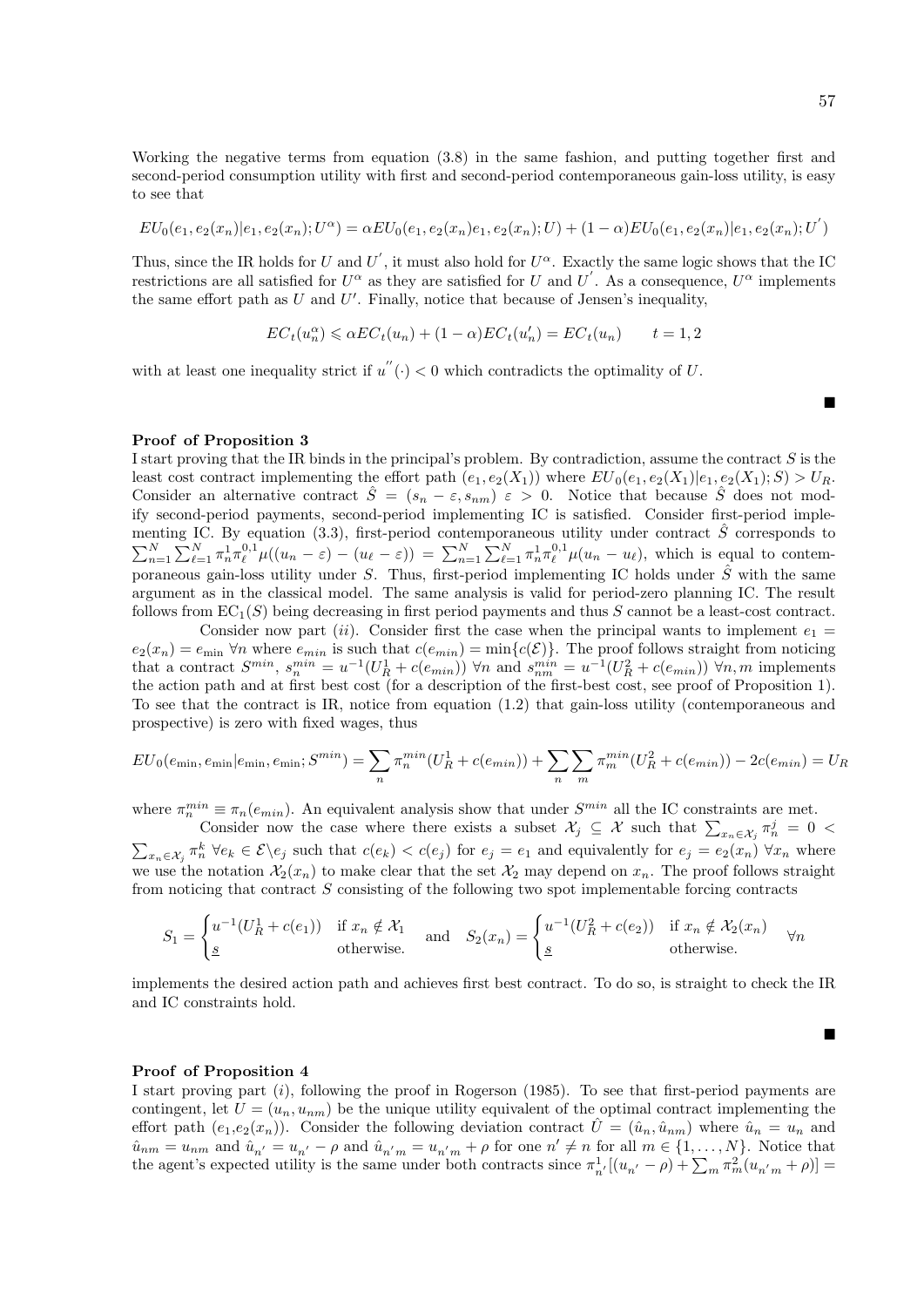Working the negative terms from equation (3.8) in the same fashion, and putting together first and second-period consumption utility with first and second-period contemporaneous gain-loss utility, is easy to see that

$$
EU_0(e_1, e_2(x_n)|e_1, e_2(x_n); U^{\alpha}) = \alpha EU_0(e_1, e_2(x_n)e_1, e_2(x_n); U) + (1 - \alpha)EU_0(e_1, e_2(x_n)|e_1, e_2(x_n); U^{'})
$$

Thus, since the IR holds for U and U', it must also hold for  $U^{\alpha}$ . Exactly the same logic shows that the IC restrictions are all satisfied for  $U^{\alpha}$  as they are satisfied for U and U'. As a consequence,  $U^{\alpha}$  implements the same effort path as  $U$  and  $U'$ . Finally, notice that because of Jensen's inequality,

$$
EC_t(u_n^{\alpha}) \leq \alpha EC_t(u_n) + (1 - \alpha)EC_t(u_n') = EC_t(u_n) \qquad t = 1, 2
$$

with at least one inequality strict if  $u''(.) < 0$  which contradicts the optimality of U.

#### Ē

п

## Proof of Proposition 3

I start proving that the IR binds in the principal's problem. By contradiction, assume the contract  $S$  is the least cost contract implementing the effort path  $(e_1, e_2(X_1))$  where  $EU_0(e_1, e_2(X_1)|e_1, e_2(X_1); S) > U_R$ . Consider an alternative contract  $\hat{S} = (s_n - \varepsilon, s_{nm}) \varepsilon > 0$ . Notice that because  $\hat{S}$  does not modify second-period payments, second-period implementing IC is satisfied. Consider first-period implementing IC. By equation (3.3), first-period contemporaneous utility under contract  $\hat{S}$  corresponds to  $\sum_{n=1}^{N} \sum_{\ell=1}^{N} \pi_n^1 \pi_\ell^{0,1} \mu((u_n - \varepsilon) - (u_\ell - \varepsilon)) = \sum_{n=1}^{N} \sum_{\ell=1}^{N} \pi_n^1 \pi_\ell^{0,1} \mu(u_n - u_\ell)$ , which is equal to contemporaneous gain-loss utility under S. Thus, first-period implementing IC holds under  $\hat{S}$  with the same argument as in the classical model. The same analysis is valid for period-zero planning IC. The result follows from  $EC_1(S)$  being decreasing in first period payments and thus S cannot be a least-cost contract.

Consider now part (ii). Consider first the case when the principal wants to implement  $e_1 =$  $e_2(x_n) = e_{\min}$   $\forall n$  where  $e_{\min}$  is such that  $c(e_{\min}) = \min\{c(\mathcal{E})\}\.$  The proof follows straight from noticing that a contract  $S^{min}$ ,  $s_n^{min} = u^{-1}(U_R^1 + c(e_{min}))$   $\forall n$  and  $s_{nm}^{min} = u^{-1}(U_R^2 + c(e_{min}))$   $\forall n, m$  implements the action path and at first best cost (for a description of the first-best cost, see proof of Proposition 1). To see that the contract is IR, notice from equation (1.2) that gain-loss utility (contemporaneous and prospective) is zero with fixed wages, thus

$$
EU_0(e_{\min}, e_{\min}|e_{\min}, e_{\min}; S^{min}) = \sum_n \pi_n^{min}(U_R^1 + c(e_{\min})) + \sum_n \sum_m \pi_m^{min}(U_R^2 + c(e_{\min})) - 2c(e_{\min}) = U_R
$$

where  $\pi_n^{min} \equiv \pi_n(e_{min})$ . An equivalent analysis show that under  $S^{min}$  all the IC constraints are met.

Consider now the case where there exists a subset  $\mathcal{X}_j \subseteq \mathcal{X}$  such that  $\sum_{x_n \in \mathcal{X}_j} \pi_n^j = 0$  $\sum_{x_n \in \mathcal{X}_j} \pi_n^k \ \forall e_k \in \mathcal{E} \backslash e_j$  such that  $c(e_k) < c(e_j)$  for  $e_j = e_1$  and equivalently for  $e_j = e_2(x_n) \ \forall x_n$  where we use the notation  $\mathcal{X}_2(x_n)$  to make clear that the set  $\mathcal{X}_2$  may depend on  $x_n$ . The proof follows straight from noticing that contract S consisting of the following two spot implementable forcing contracts

$$
S_1 = \begin{cases} u^{-1}(U_R^1 + c(e_1)) & \text{if } x_n \notin \mathcal{X}_1 \\ \underline{s} & \text{otherwise.} \end{cases} \quad \text{and} \quad S_2(x_n) = \begin{cases} u^{-1}(U_R^2 + c(e_2)) & \text{if } x_n \notin \mathcal{X}_2(x_n) \\ \underline{s} & \text{otherwise.} \end{cases} \quad \forall n
$$

implements the desired action path and achieves first best contract. To do so, is straight to check the IR and IC constraints hold.

#### Proof of Proposition 4

I start proving part  $(i)$ , following the proof in Rogerson (1985). To see that first-period payments are contingent, let  $U = (u_n, u_{nm})$  be the unique utility equivalent of the optimal contract implementing the effort path  $(e_1,e_2(x_n))$ . Consider the following deviation contract  $\hat{U}=(\hat{u}_n,\hat{u}_{nm})$  where  $\hat{u}_n=u_n$  and  $\hat{u}_{nm} = u_{nm}$  and  $\hat{u}_{n'} = u_{n'} - \rho$  and  $\hat{u}_{n'm} = u_{n'm} + \rho$  for one  $n' \neq n$  for all  $m \in \{1, ..., N\}$ . Notice that the agent's expected utility is the same under both contracts since  $\pi_{n'}^1[(u_{n'} - \rho) + \sum_m \pi_m^2(u_{n'm} + \rho)] =$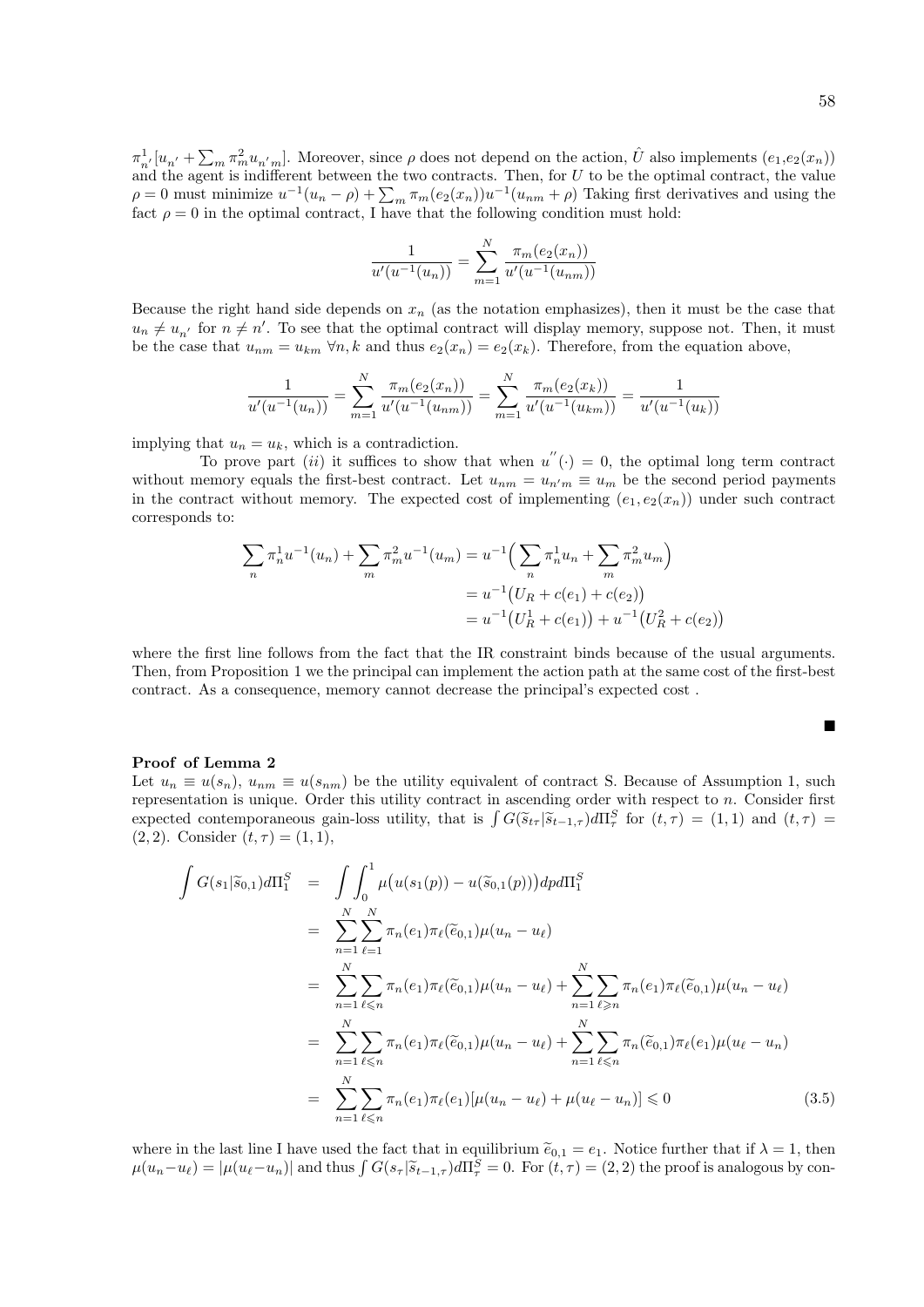$\pi_{n'}^1[u_{n'} + \sum_m \pi_m^2 u_{n'm}]$ . Moreover, since  $\rho$  does not depend on the action,  $\hat{U}$  also implements  $(e_1, e_2(x_n))$ and the agent is indifferent between the two contracts. Then, for  $U$  to be the optimal contract, the value  $\rho = 0$  must minimize  $u^{-1}(u_n - \rho) + \sum_m \pi_m(e_2(x_n))u^{-1}(u_{nm} + \rho)$  Taking first derivatives and using the fact  $\rho = 0$  in the optimal contract, I have that the following condition must hold:

$$
\frac{1}{u'(u^{-1}(u_n))} = \sum_{m=1}^{N} \frac{\pi_m(e_2(x_n))}{u'(u^{-1}(u_{nm}))}
$$

Because the right hand side depends on  $x_n$  (as the notation emphasizes), then it must be the case that  $u_n \neq u_{n'}$  for  $n \neq n'$ . To see that the optimal contract will display memory, suppose not. Then, it must be the case that  $u_{nm} = u_{km} \forall n, k$  and thus  $e_2(x_n) = e_2(x_k)$ . Therefore, from the equation above,

$$
\frac{1}{u'(u^{-1}(u_n))} = \sum_{m=1}^{N} \frac{\pi_m(e_2(x_n))}{u'(u^{-1}(u_{nm}))} = \sum_{m=1}^{N} \frac{\pi_m(e_2(x_k))}{u'(u^{-1}(u_{km}))} = \frac{1}{u'(u^{-1}(u_k))}
$$

implying that  $u_n = u_k$ , which is a contradiction.

To prove part (ii) it suffices to show that when  $u''(.) = 0$ , the optimal long term contract without memory equals the first-best contract. Let  $u_{nm} = u_{n'm} \equiv u_m$  be the second period payments in the contract without memory. The expected cost of implementing  $(e_1, e_2(x_n))$  under such contract corresponds to:

$$
\sum_{n} \pi_n^1 u^{-1}(u_n) + \sum_{m} \pi_m^2 u^{-1}(u_m) = u^{-1} \left( \sum_{n} \pi_n^1 u_n + \sum_{m} \pi_m^2 u_m \right)
$$
  
=  $u^{-1} \left( U_R + c(e_1) + c(e_2) \right)$   
=  $u^{-1} \left( U_R^1 + c(e_1) \right) + u^{-1} \left( U_R^2 + c(e_2) \right)$ 

where the first line follows from the fact that the IR constraint binds because of the usual arguments. Then, from Proposition 1 we the principal can implement the action path at the same cost of the first-best contract. As a consequence, memory cannot decrease the principal's expected cost .

$$
\blacksquare
$$

#### Proof of Lemma 2

Let  $u_n \equiv u(s_n)$ ,  $u_{nm} \equiv u(s_{nm})$  be the utility equivalent of contract S. Because of Assumption 1, such representation is unique. Order this utility contract in ascending order with respect to  $n$ . Consider first expected contemporaneous gain-loss utility, that is  $\int G(\tilde{s}_{t\tau} | \tilde{s}_{t-1,\tau}) d\Pi_{\tau}^{S}$  for  $(t,\tau) = (1,1)$  and  $(t,\tau) = (2,2)$ . Consider  $(t,\tau) = (1,1)$  $(2, 2)$ . Consider  $(t, \tau) = (1, 1)$ ,

$$
\int G(s_1|\tilde{s}_{0,1})d\Pi_1^S = \int \int_0^1 \mu(u(s_1(p)) - u(\tilde{s}_{0,1}(p)))dp d\Pi_1^S
$$
  
\n
$$
= \sum_{n=1}^N \sum_{\ell=1}^N \pi_n(e_1)\pi_\ell(\tilde{e}_{0,1})\mu(u_n - u_\ell)
$$
  
\n
$$
= \sum_{n=1}^N \sum_{\ell \le n} \pi_n(e_1)\pi_\ell(\tilde{e}_{0,1})\mu(u_n - u_\ell) + \sum_{n=1}^N \sum_{\ell \ge n} \pi_n(e_1)\pi_\ell(\tilde{e}_{0,1})\mu(u_n - u_\ell)
$$
  
\n
$$
= \sum_{n=1}^N \sum_{\ell \le n} \pi_n(e_1)\pi_\ell(\tilde{e}_{0,1})\mu(u_n - u_\ell) + \sum_{n=1}^N \sum_{\ell \le n} \pi_n(\tilde{e}_{0,1})\pi_\ell(e_1)\mu(u_\ell - u_n)
$$
  
\n
$$
= \sum_{n=1}^N \sum_{\ell \le n} \pi_n(e_1)\pi_\ell(e_1)[\mu(u_n - u_\ell) + \mu(u_\ell - u_n)] \le 0
$$
 (3.5)

where in the last line I have used the fact that in equilibrium  $\tilde{e}_{0,1} = e_1$ . Notice further that if  $\lambda = 1$ , then  $\mu(u_n - u_\ell) = |\mu(u_\ell - u_n)|$  and thus  $\int G(s_\tau | \widetilde{s}_{t-1,\tau}) d\Pi_\tau^S = 0$ . For  $(t, \tau) = (2, 2)$  the proof is analogous by con-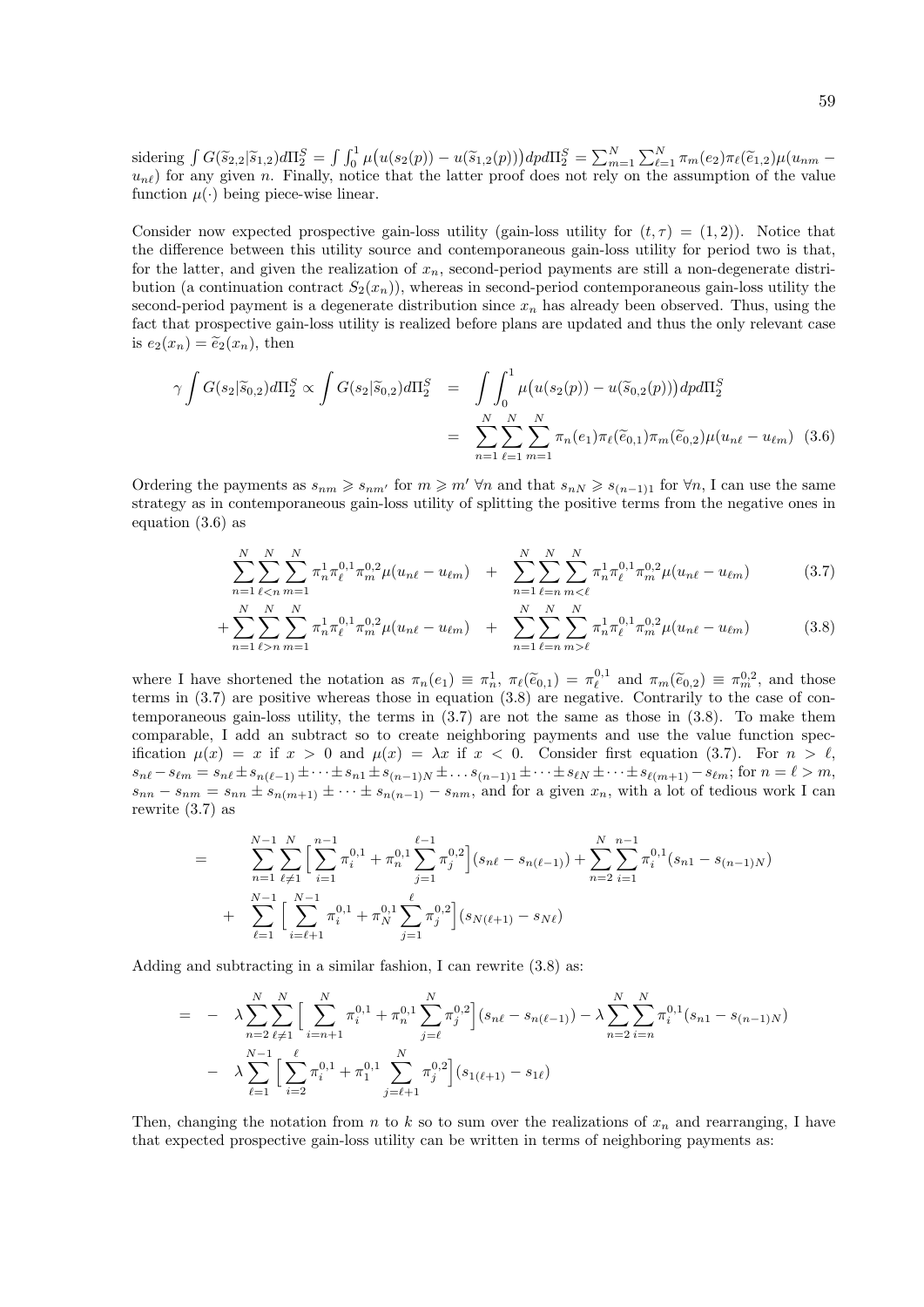sidering  $\int G(\tilde{s}_2,2|\tilde{s}_1,2)d\Pi_2^S = \int \int_0^1 \mu(u(s_2(p)) - u(\tilde{s}_1,2(p)))dpd\Pi_2^S = \sum_{m=1}^N \sum_{\ell=1}^N \pi_m(e_2)\pi_\ell(\tilde{e}_1,2)\mu(u_{nm} - u_{n\ell})$  for any given *n*. Finally, notice that the latter proof does not rely on the assumption of th function  $\mu(\cdot)$  being piece-wise linear.

Consider now expected prospective gain-loss utility (gain-loss utility for  $(t, \tau) = (1, 2)$ ). Notice that the difference between this utility source and contemporaneous gain-loss utility for period two is that, for the latter, and given the realization of  $x_n$ , second-period payments are still a non-degenerate distribution (a continuation contract  $S_2(x_n)$ ), whereas in second-period contemporaneous gain-loss utility the second-period payment is a degenerate distribution since  $x_n$  has already been observed. Thus, using the fact that prospective gain-loss utility is realized before plans are updated and thus the only relevant case is  $e_2(x_n) = \tilde{e}_2(x_n)$ , then

$$
\gamma \int G(s_2|\tilde{s}_{0,2}) d\Pi_2^S \propto \int G(s_2|\tilde{s}_{0,2}) d\Pi_2^S = \int \int_0^1 \mu(u(s_2(p)) - u(\tilde{s}_{0,2}(p))) dp d\Pi_2^S
$$
  
= 
$$
\sum_{n=1}^N \sum_{\ell=1}^N \sum_{m=1}^N \pi_n(e_1) \pi_\ell(\tilde{e}_{0,1}) \pi_m(\tilde{e}_{0,2}) \mu(u_{n\ell} - u_{\ell m})
$$
(3.6)

Ordering the payments as  $s_{nm} \geqslant s_{nm'}$  for  $m \geqslant m' \forall n$  and that  $s_{n,N} \geqslant s_{(n-1)1}$  for  $\forall n$ , I can use the same strategy as in contemporaneous gain-loss utility of splitting the positive terms from the negative ones in equation (3.6) as

$$
\sum_{n=1}^{N} \sum_{\ell < n}^{N} \sum_{m=1}^{N} \pi_n^1 \pi_\ell^{0,1} \pi_m^{0,2} \mu(u_{n\ell} - u_{\ell m}) + \sum_{n=1}^{N} \sum_{\ell=n}^{N} \sum_{m < \ell}^{N} \pi_n^1 \pi_\ell^{0,1} \pi_m^{0,2} \mu(u_{n\ell} - u_{\ell m}) \tag{3.7}
$$

$$
+\sum_{n=1}^{N} \sum_{\ell>n}^{N} \sum_{m=1}^{N} \pi_n^1 \pi_\ell^{0,1} \pi_m^{0,2} \mu(u_{n\ell} - u_{\ell m}) + \sum_{n=1}^{N} \sum_{\ell=n}^{N} \sum_{m>\ell}^{N} \pi_n^1 \pi_\ell^{0,1} \pi_m^{0,2} \mu(u_{n\ell} - u_{\ell m})
$$
(3.8)

where I have shortened the notation as  $\pi_n(e_1) \equiv \pi_n^1$ ,  $\pi_\ell(\tilde{e}_{0,1}) = \pi_\ell^{0,1}$  and  $\pi_m(\tilde{e}_{0,2}) \equiv \pi_n^{0,2}$ , and those terms in (3.7) are positive whereas these in equation (3.8) are positive. Contrarily to the case terms in (3.7) are positive whereas those in equation (3.8) are negative. Contrarily to the case of contemporaneous gain-loss utility, the terms in (3.7) are not the same as those in (3.8). To make them comparable, I add an subtract so to create neighboring payments and use the value function specification  $\mu(x) = x$  if  $x > 0$  and  $\mu(x) = \lambda x$  if  $x < 0$ . Consider first equation (3.7). For  $n > \ell$ ,  $s_{n\ell} - s_{\ell m} = s_{n\ell} \pm s_{n(\ell-1)} \pm \cdots \pm s_{n1} \pm s_{(n-1)N} \pm \ldots s_{(n-1)1} \pm \cdots \pm s_{\ell N} \pm \cdots \pm s_{\ell(m+1)} - s_{\ell m};$  for  $n = \ell > m$ ,  $s_{nn} - s_{nm} = s_{nn} \pm s_{n(m+1)} \pm \cdots \pm s_{n(n-1)} - s_{nm}$ , and for a given  $x_n$ , with a lot of tedious work I can rewrite (3.7) as

$$
= \sum_{n=1}^{N-1} \sum_{\ell \neq 1}^{N} \left[ \sum_{i=1}^{n-1} \pi_i^{0,1} + \pi_n^{0,1} \sum_{j=1}^{\ell-1} \pi_j^{0,2} \right] (s_{n\ell} - s_{n(\ell-1)}) + \sum_{n=2}^{N} \sum_{i=1}^{n-1} \pi_i^{0,1} (s_{n1} - s_{(n-1)N})
$$
  
+ 
$$
\sum_{\ell=1}^{N-1} \left[ \sum_{i=\ell+1}^{N-1} \pi_i^{0,1} + \pi_N^{0,1} \sum_{j=1}^{\ell} \pi_j^{0,2} \right] (s_{N(\ell+1)} - s_{N\ell})
$$

Adding and subtracting in a similar fashion, I can rewrite (3.8) as:

$$
= - \lambda \sum_{n=2}^{N} \sum_{\ell=1}^{N} \Big[ \sum_{i=n+1}^{N} \pi_i^{0,1} + \pi_n^{0,1} \sum_{j=\ell}^{N} \pi_j^{0,2} \Big] (s_{n\ell} - s_{n(\ell-1)}) - \lambda \sum_{n=2}^{N} \sum_{i=n}^{N} \pi_i^{0,1} (s_{n1} - s_{(n-1)N})
$$
  

$$
- \lambda \sum_{\ell=1}^{N-1} \Big[ \sum_{i=2}^{\ell} \pi_i^{0,1} + \pi_1^{0,1} \sum_{j=\ell+1}^{N} \pi_j^{0,2} \Big] (s_{1(\ell+1)} - s_{1\ell})
$$

Then, changing the notation from n to k so to sum over the realizations of  $x_n$  and rearranging, I have that expected prospective gain-loss utility can be written in terms of neighboring payments as: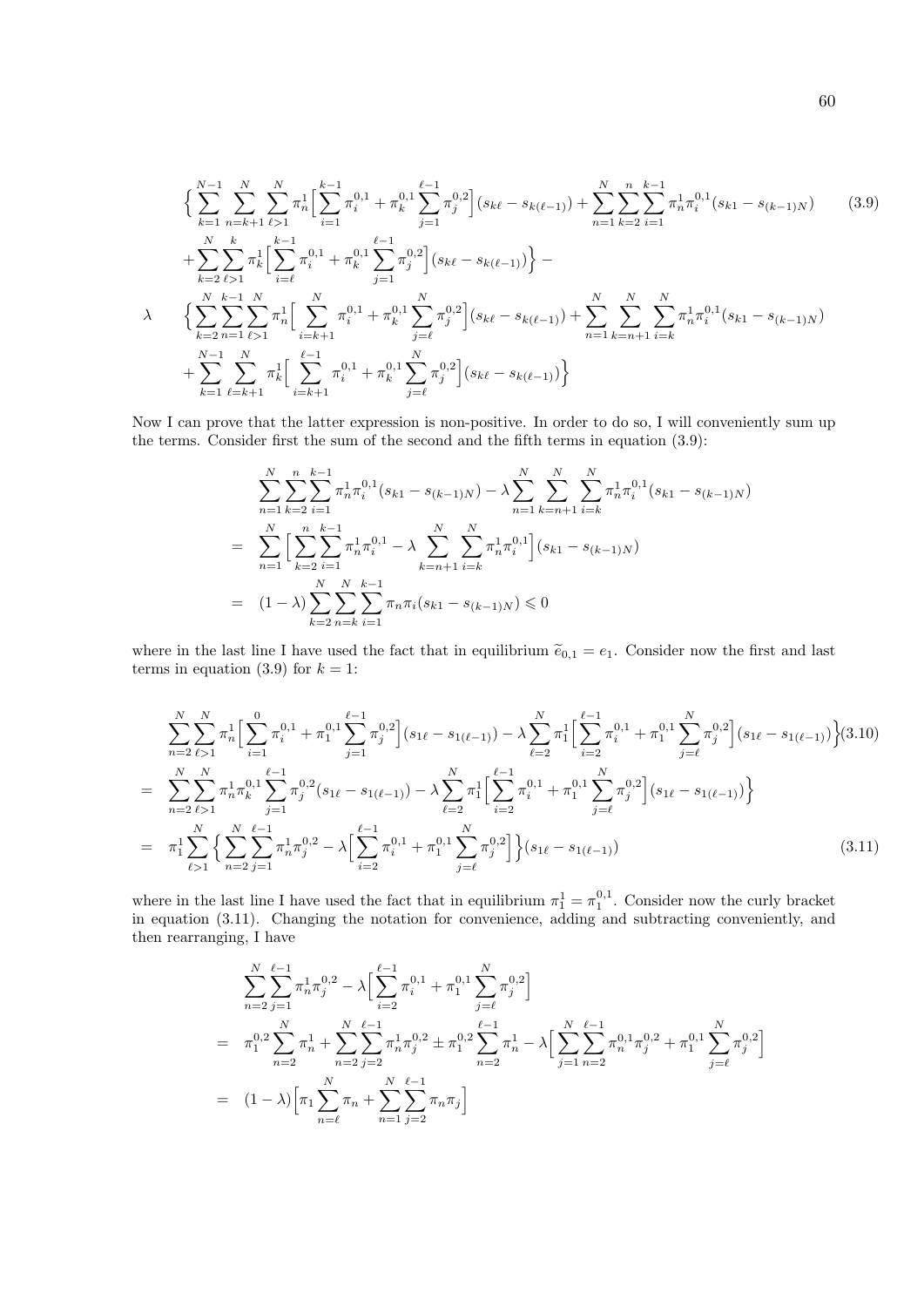$$
\begin{split}\n&\left\{\sum_{k=1}^{N-1} \sum_{n=k+1}^{N} \sum_{\ell>1}^{N} \pi_n^1 \Big[\sum_{i=1}^{k-1} \pi_i^{0,1} + \pi_k^{0,1} \sum_{j=1}^{\ell-1} \pi_j^{0,2}\Big](s_{k\ell} - s_{k(\ell-1)}) + \sum_{n=1}^{N} \sum_{k=2}^{n} \sum_{i=1}^{k-1} \pi_n^1 \pi_i^{0,1}(s_{k1} - s_{(k-1)N})\right. \\
&\left. + \sum_{k=2}^{N} \sum_{\ell>1}^{k} \pi_k^1 \Big[\sum_{i=\ell}^{k-1} \pi_i^{0,1} + \pi_k^{0,1} \sum_{j=1}^{\ell-1} \pi_j^{0,2}\Big](s_{k\ell} - s_{k(\ell-1)})\Big\} - \right. \\
&\left. \lambda \qquad \left\{\sum_{k=2}^{N} \sum_{n=1}^{k-1} \sum_{\ell>1}^{N} \pi_n^1 \Big[\sum_{i=k+1}^{N} \pi_i^{0,1} + \pi_k^{0,1} \sum_{j=\ell}^{N} \pi_j^{0,2}\Big](s_{k\ell} - s_{k(\ell-1)}) + \sum_{n=1}^{N} \sum_{k=n+1}^{N} \sum_{i=k}^{N} \pi_n^1 \pi_i^{0,1}(s_{k1} - s_{(k-1)N})\right. \\
&\left. + \sum_{k=1}^{N-1} \sum_{\ell=k+1}^{N} \pi_k^1 \Big[\sum_{i=k+1}^{\ell-1} \pi_i^{0,1} + \pi_k^{0,1} \sum_{j=\ell}^{N} \pi_j^{0,2}\Big](s_{k\ell} - s_{k(\ell-1)})\right\}\n\end{split} \tag{3.9}
$$

Now I can prove that the latter expression is non-positive. In order to do so, I will conveniently sum up the terms. Consider first the sum of the second and the fifth terms in equation (3.9):

$$
\sum_{n=1}^{N} \sum_{k=2}^{n} \sum_{i=1}^{k-1} \pi_n^1 \pi_i^{0,1} (s_{k1} - s_{(k-1)N}) - \lambda \sum_{n=1}^{N} \sum_{k=n+1}^{N} \sum_{i=k}^{N} \pi_n^1 \pi_i^{0,1} (s_{k1} - s_{(k-1)N})
$$
  
= 
$$
\sum_{n=1}^{N} \Big[ \sum_{k=2}^{n} \sum_{i=1}^{k-1} \pi_n^1 \pi_i^{0,1} - \lambda \sum_{k=n+1}^{N} \sum_{i=k}^{N} \pi_n^1 \pi_i^{0,1} \Big] (s_{k1} - s_{(k-1)N})
$$
  
= 
$$
(1 - \lambda) \sum_{k=2}^{N} \sum_{n=k}^{N} \sum_{i=1}^{k-1} \pi_n \pi_i (s_{k1} - s_{(k-1)N}) \leq 0
$$

where in the last line I have used the fact that in equilibrium  $\tilde{e}_{0,1} = e_1$ . Consider now the first and last terms in equation (3.9) for  $k = 1$ :

$$
\sum_{n=2}^{N} \sum_{\ell>1}^{N} \pi_{n}^{1} \Big[ \sum_{i=1}^{0} \pi_{i}^{0,1} + \pi_{1}^{0,1} \sum_{j=1}^{\ell-1} \pi_{j}^{0,2} \Big] (s_{1\ell} - s_{1(\ell-1)}) - \lambda \sum_{\ell=2}^{N} \pi_{1}^{1} \Big[ \sum_{i=2}^{\ell-1} \pi_{i}^{0,1} + \pi_{1}^{0,1} \sum_{j=\ell}^{N} \pi_{j}^{0,2} \Big] (s_{1\ell} - s_{1(\ell-1)}) \Big\} (3.10)
$$
\n
$$
= \sum_{n=2}^{N} \sum_{\ell>1}^{N} \pi_{n}^{1} \pi_{k}^{0,1} \sum_{j=1}^{\ell-1} \pi_{j}^{0,2} (s_{1\ell} - s_{1(\ell-1)}) - \lambda \sum_{\ell=2}^{N} \pi_{1}^{1} \Big[ \sum_{i=2}^{\ell-1} \pi_{i}^{0,1} + \pi_{1}^{0,1} \sum_{j=\ell}^{N} \pi_{j}^{0,2} \Big] (s_{1\ell} - s_{1(\ell-1)}) \Big\}
$$
\n
$$
= \pi_{1}^{1} \sum_{\ell>1}^{N} \Big\{ \sum_{n=2}^{N} \sum_{j=1}^{l-1} \pi_{n}^{1} \pi_{j}^{0,2} - \lambda \Big[ \sum_{i=2}^{\ell-1} \pi_{i}^{0,1} + \pi_{1}^{0,1} \sum_{j=\ell}^{N} \pi_{j}^{0,2} \Big] \Big\} (s_{1\ell} - s_{1(\ell-1)}) \tag{3.11}
$$

where in the last line I have used the fact that in equilibrium  $\pi_1^1 = \pi_1^{0,1}$ . Consider now the curly bracket in equation (3.11). Changing the notation for convenience, adding and subtracting conveniently, and then rearranging, I have

$$
\sum_{n=2}^{N} \sum_{j=1}^{\ell-1} \pi_n^1 \pi_j^{0,2} - \lambda \Big[ \sum_{i=2}^{\ell-1} \pi_i^{0,1} + \pi_1^{0,1} \sum_{j=\ell}^{N} \pi_j^{0,2} \Big]
$$
\n
$$
= \pi_1^{0,2} \sum_{n=2}^{N} \pi_n^1 + \sum_{n=2}^{N} \sum_{j=2}^{\ell-1} \pi_n^1 \pi_j^{0,2} \pm \pi_1^{0,2} \sum_{n=2}^{\ell-1} \pi_n^1 - \lambda \Big[ \sum_{j=1}^{N} \sum_{n=2}^{\ell-1} \pi_n^{0,1} \pi_j^{0,2} + \pi_1^{0,1} \sum_{j=\ell}^{N} \pi_j^{0,2} \Big]
$$
\n
$$
= (1 - \lambda) \Big[ \pi_1 \sum_{n=\ell}^{N} \pi_n + \sum_{n=1}^{N} \sum_{j=2}^{\ell-1} \pi_n \pi_j \Big]
$$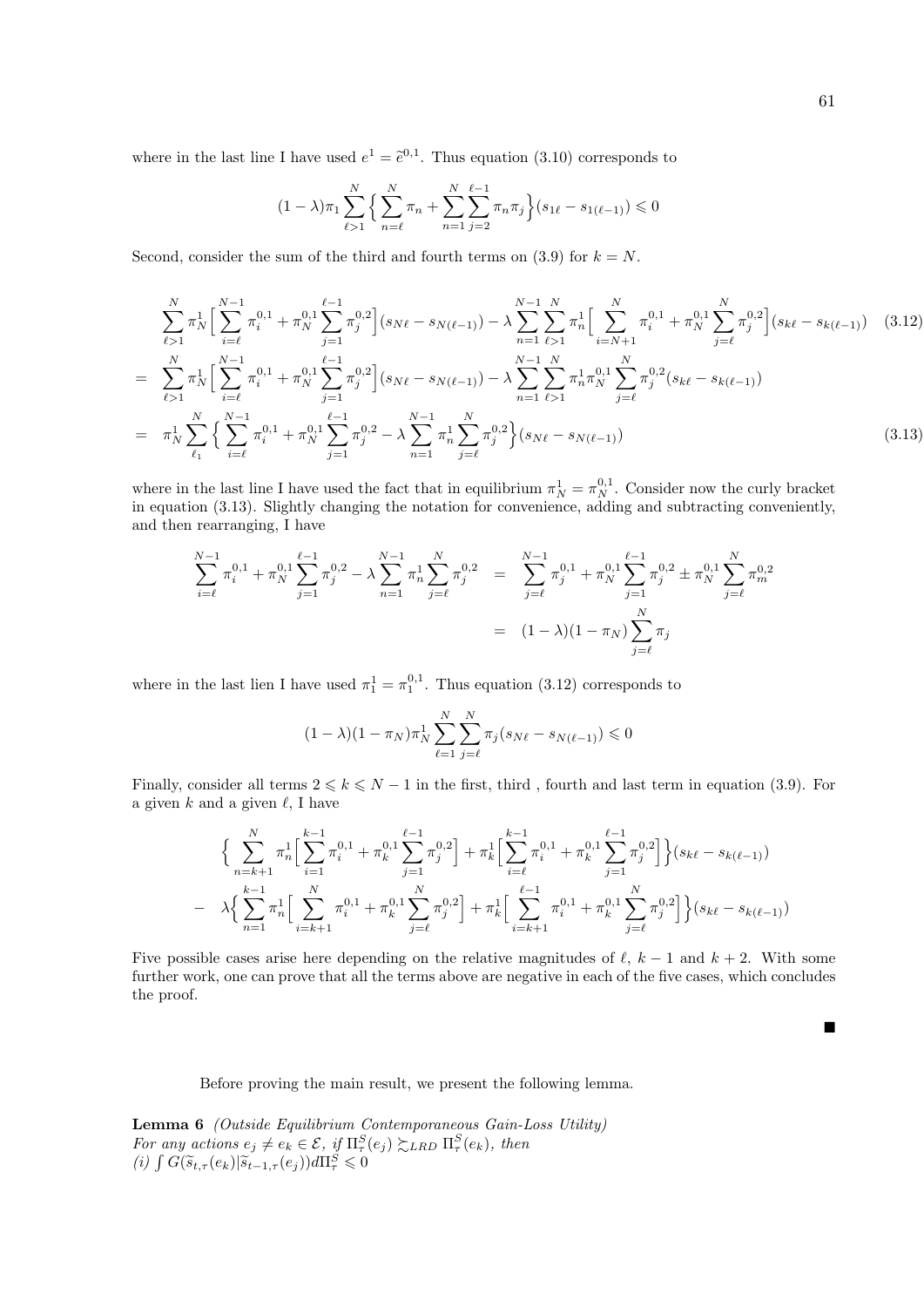where in the last line I have used  $e^1 = \tilde{e}^{0,1}$ . Thus equation (3.10) corresponds to

$$
(1 - \lambda)\pi_1 \sum_{\ell > 1}^N \left\{ \sum_{n=\ell}^N \pi_n + \sum_{n=1}^N \sum_{j=2}^{\ell-1} \pi_n \pi_j \right\} (s_{1\ell} - s_{1(\ell-1)}) \leq 0
$$

Second, consider the sum of the third and fourth terms on (3.9) for  $k = N$ .

$$
\sum_{\ell>1}^{N} \pi_N^1 \Big[ \sum_{i=\ell}^{N-1} \pi_i^{0,1} + \pi_N^{0,1} \sum_{j=1}^{\ell-1} \pi_j^{0,2} \Big] (s_{N\ell} - s_{N(\ell-1)}) - \lambda \sum_{n=1}^{N-1} \sum_{\ell>1}^{N} \pi_n^1 \Big[ \sum_{i=N+1}^{N} \pi_i^{0,1} + \pi_N^{0,1} \sum_{j=\ell}^{N} \pi_j^{0,2} \Big] (s_{k\ell} - s_{k(\ell-1)}) \quad (3.12)
$$
\n
$$
= \sum_{\ell>1}^{N} \pi_N^1 \Big[ \sum_{i=\ell}^{N-1} \pi_i^{0,1} + \pi_N^{0,1} \sum_{j=1}^{N-1} \pi_j^{0,2} \Big] (s_{N\ell} - s_{N(\ell-1)}) - \lambda \sum_{n=1}^{N-1} \sum_{\ell>1}^{N} \pi_n^{1} \pi_N^{0,1} \sum_{j=\ell}^{N} \pi_j^{0,2} (s_{k\ell} - s_{k(\ell-1)})
$$
\n
$$
= \pi_N^1 \sum_{\ell_1}^{N} \Big\{ \sum_{i=\ell}^{N-1} \pi_i^{0,1} + \pi_N^{0,1} \sum_{j=1}^{\ell-1} \pi_j^{0,2} - \lambda \sum_{n=1}^{N-1} \pi_n^1 \sum_{j=\ell}^{N} \pi_j^{0,2} \Big\} (s_{N\ell} - s_{N(\ell-1)}) \quad (3.13)
$$

where in the last line I have used the fact that in equilibrium  $\pi_N^1 = \pi_N^{0,1}$ . Consider now the curly bracket in equation (3.13). Slightly changing the notation for convenience, adding and subtracting conveniently, and then rearranging, I have

$$
\sum_{i=\ell}^{N-1} \pi_i^{0,1} + \pi_N^{0,1} \sum_{j=1}^{\ell-1} \pi_j^{0,2} - \lambda \sum_{n=1}^{N-1} \pi_n^{1} \sum_{j=\ell}^{N} \pi_j^{0,2} = \sum_{j=\ell}^{N-1} \pi_j^{0,1} + \pi_N^{0,1} \sum_{j=1}^{\ell-1} \pi_j^{0,2} \pm \pi_N^{0,1} \sum_{j=\ell}^{N} \pi_m^{0,2}
$$

$$
= (1 - \lambda)(1 - \pi_N) \sum_{j=\ell}^{N} \pi_j
$$

where in the last lien I have used  $\pi_1^1 = \pi_1^{0,1}$ . Thus equation (3.12) corresponds to

$$
(1 - \lambda)(1 - \pi_N)\pi_N^1 \sum_{\ell=1}^N \sum_{j=\ell}^N \pi_j (s_{N\ell} - s_{N(\ell-1)}) \leq 0
$$

Finally, consider all terms  $2 \leq k \leq N - 1$  in the first, third, fourth and last term in equation (3.9). For a given  $k$  and a given  $\ell$ , I have

$$
\Big\{\sum_{n=k+1}^{N} \pi_n^1 \Big[\sum_{i=1}^{k-1} \pi_i^{0,1} + \pi_k^{0,1} \sum_{j=1}^{\ell-1} \pi_j^{0,2}\Big] + \pi_k^1 \Big[\sum_{i=\ell}^{k-1} \pi_i^{0,1} + \pi_k^{0,1} \sum_{j=1}^{\ell-1} \pi_j^{0,2}\Big]\Big\}(s_{k\ell} - s_{k(\ell-1)})
$$
  

$$
- \lambda \Big\{\sum_{n=1}^{k-1} \pi_n^1 \Big[\sum_{i=k+1}^{N} \pi_i^{0,1} + \pi_k^{0,1} \sum_{j=\ell}^{N} \pi_j^{0,2}\Big] + \pi_k^1 \Big[\sum_{i=k+1}^{\ell-1} \pi_i^{0,1} + \pi_k^{0,1} \sum_{j=\ell}^{N} \pi_j^{0,2}\Big]\Big\}(s_{k\ell} - s_{k(\ell-1)})
$$

Five possible cases arise here depending on the relative magnitudes of  $\ell$ ,  $k - 1$  and  $k + 2$ . With some further work, one can prove that all the terms above are negative in each of the five cases, which concludes the proof.

Before proving the main result, we present the following lemma.

Lemma 6 (Outside Equilibrium Contemporaneous Gain-Loss Utility) For any actions  $e_j \neq e_k \in \mathcal{E}$ , if  $\Pi^S_\tau(e_j) \succsim_{LRD} \Pi^S_\tau(e_k)$ , then (i)  $\int G(\widetilde{s}_{t,\tau}(e_k)|\widetilde{s}_{t-1,\tau}(e_j))d\Pi_{\tau}^S\leqslant 0$ 

 $\blacksquare$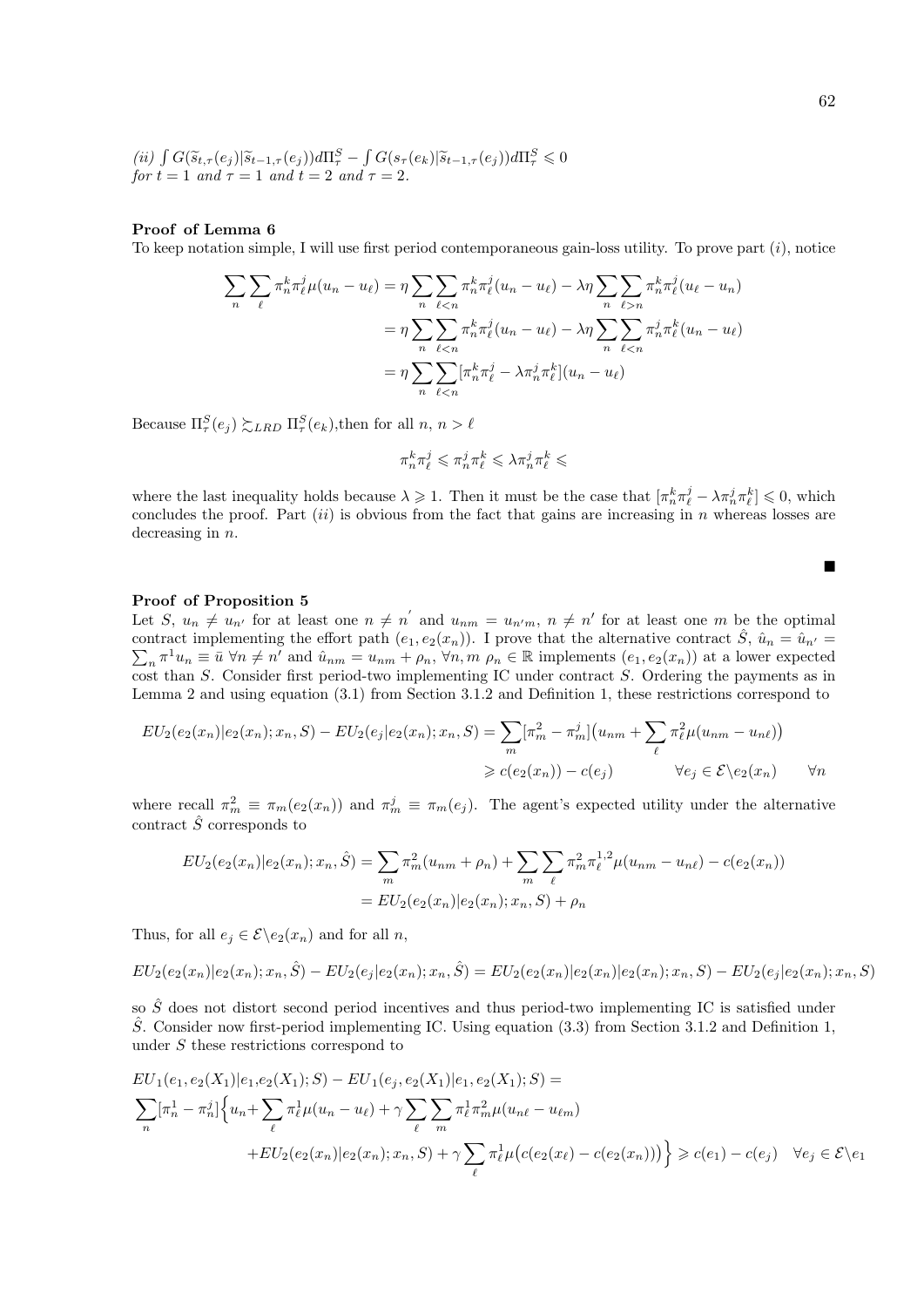(ii) 
$$
\int G(\widetilde{s}_{t,\tau}(e_j)|\widetilde{s}_{t-1,\tau}(e_j))d\Pi_{\tau}^S - \int G(s_{\tau}(e_k)|\widetilde{s}_{t-1,\tau}(e_j))d\Pi_{\tau}^S \leq 0
$$
  
for  $t = 1$  and  $\tau = 1$  and  $t = 2$  and  $\tau = 2$ .

#### Proof of Lemma 6

To keep notation simple, I will use first period contemporaneous gain-loss utility. To prove part (i), notice

$$
\sum_{n} \sum_{\ell} \pi_n^k \pi_{\ell}^j \mu(u_n - u_{\ell}) = \eta \sum_{n} \sum_{\ell < n} \pi_n^k \pi_{\ell}^j (u_n - u_{\ell}) - \lambda \eta \sum_{n} \sum_{\ell > n} \pi_n^k \pi_{\ell}^j (u_{\ell} - u_n)
$$
\n
$$
= \eta \sum_{n} \sum_{\ell < n} \pi_n^k \pi_{\ell}^j (u_n - u_{\ell}) - \lambda \eta \sum_{n} \sum_{\ell < n} \pi_n^j \pi_{\ell}^k (u_n - u_{\ell})
$$
\n
$$
= \eta \sum_{n} \sum_{\ell < n} [\pi_n^k \pi_{\ell}^j - \lambda \pi_n^j \pi_{\ell}^k] (u_n - u_{\ell})
$$

Because  $\Pi_{\tau}^{S}(e_j) \gtrsim_{LRD} \Pi_{\tau}^{S}(e_k)$ , then for all  $n, n > \ell$ 

$$
\pi_n^k\pi_\ell^j\leqslant\pi_n^j\pi_\ell^k\leqslant\lambda\pi_n^j\pi_\ell^k\leqslant
$$

where the last inequality holds because  $\lambda \geqslant 1$ . Then it must be the case that  $\left[\pi_n^k \pi_\ell^j - \lambda \pi_n^j \pi_\ell^k\right] \leqslant 0$ , which concludes the proof. Part  $(ii)$  is obvious from the fact that gains are increasing in n whereas losses are decreasing in  $n$ .

#### Proof of Proposition 5

Let S,  $u_n \neq u_{n'}$  for at least one  $n \neq n'$  and  $u_{nm} = u_{n'm}, n \neq n'$  for at least one m be the optimal contract implementing the effort path  $(e_1, e_2(x_n))$ . I prove that the alternative contract  $\hat{S}$ ,  $\hat{u}_n = \hat{u}_{n'} =$  $\sum_{n} \pi^{1} u_{n} \equiv \bar{u} \,\forall n \neq n'$  and  $\hat{u}_{nm} = u_{nm} + \rho_{n}, \forall n, m \rho_{n} \in \mathbb{R}$  implements  $(e_{1}, e_{2}(x_{n}))$  at a lower expected cost than S. Consider first period-two implementing IC under contract S. Ordering the payments as in Lemma 2 and using equation (3.1) from Section 3.1.2 and Definition 1, these restrictions correspond to

$$
EU_2(e_2(x_n)|e_2(x_n); x_n, S) - EU_2(e_j|e_2(x_n); x_n, S) = \sum_m [\pi_m^2 - \pi_m^j](u_{nm} + \sum_{\ell} \pi_{\ell}^2 \mu(u_{nm} - u_{n\ell}))
$$
  

$$
\geq c(e_2(x_n)) - c(e_j) \qquad \forall e_j \in \mathcal{E} \setminus e_2(x_n) \qquad \forall n
$$

where recall  $\pi_m^2 \equiv \pi_m(e_2(x_n))$  and  $\pi_m^j \equiv \pi_m(e_j)$ . The agent's expected utility under the alternative contract  $\hat{S}$  corresponds to

$$
EU_2(e_2(x_n)|e_2(x_n); x_n, \hat{S}) = \sum_m \pi_m^2 (u_{nm} + \rho_n) + \sum_m \sum_{\ell} \pi_m^2 \pi_{\ell}^{1,2} \mu(u_{nm} - u_{n\ell}) - c(e_2(x_n))
$$
  
= 
$$
EU_2(e_2(x_n)|e_2(x_n); x_n, S) + \rho_n
$$

Thus, for all  $e_j \in \mathcal{E} \backslash e_2(x_n)$  and for all n,

$$
EU_2(e_2(x_n)|e_2(x_n); x_n, \hat{S}) - EU_2(e_j|e_2(x_n); x_n, \hat{S}) = EU_2(e_2(x_n)|e_2(x_n)|e_2(x_n); x_n, S) - EU_2(e_j|e_2(x_n); x_n, S)
$$

so  $\hat{S}$  does not distort second period incentives and thus period-two implementing IC is satisfied under  $\hat{S}$ . Consider now first-period implementing IC. Using equation (3.3) from Section 3.1.2 and Definition 1, under S these restrictions correspond to

$$
EU_1(e_1, e_2(X_1)|e_1, e_2(X_1); S) - EU_1(e_j, e_2(X_1)|e_1, e_2(X_1); S) =
$$
\n
$$
\sum_{n} [\pi_n^1 - \pi_n^j] \Big\{ u_n + \sum_{\ell} \pi_{\ell}^1 \mu(u_n - u_{\ell}) + \gamma \sum_{\ell} \sum_{m} \pi_{\ell}^1 \pi_m^2 \mu(u_{n\ell} - u_{\ell m}) + EU_2(e_2(x_n)|e_2(x_n); x_n, S) + \gamma \sum_{\ell} \pi_{\ell}^1 \mu(c(e_2(x_\ell) - c(e_2(x_n))) \Big\} \geq c(e_1) - c(e_j) \quad \forall e_j \in \mathcal{E} \setminus e_1
$$

 $\blacksquare$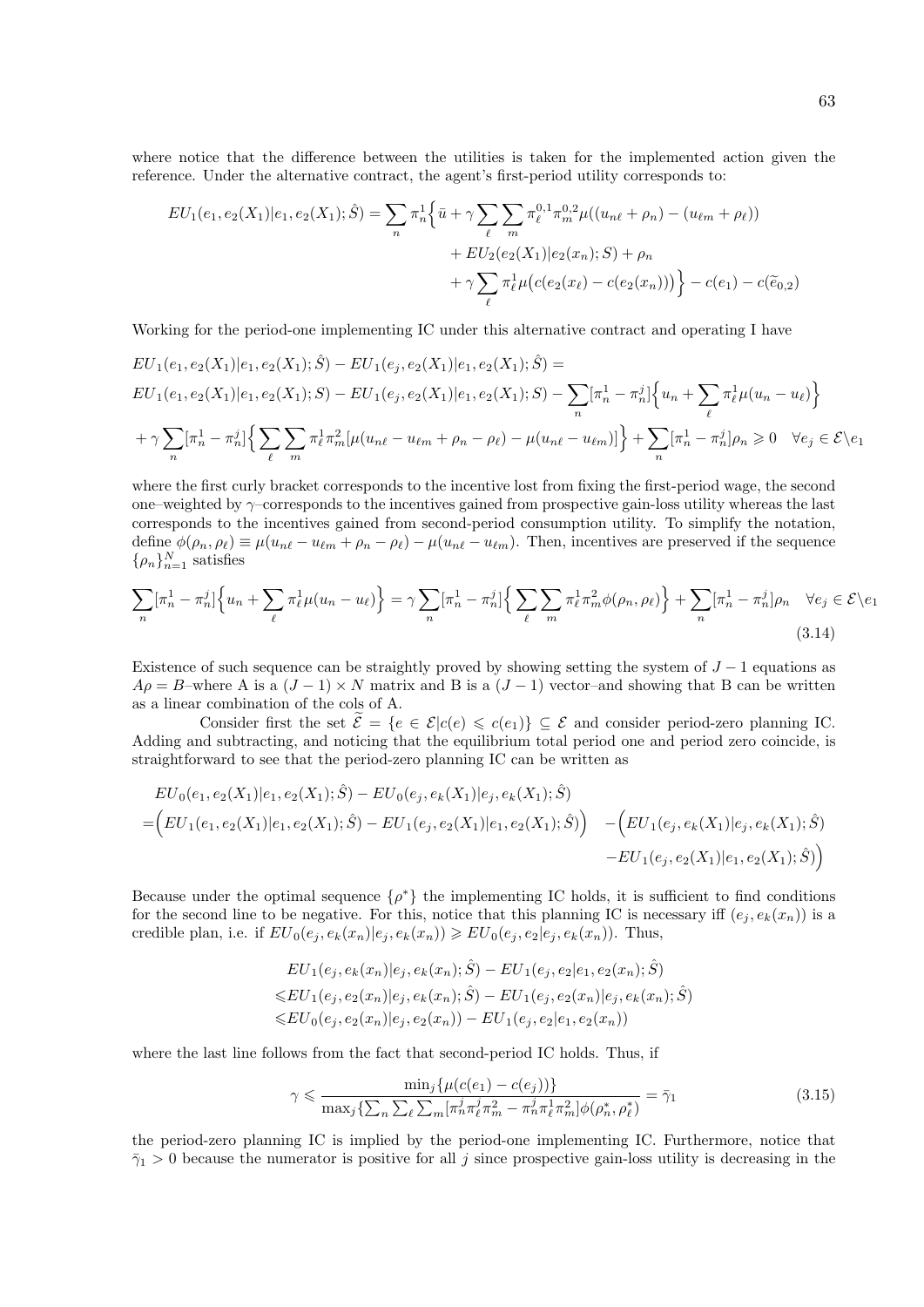where notice that the difference between the utilities is taken for the implemented action given the reference. Under the alternative contract, the agent's first-period utility corresponds to:

$$
EU_1(e_1, e_2(X_1)|e_1, e_2(X_1); \hat{S}) = \sum_n \pi_n^1 \left\{ \bar{u} + \gamma \sum_{\ell} \sum_m \pi_{\ell}^{0,1} \pi_m^{0,2} \mu((u_{n\ell} + \rho_n) - (u_{\ell m} + \rho_{\ell})) \right.+ EU_2(e_2(X_1)|e_2(x_n); S) + \rho_n+ \gamma \sum_{\ell} \pi_{\ell}^1 \mu(c(e_2(x_{\ell}) - c(e_2(x_n))) \right\} - c(e_1) - c(\tilde{e}_{0,2})
$$

Working for the period-one implementing IC under this alternative contract and operating I have

$$
EU_1(e_1, e_2(X_1)|e_1, e_2(X_1); \hat{S}) - EU_1(e_j, e_2(X_1)|e_1, e_2(X_1); \hat{S}) =
$$
  
\n
$$
EU_1(e_1, e_2(X_1)|e_1, e_2(X_1); S) - EU_1(e_j, e_2(X_1)|e_1, e_2(X_1); S) - \sum_n [\pi_n^1 - \pi_n^j] \left\{ u_n + \sum_{\ell} \pi_{\ell}^1 \mu(u_n - u_{\ell}) \right\}
$$
  
\n
$$
+ \gamma \sum_n [\pi_n^1 - \pi_n^j] \left\{ \sum_{\ell} \sum_m \pi_{\ell}^1 \pi_m^2 \left[ \mu(u_{n\ell} - u_{\ell m} + \rho_n - \rho_{\ell}) - \mu(u_{n\ell} - u_{\ell m}) \right] \right\} + \sum_n [\pi_n^1 - \pi_n^j] \rho_n \ge 0 \quad \forall e_j \in \mathcal{E} \backslash e_1
$$

where the first curly bracket corresponds to the incentive lost from fixing the first-period wage, the second one–weighted by  $\gamma$ –corresponds to the incentives gained from prospective gain-loss utility whereas the last corresponds to the incentives gained from second-period consumption utility. To simplify the notation, define  $\phi(\rho_n, \rho_\ell) \equiv \mu(u_{n\ell} - u_{\ell m} + \rho_n - \rho_\ell) - \mu(u_{n\ell} - u_{\ell m})$ . Then, incentives are preserved if the sequence  $\{\rho_n\}_{n=1}^N$  satisfies

$$
\sum_{n} \left[\pi_n^1 - \pi_n^j\right] \left\{ u_n + \sum_{\ell} \pi_\ell^1 \mu(u_n - u_\ell) \right\} = \gamma \sum_{n} \left[\pi_n^1 - \pi_n^j\right] \left\{ \sum_{\ell} \sum_{m} \pi_\ell^1 \pi_m^2 \phi(\rho_n, \rho_\ell) \right\} + \sum_{n} \left[\pi_n^1 - \pi_n^j\right] \rho_n \quad \forall e_j \in \mathcal{E} \setminus e_1
$$
\n(3.14)

Existence of such sequence can be straightly proved by showing setting the system of  $J-1$  equations as  $A\rho = B$ –where A is a  $(J - 1) \times N$  matrix and B is a  $(J - 1)$  vector–and showing that B can be written as a linear combination of the cols of A.

Consider first the set  $\tilde{\mathcal{E}} = \{e \in \mathcal{E} | c(e) \leq c(e_1)\} \subseteq \mathcal{E}$  and consider period-zero planning IC. Adding and subtracting, and noticing that the equilibrium total period one and period zero coincide, is straightforward to see that the period-zero planning IC can be written as

$$
EU_0(e_1, e_2(X_1)|e_1, e_2(X_1); \hat{S}) - EU_0(e_j, e_k(X_1)|e_j, e_k(X_1); \hat{S})
$$
  
= 
$$
\Big( EU_1(e_1, e_2(X_1)|e_1, e_2(X_1); \hat{S}) - EU_1(e_j, e_2(X_1)|e_1, e_2(X_1); \hat{S}) \Big) - \Big( EU_1(e_j, e_k(X_1)|e_j, e_k(X_1); \hat{S}) - EU_1(e_j, e_2(X_1)|e_1, e_2(X_1); \hat{S}) \Big)
$$
  
- 
$$
EU_1(e_j, e_2(X_1)|e_1, e_2(X_1); \hat{S})
$$

Because under the optimal sequence  $\{\rho^*\}$  the implementing IC holds, it is sufficient to find conditions for the second line to be negative. For this, notice that this planning IC is necessary iff  $(e_i, e_k(x_n))$  is a credible plan, i.e. if  $EU_0(e_j, e_k(x_n)|e_j, e_k(x_n)) \geq EU_0(e_j, e_2|e_j, e_k(x_n))$ . Thus,

$$
EU_1(e_j, e_k(x_n)|e_j, e_k(x_n); \hat{S}) - EU_1(e_j, e_2|e_1, e_2(x_n); \hat{S})
$$
  
\n
$$
\leq EU_1(e_j, e_2(x_n)|e_j, e_k(x_n); \hat{S}) - EU_1(e_j, e_2(x_n)|e_j, e_k(x_n); \hat{S})
$$
  
\n
$$
\leq EU_0(e_j, e_2(x_n)|e_j, e_2(x_n)) - EU_1(e_j, e_2|e_1, e_2(x_n))
$$

where the last line follows from the fact that second-period IC holds. Thus, if

$$
\gamma \leq \frac{\min_{j} \{ \mu(c(e_1) - c(e_j)) \}}{\max_{j} \{ \sum_{n} \sum_{\ell} \sum_{m} [\pi_n^j \pi_\ell^j \pi_m^2 - \pi_n^j \pi_\ell^1 \pi_m^2] \phi(\rho_n^*, \rho_\ell^*)} = \bar{\gamma}_1
$$
(3.15)

the period-zero planning IC is implied by the period-one implementing IC. Furthermore, notice that  $\bar{\gamma}_1 > 0$  because the numerator is positive for all j since prospective gain-loss utility is decreasing in the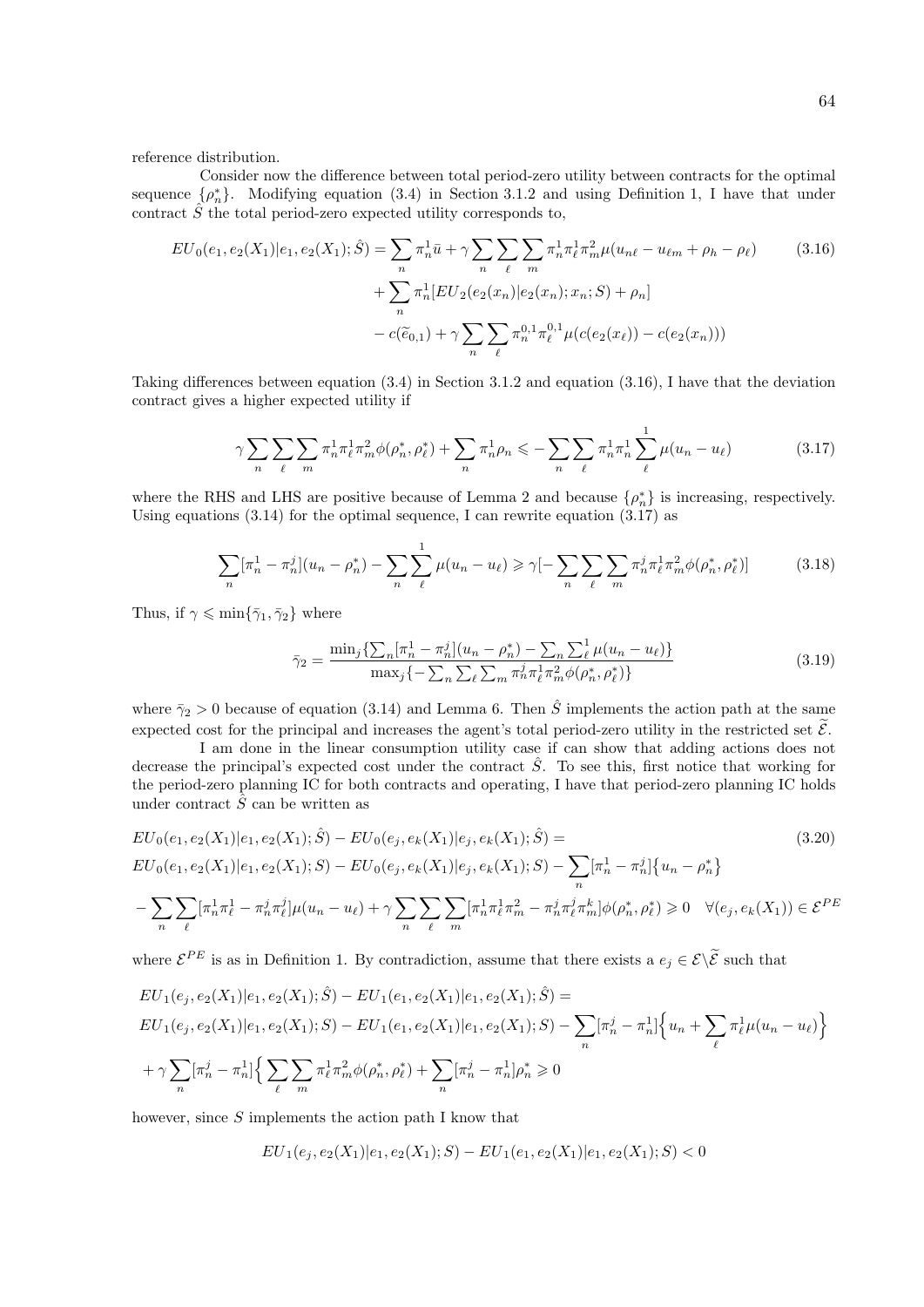reference distribution.

Consider now the difference between total period-zero utility between contracts for the optimal sequence  $\{\rho_n^*\}$ . Modifying equation (3.4) in Section 3.1.2 and using Definition 1, I have that under contract  $\hat{S}$  the total period-zero expected utility corresponds to,

$$
EU_0(e_1, e_2(X_1)|e_1, e_2(X_1); \hat{S}) = \sum_n \pi_n^1 \bar{u} + \gamma \sum_n \sum_{\ell} \sum_m \pi_n^1 \pi_{\ell}^1 \pi_m^2 \mu(u_{n\ell} - u_{\ell m} + \rho_h - \rho_{\ell})
$$
  
+ 
$$
\sum_n \pi_n^1 [EU_2(e_2(x_n)|e_2(x_n); x_n; S) + \rho_n]
$$
  
- 
$$
c(\tilde{e}_{0,1}) + \gamma \sum_n \sum_{\ell} \pi_n^{0,1} \pi_{\ell}^{0,1} \mu(c(e_2(x_{\ell})) - c(e_2(x_n)))
$$
 (3.16)

Taking differences between equation (3.4) in Section 3.1.2 and equation (3.16), I have that the deviation contract gives a higher expected utility if

$$
\gamma \sum_{n} \sum_{\ell} \sum_{m} \pi_{n}^{1} \pi_{\ell}^{1} \pi_{m}^{2} \phi(\rho_{n}^{*}, \rho_{\ell}^{*}) + \sum_{n} \pi_{n}^{1} \rho_{n} \leq - \sum_{n} \sum_{\ell} \pi_{n}^{1} \pi_{n}^{1} \sum_{\ell}^{1} \mu(u_{n} - u_{\ell})
$$
(3.17)

where the RHS and LHS are positive because of Lemma 2 and because  $\{\rho_n^*\}$  is increasing, respectively. Using equations  $(3.14)$  for the optimal sequence, I can rewrite equation  $(3.17)$  as

$$
\sum_{n} [\pi_n^1 - \pi_n^j](u_n - \rho_n^*) - \sum_{n} \sum_{\ell} \mu(u_n - u_{\ell}) \ge \gamma \left[ - \sum_{n} \sum_{\ell} \sum_{m} \pi_n^j \pi_{\ell}^1 \pi_m^2 \phi(\rho_n^*, \rho_{\ell}^*) \right] \tag{3.18}
$$

Thus, if  $\gamma \leqslant \min\{\bar{\gamma}_1, \bar{\gamma}_2\}$  where

$$
\bar{\gamma}_2 = \frac{\min_j \{ \sum_n [\pi_n^1 - \pi_n^j] (u_n - \rho_n^*) - \sum_n \sum_{\ell}^1 \mu(u_n - u_{\ell}) \}}{\max_j \{ -\sum_n \sum_{\ell} \sum_m \pi_n^j \pi_{\ell}^1 \pi_m^2 \phi(\rho_n^*, \rho_{\ell}^*) \}}
$$
(3.19)

where  $\bar{\gamma}_2 > 0$  because of equation (3.14) and Lemma 6. Then  $\hat{S}$  implements the action path at the same expected cost for the principal and increases the agent's total period-zero utility in the restricted set  $\tilde{\mathcal{E}}$ .

I am done in the linear consumption utility case if can show that adding actions does not decrease the principal's expected cost under the contract  $\hat{S}$ . To see this, first notice that working for the period-zero planning IC for both contracts and operating, I have that period-zero planning IC holds under contract  $\hat{S}$  can be written as

$$
EU_0(e_1, e_2(X_1)|e_1, e_2(X_1); \hat{S}) - EU_0(e_j, e_k(X_1)|e_j, e_k(X_1); \hat{S}) =
$$
\n
$$
EU_0(e_1, e_2(X_1)|e_1, e_2(X_1); S) - EU_0(e_j, e_k(X_1)|e_j, e_k(X_1); S) - \sum_n [\pi_n^1 - \pi_n^j] \{u_n - \rho_n^*\}
$$
\n
$$
-\sum_n \sum_{\ell} [\pi_n^1 \pi_\ell^1 - \pi_n^j \pi_\ell^j] \mu(u_n - u_\ell) + \gamma \sum_n \sum_{\ell} \sum_m [\pi_n^1 \pi_\ell^1 \pi_m^2 - \pi_n^j \pi_\ell^j \pi_m^k] \phi(\rho_n^*, \rho_\ell^*) \ge 0 \quad \forall (e_j, e_k(X_1)) \in \mathcal{E}^{PE}
$$
\n(3.20)

where  $\mathcal{E}^{PE}$  is as in Definition 1. By contradiction, assume that there exists a  $e_j \in \mathcal{E} \setminus \tilde{\mathcal{E}}$  such that

$$
EU_1(e_j, e_2(X_1)|e_1, e_2(X_1); \hat{S}) - EU_1(e_1, e_2(X_1)|e_1, e_2(X_1); \hat{S}) =
$$
  
\n
$$
EU_1(e_j, e_2(X_1)|e_1, e_2(X_1); S) - EU_1(e_1, e_2(X_1)|e_1, e_2(X_1); S) - \sum_n [\pi_n^j - \pi_n^1] \Big\{ u_n + \sum_{\ell} \pi_{\ell}^1 \mu(u_n - u_{\ell}) \Big\}
$$
  
\n
$$
+ \gamma \sum_n [\pi_n^j - \pi_n^1] \Big\{ \sum_{\ell} \sum_m \pi_{\ell}^1 \pi_m^2 \phi(\rho_n^*, \rho_{\ell}^*) + \sum_n [\pi_n^j - \pi_n^1] \rho_n^* \ge 0
$$

however, since  $S$  implements the action path I know that

$$
EU_1(e_j, e_2(X_1)|e_1, e_2(X_1); S) - EU_1(e_1, e_2(X_1)|e_1, e_2(X_1); S) < 0
$$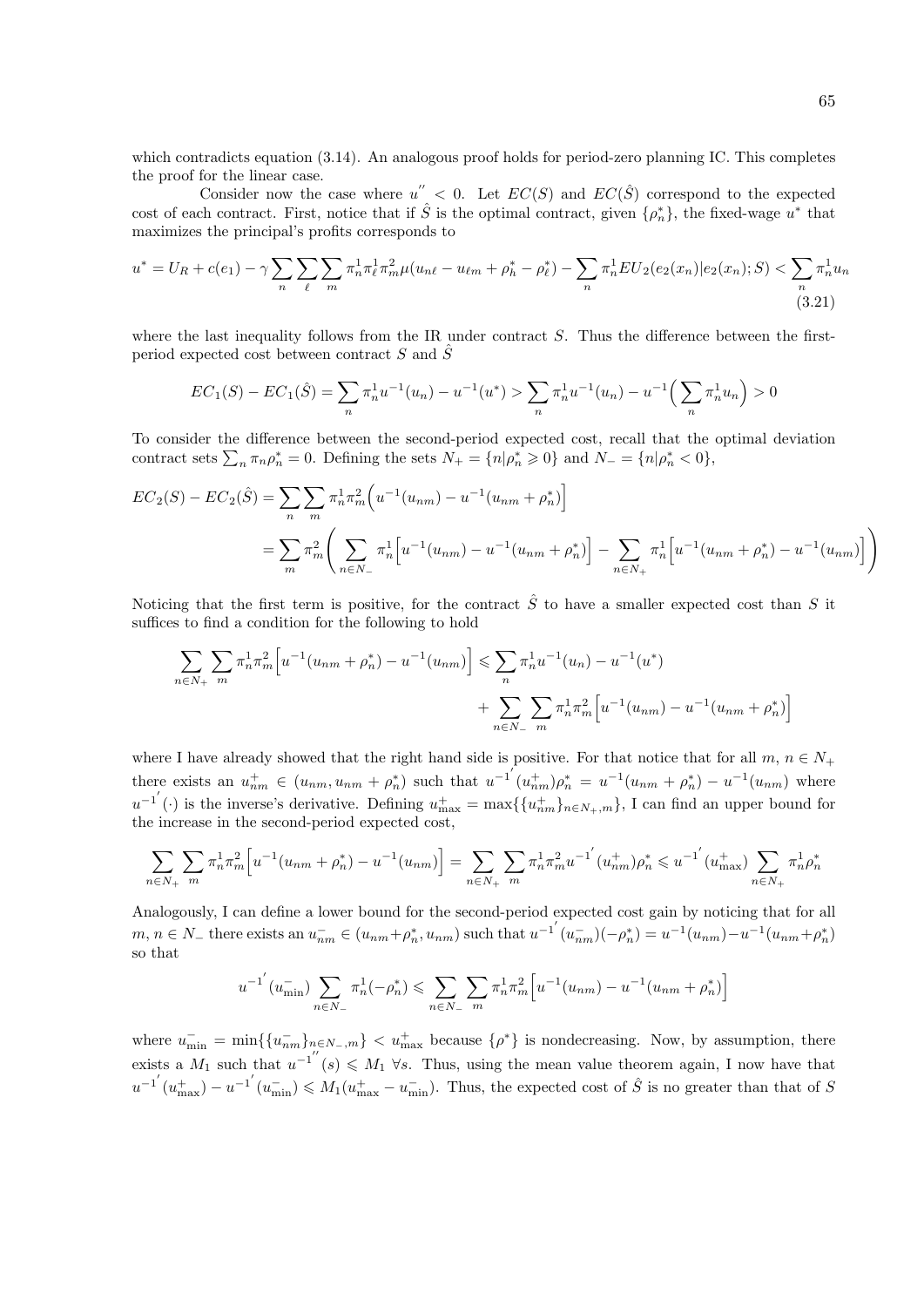which contradicts equation (3.14). An analogous proof holds for period-zero planning IC. This completes the proof for the linear case.

Consider now the case where  $u'' < 0$ . Let  $EC(S)$  and  $EC(\hat{S})$  correspond to the expected cost of each contract. First, notice that if  $\hat{S}$  is the optimal contract, given  $\{\rho_n^*\}$ , the fixed-wage  $u^*$  that maximizes the principal's profits corresponds to

$$
u^* = U_R + c(e_1) - \gamma \sum_n \sum_{\ell} \sum_m \pi_n^1 \pi_\ell^1 \pi_m^2 \mu(u_{n\ell} - u_{\ell m} + \rho_h^* - \rho_\ell^*) - \sum_n \pi_n^1 EU_2(e_2(x_n)|e_2(x_n); S) < \sum_n \pi_n^1 u_n \tag{3.21}
$$

where the last inequality follows from the IR under contract  $S$ . Thus the difference between the firstperiod expected cost between contract  $S$  and  $\hat{S}$ 

$$
EC_1(S) - EC_1(\hat{S}) = \sum_{n} \pi_n^1 u^{-1}(u_n) - u^{-1}(u^*) > \sum_{n} \pi_n^1 u^{-1}(u_n) - u^{-1}\left(\sum_{n} \pi_n^1 u_n\right) > 0
$$

To consider the difference between the second-period expected cost, recall that the optimal deviation contract sets  $\sum_n \pi_n \rho_n^* = 0$ . Defining the sets  $N_+ = \{n | \rho_n^* \geq 0\}$  and  $N_- = \{n | \rho_n^* < 0\}$ ,

$$
EC_2(S) - EC_2(\hat{S}) = \sum_{n} \sum_{m} \pi_n^1 \pi_m^2 \left( u^{-1}(u_{nm}) - u^{-1}(u_{nm} + \rho_n^*) \right)
$$
  
= 
$$
\sum_{m} \pi_m^2 \left( \sum_{n \in N_-} \pi_n^1 \left[ u^{-1}(u_{nm}) - u^{-1}(u_{nm} + \rho_n^*) \right] - \sum_{n \in N_+} \pi_n^1 \left[ u^{-1}(u_{nm} + \rho_n^*) - u^{-1}(u_{nm}) \right] \right)
$$

Noticing that the first term is positive, for the contract  $\hat{S}$  to have a smaller expected cost than S it suffices to find a condition for the following to hold

$$
\sum_{n \in N_+} \sum_m \pi_n^1 \pi_m^2 \left[ u^{-1} (u_{nm} + \rho_n^*) - u^{-1} (u_{nm}) \right] \leq \sum_n \pi_n^1 u^{-1} (u_n) - u^{-1} (u^*)
$$

$$
+ \sum_{n \in N_-} \sum_m \pi_n^1 \pi_m^2 \left[ u^{-1} (u_{nm}) - u^{-1} (u_{nm} + \rho_n^*) \right]
$$

where I have already showed that the right hand side is positive. For that notice that for all  $m, n \in N_+$ there exists an  $u_{nm}^+ \in (u_{nm}, u_{nm} + \rho_n^*)$  such that  $u^{-1'}(u_{nm}^+) \rho_n^* = u^{-1}(u_{nm} + \rho_n^*) - u^{-1}(u_{nm})$  where  $u^{-1'}(\cdot)$  is the inverse's derivative. Defining  $u_{\text{max}}^+ = \max\{\{u_{nm}^+\}_{n \in N_+,m}\}\$ , I can find an upper bound for the increase in the second-period expected cost,

$$
\sum_{n \in N_+} \sum_m \pi_n^1 \pi_m^2 \Big[ u^{-1} (u_{nm} + \rho_n^*) - u^{-1} (u_{nm}) \Big] = \sum_{n \in N_+} \sum_m \pi_n^1 \pi_m^2 u^{-1} (u_{nm}^+) \rho_n^* \leq u^{-1} (u_{\text{max}}^+) \sum_{n \in N_+} \pi_n^1 \rho_n^*
$$

Analogously, I can define a lower bound for the second-period expected cost gain by noticing that for all  $m, n \in \mathbb{N}_-$  there exists an  $u_{nm}^- \in (u_{nm} + \rho_n^*, u_{nm})$  such that  $u^{-1'}(u_{nm}^-)(-\rho_n^*) = u^{-1}(u_{nm}) - u^{-1}(u_{nm} + \rho_n^*)$ so that

$$
u^{-1'}(u_{\min}^-) \sum_{n \in N_-} \pi_n^1(-\rho_n^*) \leqslant \sum_{n \in N_-} \sum_{m} \pi_n^1 \pi_m^2 \left[ u^{-1}(u_{nm}) - u^{-1}(u_{nm} + \rho_n^*) \right]
$$

where  $u_{\min}^- = \min\{\{u_{nm}^-\}_{n \in N_-,m}\} < u_{\max}^+$  because  $\{\rho^*\}\$ is nondecreasing. Now, by assumption, there exists a  $M_1$  such that  $u^{-1''}(s) \leq M_1 \forall s$ . Thus, using the mean value theorem again, I now have that  $u^{-1'}(u_{\text{max}}^+) - u^{-1'}(u_{\text{min}}^-) \leqslant M_1(u_{\text{max}}^+ - u_{\text{min}}^-)$ . Thus, the expected cost of  $\hat{S}$  is no greater than that of S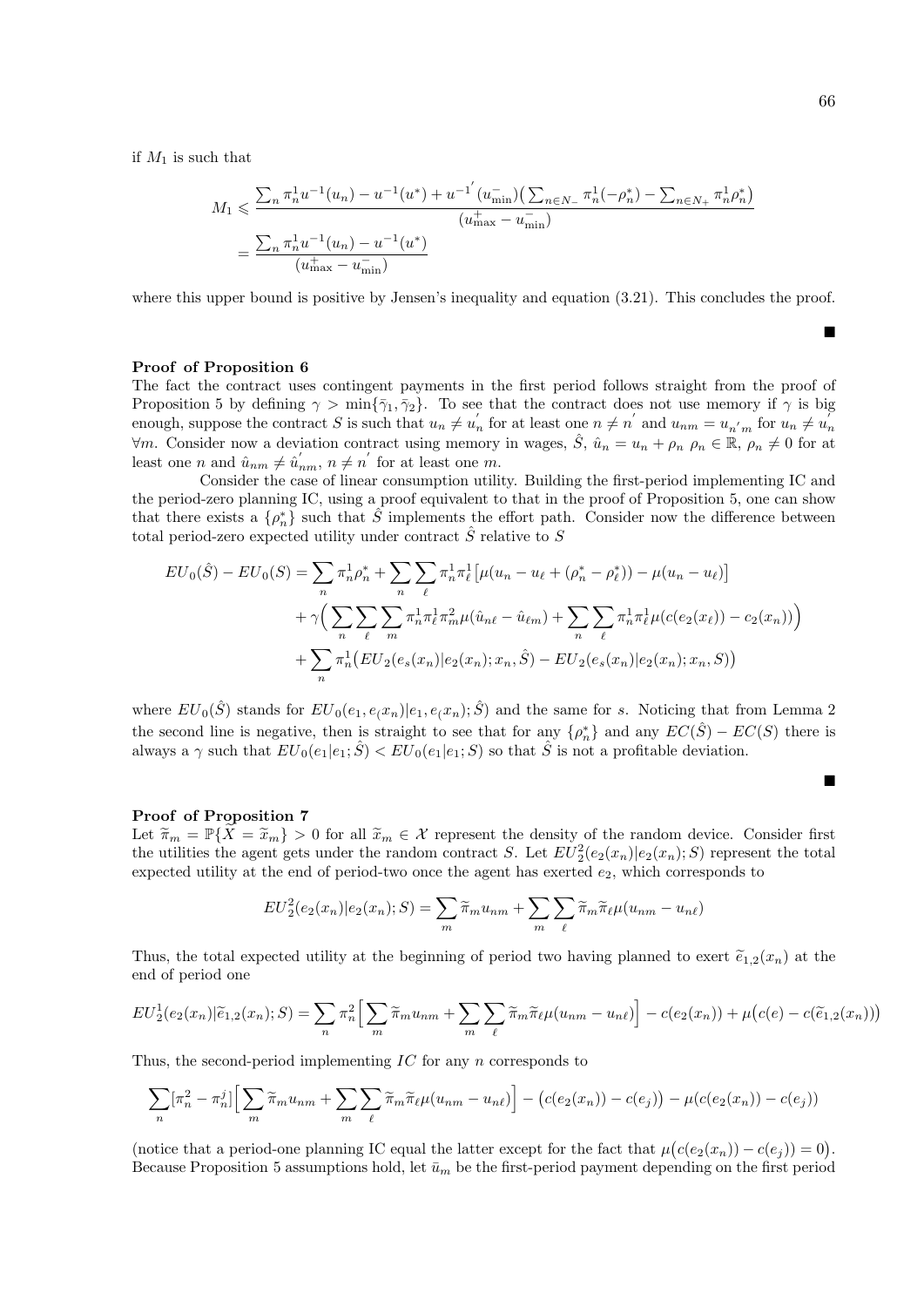$\blacksquare$ 

П

if  $M_1$  is such that

$$
M_1 \leq \frac{\sum_n \pi_n^1 u^{-1}(u_n) - u^{-1}(u^*) + u^{-1'}(u_{\min}^-) \left(\sum_{n \in N_-} \pi_n^1(-\rho_n^*) - \sum_{n \in N_+} \pi_n^1 \rho_n^*\right)}{(u_{\max}^+ - u_{\min}^-)}
$$
  
= 
$$
\frac{\sum_n \pi_n^1 u^{-1}(u_n) - u^{-1}(u^*)}{(u_{\max}^+ - u_{\min}^-)}
$$

where this upper bound is positive by Jensen's inequality and equation  $(3.21)$ . This concludes the proof.

Proof of Proposition 6

The fact the contract uses contingent payments in the first period follows straight from the proof of Proposition 5 by defining  $\gamma > \min{\{\bar{\gamma}_1, \bar{\gamma}_2\}}$ . To see that the contract does not use memory if  $\gamma$  is big enough, suppose the contract S is such that  $u_n \neq u'_n$  for at least one  $n \neq n'$  and  $u_{nm} = u_{n'm}$  for  $u_n \neq u'_n$  $\forall m$ . Consider now a deviation contract using memory in wages,  $\hat{S}$ ,  $\hat{u}_n = u_n + \rho_n$ ,  $\rho_n \in \mathbb{R}$ ,  $\rho_n \neq 0$  for at least one *n* and  $\hat{u}_{nm} \neq \hat{u}'_{nm}$ ,  $n \neq n'$  for at least one *m*.

Consider the case of linear consumption utility. Building the first-period implementing IC and the period-zero planning IC, using a proof equivalent to that in the proof of Proposition 5, one can show that there exists a  $\{\rho_n^*\}$  such that  $\hat{S}$  implements the effort path. Consider now the difference between total period-zero expected utility under contract  $\hat{S}$  relative to S

$$
EU_0(\hat{S}) - EU_0(S) = \sum_n \pi_n^1 \rho_n^* + \sum_n \sum_{\ell} \pi_n^1 \pi_{\ell}^1 \left[ \mu(u_n - u_{\ell} + (\rho_n^* - \rho_{\ell}^*)) - \mu(u_n - u_{\ell}) \right]
$$
  
+  $\gamma \Big( \sum_n \sum_{\ell} \sum_m \pi_n^1 \pi_{\ell}^1 \pi_m^2 \mu(\hat{u}_{n\ell} - \hat{u}_{\ell m}) + \sum_n \sum_{\ell} \pi_n^1 \pi_{\ell}^1 \mu(c(e_2(x_{\ell})) - c_2(x_n)) \Big)$   
+  $\sum_n \pi_n^1 (EU_2(e_s(x_n)) | e_2(x_n); x_n, \hat{S}) - EU_2(e_s(x_n) | e_2(x_n); x_n, S)$ 

where  $EU_0(\hat{S})$  stands for  $EU_0(e_1, e_\ell x_n)|e_1, e_\ell x_n; \hat{S})$  and the same for s. Noticing that from Lemma 2 the second line is negative, then is straight to see that for any  $\{\rho_n^*\}$  and any  $EC(\hat{S}) - EC(S)$  there is always a  $\gamma$  such that  $EU_0(e_1|e_1;\hat{S}) < EU_0(e_1|e_1;S)$  so that  $\hat{S}$  is not a profitable deviation.

#### Proof of Proposition 7

Let  $\widetilde{\pi}_m = \mathbb{P}\{\widetilde{X} = \widetilde{x}_m\} > 0$  for all  $\widetilde{x}_m \in \mathcal{X}$  represent the density of the random device. Consider first the utilities the agent gets under the random contract S. Let  $EU_2^2(e_2(x_n)|e_2(x_n);S)$  represent the total expected utility at the end of period-two once the agent has exerted  $e_2$ , which corresponds to

$$
EU_2^2(e_2(x_n)|e_2(x_n);S) = \sum_m \widetilde{\pi}_m u_{nm} + \sum_m \sum_{\ell} \widetilde{\pi}_m \widetilde{\pi}_{\ell} \mu(u_{nm} - u_{n\ell})
$$

Thus, the total expected utility at the beginning of period two having planned to exert  $\tilde{e}_{1,2}(x_n)$  at the end of period one

$$
EU_2^1(e_2(x_n)|\widetilde{e}_{1,2}(x_n);S) = \sum_n \pi_n^2 \Big[ \sum_m \widetilde{\pi}_m u_{nm} + \sum_m \sum_\ell \widetilde{\pi}_m \widetilde{\pi}_\ell \mu(u_{nm} - u_{n\ell}) \Big] - c(e_2(x_n)) + \mu\big(c(e) - c(\widetilde{e}_{1,2}(x_n))\big)
$$

Thus, the second-period implementing IC for any n corresponds to

$$
\sum_{n} [\pi_n^2 - \pi_n^j] \Big[ \sum_{m} \widetilde{\pi}_m u_{nm} + \sum_{m} \sum_{\ell} \widetilde{\pi}_m \widetilde{\pi}_{\ell} \mu(u_{nm} - u_{n\ell}) \Big] - (c(e_2(x_n)) - c(e_j)) - \mu(c(e_2(x_n)) - c(e_j))
$$

(notice that a period-one planning IC equal the latter except for the fact that  $\mu(c(e_2(x_n)) - c(e_j)) = 0$ ). Because Proposition 5 assumptions hold, let  $\bar{u}_m$  be the first-period payment depending on the first period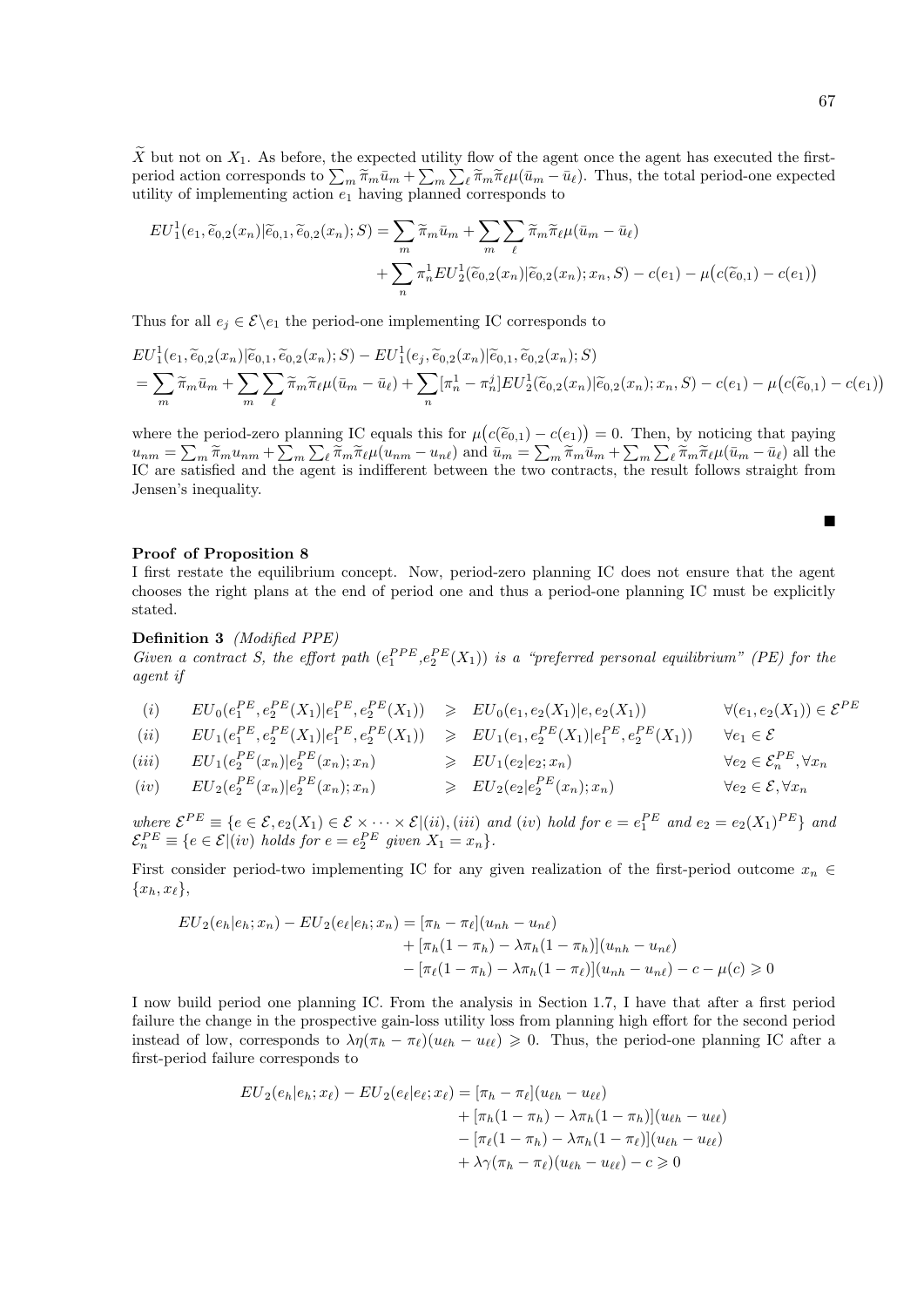$\widetilde{X}$  but not on  $X_1$ . As before, the expected utility flow of the agent once the agent has executed the firstperiod action corresponds to  $\sum_m \widetilde{\pi}_m \bar{u}_m + \sum_m \sum_{\ell} \widetilde{\pi}_m \widetilde{\pi}_{\ell} \mu (\bar{u}_m - \bar{u}_{\ell})$ . Thus, the total period-one expected utility of implementing action  $e_1$  having planned corresponds to

$$
EU_1^1(e_1, \widetilde{e}_{0,2}(x_n)|\widetilde{e}_{0,1}, \widetilde{e}_{0,2}(x_n); S) = \sum_m \widetilde{\pi}_m \bar{u}_m + \sum_m \sum_{\ell} \widetilde{\pi}_m \widetilde{\pi}_{\ell} \mu(\bar{u}_m - \bar{u}_{\ell}) + \sum_n \pi_n^1 EU_2^1(\widetilde{e}_{0,2}(x_n)|\widetilde{e}_{0,2}(x_n); x_n, S) - c(e_1) - \mu(c(\widetilde{e}_{0,1}) - c(e_1))
$$

Thus for all  $e_j \in \mathcal{E} \backslash e_1$  the period-one implementing IC corresponds to

$$
EU_1^1(e_1, \widetilde{e}_{0,2}(x_n)|\widetilde{e}_{0,1}, \widetilde{e}_{0,2}(x_n); S) - EU_1^1(e_j, \widetilde{e}_{0,2}(x_n)|\widetilde{e}_{0,1}, \widetilde{e}_{0,2}(x_n); S) = \sum_m \widetilde{\pi}_m \bar{u}_m + \sum_m \sum_\ell \widetilde{\pi}_m \widetilde{\pi}_\ell \mu(\bar{u}_m - \bar{u}_\ell) + \sum_n [\pi_n^1 - \pi_n^j] EU_2^1(\widetilde{e}_{0,2}(x_n)|\widetilde{e}_{0,2}(x_n); x_n, S) - c(e_1) - \mu(c(\widetilde{e}_{0,1}) - c(e_1))
$$

where the period-zero planning IC equals this for  $\mu(c(\tilde{e}_{0,1}) - c(e_1)) = 0$ . Then, by noticing that paying<br>  $\mu = \sum \tilde{e}_{n} \mu + \sum \tilde{e}_{n} \tilde{e}_{n} \mu(u_{n} - u_{n})$  and  $\bar{u}_{n} = \sum \tilde{e}_{n} \tilde{u}_{n} + \sum \tilde{e}_{n} \tilde{e}_{n} \mu(\bar{u}_{n} - \bar{u}_{n$  $u_{nm} = \sum_m \widetilde{\pi}_m u_{nm} + \sum_m \sum_{\ell} \widetilde{\pi}_m \widetilde{\pi}_{\ell} \mu(u_{nm} - u_{n\ell})$  and  $\bar{u}_m = \sum_m \widetilde{\pi}_m \bar{u}_m + \sum_m \sum_{\ell} \widetilde{\pi}_m \widetilde{\pi}_{\ell} \mu(\bar{u}_m - \bar{u}_{\ell})$  all the IC are satisfied and the agent is indifferent between the two contracts, the result follows straight from Jensen's inequality.

## Proof of Proposition 8

I first restate the equilibrium concept. Now, period-zero planning IC does not ensure that the agent chooses the right plans at the end of period one and thus a period-one planning IC must be explicitly stated.

Definition 3 (Modified PPE)

Given a contract S, the effort path  $(e_1^{PPE}, e_2^{PE}(X_1))$  is a "preferred personal equilibrium" (PE) for the agent if

- (i)  $EU_0(e_1^{PE}, e_2^{PE}(X_1)|e_1^{PE}, e_2^{PE}(X_1)) \geq EU_0(e_1, e_2(X_1)|e, e_2(X_1))$   $\forall (e_1, e_2(X_1)) \in \mathcal{E}^{PE}$
- $(ii) \qquad EU_1(e_1^{PE}, e_2^{PE}(X_1)| e_1^{PE}, e_2^{PE}(X_1)) \quad \geqslant \quad EU_1(e_1, e_2^{PE}(X_1)| e_1^{PE}, e_2^{PE}(X_1)) \qquad \forall e_1 \in \mathcal{E}$

$$
(iii) \quad EU_1(e_2^{PE}(x_n)|e_2^{PE}(x_n);x_n) \quad \geqslant EU_1(e_2|e_2;x_n) \quad \forall e_2 \in \mathcal{E}_n^{PE}, \forall x_n
$$
\n
$$
(iv) \quad EU_1(e_2^{PE}(x_n)|e_2^{PE}(x_n);x_n) \quad \geqslant \quad EU_1(e_2|e_2;x_n) \quad \forall e_2 \in \mathcal{E}_n^{PE}, \forall x_n
$$

$$
(iv) \t EU_2(e_2^{PE}(x_n)|e_2^{PE}(x_n);x_n) \t\t\t\geq EU_2(e_2|e_2^{PE}(x_n);x_n) \t \forall e_2 \in \mathcal{E}, \forall x_n
$$

where  $\mathcal{E}^{PE} \equiv \{e \in \mathcal{E}, e_2(X_1) \in \mathcal{E} \times \cdots \times \mathcal{E}|(ii), (iii) \text{ and } (iv) \text{ hold for } e = e_1^{PE} \text{ and } e_2 = e_2(X_1)^{PE}\}\$ and  $\mathcal{E}_n^{PE} \equiv \{e \in \mathcal{E} | (iv) \ holds \ for \ e = e_2^{PE} \ given \ X_1 = x_n \}.$ 

First consider period-two implementing IC for any given realization of the first-period outcome  $x_n \in$  ${x_h, x_\ell},$ 

$$
EU_2(e_h|e_h; x_n) - EU_2(e_{\ell}|e_h; x_n) = [\pi_h - \pi_{\ell}](u_{nh} - u_{n\ell})
$$
  
+  $[\pi_h(1 - \pi_h) - \lambda \pi_h(1 - \pi_h)](u_{nh} - u_{n\ell})$   
-  $[\pi_{\ell}(1 - \pi_h) - \lambda \pi_h(1 - \pi_{\ell})](u_{nh} - u_{n\ell}) - c - \mu(c) \ge 0$ 

I now build period one planning IC. From the analysis in Section 1.7, I have that after a first period failure the change in the prospective gain-loss utility loss from planning high effort for the second period instead of low, corresponds to  $\lambda \eta(\pi_h - \pi_\ell)(u_{\ell h} - u_{\ell \ell}) \geqslant 0$ . Thus, the period-one planning IC after a first-period failure corresponds to

$$
EU_2(e_h|e_h; x_{\ell}) - EU_2(e_{\ell}|e_{\ell}; x_{\ell}) = [\pi_h - \pi_{\ell}](u_{\ell h} - u_{\ell \ell}) + [\pi_h(1 - \pi_h) - \lambda \pi_h(1 - \pi_h)](u_{\ell h} - u_{\ell \ell}) - [\pi_{\ell}(1 - \pi_h) - \lambda \pi_h(1 - \pi_{\ell})](u_{\ell h} - u_{\ell \ell}) + \lambda \gamma(\pi_h - \pi_{\ell})(u_{\ell h} - u_{\ell \ell}) - c \ge 0
$$

 $\blacksquare$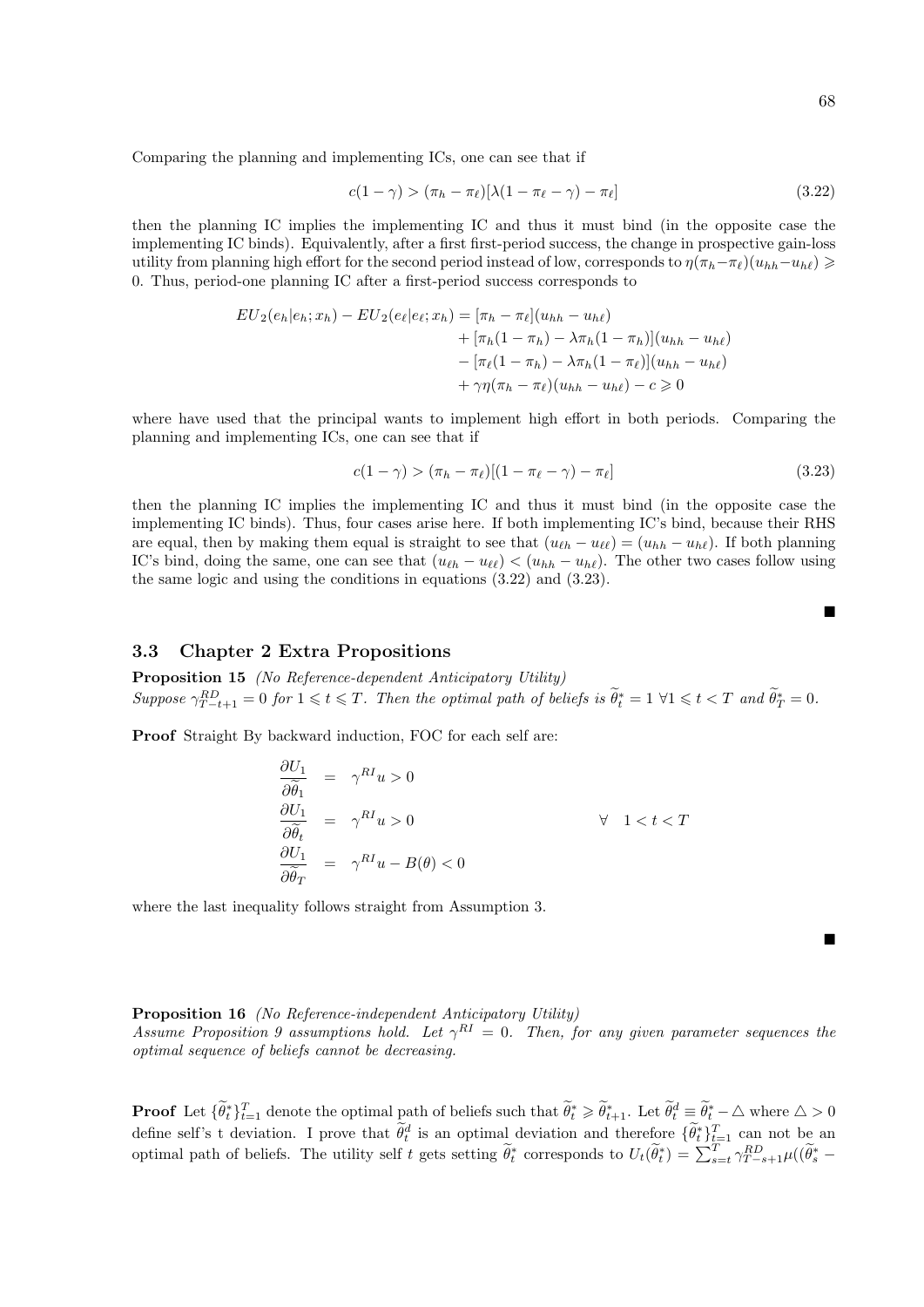Comparing the planning and implementing ICs, one can see that if

$$
c(1 - \gamma) > (\pi_h - \pi_\ell)[\lambda(1 - \pi_\ell - \gamma) - \pi_\ell] \tag{3.22}
$$

then the planning IC implies the implementing IC and thus it must bind (in the opposite case the implementing IC binds). Equivalently, after a first first-period success, the change in prospective gain-loss utility from planning high effort for the second period instead of low, corresponds to  $\eta(\pi_h-\pi_\ell)(u_{hh}-u_{h\ell}) \geq$ 0. Thus, period-one planning IC after a first-period success corresponds to

$$
EU_2(e_h|e_h; x_h) - EU_2(e_\ell|e_\ell; x_h) = [\pi_h - \pi_\ell](u_{hh} - u_{h\ell})
$$
  
+  $[\pi_h(1 - \pi_h) - \lambda \pi_h(1 - \pi_h)](u_{hh} - u_{h\ell})$   
-  $[\pi_\ell(1 - \pi_h) - \lambda \pi_h(1 - \pi_\ell)](u_{hh} - u_{h\ell})$   
+  $\gamma \eta(\pi_h - \pi_\ell)(u_{hh} - u_{h\ell}) - c \ge 0$ 

where have used that the principal wants to implement high effort in both periods. Comparing the planning and implementing ICs, one can see that if

$$
c(1 - \gamma) > (\pi_h - \pi_\ell)[(1 - \pi_\ell - \gamma) - \pi_\ell] \tag{3.23}
$$

then the planning IC implies the implementing IC and thus it must bind (in the opposite case the implementing IC binds). Thus, four cases arise here. If both implementing IC's bind, because their RHS are equal, then by making them equal is straight to see that  $(u_{\ell h} - u_{\ell \ell}) = (u_{hh} - u_{h\ell})$ . If both planning IC's bind, doing the same, one can see that  $(u_{\ell h} - u_{\ell \ell}) < (u_{hh} - u_{h\ell})$ . The other two cases follow using the same logic and using the conditions in equations (3.22) and (3.23).

## 3.3 Chapter 2 Extra Propositions

Proposition 15 (No Reference-dependent Anticipatory Utility) Suppose  $\gamma_{T-t+1}^{RD} = 0$  for  $1 \leq t \leq T$ . Then the optimal path of beliefs is  $\widetilde{\theta}_t^* = 1 \ \forall 1 \leq t \leq T$  and  $\widetilde{\theta}_T^* = 0$ .

Proof Straight By backward induction, FOC for each self are:

$$
\frac{\partial U_1}{\partial \widetilde{\theta}_1} = \gamma^{RI} u > 0
$$
  
\n
$$
\frac{\partial U_1}{\partial \widetilde{\theta}_t} = \gamma^{RI} u > 0 \qquad \forall 1 < t < T
$$
  
\n
$$
\frac{\partial U_1}{\partial \widetilde{\theta}_T} = \gamma^{RI} u - B(\theta) < 0
$$

where the last inequality follows straight from Assumption 3.

Proposition 16 (No Reference-independent Anticipatory Utility)

Assume Proposition 9 assumptions hold. Let  $\gamma^{RI} = 0$ . Then, for any given parameter sequences the optimal sequence of beliefs cannot be decreasing.

**Proof** Let  ${\lbrace \widetilde{\theta}_t^* \rbrace}_{t=1}^T$  denote the optimal path of beliefs such that  $\widetilde{\theta}_t^* \geq \widetilde{\theta}_{t+1}^*$ . Let  $\widetilde{\theta}_t^* \equiv \widetilde{\theta}_t^* - \Delta$  where  $\Delta > 0$ define self's t deviation. I prove that  $\tilde{\theta}_t^d$  is an optimal deviation and therefore  $\{\tilde{\theta}_t^*\}_{t=1}^T$  can not be an optimal path of beliefs. The utility self t gets setting  $\tilde{\theta}_t^*$  corresponds to  $U_t(\tilde{\theta}_t^*) = \sum_{s=t}^T \gamma_{T-s+1}^{RD} \mu((\tilde{\theta}_s^* -$ 

п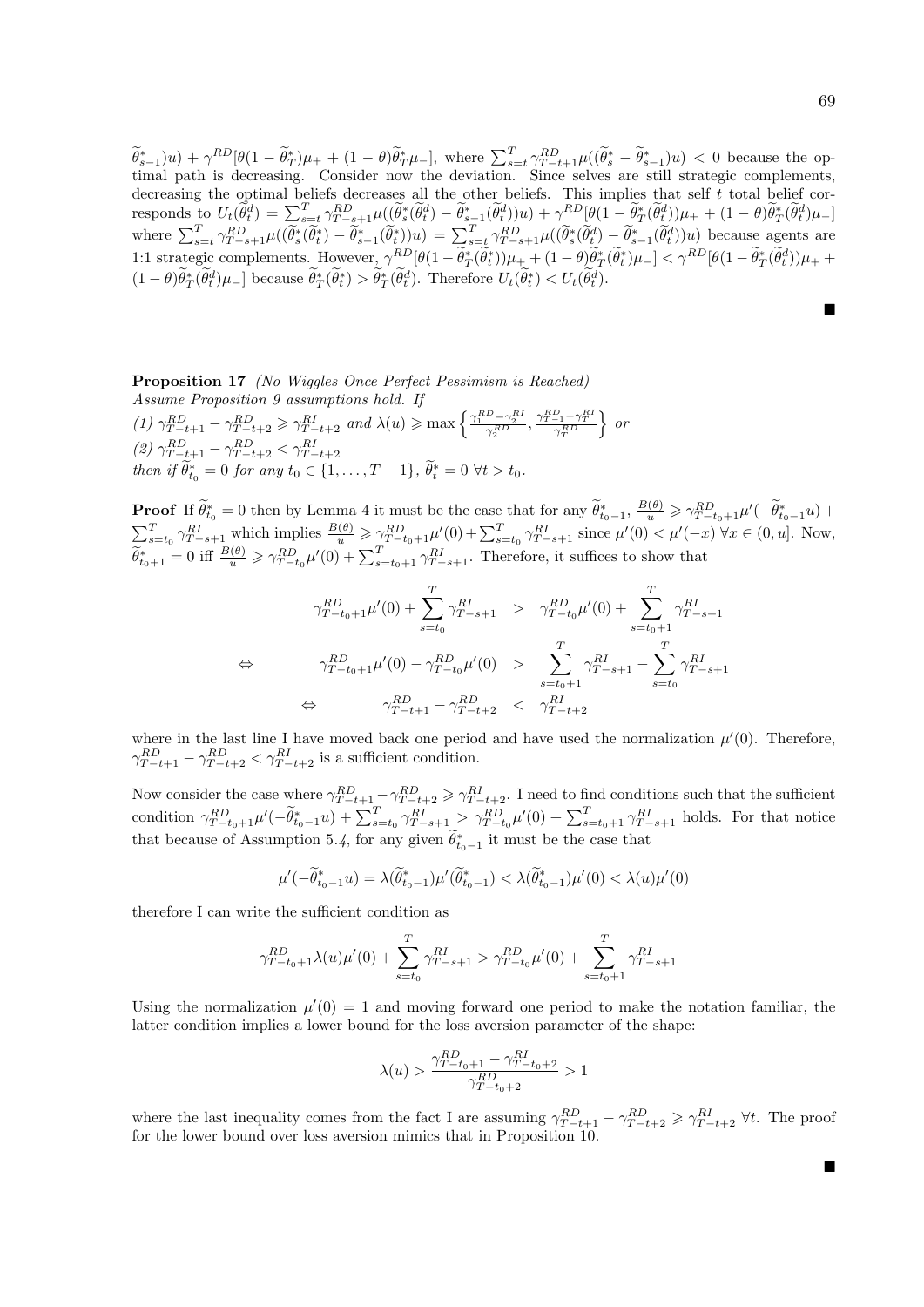$(\widetilde{\theta}_{s-1}^*)u + \gamma^{RD}[\theta(1-\widetilde{\theta}_{T}^*)\mu_{+} + (1-\theta)\widetilde{\theta}_{T}^*\mu_{-}],$  where  $\sum_{s=t}^T \gamma^{RD}_{T-t+1}\mu((\widetilde{\theta}_{s}^* - \widetilde{\theta}_{s-1}^*)u) < 0$  because the optimal path is decreasing. Consider now the deviation. Since selves are still strategic complements, decreasing the optimal beliefs decreases all the other beliefs. This implies that self  $t$  total belief corresponds to  $U_t(\tilde{\theta}_t^d) = \sum_{s=t}^T \gamma_{T-s+1}^{RD} \mu(\tilde{\theta}_s^*(\tilde{\theta}_t^d) - \tilde{\theta}_{s-1}^*(\tilde{\theta}_t^d))u) + \gamma_{s-}^{RD}[\theta(1-\tilde{\theta}_T^*(\tilde{\theta}_t^d))\mu_{+} + (1-\theta)\tilde{\theta}_T^*(\tilde{\theta}_t^d)\mu_{-}]$ where  $\sum_{s=t}^{T} \gamma_{T-s+1}^{RD} \mu((\tilde{\theta}_{s}^{*}(\tilde{\theta}_{t}^{*})) - \tilde{\theta}_{s-1}^{*}(\tilde{\theta}_{t}^{*}))u) = \sum_{s=t}^{T} \gamma_{T-s+1}^{RD} \mu((\tilde{\theta}_{s}^{*}(\tilde{\theta}_{t}^{d})) - \tilde{\theta}_{s-1}^{*}(\tilde{\theta}_{t}^{d}))u)$  because agents are 1:1 strategic complements. However,  $\gamma^{RD}[\theta(1-\theta_T^*(\theta_t^*))\mu_+ + (1-\theta)\theta_T^*(\theta_t^*)\mu_-] < \gamma^{RD}[\theta(1-\theta_T^*(\theta_t^*))\mu_+ +$  $(1-\theta)\hat{\theta}_T^*(\hat{\theta}_t^d)\mu_{-}]$  because  $\hat{\theta}_T^*(\hat{\theta}_t^*) > \hat{\theta}_T^*(\hat{\theta}_t^d)$ . Therefore  $U_t(\hat{\theta}_t^*) < U_t(\hat{\theta}_t^d)$ .

Ē

Proposition 17 (No Wiggles Once Perfect Pessimism is Reached) Assume Proposition 9 assumptions hold. If (1)  $\gamma_{T-t+1}^{RD} - \gamma_{T-t+2}^{RD} \ge \gamma_{T-t+2}^{RI}$  and  $\lambda(u) \ge \max\left\{\frac{\gamma_1^{RD} - \gamma_2^{RI}}{\gamma_2^{RD}}, \frac{\gamma_{T-1}^{RD} - \gamma_T^{RI}}{\gamma_T^{RD}}\right\}$  $\}$  or (2)  $\gamma_{T-t+1}^{RD} - \gamma_{T-t+2}^{RD} < \gamma_{T-t}^{RI}$  $T - t + 2$ then if  $\hat{\theta}_{t_0}^* = 0$  for any  $t_0 \in \{1, ..., T - 1\}$ ,  $\hat{\theta}_{t}^* = 0 \ \forall t > t_0$ .

**Proof** If  $\tilde{\theta}_{t_0}^* = 0$  then by Lemma 4 it must be the case that for any  $\tilde{\theta}_{t_0-1}^*$ ,  $\frac{B(\theta)}{u} \geq \gamma_{T-t_0+1}^{RD} \mu'(-\tilde{\theta}_{t_0-1}^*u) +$  $\sum_{s=t_0}^{T} \gamma_{T-s+1}^{RI}$  which implies  $\frac{B(\theta)}{u} \geq \gamma_{T-t_0+1}^{RD} \mu'(0) + \sum_{s=t_0}^{T} \gamma_{T-s+1}^{RI}$  since  $\mu'(0) < \mu'(-x)$   $\forall x \in (0, u]$ . Now,  $\widetilde{\theta}_{t_0+1}^* = 0$  iff  $\frac{B(\theta)}{u} \ge \gamma_{T-t_0}^{RD} \mu'(0) + \sum_{s=t_0+1}^T \gamma_{T-s+1}^{RI}$ . Therefore, it suffices to show that

$$
\begin{array}{lll}\n\gamma_{T-t_0+1}^{RD}\mu'(0) + \sum_{s=t_0}^T \gamma_{T-s+1}^{RI} > & \gamma_{T-t_0}^{RD}\mu'(0) + \sum_{s=t_0+1}^T \gamma_{T-s+1}^{RI} \\
&\leftrightarrow & \gamma_{T-t_0+1}^{RD}\mu'(0) - \gamma_{T-t_0}^{RD}\mu'(0) > & \sum_{s=t_0+1}^T \gamma_{T-s+1}^{RI} - \sum_{s=t_0}^T \gamma_{T-s+1}^{RI} \\
&\leftrightarrow & \gamma_{T-t+1}^{RD} - \gamma_{T-t+2}^{RD} < & \gamma_{T-t+2}^{RI}\n\end{array}
$$

where in the last line I have moved back one period and have used the normalization  $\mu'(0)$ . Therefore,  $\gamma_{T-t+1}^{RD} - \gamma_{T-t+2}^{RD} < \gamma_{T-t+2}^{RI}$  is a sufficient condition.

Now consider the case where  $\gamma_{T-t+1}^{RD} - \gamma_{T-t+2}^{RD} \ge \gamma_{T-t+2}^{RI}$ . I need to find conditions such that the sufficient condition  $\gamma_{T-t_0+1}^{RD}\mu'(-\tilde{\theta}_{t_0-1}^*u) + \sum_{s=t_0}^T \gamma_{T-s+1}^{RI} > \gamma_{T-t_0}^{RD}\mu'(0) + \sum_{s=t_0+1}^T \gamma_{T-s+1}^{RI}$  holds. For that notice that because of Assumption 5.4, for any given  $\tilde{\theta}_{t_0-1}^*$  it must be the case that

$$
\mu'(-\widetilde{\theta}^*_{t_0-1}u)=\lambda(\widetilde{\theta}^*_{t_0-1})\mu'(\widetilde{\theta}^*_{t_0-1})<\lambda(\widetilde{\theta}^*_{t_0-1})\mu'(0)<\lambda(u)\mu'(0)
$$

therefore I can write the sufficient condition as

$$
\gamma_{T-t_0+1}^{RD} \lambda(u) \mu'(0) + \sum_{s=t_0}^{T} \gamma_{T-s+1}^{RI} > \gamma_{T-t_0}^{RD} \mu'(0) + \sum_{s=t_0+1}^{T} \gamma_{T-s+1}^{RI}
$$

Using the normalization  $\mu'(0) = 1$  and moving forward one period to make the notation familiar, the latter condition implies a lower bound for the loss aversion parameter of the shape:

$$
\lambda(u) > \frac{\gamma_{T-t_0+1}^{RD} - \gamma_{T-t_0+2}^{RI}}{\gamma_{T-t_0+2}^{RD}} > 1
$$

where the last inequality comes from the fact I are assuming  $\gamma_{T-t+1}^{RD} - \gamma_{T-t+2}^{RD} \geq \gamma_{T-t+2}^{RI}$   $\forall t$ . The proof for the lower bound over loss aversion mimics that in Proposition 10.

Ē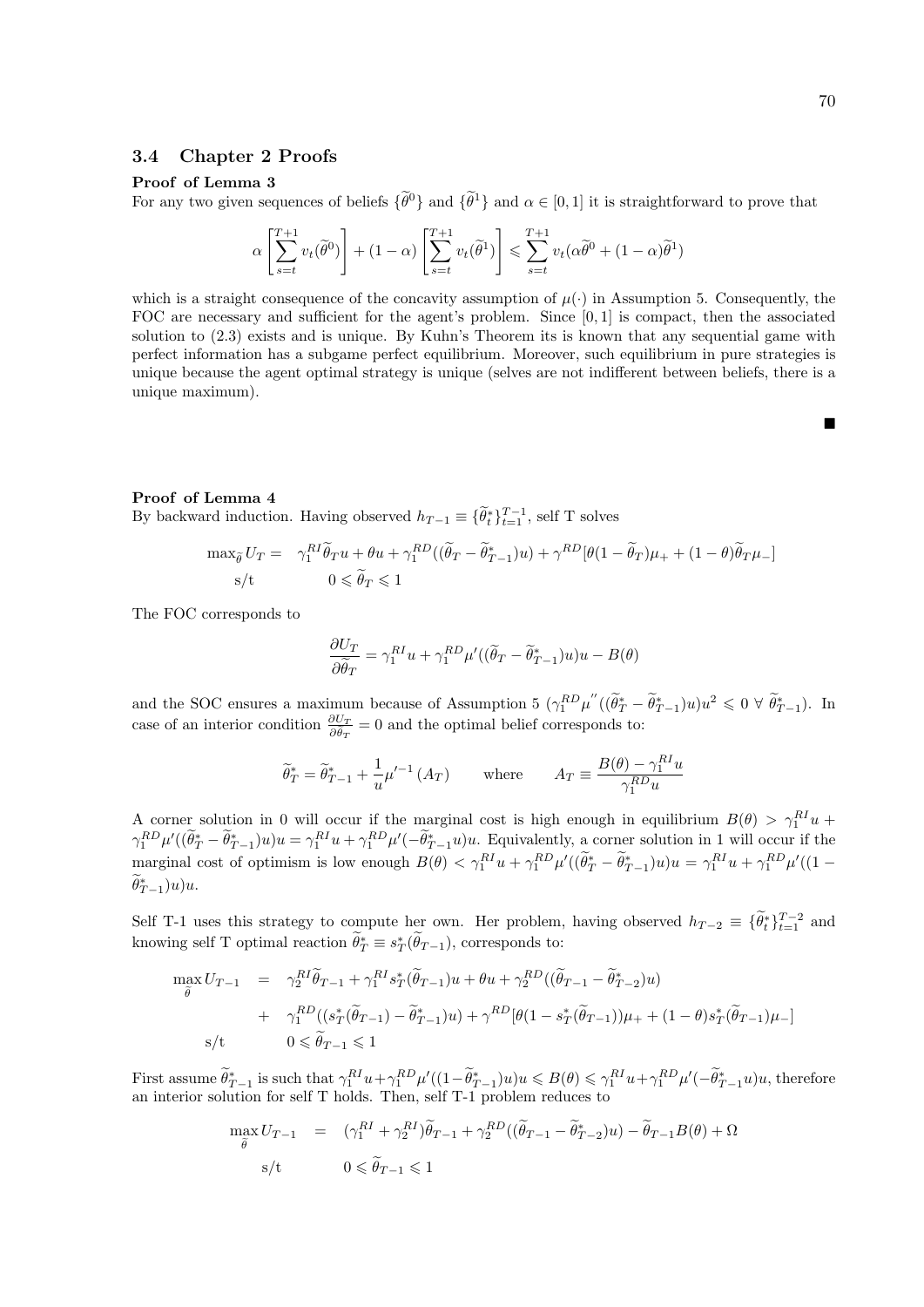#### Proof of Lemma 3

For any two given sequences of beliefs  $\{\tilde{\theta}^0\}$  and  $\{\tilde{\theta}^1\}$  and  $\alpha \in [0,1]$  it is straightforward to prove that

$$
\alpha \left[ \sum_{s=t}^{T+1} v_t(\tilde{\theta}^0) \right] + (1 - \alpha) \left[ \sum_{s=t}^{T+1} v_t(\tilde{\theta}^1) \right] \leq \sum_{s=t}^{T+1} v_t(\alpha \tilde{\theta}^0 + (1 - \alpha) \tilde{\theta}^1)
$$

which is a straight consequence of the concavity assumption of  $\mu(\cdot)$  in Assumption 5. Consequently, the FOC are necessary and sufficient for the agent's problem. Since [0, 1] is compact, then the associated solution to (2.3) exists and is unique. By Kuhn's Theorem its is known that any sequential game with perfect information has a subgame perfect equilibrium. Moreover, such equilibrium in pure strategies is unique because the agent optimal strategy is unique (selves are not indifferent between beliefs, there is a unique maximum).

## Proof of Lemma 4

By backward induction. Having observed  $h_{T-1} \equiv {\{\widetilde{\theta}_t^*\}}_{t=1}^{T-1}$ , self T solves

$$
\max_{\tilde{\theta}} U_T = \gamma_1^{RI} \tilde{\theta}_T u + \theta u + \gamma_1^{RD} ((\tilde{\theta}_T - \tilde{\theta}_{T-1}^*) u) + \gamma^{RD} [\theta (1 - \tilde{\theta}_T) \mu_+ + (1 - \theta) \tilde{\theta}_T \mu_-]
$$
  
s/t 
$$
0 \le \tilde{\theta}_T \le 1
$$

The FOC corresponds to

$$
\frac{\partial U_T}{\partial \widetilde{\theta}_T} = \gamma_1^{RI} u + \gamma_1^{RD} \mu' ((\widetilde{\theta}_T - \widetilde{\theta}_{T-1}^*) u) u - B(\theta)
$$

and the SOC ensures a maximum because of Assumption 5  $(\gamma_1^{RD}\mu''((\tilde{\theta}_T^* - \tilde{\theta}_{T-1}^*)u)u^2 \leq 0 \forall \tilde{\theta}_{T-1}^*)$ . In case of an interior condition  $\frac{\partial U_T}{\partial \hat{\theta}_T} = 0$  and the optimal belief corresponds to:

$$
\widetilde{\theta}_T^* = \widetilde{\theta}_{T-1}^* + \frac{1}{u} \mu'^{-1}(A_T) \quad \text{where} \quad A_T \equiv \frac{B(\theta) - \gamma_1^{RI} u}{\gamma_1^{RD} u}
$$

A corner solution in 0 will occur if the marginal cost is high enough in equilibrium  $B(\theta) > \gamma_1^{RI} u +$  $\gamma_1^{RD} \mu'((\tilde{\theta}_T^* - \tilde{\theta}_{T-1}^*)u)u = \gamma_1^{RI} u + \gamma_1^{RD} \mu'(-\tilde{\theta}_{T-1}^*u)u$ . Equivalently, a corner solution in 1 will occur if the marginal cost of optimism is low enough  $B(\theta) < \gamma_1^{RI} u + \gamma_1^{RD} \mu'((\hat{\theta}_T^* - \hat{\theta}_{T-1}^*)u)u = \gamma_1^{RI} u + \gamma_1^{RD} \mu'((1 - \hat{\theta}_T^*)u)u$  $\widetilde{\theta}_{T-1}^*(u)u$ 

Self T-1 uses this strategy to compute her own. Her problem, having observed  $h_{T-2} \equiv {\{\tilde{\theta}_t^*\}_{t=1}^{T-2}}$  and knowing self T optimal reaction  $\tilde{\theta}^*_T \equiv s^*_T(\tilde{\theta}_{T-1})$ , corresponds to:

$$
\max_{\tilde{\theta}} U_{T-1} = \gamma_2^{RI} \tilde{\theta}_{T-1} + \gamma_1^{RI} s_T^* (\tilde{\theta}_{T-1}) u + \theta u + \gamma_2^{RD} ((\tilde{\theta}_{T-1} - \tilde{\theta}_{T-2}^*) u)
$$
  
+  $\gamma_1^{RD} ((s_T^* (\tilde{\theta}_{T-1}) - \tilde{\theta}_{T-1}^*) u) + \gamma^{RD} [\theta (1 - s_T^* (\tilde{\theta}_{T-1})) \mu_+ + (1 - \theta) s_T^* (\tilde{\theta}_{T-1}) \mu_-]$   
s/t  $0 \le \tilde{\theta}_{T-1} \le 1$ 

First assume  $\widetilde{\theta}_{T-1}^*$  is such that  $\gamma_1^{RI}u + \gamma_1^{RD}\mu'((1-\widetilde{\theta}_{T-1}^*)u)u \leq B(\theta) \leq \gamma_1^{RI}u + \gamma_1^{RD}\mu'(-\widetilde{\theta}_{T-1}^*u)u$ , therefore an interior solution for self T holds. Then, self T-1 problem reduces to

$$
\max_{\tilde{\theta}} U_{T-1} = (\gamma_1^{RI} + \gamma_2^{RI}) \tilde{\theta}_{T-1} + \gamma_2^{RD} ((\tilde{\theta}_{T-1} - \tilde{\theta}_{T-2}^*)u) - \tilde{\theta}_{T-1} B(\theta) + \Omega
$$
  
s/t 
$$
0 \leq \tilde{\theta}_{T-1} \leq 1
$$

Ē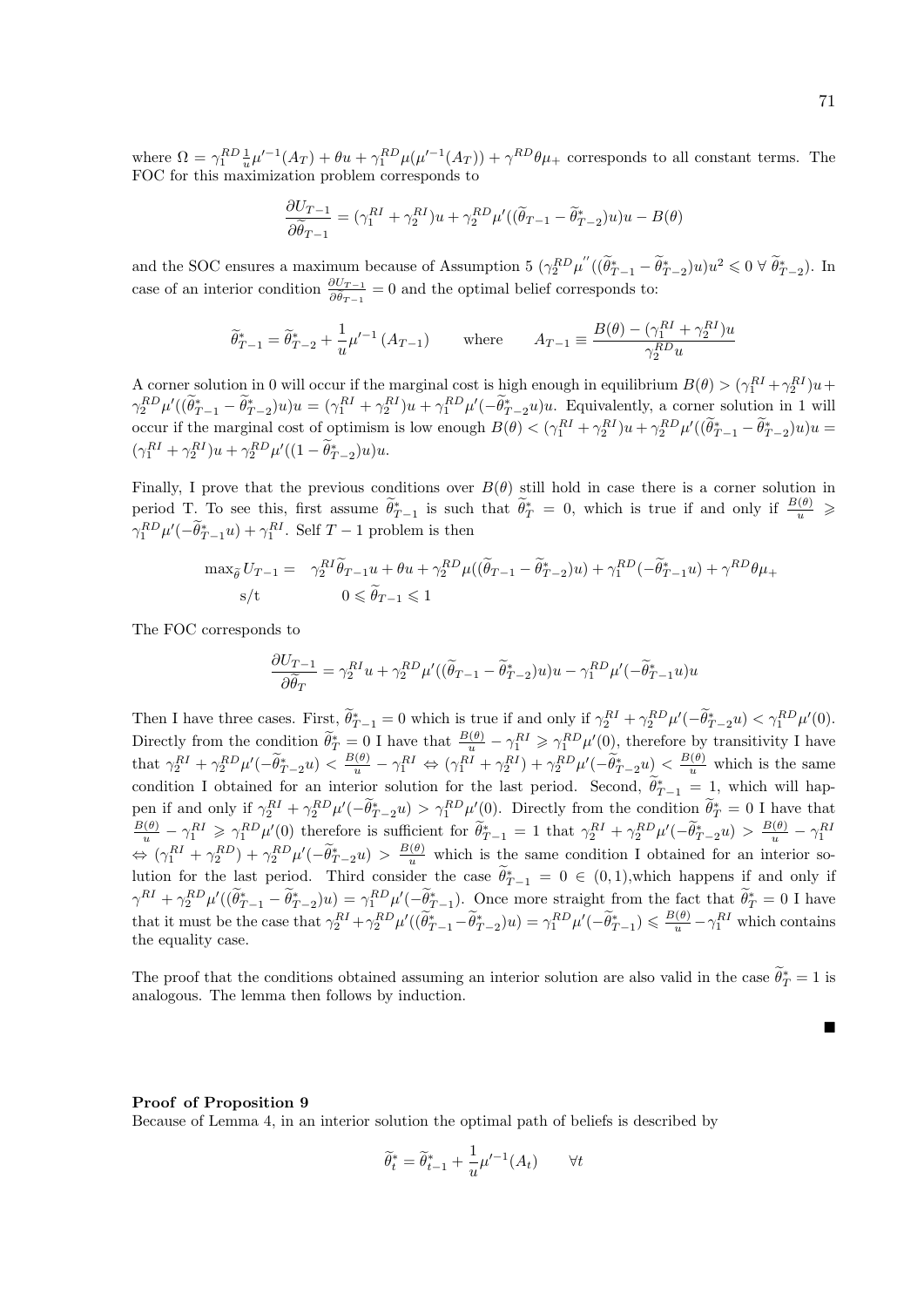where  $\Omega = \gamma_1^{RD} \frac{1}{u} \mu'^{-1}(A_T) + \theta u + \gamma_1^{RD} \mu(\mu'^{-1}(A_T)) + \gamma^{RD} \theta \mu_+$  corresponds to all constant terms. The FOC for this maximization problem corresponds to

$$
\frac{\partial U_{T-1}}{\partial \widetilde{\theta}_{T-1}} = (\gamma_1^{RI} + \gamma_2^{RI})u + \gamma_2^{RD} \mu'((\widetilde{\theta}_{T-1} - \widetilde{\theta}_{T-2}^*)u)u - B(\theta)
$$

and the SOC ensures a maximum because of Assumption 5  $(\gamma_2^{RD}\mu''((\tilde{\theta}^*_{T-1} - \tilde{\theta}^*_{T-2})u)u^2 \leq 0 \forall \tilde{\theta}^*_{T-2})$ . In case of an interior condition  $\frac{\partial U_{T-1}}{\partial \tilde{\theta}_{T-1}} = 0$  and the optimal belief corresponds to:

$$
\widetilde{\theta}_{T-1}^* = \widetilde{\theta}_{T-2}^* + \frac{1}{u} \mu'^{-1} (A_{T-1}) \quad \text{where} \quad A_{T-1} \equiv \frac{B(\theta) - (\gamma_1^{RI} + \gamma_2^{RI})u}{\gamma_2^{RD} u}
$$

A corner solution in 0 will occur if the marginal cost is high enough in equilibrium  $B(\theta) > (\gamma_1^{RI} + \gamma_2^{RI})u +$  $\gamma_2^{RD} \mu'((\tilde{\theta}^*_{T-1} - \tilde{\theta}^*_{T-2})u)u = (\gamma_1^{RI} + \gamma_2^{RI})u + \gamma_1^{RD} \mu'(-\tilde{\theta}^*_{T-2}u)u$ . Equivalently, a corner solution in 1 will occur if the marginal cost of optimism is low enough  $B(\theta) < (\gamma_1^{RI} + \gamma_2^{RI})u + \gamma_2^{RD}\mu'((\tilde{\theta}_{T-1}^* - \tilde{\theta}_{T-2}^*)u)u =$  $(\gamma_1^{RI} + \gamma_2^{RI})u + \gamma_2^{RD} \mu'((1 - \theta_{T-2}^*)u)u.$ 

Finally, I prove that the previous conditions over  $B(\theta)$  still hold in case there is a corner solution in period T. To see this, first assume  $\widetilde{\theta}_{T-1}^*$  is such that  $\widetilde{\theta}_T^* = 0$ , which is true if and only if  $\frac{B(\theta)}{u} \geqslant$  $\gamma_1^{RD} \mu'(-\tilde{\theta}_{T-1}^* u) + \gamma_1^{RI}$ . Self  $T-1$  problem is then

$$
\max_{\tilde{\theta}} U_{T-1} = \gamma_2^{RI} \tilde{\theta}_{T-1} u + \theta u + \gamma_2^{RD} \mu ((\tilde{\theta}_{T-1} - \tilde{\theta}_{T-2}^*) u) + \gamma_1^{RD} (-\tilde{\theta}_{T-1}^* u) + \gamma^{RD} \theta \mu_+
$$
  
s/t  $0 \le \tilde{\theta}_{T-1} \le 1$ 

The FOC corresponds to

$$
\frac{\partial U_{T-1}}{\partial \tilde{\theta}_T} = \gamma_2^{RI} u + \gamma_2^{RD} \mu'((\tilde{\theta}_{T-1} - \tilde{\theta}_{T-2}^*)u)u - \gamma_1^{RD} \mu'(-\tilde{\theta}_{T-1}^* u)u
$$

Then I have three cases. First,  $\tilde{\theta}_{T-1}^* = 0$  which is true if and only if  $\gamma_2^{RI} + \gamma_2^{RD} \mu'(-\tilde{\theta}_{T-2}^* u) < \gamma_1^{RD} \mu'(0)$ . Directly from the condition  $\tilde{\theta}_T^* = 0$  I have that  $\frac{B(\theta)}{u} - \gamma_1^{RI} \geq \gamma_1^{RD} \mu'(0)$ , therefore by transitivity I have that  $\gamma_2^{RI} + \gamma_2^{RD} \mu'(-\tilde{\theta}^*_{T-2}u) < \frac{B(\theta)}{u} - \gamma_1^{RI} \Leftrightarrow (\gamma_1^{RI} + \gamma_2^{RI}) + \gamma_2^{RD} \mu'(-\tilde{\theta}^*_{T-2}u) < \frac{B(\theta)}{u}$  which is the same condition I obtained for an interior solution for the last period. Second,  $\tilde{\theta}_{T-1}^* = 1$ , which will happen if and only if  $\gamma_2^{RI} + \gamma_2^{RD} \mu'(-\hat{\theta}_{T-2}^*u) > \gamma_1^{RD} \mu'(0)$ . Directly from the condition  $\hat{\theta}_T^* = 0$  I have that  $\frac{B(\theta)}{u} - \gamma_1^{RI} \geq \gamma_1^{RD} \mu'(0)$  therefore is sufficient for  $\tilde{\theta}^*_{T-1} = 1$  that  $\gamma_2^{RI} + \gamma_2^{RD} \mu'(-\tilde{\theta}^*_{T-2}u) > \frac{B(\theta)}{u} - \gamma_1^{RI}$  $\Leftrightarrow (\gamma_1^{RI} + \gamma_2^{RD}) + \gamma_2^{RD} \mu'(-\tilde{\theta}^*_{T-2}u) > \frac{B(\theta)}{u}$  which is the same condition I obtained for an interior solution for the last period. Third consider the case  $\tilde{\theta}_{T-1}^* = 0 \in (0,1)$ , which happens if and only if  $\gamma^{RI} + \gamma_2^{RD} \mu'((\tilde{\theta}_{T-1}^* - \tilde{\theta}_{T-2}^*)u) = \gamma_1^{RD} \mu'(-\tilde{\theta}_{T-1}^*)$ . Once more straight from the fact that  $\tilde{\theta}_T^* = 0$  I have that it must be the case that  $\gamma_2^{RI} + \gamma_2^{RD} \mu'((\tilde{\theta}_{T-1}^* - \tilde{\theta}_{T-2}^*)u) = \gamma_1^{RD} \mu'(-\tilde{\theta}_{T-1}^*) \leq \frac{B(\theta)}{u} - \gamma_1^{RI}$  which contains the equality case.

The proof that the conditions obtained assuming an interior solution are also valid in the case  $\tilde{\theta}_T^* = 1$  is analogous. The lemma then follows by induction.

#### Proof of Proposition 9

Because of Lemma 4, in an interior solution the optimal path of beliefs is described by

$$
\widetilde{\theta}_t^* = \widetilde{\theta}_{t-1}^* + \frac{1}{u} \mu'^{-1}(A_t) \qquad \forall t
$$

П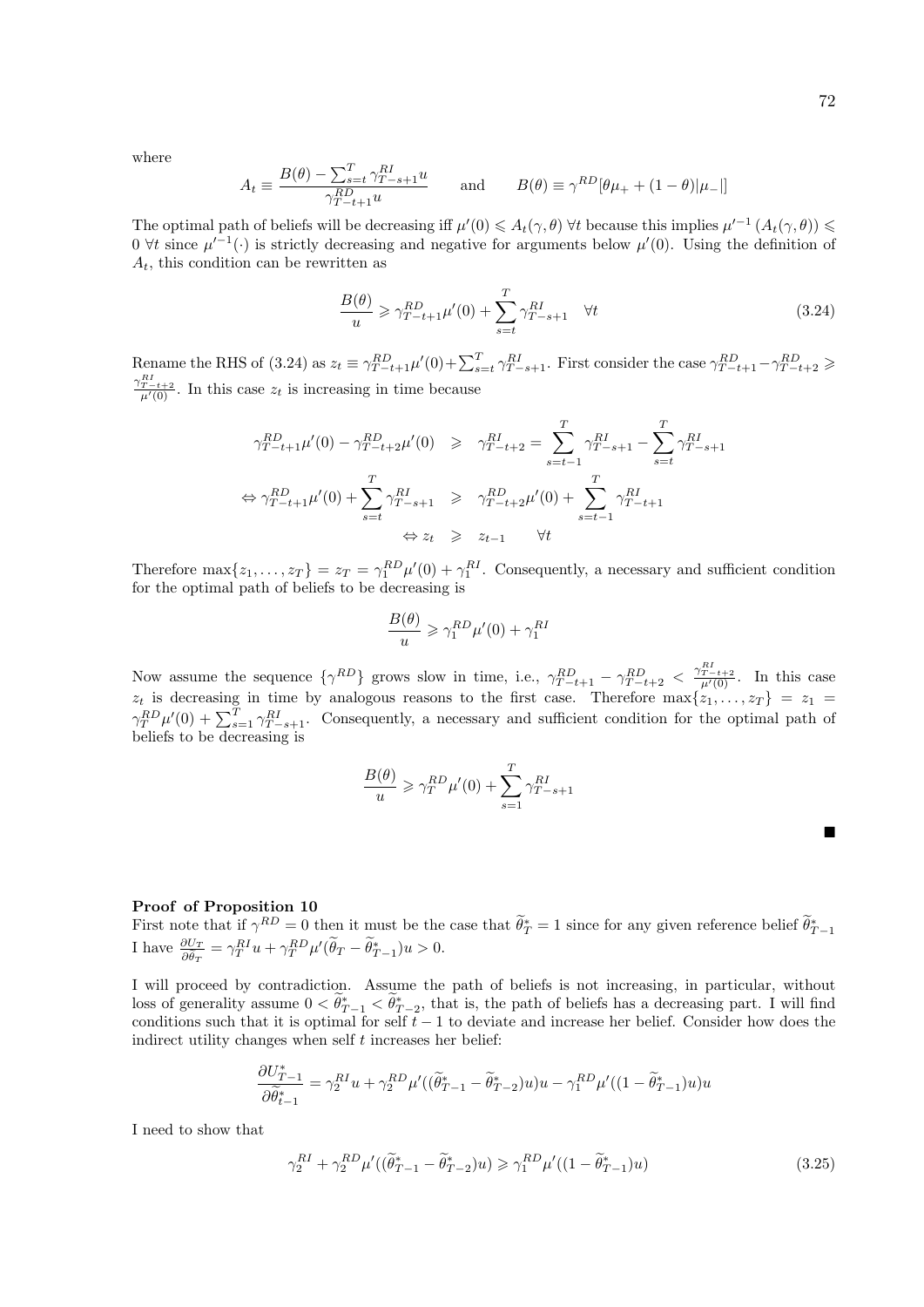where

$$
A_t \equiv \frac{B(\theta) - \sum_{s=t}^T \gamma_{T-s+1}^{RI} u}{\gamma_{T-t+1}^{RD} u} \quad \text{and} \quad B(\theta) \equiv \gamma^{RD} [\theta \mu_+ + (1 - \theta) | \mu_- |]
$$

The optimal path of beliefs will be decreasing iff  $\mu'(0) \leq A_t(\gamma, \theta)$   $\forall t$  because this implies  $\mu'^{-1}(A_t(\gamma, \theta)) \leq$ 0  $\forall t$  since  $\mu'^{-1}(\cdot)$  is strictly decreasing and negative for arguments below  $\mu'(0)$ . Using the definition of  $A_t$ , this condition can be rewritten as

$$
\frac{B(\theta)}{u} \ge \gamma_{T-t+1}^{RD} \mu'(0) + \sum_{s=t}^{T} \gamma_{T-s+1}^{RI} \quad \forall t
$$
\n(3.24)

Rename the RHS of (3.24) as  $z_t \equiv \gamma_{T-t+1}^{RD} \mu'(0) + \sum_{s=t}^{T} \gamma_{T-s+1}^{RI}$ . First consider the case  $\gamma_{T-t+1}^{RD} - \gamma_{T-t+2}^{RD} \ge$  $\frac{\gamma_{T-t+2}^{R}}{\mu'(0)}$ . In this case  $z_t$  is increasing in time because

$$
\gamma_{T-t+1}^{RD} \mu'(0) - \gamma_{T-t+2}^{RD} \mu'(0) \geq \gamma_{T-t+2}^{RI} = \sum_{s=t-1}^{T} \gamma_{T-s+1}^{RI} - \sum_{s=t}^{T} \gamma_{T-s+1}^{RI}
$$

$$
\Leftrightarrow \gamma_{T-t+1}^{RD} \mu'(0) + \sum_{s=t}^{T} \gamma_{T-s+1}^{RI} \geq \gamma_{T-t+2}^{RD} \mu'(0) + \sum_{s=t-1}^{T} \gamma_{T-t+1}^{RI}
$$

$$
\Leftrightarrow z_t \geq z_{t-1} \quad \forall t
$$

Therefore  $\max\{z_1,\ldots,z_T\} = z_T = \gamma_1^{RD} \mu'(0) + \gamma_1^{RI}$ . Consequently, a necessary and sufficient condition for the optimal path of beliefs to be decreasing is

$$
\frac{B(\theta)}{u} \geqslant \gamma_1^{RD} \mu'(0) + \gamma_1^{RI}
$$

Now assume the sequence  $\{\gamma^{RD}\}\$  grows slow in time, i.e.,  $\gamma_{T-t+1}^{RD} - \gamma_{T-t+2}^{RD} < \frac{\gamma_{T-t+2}^{RI}}{\mu'(0)}$ . In this case  $z_t$  is decreasing in time by analogous reasons to the first case. Therefore  $\max\{z_1,\ldots,z_T\} = z_1 = z_2$  $\gamma_T^{RD} \mu'(0) + \sum_{s=1}^T \gamma_{T-s+1}^{RI}$ . Consequently, a necessary and sufficient condition for the optimal path of beliefs to be decreasing is

$$
\frac{B(\theta)}{u} \geqslant \gamma_T^{RD} \mu'(0) + \sum_{s=1}^T \gamma_{T-s+1}^{RI}
$$

#### Proof of Proposition 10

First note that if  $\gamma^{RD} = 0$  then it must be the case that  $\tilde{\theta}_T^* = 1$  since for any given reference belief  $\tilde{\theta}_{T-1}^*$ <br>I have  $\frac{\partial U_T}{\partial \tilde{\theta}_T} = \gamma_T^{RI} u + \gamma_T^{RD} \mu' (\tilde{\theta}_T - \tilde{\theta}_{T-1}^*) u > 0$ .

I will proceed by contradiction. Assume the path of beliefs is not increasing, in particular, without loss of generality assume  $0 < \tilde{\theta}_{T-1}^* < \tilde{\theta}_{T-2}^*$ , that is, the path of beliefs has a decreasing part. I will find conditions such that it is optimal for self  $t - 1$  to deviate and increase her belief. Consider how does the indirect utility changes when self  $t$  increases her belief:

$$
\frac{\partial U^*_{T-1}}{\partial \widetilde{\theta}^*_{t-1}} = \gamma^{RI}_2 u + \gamma^{RD}_2 \mu'((\widetilde{\theta}^*_{T-1} - \widetilde{\theta}^*_{T-2})u)u - \gamma^{RD}_1 \mu'((1 - \widetilde{\theta}^*_{T-1})u)u
$$

I need to show that

$$
\gamma_2^{RI} + \gamma_2^{RD} \mu'((\tilde{\theta}_{T-1}^* - \tilde{\theta}_{T-2}^*)u) \geq \gamma_1^{RD} \mu'((1 - \tilde{\theta}_{T-1}^*)u)
$$
\n(3.25)

■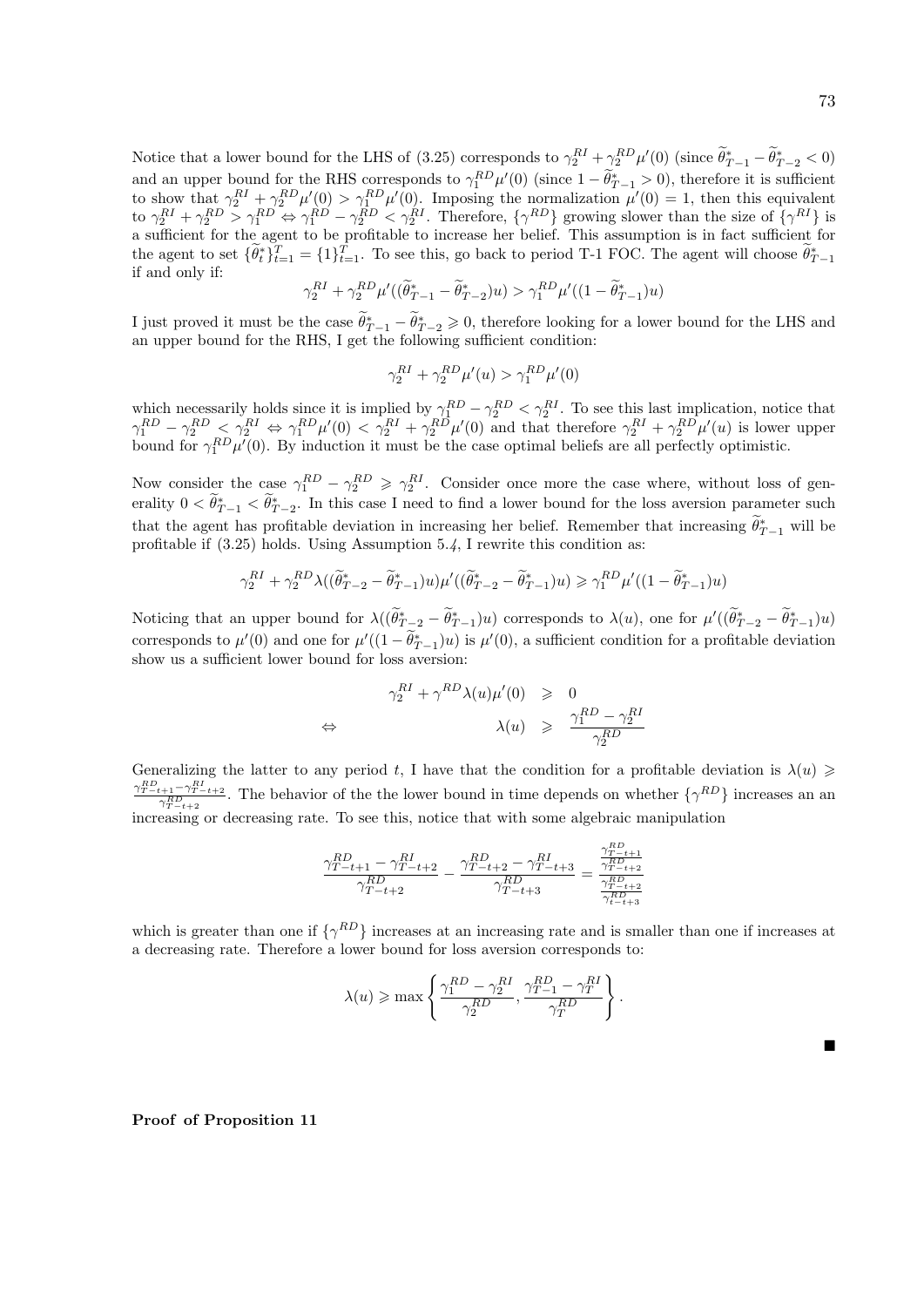Ē

Notice that a lower bound for the LHS of (3.25) corresponds to  $\gamma_2^{RI} + \gamma_2^{RD} \mu'(0)$  (since  $\tilde{\theta}_{T-1}^* - \tilde{\theta}_{T-2}^* < 0$ ) and an upper bound for the RHS corresponds to  $\gamma_1^{RD} \mu'(0)$  (since  $1 - \theta_{T-1}^* > 0$ ), therefore it is sufficient to show that  $\gamma_2^{RI} + \gamma_2^{RD} \mu'(0) > \gamma_1^{RD} \mu'(0)$ . Imposing the normalization  $\mu'(0) = 1$ , then this equivalent to  $\gamma_2^{RI} + \gamma_2^{RD} > \gamma_1^{RD} \Leftrightarrow \gamma_1^{RD} - \gamma_2^{RD} < \gamma_2^{RI}$ . Therefore,  $\{\gamma^{RD}\}$  growing slower than the size of  $\{\gamma^{RI}\}$  is a sufficient for the agent to be profitable to increase her belief. This assumption is in fact sufficient for the agent to set  $\{\tilde{\theta}_t^*\}_{t=1}^T = \{1\}_{t=1}^T$ . To see this, go back to period T-1 FOC. The agent will choose  $\tilde{\theta}_{T-1}^*$ if and only if:

$$
\gamma_2^{RI} + \gamma_2^{RD} \mu'((\widetilde{\theta}^*_{T-1} - \widetilde{\theta}^*_{T-2})u) > \gamma_1^{RD} \mu'((1 - \widetilde{\theta}^*_{T-1})u)
$$

I just proved it must be the case  $\widetilde{\theta}_{T-1}^* - \widetilde{\theta}_{T-2}^* \geq 0$ , therefore looking for a lower bound for the LHS and an upper bound for the RHS, I get the following sufficient condition:

$$
\gamma_2^{RI} + \gamma_2^{RD} \mu'(u) > \gamma_1^{RD} \mu'(0)
$$

which necessarily holds since it is implied by  $\gamma_1^{RD} - \gamma_2^{RD} < \gamma_2^{RI}$ . To see this last implication, notice that  $\gamma_1^{RD} - \gamma_2^{RD} \leq \gamma_2^{RI} \Leftrightarrow \gamma_1^{RD} \mu'(0) < \gamma_2^{RI} + \gamma_2^{RD} \mu'(0)$  and that therefore  $\gamma_2^{RI} + \gamma_2^{RD} \mu'(u)$  is lower upper bound for  $\gamma_1^{RD} \mu'(0)$ . By induction it must be the case optimal beliefs are all perfectly optimistic.

Now consider the case  $\gamma_1^{RD} - \gamma_2^{RD} \geq \gamma_2^{RI}$ . Consider once more the case where, without loss of generality  $0 < \tilde{\theta}_{T-1}^* < \tilde{\theta}_{T-2}^*$ . In this case I need to find a lower bound for the loss aversion parameter such that the agent has profitable deviation in increasing her belief. Remember that increasing  $\theta_{T-1}^*$  will be profitable if (3.25) holds. Using Assumption 5.4, I rewrite this condition as:

$$
\gamma_2^{RI} + \gamma_2^{RD} \lambda ((\widetilde{\theta}_{T-2}^* - \widetilde{\theta}_{T-1}^*)u) \mu' ((\widetilde{\theta}_{T-2}^* - \widetilde{\theta}_{T-1}^*)u) \geq \gamma_1^{RD} \mu' ((1 - \widetilde{\theta}_{T-1}^*)u)
$$

Noticing that an upper bound for  $\lambda((\tilde{\theta}_{T-2}^* - \tilde{\theta}_{T-1}^*)u)$  corresponds to  $\lambda(u)$ , one for  $\mu'((\tilde{\theta}_{T-2}^* - \tilde{\theta}_{T-1}^*)u)$ corresponds to  $\mu'(0)$  and one for  $\mu'((1-\tilde{\theta}_{T-1}^*)u)$  is  $\mu'(0)$ , a sufficient condition for a profitable deviation show us a sufficient lower bound for loss aversion:

$$
\begin{array}{rcl}\n\gamma_2^{RI} + \gamma^{RD} \lambda(u) \mu'(0) & \geqslant & 0 \\
\Leftrightarrow & \lambda(u) & \geqslant & \frac{\gamma_1^{RD} - \gamma_2^{RI}}{\gamma_2^{RD}}\n\end{array}
$$

Generalizing the latter to any period t, I have that the condition for a profitable deviation is  $\lambda(u) \geq$  $\frac{\gamma_{T-t+1}^{RD}-\gamma_{T-t+2}^{RI}}{\gamma_{T-t+2}^{RD}}$ . The behavior of the the lower bound in time depends on whether  $\{\gamma^{RD}\}$  increases an an  $i<sub>T-t+2</sub>$  increasing or decreasing rate. To see this, notice that with some algebraic manipulation

$$
\frac{\gamma_{T-t+1}^{RD}-\gamma_{T-t+2}^{RI}}{\gamma_{T-t+2}^{RD}}-\frac{\gamma_{T-t+2}^{RD}-\gamma_{T-t+3}^{RI}}{\gamma_{T-t+3}^{RD}}=\frac{\frac{\gamma_{T-t+1}^{RD}}{\gamma_{T-t+2}^{RD}}}{\frac{\gamma_{T-t+2}^{RD}}{\gamma_{t-t+3}^{RD}}}
$$

which is greater than one if  $\{\gamma^{RD}\}\$  increases at an increasing rate and is smaller than one if increases at a decreasing rate. Therefore a lower bound for loss aversion corresponds to:

$$
\lambda(u) \ge \max\left\{\frac{\gamma_1^{RD} - \gamma_2^{RI}}{\gamma_2^{RD}}, \frac{\gamma_{T-1}^{RD} - \gamma_T^{RI}}{\gamma_T^{RD}}\right\}.
$$

Proof of Proposition 11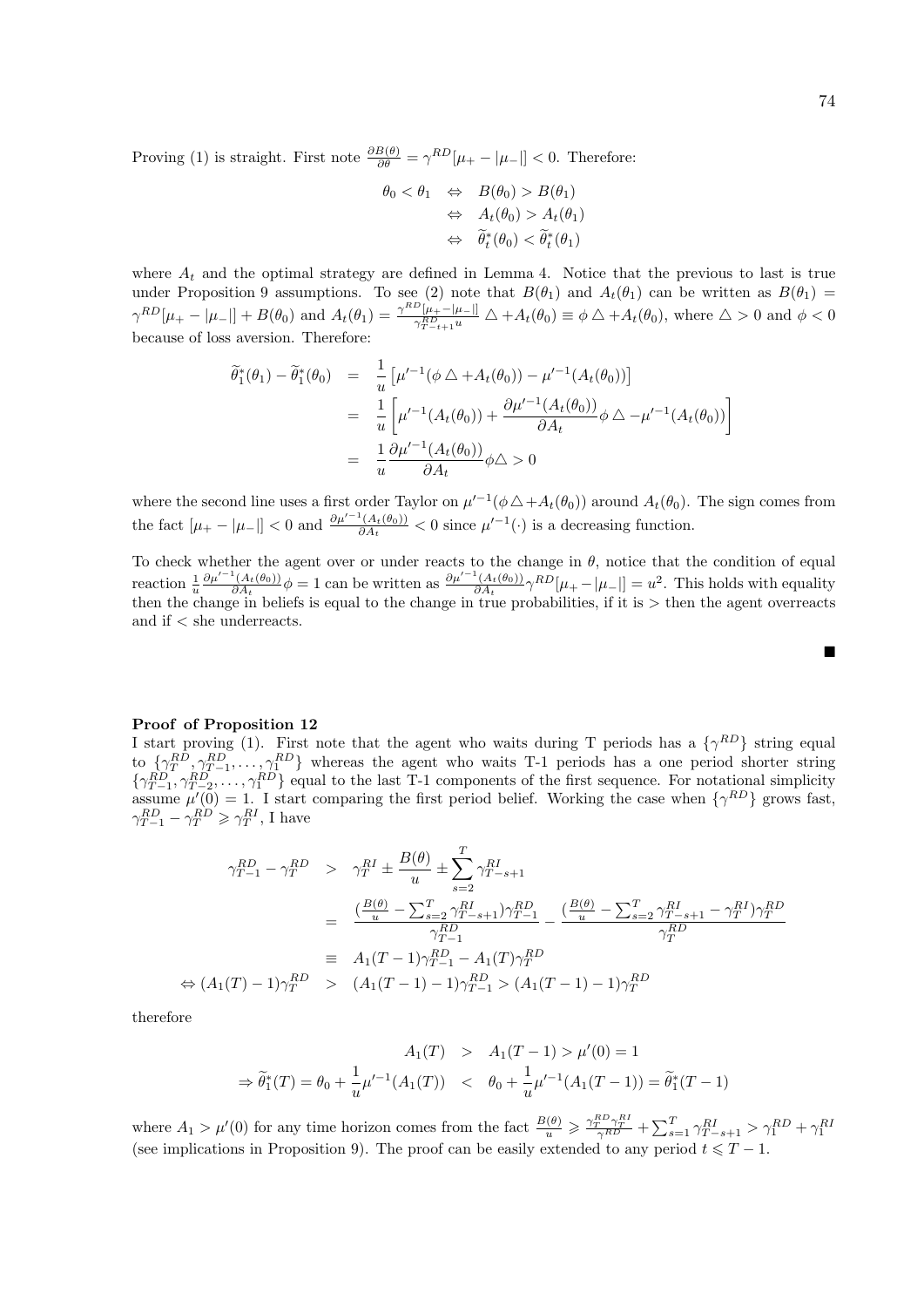Proving (1) is straight. First note  $\frac{\partial B(\theta)}{\partial \theta} = \gamma^{RD} [\mu_+ - |\mu_-|] < 0$ . Therefore:

$$
\theta_0 < \theta_1 \quad \Leftrightarrow \quad B(\theta_0) > B(\theta_1) \\
\Leftrightarrow \quad A_t(\theta_0) > A_t(\theta_1) \\
\Leftrightarrow \quad \widetilde{\theta}_t^*(\theta_0) < \widetilde{\theta}_t^*(\theta_1)
$$

where  $A_t$  and the optimal strategy are defined in Lemma 4. Notice that the previous to last is true under Proposition 9 assumptions. To see (2) note that  $B(\theta_1)$  and  $A_t(\theta_1)$  can be written as  $B(\theta_1)$  =  $\gamma^{RD}[\mu_{+}-|\mu_{-}|] + B(\theta_0)$  and  $A_t(\theta_1) = \frac{\gamma^{RD}[\mu_{+}-|\mu_{-}|]}{\gamma^{RD}[\mu_{+}-|\mu_{-}|]}$  $\frac{(\mu_+ - \mu_{-1})}{\gamma_{T-t+1}^{\rm PD}u} \triangle + A_t(\theta_0) \equiv \phi \triangle + A_t(\theta_0)$ , where  $\triangle > 0$  and  $\phi < 0$ because of loss aversion. Therefore:

$$
\begin{aligned}\n\widetilde{\theta}_{1}^{*}(\theta_{1}) - \widetilde{\theta}_{1}^{*}(\theta_{0}) &= \frac{1}{u} \left[ \mu'^{-1}(\phi \bigtriangleup + A_{t}(\theta_{0})) - \mu'^{-1}(A_{t}(\theta_{0})) \right] \\
&= \frac{1}{u} \left[ \mu'^{-1}(A_{t}(\theta_{0})) + \frac{\partial \mu'^{-1}(A_{t}(\theta_{0}))}{\partial A_{t}} \phi \bigtriangleup - \mu'^{-1}(A_{t}(\theta_{0})) \right] \\
&= \frac{1}{u} \frac{\partial \mu'^{-1}(A_{t}(\theta_{0}))}{\partial A_{t}} \phi \bigtriangleup > 0\n\end{aligned}
$$

where the second line uses a first order Taylor on  $\mu'^{-1}(\phi \triangle + A_t(\theta_0))$  around  $A_t(\theta_0)$ . The sign comes from the fact  $[\mu_+ - |\mu_-|] < 0$  and  $\frac{\partial \mu'^{-1}(A_t(\theta_0))}{\partial A_t}$  $\frac{\mu(A_t(\theta_0))}{\partial A_t} < 0$  since  $\mu'^{-1}(\cdot)$  is a decreasing function.

To check whether the agent over or under reacts to the change in  $\theta$ , notice that the condition of equal reaction  $\frac{1}{u}$  $\partial \mu'^{-1}(A_t(\theta_0))$  $\frac{\partial^1(A_t(\theta_0))}{\partial A_t}\phi = 1$  can be written as  $\frac{\partial \mu'^{-1}(A_t(\theta_0))}{\partial A_t}$  $\frac{d^2(A_t(\theta_0))}{\partial A_t} \gamma^{RD}[\mu_+ - |\mu_-|] = u^2$ . This holds with equality then the change in beliefs is equal to the change in true probabilities, if it is > then the agent overreacts and if < she underreacts.

#### Proof of Proposition 12

I start proving (1). First note that the agent who waits during T periods has a  $\{\gamma^{RD}\}\$  string equal to  $\{\gamma_T^{RD}, \gamma_{T-1}^{RD}, \dots, \gamma_1^{RD}\}$  whereas the agent who waits T-1 periods has a one period shorter string  $\{\gamma_{T-1}^{RD}, \gamma_{T-2}^{RD}, \ldots, \gamma_1^{RD}\}\$  equal to the last T-1 components of the first sequence. For notational simplicity assume  $\mu'(0) = 1$ . I start comparing the first period belief. Working the case when  $\{\gamma^{RD}\}\$  grows fast,  $\gamma_{T-1}^{RD} - \gamma_T^{RD} \geq \gamma_T^{RI}$ , I have

$$
\gamma_{T-1}^{RD} - \gamma_T^{RD} > \gamma_T^{RI} \pm \frac{B(\theta)}{u} \pm \sum_{s=2}^T \gamma_{T-s+1}^{RI}
$$
  
= 
$$
\frac{\left(\frac{B(\theta)}{u} - \sum_{s=2}^T \gamma_{T-s+1}^{RI}\right) \gamma_{T-1}^{RD}}{\gamma_{T-1}^{RD}} - \frac{\left(\frac{B(\theta)}{u} - \sum_{s=2}^T \gamma_{T-s+1}^{RI} - \gamma_T^{RI}\right) \gamma_T^{RD}}{\gamma_T^{RD}}
$$
  

$$
\Rightarrow (A_1(T) - 1)\gamma_T^{RD} > (A_1(T - 1) - 1)\gamma_{T-1}^{RD} > (A_1(T - 1) - 1)\gamma_T^{RD}
$$

therefore

$$
A_1(T) > A_1(T-1) > \mu'(0) = 1
$$
  
\n
$$
\Rightarrow \tilde{\theta}_1^*(T) = \theta_0 + \frac{1}{u} \mu'^{-1}(A_1(T)) < \theta_0 + \frac{1}{u} \mu'^{-1}(A_1(T-1)) = \tilde{\theta}_1^*(T-1)
$$

where  $A_1 > \mu'(0)$  for any time horizon comes from the fact  $\frac{B(\theta)}{u} \geq \frac{\gamma_T^{RD} \gamma_T^{RI}}{\gamma^{RD}} + \sum_{s=1}^T \gamma_{T-s+1}^{RI} > \gamma_1^{RD} + \gamma_1^{RI}$ <br>(see implications in Proposition 9). The proof can be easily extended to any period  $t \leq T$ 

П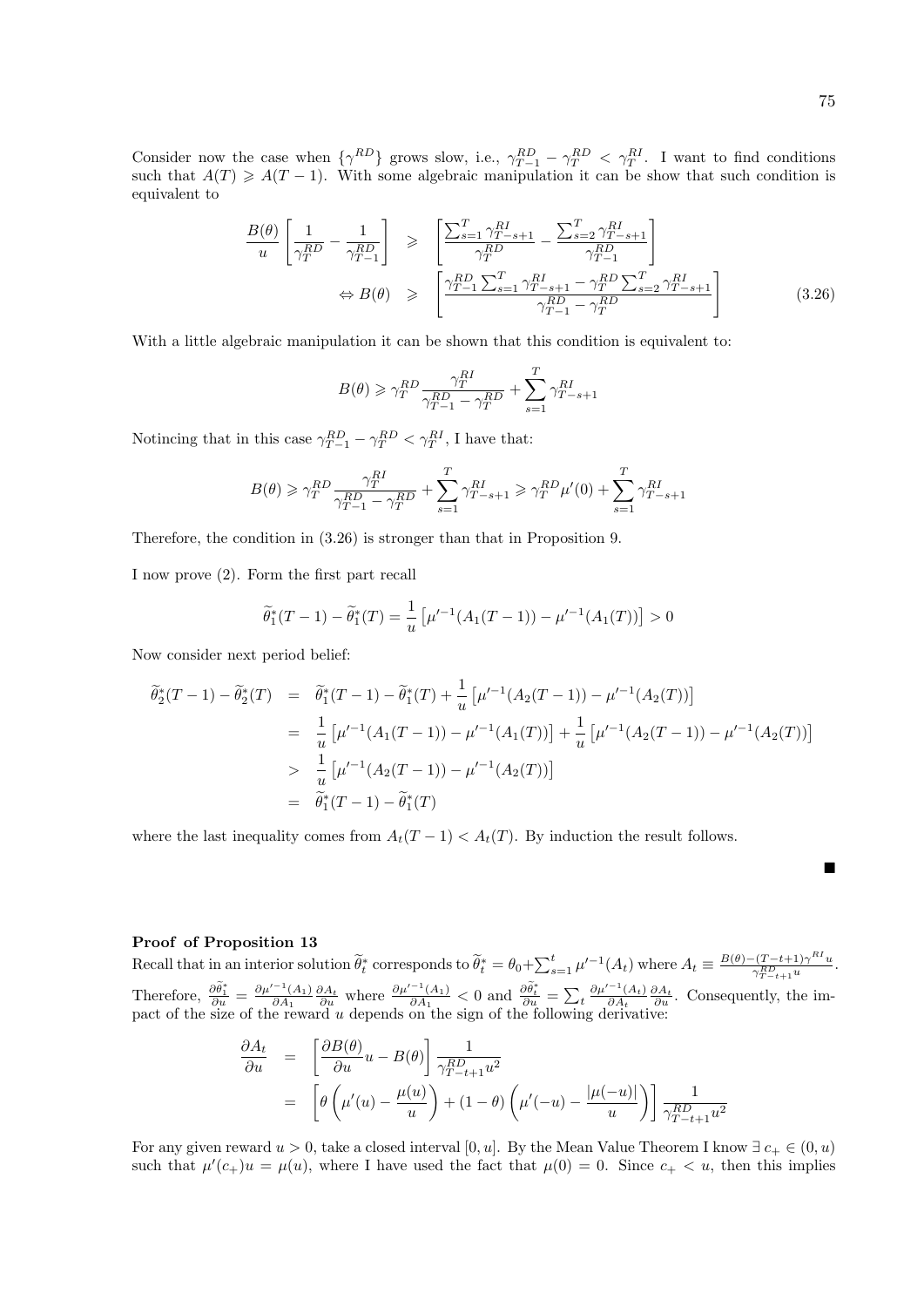Ė

Consider now the case when  $\{\gamma^{RD}\}\$  grows slow, i.e.,  $\gamma_{T-1}^{RD} - \gamma_T^{RD} < \gamma_T^{RI}$ . I want to find conditions such that  $A(T) \geq A(T-1)$ . With some algebraic manipulation it can be show that such condition is equivalent to

$$
\frac{B(\theta)}{u} \left[ \frac{1}{\gamma_T^{RD}} - \frac{1}{\gamma_{T-1}^{RD}} \right] \geqslant \left[ \frac{\sum_{s=1}^T \gamma_{T-s+1}^{RI}}{\gamma_T^{RD}} - \frac{\sum_{s=2}^T \gamma_{T-s+1}^{RI}}{\gamma_{T-1}^{RD}} \right] \newline \Leftrightarrow B(\theta) \geqslant \left[ \frac{\gamma_{T-1}^{RD} \sum_{s=1}^T \gamma_{T-s+1}^{RI} - \gamma_T^{RD} \sum_{s=2}^T \gamma_{T-s+1}^{RI}}{\gamma_{T-1}^{RD} - \gamma_T^{RD}} \right] \tag{3.26}
$$

With a little algebraic manipulation it can be shown that this condition is equivalent to:

$$
B(\theta) \geqslant \gamma_T^{RD} \frac{\gamma_T^{RI}}{\gamma_{T-1}^{RD} - \gamma_T^{RD}} + \sum_{s=1}^T \gamma_{T-s+1}^{RI}
$$

Notincing that in this case  $\gamma_{T-1}^{RD} - \gamma_T^{RD} < \gamma_T^{RI}$ , I have that:

$$
B(\theta) \geqslant \gamma_T^{RD} \frac{\gamma_T^{RI}}{\gamma_{T-1}^{RD} - \gamma_T^{RD}} + \sum_{s=1}^T \gamma_{T-s+1}^{RI} \geqslant \gamma_T^{RD} \mu'(0) + \sum_{s=1}^T \gamma_{T-s+1}^{RI}
$$

Therefore, the condition in (3.26) is stronger than that in Proposition 9.

I now prove (2). Form the first part recall

$$
\widetilde{\theta}_1^*(T-1) - \widetilde{\theta}_1^*(T) = \frac{1}{u} \left[ \mu'^{-1}(A_1(T-1)) - \mu'^{-1}(A_1(T)) \right] > 0
$$

Now consider next period belief:

$$
\begin{aligned}\n\widetilde{\theta}_{2}^{*}(T-1) - \widetilde{\theta}_{2}^{*}(T) &= \widetilde{\theta}_{1}^{*}(T-1) - \widetilde{\theta}_{1}^{*}(T) + \frac{1}{u} \left[ \mu'^{-1}(A_{2}(T-1)) - \mu'^{-1}(A_{2}(T)) \right] \\
&= \frac{1}{u} \left[ \mu'^{-1}(A_{1}(T-1)) - \mu'^{-1}(A_{1}(T)) \right] + \frac{1}{u} \left[ \mu'^{-1}(A_{2}(T-1)) - \mu'^{-1}(A_{2}(T)) \right] \\
&> \frac{1}{u} \left[ \mu'^{-1}(A_{2}(T-1)) - \mu'^{-1}(A_{2}(T)) \right] \\
&= \widetilde{\theta}_{1}^{*}(T-1) - \widetilde{\theta}_{1}^{*}(T)\n\end{aligned}
$$

where the last inequality comes from  $A_t(T-1) < A_t(T)$ . By induction the result follows.

## Proof of Proposition 13

Recall that in an interior solution  $\widetilde{\theta}_t^*$  corresponds to  $\widetilde{\theta}_t^* = \theta_0 + \sum_{s=1}^t \mu'^{-1}(A_t)$  where  $A_t \equiv \frac{B(\theta) - (T-t+1)\gamma^{RI}u}{\gamma_{T-t+1}^{RD}u}$  $\frac{\gamma_{T-t+1}^{RD} \gamma^{u}}{\gamma_{T-t+1}^{RD} u}.$ Therefore,  $\frac{\partial \tilde{\theta}_1^*}{\partial u} = \frac{\partial \mu'^{-1}(A_1)}{\partial A_1}$  $\frac{\partial A_1}{\partial A_1} \frac{\partial A_t}{\partial u}$  where  $\frac{\partial \mu'^{-1}(A_1)}{\partial A_1}$  $\frac{\partial \widetilde{\theta}_t}{\partial A_1}$  < 0 and  $\frac{\partial \widetilde{\theta}_t^*}{\partial u} = \sum_t \frac{\partial \mu'^{-1}(A_t)}{\partial A_t}$  $\frac{\partial A_t}{\partial A_t}$   $\frac{\partial A_t}{\partial u}$ . Consequently, the impact of the size of the reward u depends on the sign of the following derivative:

$$
\frac{\partial A_t}{\partial u} = \left[ \frac{\partial B(\theta)}{\partial u} u - B(\theta) \right] \frac{1}{\gamma_{T-t+1}^{RD} u^2}
$$
  
= 
$$
\left[ \theta \left( \mu'(u) - \frac{\mu(u)}{u} \right) + (1 - \theta) \left( \mu'(-u) - \frac{|\mu(-u)|}{u} \right) \right] \frac{1}{\gamma_{T-t+1}^{RD} u^2}
$$

For any given reward  $u > 0$ , take a closed interval [0, u]. By the Mean Value Theorem I know  $\exists c_+ \in (0, u)$ such that  $\mu'(c_+)u = \mu(u)$ , where I have used the fact that  $\mu(0) = 0$ . Since  $c_+ < u$ , then this implies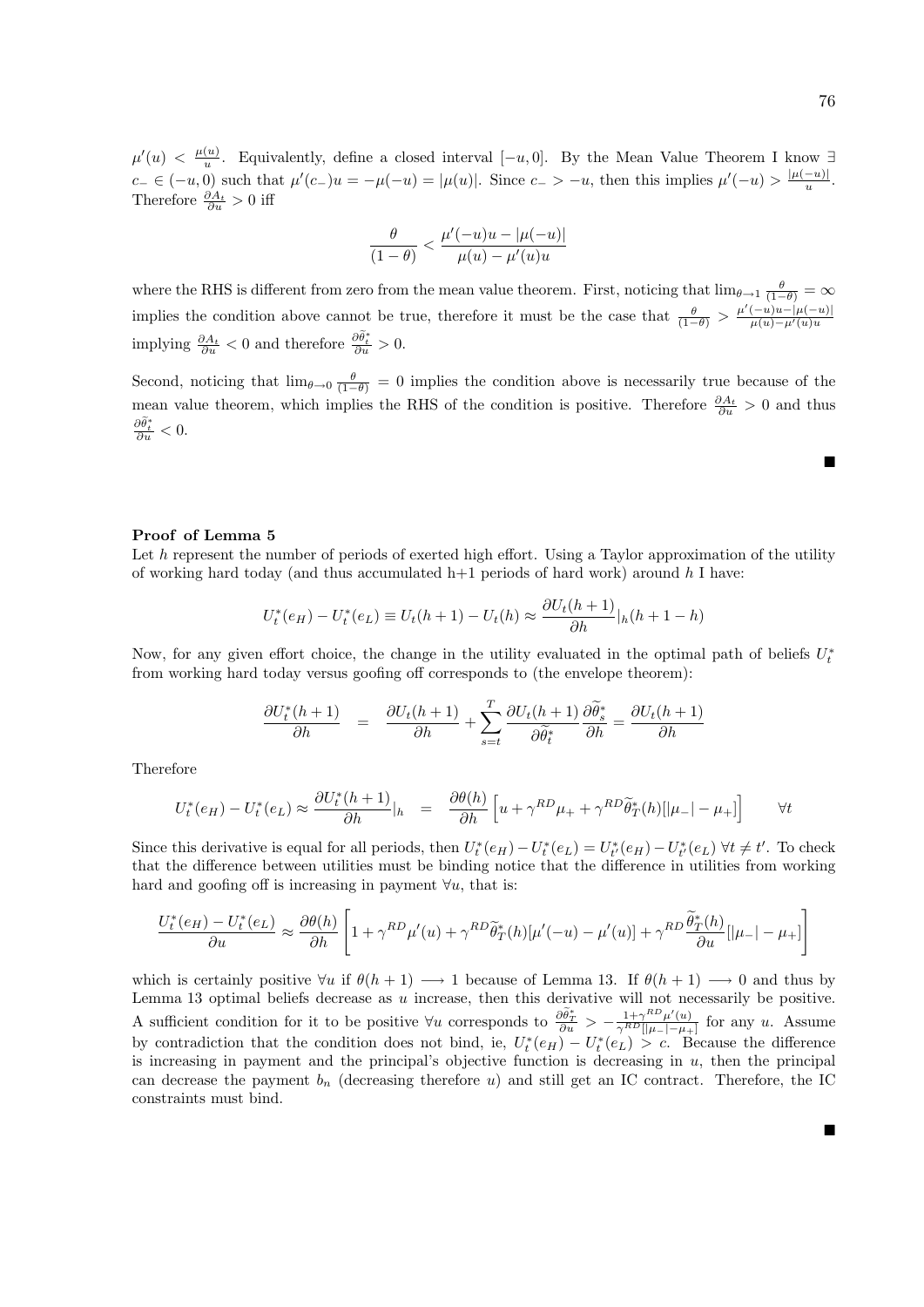Ē

п

 $\mu'(u) < \frac{\mu(u)}{u}$  $\frac{u}{u}$ . Equivalently, define a closed interval  $[-u, 0]$ . By the Mean Value Theorem I know ∃  $c_-\in (-u,0)$  such that  $\mu'(c_-)u=-\mu(-u)=|\mu(u)|$ . Since  $c_-\n> -u$ , then this implies  $\mu'(-u)>\frac{|\mu(-u)|}{u}$  $\frac{-u)}{u}$ . Therefore  $\frac{\partial A_t}{\partial u} > 0$  iff

$$
\frac{\theta}{(1-\theta)} < \frac{\mu'(-u)u-|\mu(-u)|}{\mu(u)-\mu'(u)u}
$$

where the RHS is different from zero from the mean value theorem. First, noticing that  $\lim_{\theta\to 1} \frac{\theta}{(1-\theta)} = \infty$ implies the condition above cannot be true, therefore it must be the case that  $\frac{\theta}{(1-\theta)} > \frac{\mu'(-u)u - |\mu(-u)|}{\mu(u) - \mu'(u)u}$ implying  $\frac{\partial A_t}{\partial u} < 0$  and therefore  $\frac{\partial \tilde{\theta}_t^*}{\partial u} > 0$ .

Second, noticing that  $\lim_{\theta\to 0} \frac{\theta}{(1-\theta)} = 0$  implies the condition above is necessarily true because of the mean value theorem, which implies the RHS of the condition is positive. Therefore  $\frac{\partial A_t}{\partial u} > 0$  and thus  $\frac{\partial \tilde{\theta}^*_t}{\partial u} < 0.$ 

## Proof of Lemma 5

Let  $h$  represent the number of periods of exerted high effort. Using a Taylor approximation of the utility of working hard today (and thus accumulated  $h+1$  periods of hard work) around h I have:

$$
U_t^*(e_H) - U_t^*(e_L) \equiv U_t(h+1) - U_t(h) \approx \frac{\partial U_t(h+1)}{\partial h}|_h(h+1-h)
$$

Now, for any given effort choice, the change in the utility evaluated in the optimal path of beliefs  $U_t^*$ from working hard today versus goofing off corresponds to (the envelope theorem):

$$
\frac{\partial U_t^*(h+1)}{\partial h} = \frac{\partial U_t(h+1)}{\partial h} + \sum_{s=t}^T \frac{\partial U_t(h+1)}{\partial \tilde{\theta}_t^*} \frac{\partial \tilde{\theta}_s^*}{\partial h} = \frac{\partial U_t(h+1)}{\partial h}
$$

Therefore

$$
U_t^*(e_H) - U_t^*(e_L) \approx \frac{\partial U_t^*(h+1)}{\partial h}|_h = \frac{\partial \theta(h)}{\partial h} \left[ u + \gamma^{RD} \mu_+ + \gamma^{RD} \tilde{\theta}_T^*(h) [\vert \mu_- \vert - \mu_+ ] \right] \qquad \forall t
$$

Since this derivative is equal for all periods, then  $U_t^*(e_H) - U_t^*(e_L) = U_{t'}^*(e_H) - U_{t'}^*(e_L) \forall t \neq t'$ . To check that the difference between utilities must be binding notice that the difference in utilities from working hard and goofing off is increasing in payment  $\forall u$ , that is:

$$
\frac{U_t^*(e_H) - U_t^*(e_L)}{\partial u} \approx \frac{\partial \theta(h)}{\partial h} \left[ 1 + \gamma^{RD} \mu'(u) + \gamma^{RD} \tilde{\theta}_T^*(h) [\mu'(-u) - \mu'(u)] + \gamma^{RD} \frac{\tilde{\theta}_T^*(h)}{\partial u} [|\mu_-| - \mu_+]\right]
$$

which is certainly positive  $\forall u$  if  $\theta(h+1) \longrightarrow 1$  because of Lemma 13. If  $\theta(h+1) \longrightarrow 0$  and thus by Lemma 13 optimal beliefs decrease as  $u$  increase, then this derivative will not necessarily be positive. A sufficient condition for it to be positive  $\forall u$  corresponds to  $\frac{\partial \tilde{\theta}_x^*}{\partial u} > -\frac{1+\gamma^{RD}\mu'(u)}{\gamma^{RD}[[\mu_-]-\mu_+]}$  for any u. Assume by contradiction that the condition does not bind, ie,  $U_t^*(e_H) - U_t^*(e_L) > c$ . Because the difference is increasing in payment and the principal's objective function is decreasing in  $u$ , then the principal can decrease the payment  $b_n$  (decreasing therefore u) and still get an IC contract. Therefore, the IC constraints must bind.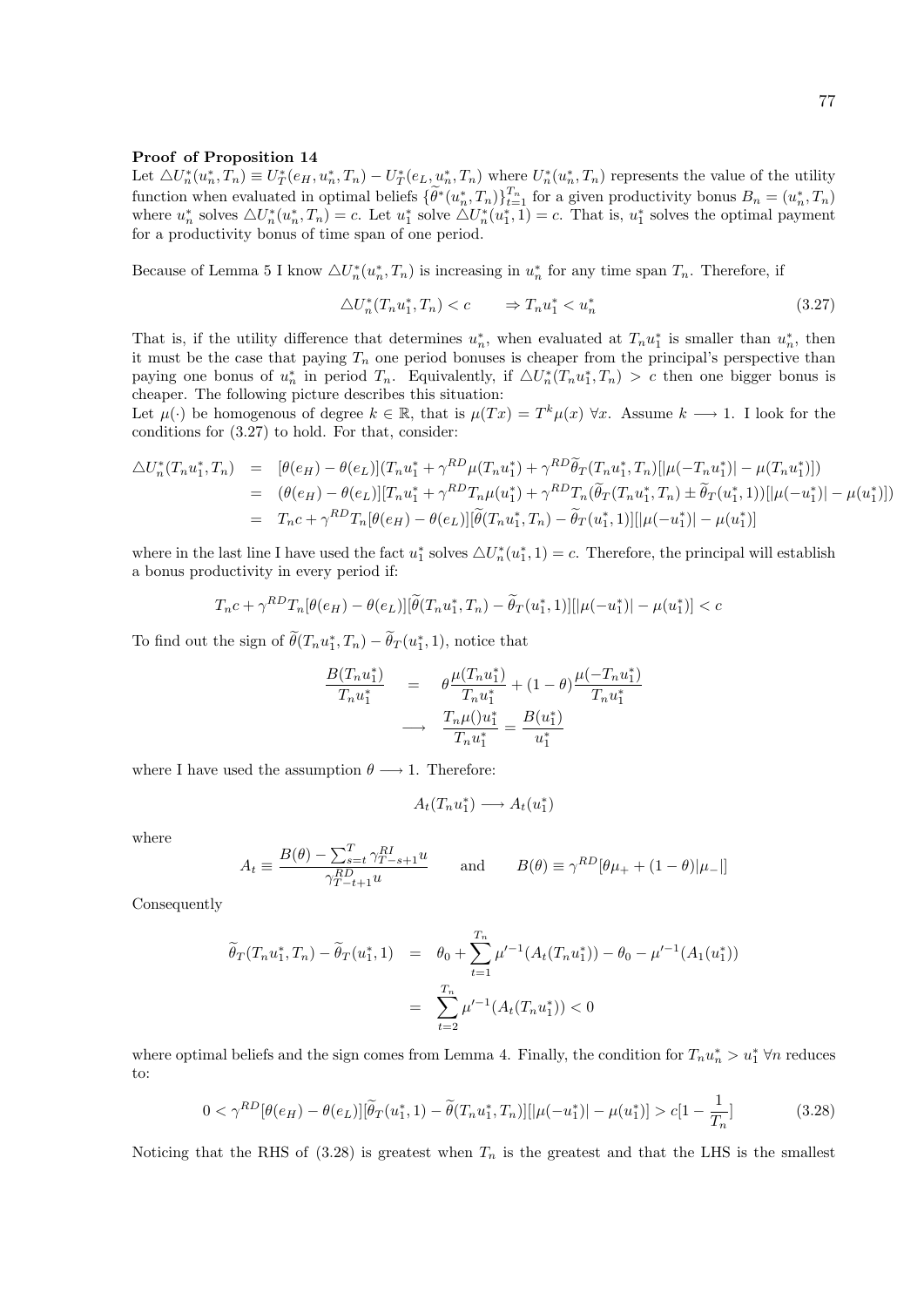#### Proof of Proposition 14

Let  $\triangle U_n^*(u_n^*,T_n) \equiv U_T^*(e_H, u_n^*,T_n) - U_T^*(e_L, u_n^*,T_n)$  where  $U_n^*(u_n^*,T_n)$  represents the value of the utility function when evaluated in optimal beliefs  $\{\widetilde{\theta}^*(u_n^*,T_n)\}_{t=1}^{T_n}$  for a given productivity bonus  $B_n = (u_n^*, T_n)$ where  $u_n^*$  solves  $\triangle U_n^*(u_n^*, T_n) = c$ . Let  $u_1^*$  solve  $\triangle U_n^*(u_1^*, 1) = c$ . That is,  $u_1^*$  solves the optimal payment for a productivity bonus of time span of one period.

Because of Lemma 5 I know  $\triangle U_n^*(u_n^*, T_n)$  is increasing in  $u_n^*$  for any time span  $T_n$ . Therefore, if

$$
\Delta U_n^*(T_n u_1^*, T_n) < c \qquad \Rightarrow T_n u_1^* < u_n^* \tag{3.27}
$$

That is, if the utility difference that determines  $u_n^*$ , when evaluated at  $T_n u_1^*$  is smaller than  $u_n^*$ , then it must be the case that paying  $T_n$  one period bonuses is cheaper from the principal's perspective than paying one bonus of  $u_n^*$  in period  $T_n$ . Equivalently, if  $\Delta U_n^*(T_n u_1^*, T_n) > c$  then one bigger bonus is cheaper. The following picture describes this situation:

Let  $\mu(\cdot)$  be homogenous of degree  $k \in \mathbb{R}$ , that is  $\mu(Tx) = T^k \mu(x)$   $\forall x$ . Assume  $k \longrightarrow 1$ . I look for the conditions for (3.27) to hold. For that, consider:

$$
\Delta U_n^*(T_n u_1^*, T_n) = [\theta(e_H) - \theta(e_L)](T_n u_1^* + \gamma^{RD} \mu(T_n u_1^*) + \gamma^{RD} \tilde{\theta}_T(T_n u_1^*, T_n)[|\mu(-T_n u_1^*)| - \mu(T_n u_1^*)])
$$
  
\n
$$
= (\theta(e_H) - \theta(e_L)][T_n u_1^* + \gamma^{RD} T_n \mu(u_1^*) + \gamma^{RD} T_n(\tilde{\theta}_T(T_n u_1^*, T_n) \pm \tilde{\theta}_T(u_1^*, 1))[|\mu(-u_1^*)| - \mu(u_1^*)])
$$
  
\n
$$
= T_n c + \gamma^{RD} T_n[\theta(e_H) - \theta(e_L)][\tilde{\theta}(T_n u_1^*, T_n) - \tilde{\theta}_T(u_1^*, 1)][|\mu(-u_1^*)| - \mu(u_1^*)]
$$

where in the last line I have used the fact  $u_1^*$  solves  $\triangle U_n^*(u_1^*, 1) = c$ . Therefore, the principal will establish a bonus productivity in every period if:

$$
T_n c + \gamma^{RD} T_n[\theta(e_H) - \theta(e_L)] [\widetilde{\theta}(T_n u_1^*, T_n) - \widetilde{\theta}_T(u_1^*, 1)][|\mu(-u_1^*)| - \mu(u_1^*)] < c
$$

To find out the sign of  $\tilde{\theta}(T_n u_1^*, T_n) - \tilde{\theta}_T(u_1^*, 1)$ , notice that

$$
\frac{B(T_n u_1^*)}{T_n u_1^*} = \theta \frac{\mu(T_n u_1^*)}{T_n u_1^*} + (1 - \theta) \frac{\mu(-T_n u_1^*)}{T_n u_1^*}
$$

$$
\longrightarrow \frac{T_n \mu( )u_1^*}{T_n u_1^*} = \frac{B(u_1^*)}{u_1^*}
$$

where I have used the assumption  $\theta \longrightarrow 1$ . Therefore:

$$
A_t(T_n u_1^*) \longrightarrow A_t(u_1^*)
$$

where

$$
A_t \equiv \frac{B(\theta) - \sum_{s=t}^T \gamma_{T-s+1}^{RI} u}{\gamma_{T-t+1}^{RD} u} \quad \text{and} \quad B(\theta) \equiv \gamma^{RD} [\theta \mu_+ + (1 - \theta) |\mu_-|]
$$

Consequently

$$
\widetilde{\theta}_T(T_n u_1^*, T_n) - \widetilde{\theta}_T(u_1^*, 1) = \theta_0 + \sum_{t=1}^{T_n} \mu'^{-1}(A_t(T_n u_1^*)) - \theta_0 - \mu'^{-1}(A_1(u_1^*))
$$
\n
$$
= \sum_{t=2}^{T_n} \mu'^{-1}(A_t(T_n u_1^*)) < 0
$$

where optimal beliefs and the sign comes from Lemma 4. Finally, the condition for  $T_n u_n^* > u_1^* \forall n$  reduces to:

$$
0 < \gamma^{RD}[\theta(e_H) - \theta(e_L)][\tilde{\theta}_T(u_1^*, 1) - \tilde{\theta}(T_n u_1^*, T_n)][|\mu(-u_1^*)| - \mu(u_1^*)] > c[1 - \frac{1}{T_n}] \tag{3.28}
$$

Noticing that the RHS of  $(3.28)$  is greatest when  $T_n$  is the greatest and that the LHS is the smallest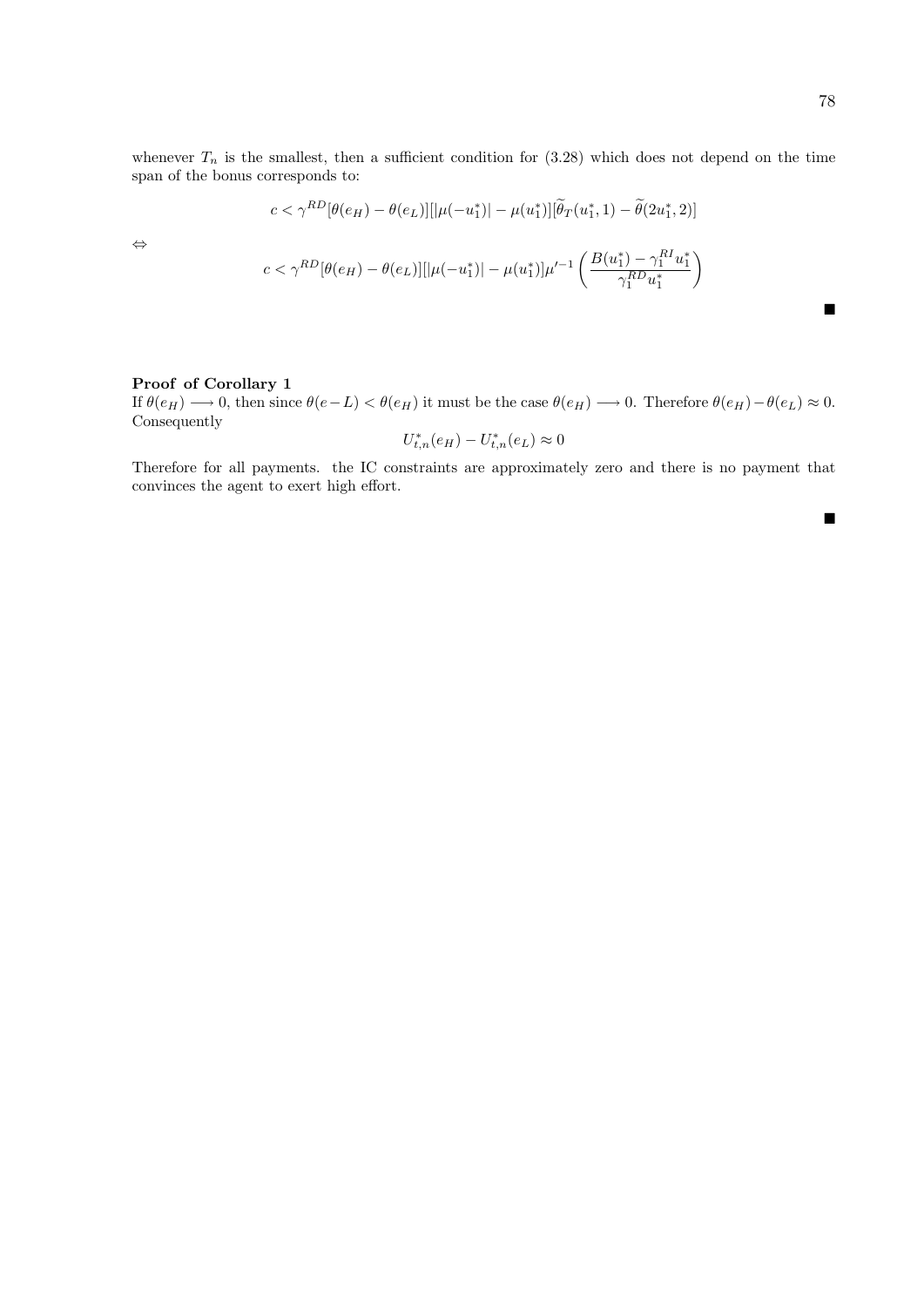whenever  $T_n$  is the smallest, then a sufficient condition for (3.28) which does not depend on the time span of the bonus corresponds to:

$$
c < \gamma^{RD}[\theta(e_H) - \theta(e_L)][|\mu(-u_1^*)| - \mu(u_1^*)][\widetilde{\theta}_T(u_1^*, 1) - \widetilde{\theta}(2u_1^*, 2)]
$$

⇔

$$
c < \gamma^{RD}[\theta(e_H) - \theta(e_L)] [|\mu(-u_1^*)| - \mu(u_1^*)] \mu'^{-1} \left( \frac{B(u_1^*) - \gamma_1^{RI} u_1^*}{\gamma_1^{RD} u_1^*} \right)
$$

## Proof of Corollary 1

If  $\theta(e_H) \longrightarrow 0$ , then since  $\theta(e-L) < \theta(e_H)$  it must be the case  $\theta(e_H) \longrightarrow 0$ . Therefore  $\theta(e_H) - \theta(e_L) \approx 0$ . Consequently

$$
U_{t,n}^*(e_H) - U_{t,n}^*(e_L) \approx 0
$$

Therefore for all payments. the IC constraints are approximately zero and there is no payment that convinces the agent to exert high effort.

 $\blacksquare$ 

 $\blacksquare$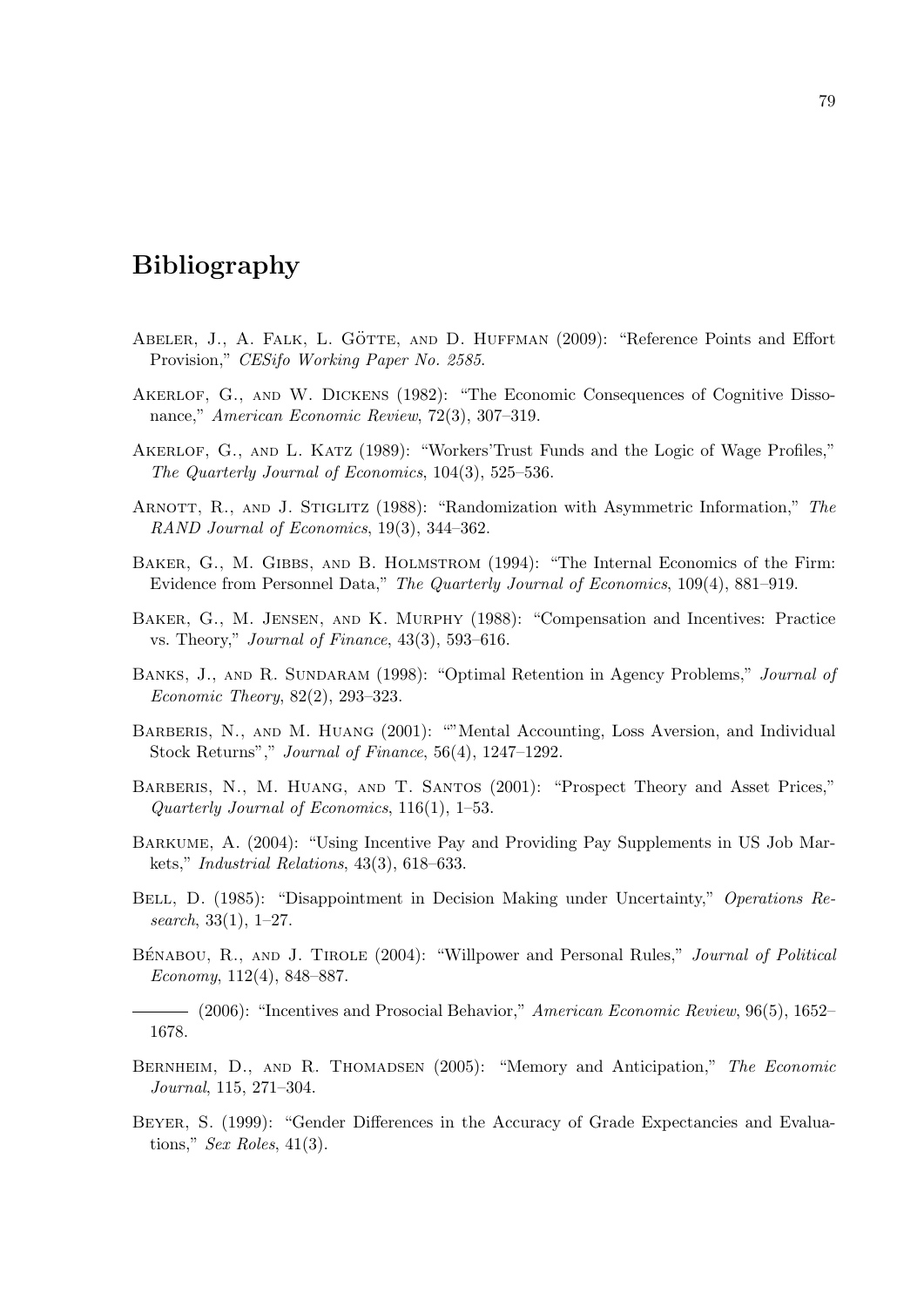# Bibliography

- ABELER, J., A. FALK, L. GÖTTE, AND D. HUFFMAN (2009): "Reference Points and Effort Provision," CESifo Working Paper No. 2585.
- Akerlof, G., and W. Dickens (1982): "The Economic Consequences of Cognitive Dissonance," American Economic Review, 72(3), 307–319.
- Akerlof, G., and L. Katz (1989): "Workers'Trust Funds and the Logic of Wage Profiles," The Quarterly Journal of Economics, 104(3), 525–536.
- ARNOTT, R., AND J. STIGLITZ (1988): "Randomization with Asymmetric Information," The RAND Journal of Economics, 19(3), 344–362.
- BAKER, G., M. GIBBS, AND B. HOLMSTROM (1994): "The Internal Economics of the Firm: Evidence from Personnel Data," The Quarterly Journal of Economics, 109(4), 881–919.
- Baker, G., M. Jensen, and K. Murphy (1988): "Compensation and Incentives: Practice vs. Theory," Journal of Finance, 43(3), 593–616.
- BANKS, J., AND R. SUNDARAM (1998): "Optimal Retention in Agency Problems," Journal of Economic Theory, 82(2), 293–323.
- BARBERIS, N., AND M. HUANG (2001): ""Mental Accounting, Loss Aversion, and Individual Stock Returns"," Journal of Finance, 56(4), 1247–1292.
- Barberis, N., M. Huang, and T. Santos (2001): "Prospect Theory and Asset Prices," Quarterly Journal of Economics, 116(1), 1–53.
- Barkume, A. (2004): "Using Incentive Pay and Providing Pay Supplements in US Job Markets," Industrial Relations, 43(3), 618–633.
- BELL, D. (1985): "Disappointment in Decision Making under Uncertainty," Operations Research,  $33(1)$ ,  $1-27$ .
- BÉNABOU, R., AND J. TIROLE (2004): "Willpower and Personal Rules," *Journal of Political* Economy, 112(4), 848–887.

 $-$  (2006): "Incentives and Prosocial Behavior," American Economic Review, 96(5), 1652– 1678.

- BERNHEIM, D., AND R. THOMADSEN (2005): "Memory and Anticipation," The Economic Journal, 115, 271–304.
- Beyer, S. (1999): "Gender Differences in the Accuracy of Grade Expectancies and Evaluations," Sex Roles,  $41(3)$ .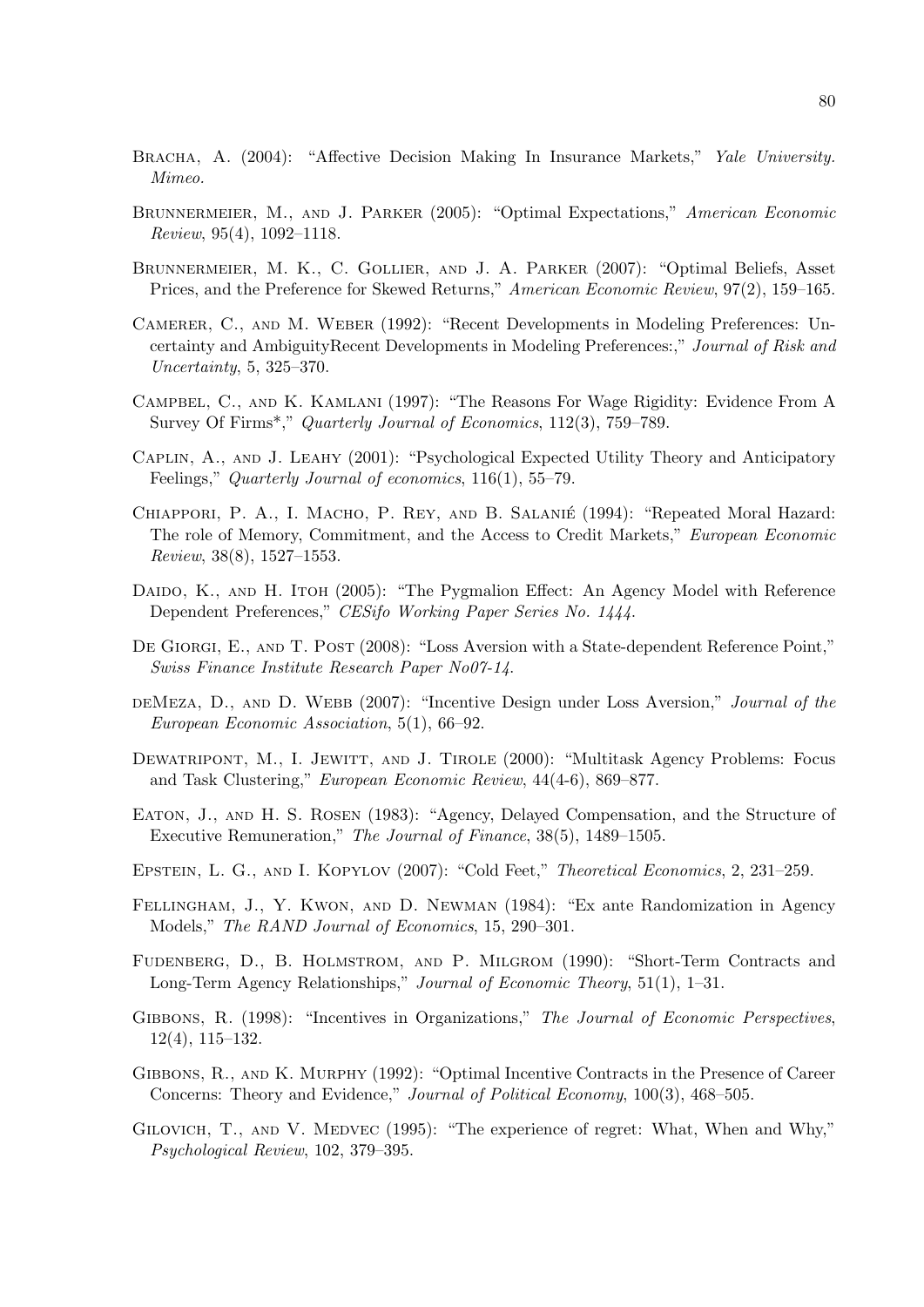- BRACHA, A. (2004): "Affective Decision Making In Insurance Markets," Yale University. Mimeo.
- BRUNNERMEIER, M., AND J. PARKER (2005): "Optimal Expectations," American Economic Review, 95(4), 1092–1118.
- Brunnermeier, M. K., C. Gollier, and J. A. Parker (2007): "Optimal Beliefs, Asset Prices, and the Preference for Skewed Returns," American Economic Review, 97(2), 159–165.
- Camerer, C., and M. Weber (1992): "Recent Developments in Modeling Preferences: Uncertainty and AmbiguityRecent Developments in Modeling Preferences:," Journal of Risk and Uncertainty, 5, 325–370.
- Campbel, C., and K. Kamlani (1997): "The Reasons For Wage Rigidity: Evidence From A Survey Of Firms\*," Quarterly Journal of Economics, 112(3), 759–789.
- Caplin, A., and J. Leahy (2001): "Psychological Expected Utility Theory and Anticipatory Feelings," Quarterly Journal of economics, 116(1), 55–79.
- Chiappori, P. A., I. Macho, P. Rey, and B. Salanie´ (1994): "Repeated Moral Hazard: The role of Memory, Commitment, and the Access to Credit Markets," European Economic Review, 38(8), 1527–1553.
- DAIDO, K., AND H. ITOH (2005): "The Pygmalion Effect: An Agency Model with Reference Dependent Preferences," CESifo Working Paper Series No. 1444.
- DE GIORGI, E., AND T. POST (2008): "Loss Aversion with a State-dependent Reference Point," Swiss Finance Institute Research Paper No07-14.
- deMeza, D., and D. WEBB (2007): "Incentive Design under Loss Aversion," Journal of the European Economic Association, 5(1), 66–92.
- DEWATRIPONT, M., I. JEWITT, AND J. TIROLE (2000): "Multitask Agency Problems: Focus and Task Clustering," European Economic Review, 44(4-6), 869–877.
- Eaton, J., and H. S. Rosen (1983): "Agency, Delayed Compensation, and the Structure of Executive Remuneration," The Journal of Finance, 38(5), 1489–1505.
- EPSTEIN, L. G., AND I. KOPYLOV (2007): "Cold Feet," *Theoretical Economics*, 2, 231–259.
- Fellingham, J., Y. Kwon, and D. Newman (1984): "Ex ante Randomization in Agency Models," The RAND Journal of Economics, 15, 290–301.
- Fudenberg, D., B. Holmstrom, and P. Milgrom (1990): "Short-Term Contracts and Long-Term Agency Relationships," Journal of Economic Theory, 51(1), 1–31.
- GIBBONS, R. (1998): "Incentives in Organizations," The Journal of Economic Perspectives, 12(4), 115–132.
- Gibbons, R., and K. Murphy (1992): "Optimal Incentive Contracts in the Presence of Career Concerns: Theory and Evidence," Journal of Political Economy, 100(3), 468–505.
- GILOVICH, T., AND V. MEDVEC (1995): "The experience of regret: What, When and Why," Psychological Review, 102, 379–395.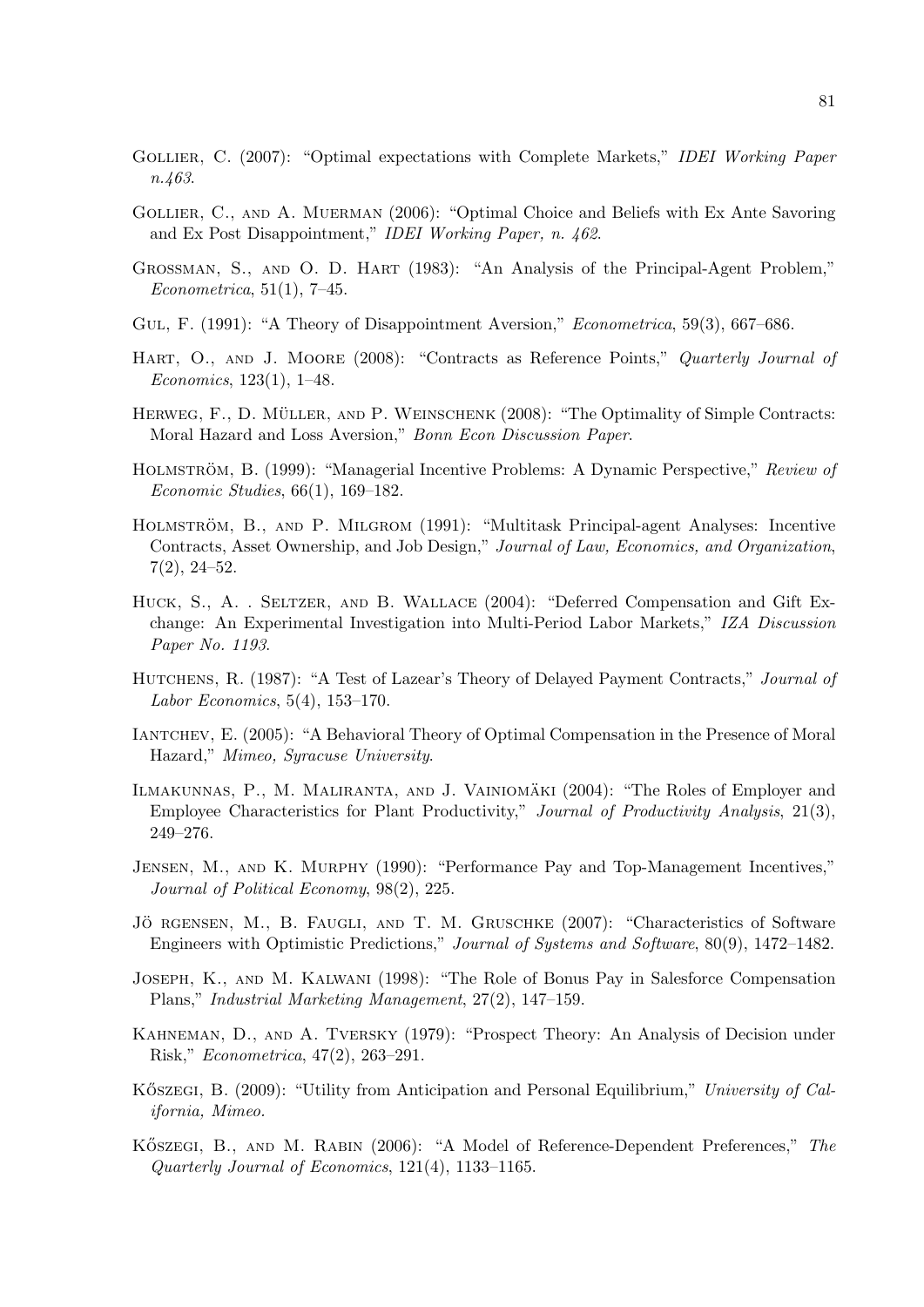- GOLLIER, C. (2007): "Optimal expectations with Complete Markets," IDEI Working Paper n.463.
- Gollier, C., and A. Muerman (2006): "Optimal Choice and Beliefs with Ex Ante Savoring and Ex Post Disappointment," IDEI Working Paper, n. 462.
- Grossman, S., and O. D. Hart (1983): "An Analysis of the Principal-Agent Problem,"  $Econometrica, 51(1), 7-45.$
- GUL, F. (1991): "A Theory of Disappointment Aversion," Econometrica, 59(3), 667–686.
- HART, O., AND J. MOORE (2008): "Contracts as Reference Points," Quarterly Journal of Economics, 123(1), 1–48.
- HERWEG, F., D. MÜLLER, AND P. WEINSCHENK (2008): "The Optimality of Simple Contracts: Moral Hazard and Loss Aversion," Bonn Econ Discussion Paper.
- HOLMSTRÖM, B. (1999): "Managerial Incentive Problems: A Dynamic Perspective," Review of Economic Studies, 66(1), 169–182.
- HOLMSTRÖM, B., AND P. MILGROM (1991): "Multitask Principal-agent Analyses: Incentive Contracts, Asset Ownership, and Job Design," Journal of Law, Economics, and Organization, 7(2), 24–52.
- HUCK, S., A. . SELTZER, AND B. WALLACE (2004): "Deferred Compensation and Gift Exchange: An Experimental Investigation into Multi-Period Labor Markets," IZA Discussion Paper No. 1193.
- HUTCHENS, R. (1987): "A Test of Lazear's Theory of Delayed Payment Contracts," Journal of *Labor Economics*,  $5(4)$ ,  $153-170$ .
- Iantchev, E. (2005): "A Behavioral Theory of Optimal Compensation in the Presence of Moral Hazard," Mimeo, Syracuse University.
- ILMAKUNNAS, P., M. MALIRANTA, AND J. VAINIOMÄKI (2004): "The Roles of Employer and Employee Characteristics for Plant Productivity," Journal of Productivity Analysis, 21(3), 249–276.
- Jensen, M., and K. Murphy (1990): "Performance Pay and Top-Management Incentives," Journal of Political Economy, 98(2), 225.
- JÖ RGENSEN, M., B. FAUGLI, AND T. M. GRUSCHKE (2007): "Characteristics of Software Engineers with Optimistic Predictions," Journal of Systems and Software, 80(9), 1472–1482.
- Joseph, K., and M. Kalwani (1998): "The Role of Bonus Pay in Salesforce Compensation Plans," Industrial Marketing Management, 27(2), 147–159.
- Kahneman, D., and A. Tversky (1979): "Prospect Theory: An Analysis of Decision under Risk," Econometrica, 47(2), 263–291.
- KÖSZEGI, B. (2009): "Utility from Anticipation and Personal Equilibrium," University of California, Mimeo.
- KÖSZEGI, B., AND M. RABIN (2006): "A Model of Reference-Dependent Preferences," The Quarterly Journal of Economics, 121(4), 1133–1165.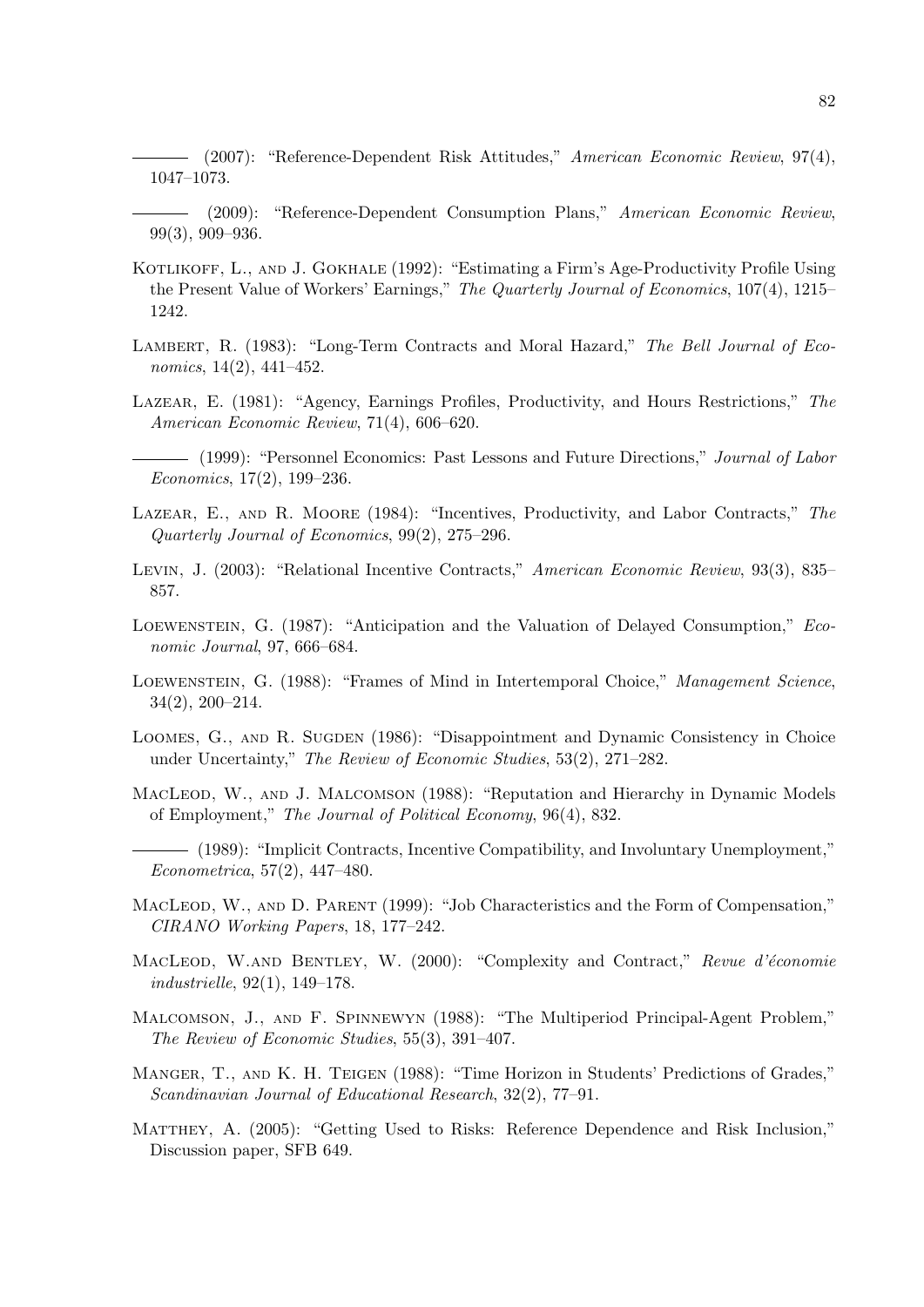(2007): "Reference-Dependent Risk Attitudes," American Economic Review, 97(4), 1047–1073.

- (2009): "Reference-Dependent Consumption Plans," American Economic Review, 99(3), 909–936.
- KOTLIKOFF, L., AND J. GOKHALE (1992): "Estimating a Firm's Age-Productivity Profile Using the Present Value of Workers' Earnings," The Quarterly Journal of Economics, 107(4), 1215– 1242.
- LAMBERT, R. (1983): "Long-Term Contracts and Moral Hazard," The Bell Journal of Economics, 14(2), 441–452.
- Lazear, E. (1981): "Agency, Earnings Profiles, Productivity, and Hours Restrictions," The American Economic Review, 71(4), 606–620.
	- (1999): "Personnel Economics: Past Lessons and Future Directions," Journal of Labor Economics, 17(2), 199–236.
- LAZEAR, E., AND R. MOORE (1984): "Incentives, Productivity, and Labor Contracts," The Quarterly Journal of Economics, 99(2), 275–296.
- Levin, J. (2003): "Relational Incentive Contracts," American Economic Review, 93(3), 835– 857.
- Loewenstein, G. (1987): "Anticipation and the Valuation of Delayed Consumption," Economic Journal, 97, 666–684.
- LOEWENSTEIN, G. (1988): "Frames of Mind in Intertemporal Choice," Management Science, 34(2), 200–214.
- LOOMES, G., AND R. SUGDEN (1986): "Disappointment and Dynamic Consistency in Choice under Uncertainty," The Review of Economic Studies, 53(2), 271–282.

MACLEOD, W., AND J. MALCOMSON (1988): "Reputation and Hierarchy in Dynamic Models of Employment," The Journal of Political Economy, 96(4), 832.

- (1989): "Implicit Contracts, Incentive Compatibility, and Involuntary Unemployment," Econometrica, 57(2), 447–480.
- MACLEOD, W., AND D. PARENT (1999): "Job Characteristics and the Form of Compensation," CIRANO Working Papers, 18, 177–242.
- MACLEOD, W.AND BENTLEY, W. (2000): "Complexity and Contract," Revue d'économie industrielle, 92(1), 149–178.
- Malcomson, J., and F. Spinnewyn (1988): "The Multiperiod Principal-Agent Problem," The Review of Economic Studies, 55(3), 391–407.
- MANGER, T., AND K. H. TEIGEN (1988): "Time Horizon in Students' Predictions of Grades," Scandinavian Journal of Educational Research, 32(2), 77–91.
- Matthey, A. (2005): "Getting Used to Risks: Reference Dependence and Risk Inclusion," Discussion paper, SFB 649.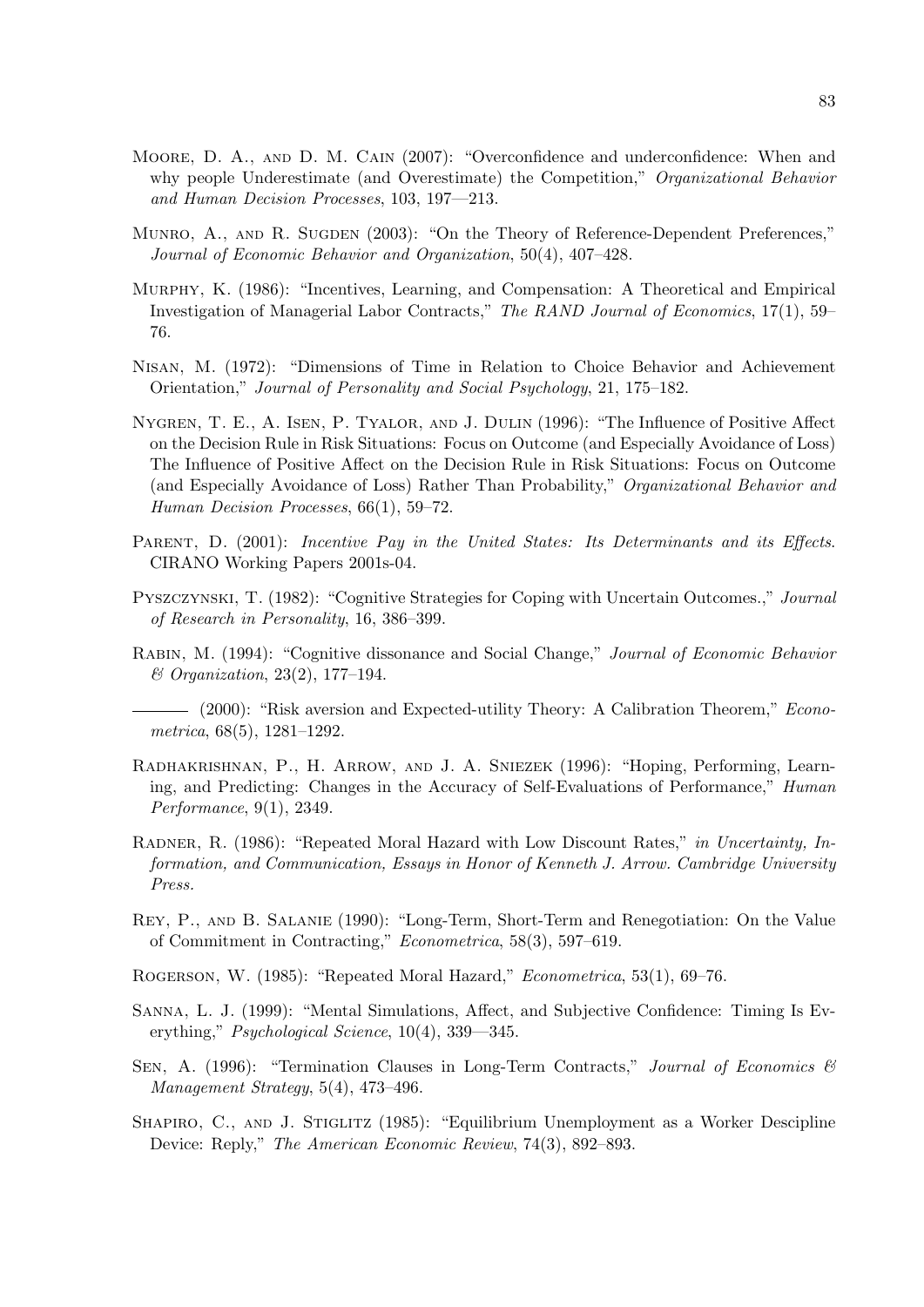- Moore, D. A., and D. M. Cain (2007): "Overconfidence and underconfidence: When and why people Underestimate (and Overestimate) the Competition," *Organizational Behavior* and Human Decision Processes, 103, 197—213.
- MUNRO, A., AND R. SUGDEN (2003): "On the Theory of Reference-Dependent Preferences," Journal of Economic Behavior and Organization, 50(4), 407–428.
- Murphy, K. (1986): "Incentives, Learning, and Compensation: A Theoretical and Empirical Investigation of Managerial Labor Contracts," The RAND Journal of Economics, 17(1), 59– 76.
- Nisan, M. (1972): "Dimensions of Time in Relation to Choice Behavior and Achievement Orientation," Journal of Personality and Social Psychology, 21, 175–182.
- Nygren, T. E., A. Isen, P. Tyalor, and J. Dulin (1996): "The Influence of Positive Affect on the Decision Rule in Risk Situations: Focus on Outcome (and Especially Avoidance of Loss) The Influence of Positive Affect on the Decision Rule in Risk Situations: Focus on Outcome (and Especially Avoidance of Loss) Rather Than Probability," Organizational Behavior and Human Decision Processes, 66(1), 59–72.
- PARENT, D. (2001): Incentive Pay in the United States: Its Determinants and its Effects. CIRANO Working Papers 2001s-04.
- Pyszczynski, T. (1982): "Cognitive Strategies for Coping with Uncertain Outcomes.," Journal of Research in Personality, 16, 386–399.
- Rabin, M. (1994): "Cognitive dissonance and Social Change," Journal of Economic Behavior & Organization, 23(2), 177–194.
- (2000): "Risk aversion and Expected-utility Theory: A Calibration Theorem," Econometrica, 68(5), 1281–1292.
- Radhakrishnan, P., H. Arrow, and J. A. Sniezek (1996): "Hoping, Performing, Learning, and Predicting: Changes in the Accuracy of Self-Evaluations of Performance," Human Performance, 9(1), 2349.
- RADNER, R. (1986): "Repeated Moral Hazard with Low Discount Rates," in Uncertainty, Information, and Communication, Essays in Honor of Kenneth J. Arrow. Cambridge University Press.
- Rey, P., and B. Salanie (1990): "Long-Term, Short-Term and Renegotiation: On the Value of Commitment in Contracting," Econometrica, 58(3), 597–619.
- Rogerson, W. (1985): "Repeated Moral Hazard," Econometrica, 53(1), 69–76.
- Sanna, L. J. (1999): "Mental Simulations, Affect, and Subjective Confidence: Timing Is Everything," Psychological Science, 10(4), 339—345.
- SEN, A. (1996): "Termination Clauses in Long-Term Contracts," Journal of Economics  $\mathcal{B}$ Management Strategy, 5(4), 473–496.
- SHAPIRO, C., AND J. STIGLITZ (1985): "Equilibrium Unemployment as a Worker Descipline Device: Reply," The American Economic Review, 74(3), 892–893.